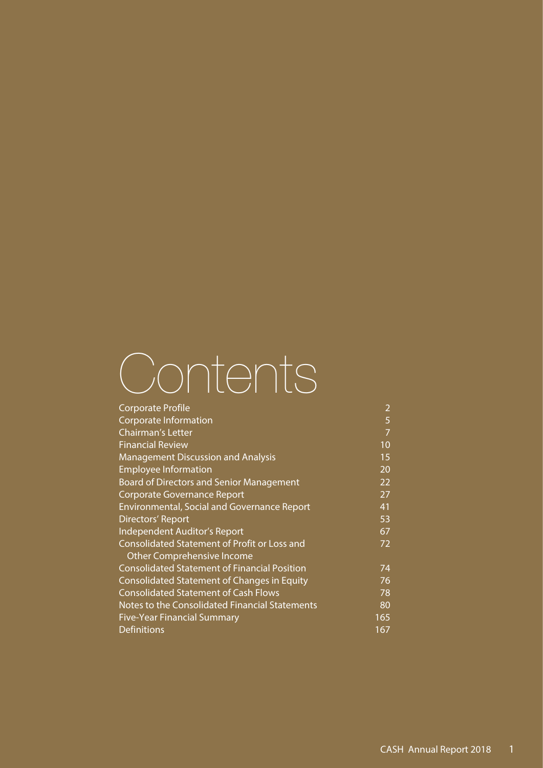# Corporate Profile

| Corporate Profile                                                          | $\overline{2}$ |
|----------------------------------------------------------------------------|----------------|
| Corporate Information                                                      | 5              |
| Chairman's Letter                                                          | $\overline{7}$ |
| <b>Financial Review</b>                                                    | 10             |
| <b>Management Discussion and Analysis</b>                                  | 15             |
| <b>Employee Information</b>                                                | 20             |
| <b>Board of Directors and Senior Management</b>                            | 22             |
| Corporate Governance Report                                                | 27             |
| <b>Environmental, Social and Governance Report</b>                         | 41             |
| Directors' Report                                                          | 53             |
| Independent Auditor's Report                                               | 67             |
| Consolidated Statement of Profit or Loss and<br>Other Comprehensive Income | 72             |
| <b>Consolidated Statement of Financial Position</b>                        | 74             |
| Consolidated Statement of Changes in Equity                                | 76             |
| <b>Consolidated Statement of Cash Flows</b>                                | 78             |
| Notes to the Consolidated Financial Statements                             | 80             |
| <b>Five-Year Financial Summary</b>                                         | 165            |
| <b>Definitions</b>                                                         | 167            |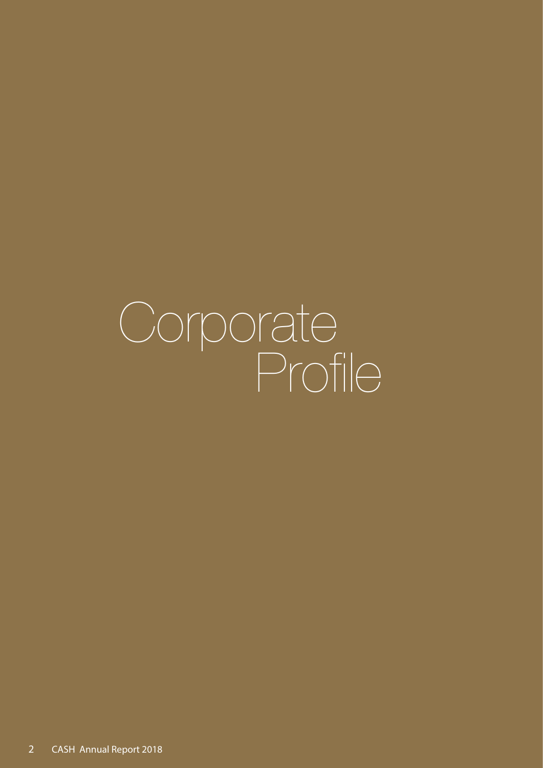# Corporate Profile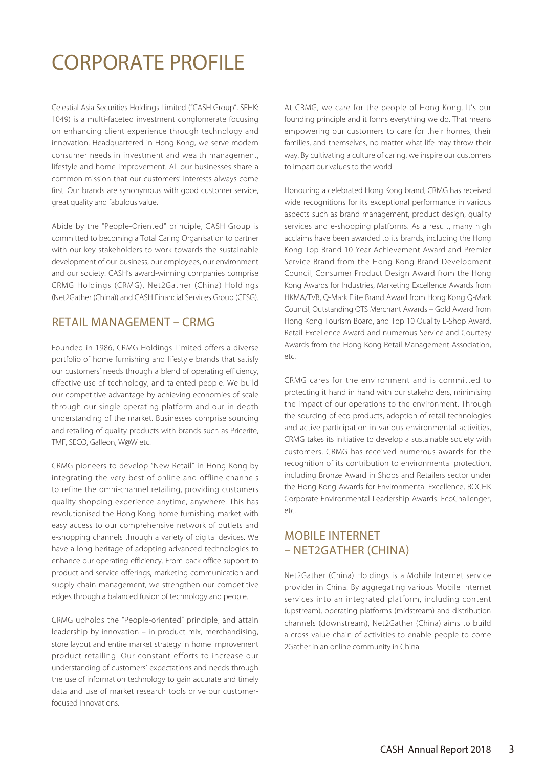# CORPORATE PROFILE

Celestial Asia Securities Holdings Limited ("CASH Group", SEHK: 1049) is a multi-faceted investment conglomerate focusing on enhancing client experience through technology and innovation. Headquartered in Hong Kong, we serve modern consumer needs in investment and wealth management, lifestyle and home improvement. All our businesses share a common mission that our customers' interests always come first. Our brands are synonymous with good customer service, great quality and fabulous value.

Abide by the "People-Oriented" principle, CASH Group is committed to becoming a Total Caring Organisation to partner with our key stakeholders to work towards the sustainable development of our business, our employees, our environment and our society. CASH's award-winning companies comprise CRMG Holdings (CRMG), Net2Gather (China) Holdings (Net2Gather (China)) and CASH Financial Services Group (CFSG).

### RETAIL MANAGEMENT – CRMG

Founded in 1986, CRMG Holdings Limited offers a diverse portfolio of home furnishing and lifestyle brands that satisfy our customers' needs through a blend of operating efficiency, effective use of technology, and talented people. We build our competitive advantage by achieving economies of scale through our single operating platform and our in-depth understanding of the market. Businesses comprise sourcing and retailing of quality products with brands such as Pricerite, TMF, SECO, Galleon, W@W etc.

CRMG pioneers to develop "New Retail" in Hong Kong by integrating the very best of online and offline channels to refine the omni-channel retailing, providing customers quality shopping experience anytime, anywhere. This has revolutionised the Hong Kong home furnishing market with easy access to our comprehensive network of outlets and e-shopping channels through a variety of digital devices. We have a long heritage of adopting advanced technologies to enhance our operating efficiency. From back office support to product and service offerings, marketing communication and supply chain management, we strengthen our competitive edges through a balanced fusion of technology and people.

CRMG upholds the "People-oriented" principle, and attain leadership by innovation – in product mix, merchandising, store layout and entire market strategy in home improvement product retailing. Our constant efforts to increase our understanding of customers' expectations and needs through the use of information technology to gain accurate and timely data and use of market research tools drive our customerfocused innovations.

At CRMG, we care for the people of Hong Kong. It's our founding principle and it forms everything we do. That means empowering our customers to care for their homes, their families, and themselves, no matter what life may throw their way. By cultivating a culture of caring, we inspire our customers to impart our values to the world.

Honouring a celebrated Hong Kong brand, CRMG has received wide recognitions for its exceptional performance in various aspects such as brand management, product design, quality services and e-shopping platforms. As a result, many high acclaims have been awarded to its brands, including the Hong Kong Top Brand 10 Year Achievement Award and Premier Service Brand from the Hong Kong Brand Development Council, Consumer Product Design Award from the Hong Kong Awards for Industries, Marketing Excellence Awards from HKMA/TVB, Q-Mark Elite Brand Award from Hong Kong Q-Mark Council, Outstanding QTS Merchant Awards – Gold Award from Hong Kong Tourism Board, and Top 10 Quality E-Shop Award, Retail Excellence Award and numerous Service and Courtesy Awards from the Hong Kong Retail Management Association, etc.

CRMG cares for the environment and is committed to protecting it hand in hand with our stakeholders, minimising the impact of our operations to the environment. Through the sourcing of eco-products, adoption of retail technologies and active participation in various environmental activities, CRMG takes its initiative to develop a sustainable society with customers. CRMG has received numerous awards for the recognition of its contribution to environmental protection, including Bronze Award in Shops and Retailers sector under the Hong Kong Awards for Environmental Excellence, BOCHK Corporate Environmental Leadership Awards: EcoChallenger, etc.

## MOBILE INTERNET – NET2GATHER (CHINA)

Net2Gather (China) Holdings is a Mobile Internet service provider in China. By aggregating various Mobile Internet services into an integrated platform, including content (upstream), operating platforms (midstream) and distribution channels (downstream), Net2Gather (China) aims to build a cross-value chain of activities to enable people to come 2Gather in an online community in China.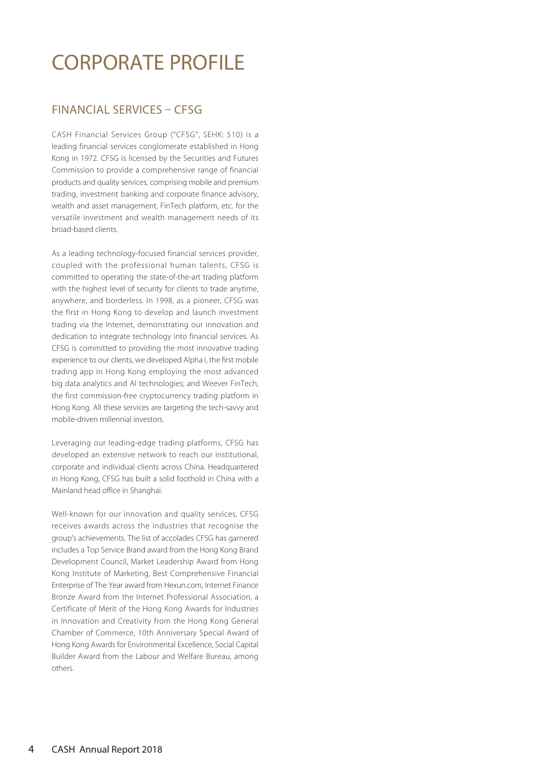# CORPORATE PROFILE

# FINANCIAL SERVICES – CFSG

CASH Financial Services Group ("CFSG", SEHK: 510) is a leading financial services conglomerate established in Hong Kong in 1972. CFSG is licensed by the Securities and Futures Commission to provide a comprehensive range of financial products and quality services, comprising mobile and premium trading, investment banking and corporate finance advisory, wealth and asset management, FinTech platform, etc. for the versatile investment and wealth management needs of its broad-based clients.

As a leading technology-focused financial services provider, coupled with the professional human talents, CFSG is committed to operating the state-of-the-art trading platform with the highest level of security for clients to trade anytime, anywhere, and borderless. In 1998, as a pioneer, CFSG was the first in Hong Kong to develop and launch investment trading via the Internet, demonstrating our innovation and dedication to integrate technology into financial services. As CFSG is committed to providing the most innovative trading experience to our clients, we developed Alpha i, the first mobile trading app in Hong Kong employing the most advanced big data analytics and AI technologies; and Weever FinTech, the first commission-free cryptocurrency trading platform in Hong Kong. All these services are targeting the tech-savvy and mobile-driven millennial investors.

Leveraging our leading-edge trading platforms, CFSG has developed an extensive network to reach our institutional, corporate and individual clients across China. Headquartered in Hong Kong, CFSG has built a solid foothold in China with a Mainland head office in Shanghai.

Well-known for our innovation and quality services, CFSG receives awards across the industries that recognise the group's achievements. The list of accolades CFSG has garnered includes a Top Service Brand award from the Hong Kong Brand Development Council, Market Leadership Award from Hong Kong Institute of Marketing, Best Comprehensive Financial Enterprise of The Year award from Hexun.com, Internet Finance Bronze Award from the Internet Professional Association, a Certificate of Merit of the Hong Kong Awards for Industries in Innovation and Creativity from the Hong Kong General Chamber of Commerce, 10th Anniversary Special Award of Hong Kong Awards for Environmental Excellence, Social Capital Builder Award from the Labour and Welfare Bureau, among others.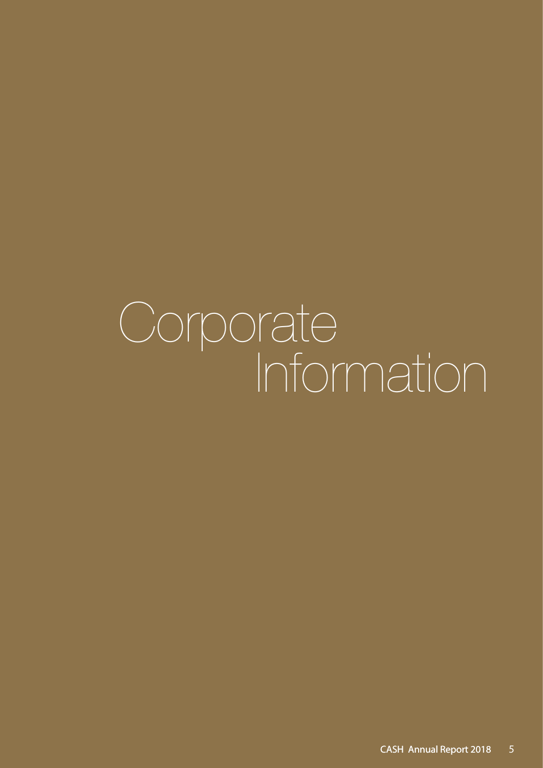# Corporate Information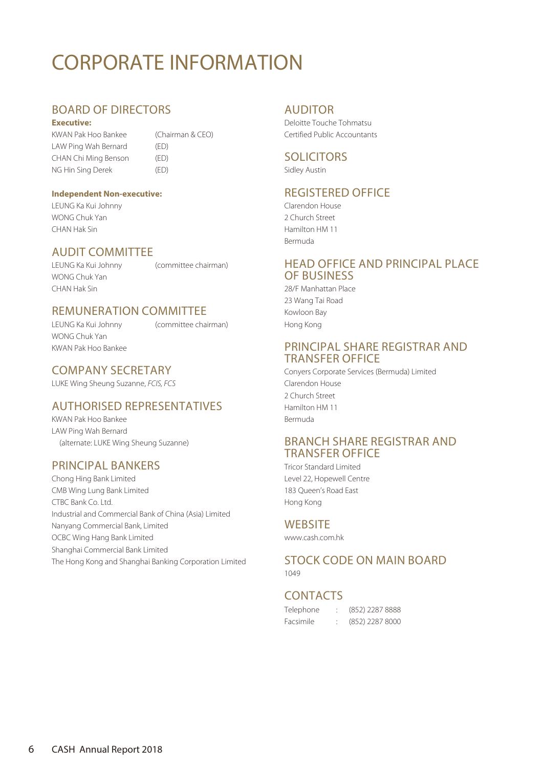# CORPORATE INFORMATION

# BOARD OF DIRECTORS

#### **Executive:**

KWAN Pak Hoo Bankee (Chairman & CEO) LAW Ping Wah Bernard (ED) CHAN Chi Ming Benson (ED) NG Hin Sing Derek (ED)

#### **Independent Non-executive:**

LEUNG Ka Kui Johnny WONG Chuk Yan CHAN Hak Sin

# **AUDIT COMMITTEE**<br>LEUNG Ka Kui Johnny

WONG Chuk Yan CHAN Hak Sin

(committee chairman)

# REMUNERATION COMMITTEE

WONG Chuk Yan KWAN Pak Hoo Bankee (committee chairman)

## COMPANY SECRETARY

LUKE Wing Sheung Suzanne, FCIS, FCS

## AUTHORISED REPRESENTATIVES

KWAN Pak Hoo Bankee LAW Ping Wah Bernard (alternate: LUKE Wing Sheung Suzanne)

## PRINCIPAL BANKERS

Chong Hing Bank Limited CMB Wing Lung Bank Limited CTBC Bank Co. Ltd. Industrial and Commercial Bank of China (Asia) Limited Nanyang Commercial Bank, Limited OCBC Wing Hang Bank Limited Shanghai Commercial Bank Limited The Hong Kong and Shanghai Banking Corporation Limited

## AUDITOR

Deloitte Touche Tohmatsu Certified Public Accountants

### SOLICITORS

Sidley Austin

### REGISTERED OFFICE

Clarendon House 2 Church Street Hamilton HM 11 Bermuda

## HEAD OFFICE AND PRINCIPAL PLACE OF BUSINESS

28/F Manhattan Place 23 Wang Tai Road Kowloon Bay Hong Kong

### PRINCIPAL SHARE REGISTRAR AND TRANSFER OFFICE

Conyers Corporate Services (Bermuda) Limited Clarendon House 2 Church Street Hamilton HM 11 Bermuda

## BRANCH SHARE REGISTRAR AND TRANSFER OFFICE

Tricor Standard Limited Level 22, Hopewell Centre 183 Queen's Road East Hong Kong

### **WEBSITE**

www.cash.com.hk

## STOCK CODE ON MAIN BOARD 1049

## **CONTACTS**

| Telephone | (852) 2287 8888 |  |
|-----------|-----------------|--|
| Facsimile | (852) 2287 8000 |  |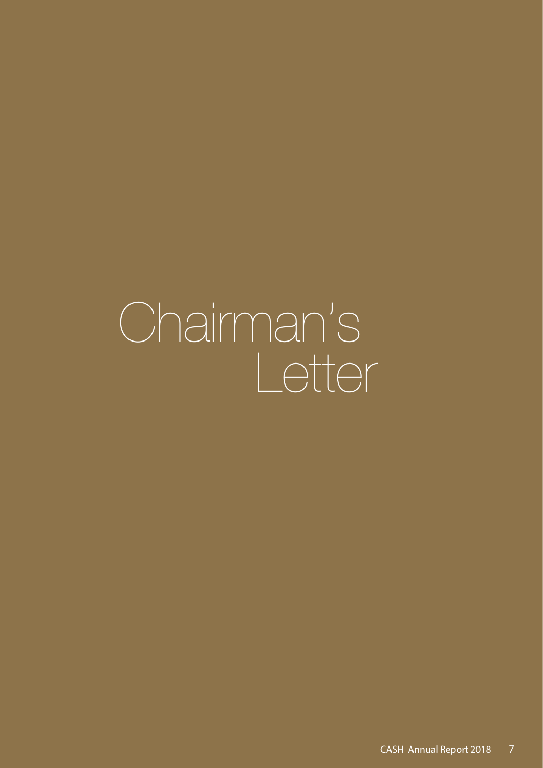# Chairman's Letter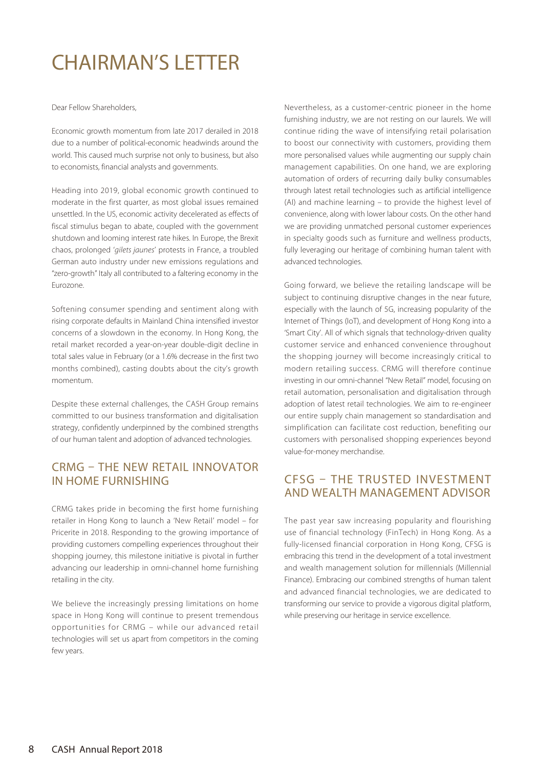# CHAIRMAN'S LETTER

Dear Fellow Shareholders,

Economic growth momentum from late 2017 derailed in 2018 due to a number of political-economic headwinds around the world. This caused much surprise not only to business, but also to economists, financial analysts and governments.

Heading into 2019, global economic growth continued to moderate in the first quarter, as most global issues remained unsettled. In the US, economic activity decelerated as effects of fiscal stimulus began to abate, coupled with the government shutdown and looming interest rate hikes. In Europe, the Brexit chaos, prolonged 'gilets jaunes' protests in France, a troubled German auto industry under new emissions regulations and "zero-growth" Italy all contributed to a faltering economy in the Eurozone.

Softening consumer spending and sentiment along with rising corporate defaults in Mainland China intensified investor concerns of a slowdown in the economy. In Hong Kong, the retail market recorded a year-on-year double-digit decline in total sales value in February (or a 1.6% decrease in the first two months combined), casting doubts about the city's growth momentum.

Despite these external challenges, the CASH Group remains committed to our business transformation and digitalisation strategy, confidently underpinned by the combined strengths of our human talent and adoption of advanced technologies.

## CRMG – THE NEW RETAIL INNOVATOR IN HOME FURNISHING

CRMG takes pride in becoming the first home furnishing retailer in Hong Kong to launch a 'New Retail' model – for Pricerite in 2018. Responding to the growing importance of providing customers compelling experiences throughout their shopping journey, this milestone initiative is pivotal in further advancing our leadership in omni-channel home furnishing retailing in the city.

We believe the increasingly pressing limitations on home space in Hong Kong will continue to present tremendous opportunities for CRMG – while our advanced retail technologies will set us apart from competitors in the coming few years.

Nevertheless, as a customer-centric pioneer in the home furnishing industry, we are not resting on our laurels. We will continue riding the wave of intensifying retail polarisation to boost our connectivity with customers, providing them more personalised values while augmenting our supply chain management capabilities. On one hand, we are exploring automation of orders of recurring daily bulky consumables through latest retail technologies such as artificial intelligence (AI) and machine learning – to provide the highest level of convenience, along with lower labour costs. On the other hand we are providing unmatched personal customer experiences in specialty goods such as furniture and wellness products, fully leveraging our heritage of combining human talent with advanced technologies.

Going forward, we believe the retailing landscape will be subject to continuing disruptive changes in the near future, especially with the launch of 5G, increasing popularity of the Internet of Things (IoT), and development of Hong Kong into a 'Smart City'. All of which signals that technology-driven quality customer service and enhanced convenience throughout the shopping journey will become increasingly critical to modern retailing success. CRMG will therefore continue investing in our omni-channel "New Retail" model, focusing on retail automation, personalisation and digitalisation through adoption of latest retail technologies. We aim to re-engineer our entire supply chain management so standardisation and simplification can facilitate cost reduction, benefiting our customers with personalised shopping experiences beyond value-for-money merchandise.

# CFSG – THE TRUSTED INVESTMENT AND WEALTH MANAGEMENT ADVISOR

The past year saw increasing popularity and flourishing use of financial technology (FinTech) in Hong Kong. As a fully-licensed financial corporation in Hong Kong, CFSG is embracing this trend in the development of a total investment and wealth management solution for millennials (Millennial Finance). Embracing our combined strengths of human talent and advanced financial technologies, we are dedicated to transforming our service to provide a vigorous digital platform, while preserving our heritage in service excellence.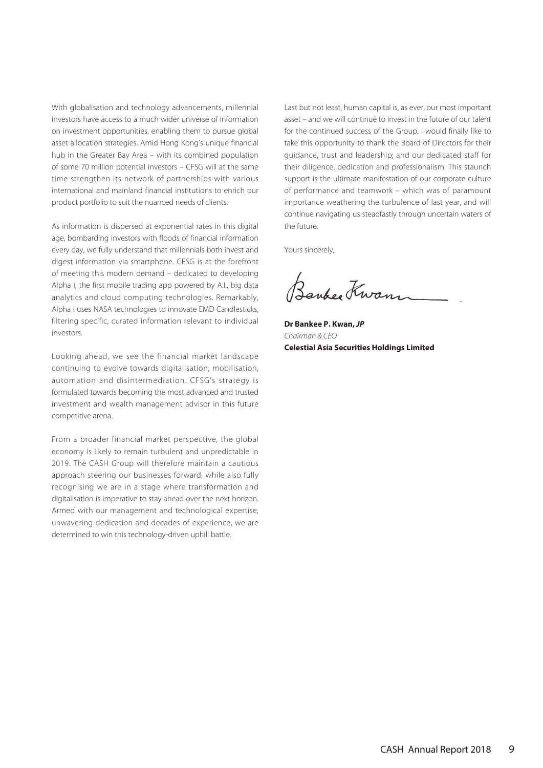With globalisation and technology advancements, millennial investors have access to a much wider universe of information on investment opportunities, enabling them to pursue global asset allocation strategies. Amid Hong Kong's unique financial hub in the Greater Bay Area – with its combined population of some 70 million potential investors – CFSG will at the same time strengthen its network of partnerships with various international and mainland financial institutions to enrich our product portfolio to suit the nuanced needs of clients.

As information is dispersed at exponential rates in this digital age, bombarding investors with floods of financial information every day, we fully understand that millennials both invest and digest information via smartphone. CFSG is at the forefront of meeting this modern demand – dedicated to developing Alpha i, the first mobile trading app powered by A.I., big data analytics and cloud computing technologies. Remarkably, Alpha i uses NASA technologies to innovate EMD Candlesticks, filtering specific, curated information relevant to individual investors.

Looking ahead, we see the financial market landscape continuing to evolve towards digitalisation, mobilisation, automation and disintermediation. CFSG's strategy is formulated towards becoming the most advanced and trusted investment and wealth management advisor in this future competitive arena.

From a broader financial market perspective, the global economy is likely to remain turbulent and unpredictable in 2019. The CASH Group will therefore maintain a cautious approach steering our businesses forward, while also fully recognising we are in a stage where transformation and digitalisation is imperative to stay ahead over the next horizon. Armed with our management and technological expertise, unwavering dedication and decades of experience, we are determined to win this technology-driven uphill battle.

Last but not least, human capital is, as ever, our most important asset – and we will continue to invest in the future of our talent for the continued success of the Group. I would finally like to take this opportunity to thank the Board of Directors for their guidance, trust and leadership; and our dedicated staff for their diligence, dedication and professionalism. This staunch support is the ultimate manifestation of our corporate culture of performance and teamwork – which was of paramount importance weathering the turbulence of last year, and will continue navigating us steadfastly through uncertain waters of the future.

Yours sincerely,

Banker Kwann

**Dr Bankee P. Kwan,** *JP* Chairman & CEO **Celestial Asia Securities Holdings Limited**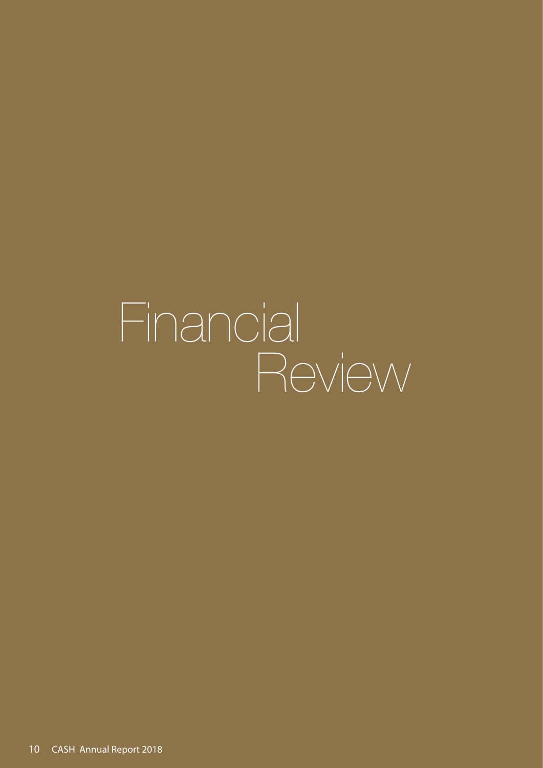# Financial Review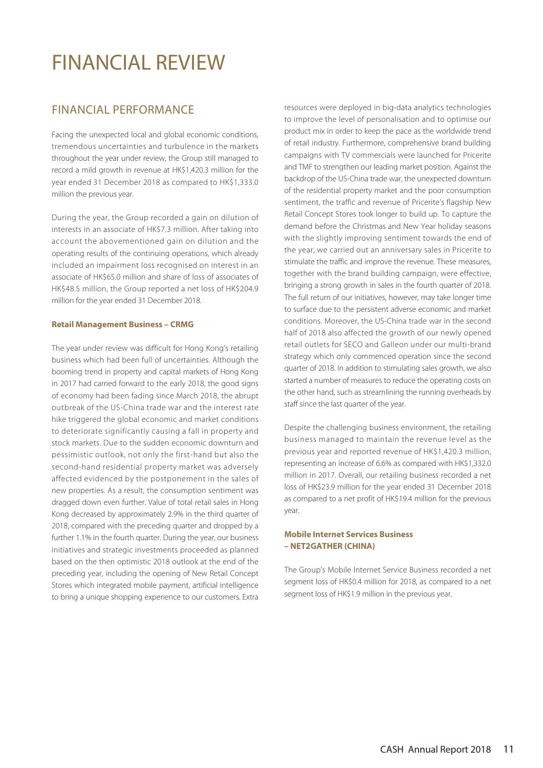# FINANCIAL REVIEW

## FINANCIAL PERFORMANCE

Facing the unexpected local and global economic conditions, tremendous uncertainties and turbulence in the markets throughout the year under review, the Group still managed to record a mild growth in revenue at HK\$1,420.3 million for the year ended 31 December 2018 as compared to HK\$1,333.0 million the previous year.

During the year, the Group recorded a gain on dilution of interests in an associate of HK\$7.3 million. After taking into account the abovementioned gain on dilution and the operating results of the continuing operations, which already included an impairment loss recognised on interest in an associate of HK\$65.0 million and share of loss of associates of HK\$48.5 million, the Group reported a net loss of HK\$204.9 million for the year ended 31 December 2018.

#### **Retail Management Business – CRMG**

The year under review was difficult for Hong Kong's retailing business which had been full of uncertainties. Although the booming trend in property and capital markets of Hong Kong in 2017 had carried forward to the early 2018, the good signs of economy had been fading since March 2018, the abrupt outbreak of the US-China trade war and the interest rate hike triggered the global economic and market conditions to deteriorate significantly causing a fall in property and stock markets. Due to the sudden economic downturn and pessimistic outlook, not only the first-hand but also the second-hand residential property market was adversely affected evidenced by the postponement in the sales of new properties. As a result, the consumption sentiment was dragged down even further. Value of total retail sales in Hong Kong decreased by approximately 2.9% in the third quarter of 2018, compared with the preceding quarter and dropped by a further 1.1% in the fourth quarter. During the year, our business initiatives and strategic investments proceeded as planned based on the then optimistic 2018 outlook at the end of the preceding year, including the opening of New Retail Concept Stores which integrated mobile payment, artificial intelligence to bring a unique shopping experience to our customers. Extra

resources were deployed in big-data analytics technologies to improve the level of personalisation and to optimise our product mix in order to keep the pace as the worldwide trend of retail industry. Furthermore, comprehensive brand building campaigns with TV commercials were launched for Pricerite and TMF to strengthen our leading market position. Against the backdrop of the US-China trade war, the unexpected downturn of the residential property market and the poor consumption sentiment, the traffic and revenue of Pricerite's flagship New Retail Concept Stores took longer to build up. To capture the demand before the Christmas and New Year holiday seasons with the slightly improving sentiment towards the end of the year, we carried out an anniversary sales in Pricerite to stimulate the traffic and improve the revenue. These measures, together with the brand building campaign, were effective, bringing a strong growth in sales in the fourth quarter of 2018. The full return of our initiatives, however, may take longer time to surface due to the persistent adverse economic and market conditions. Moreover, the US-China trade war in the second half of 2018 also affected the growth of our newly opened retail outlets for SECO and Galleon under our multi-brand strategy which only commenced operation since the second quarter of 2018. In addition to stimulating sales growth, we also started a number of measures to reduce the operating costs on the other hand, such as streamlining the running overheads by staff since the last quarter of the year.

Despite the challenging business environment, the retailing business managed to maintain the revenue level as the previous year and reported revenue of HK\$1,420.3 million, representing an increase of 6.6% as compared with HK\$1,332.0 million in 2017. Overall, our retailing business recorded a net loss of HK\$23.9 million for the year ended 31 December 2018 as compared to a net profit of HK\$19.4 million for the previous year.

#### **Mobile Internet Services Business – NET2GATHER (CHINA)**

The Group's Mobile Internet Service Business recorded a net segment loss of HK\$0.4 million for 2018, as compared to a net segment loss of HK\$1.9 million in the previous year.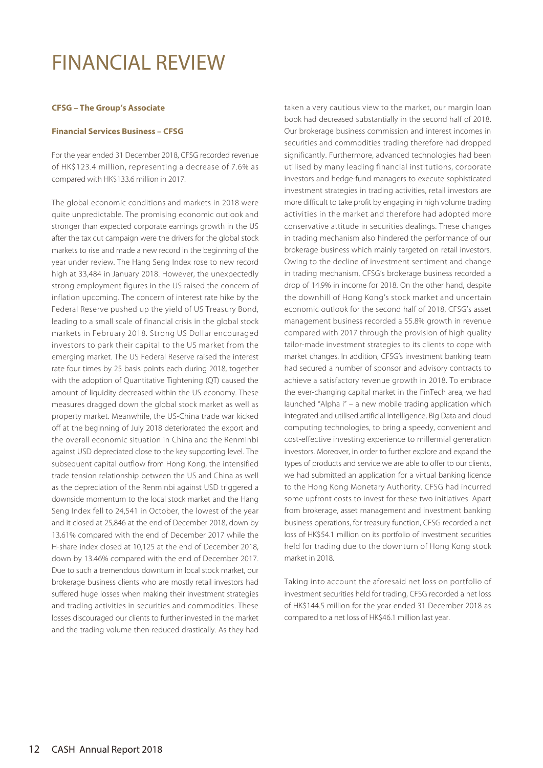# FINANCIAL REVIEW

#### **CFSG – The Group's Associate**

#### **Financial Services Business – CFSG**

For the year ended 31 December 2018, CFSG recorded revenue of HK\$123.4 million, representing a decrease of 7.6% as compared with HK\$133.6 million in 2017.

The global economic conditions and markets in 2018 were quite unpredictable. The promising economic outlook and stronger than expected corporate earnings growth in the US after the tax cut campaign were the drivers for the global stock markets to rise and made a new record in the beginning of the year under review. The Hang Seng Index rose to new record high at 33,484 in January 2018. However, the unexpectedly strong employment figures in the US raised the concern of inflation upcoming. The concern of interest rate hike by the Federal Reserve pushed up the yield of US Treasury Bond, leading to a small scale of financial crisis in the global stock markets in February 2018. Strong US Dollar encouraged investors to park their capital to the US market from the emerging market. The US Federal Reserve raised the interest rate four times by 25 basis points each during 2018, together with the adoption of Quantitative Tightening (QT) caused the amount of liquidity decreased within the US economy. These measures dragged down the global stock market as well as property market. Meanwhile, the US-China trade war kicked off at the beginning of July 2018 deteriorated the export and the overall economic situation in China and the Renminbi against USD depreciated close to the key supporting level. The subsequent capital outflow from Hong Kong, the intensified trade tension relationship between the US and China as well as the depreciation of the Renminbi against USD triggered a downside momentum to the local stock market and the Hang Seng Index fell to 24,541 in October, the lowest of the year and it closed at 25,846 at the end of December 2018, down by 13.61% compared with the end of December 2017 while the H-share index closed at 10,125 at the end of December 2018, down by 13.46% compared with the end of December 2017. Due to such a tremendous downturn in local stock market, our brokerage business clients who are mostly retail investors had suffered huge losses when making their investment strategies and trading activities in securities and commodities. These losses discouraged our clients to further invested in the market and the trading volume then reduced drastically. As they had

taken a very cautious view to the market, our margin loan book had decreased substantially in the second half of 2018. Our brokerage business commission and interest incomes in securities and commodities trading therefore had dropped significantly. Furthermore, advanced technologies had been utilised by many leading financial institutions, corporate investors and hedge-fund managers to execute sophisticated investment strategies in trading activities, retail investors are more difficult to take profit by engaging in high volume trading activities in the market and therefore had adopted more conservative attitude in securities dealings. These changes in trading mechanism also hindered the performance of our brokerage business which mainly targeted on retail investors. Owing to the decline of investment sentiment and change in trading mechanism, CFSG's brokerage business recorded a drop of 14.9% in income for 2018. On the other hand, despite the downhill of Hong Kong's stock market and uncertain economic outlook for the second half of 2018, CFSG's asset management business recorded a 55.8% growth in revenue compared with 2017 through the provision of high quality tailor-made investment strategies to its clients to cope with market changes. In addition, CFSG's investment banking team had secured a number of sponsor and advisory contracts to achieve a satisfactory revenue growth in 2018. To embrace the ever-changing capital market in the FinTech area, we had launched "Alpha i" – a new mobile trading application which integrated and utilised artificial intelligence, Big Data and cloud computing technologies, to bring a speedy, convenient and cost-effective investing experience to millennial generation investors. Moreover, in order to further explore and expand the types of products and service we are able to offer to our clients, we had submitted an application for a virtual banking licence to the Hong Kong Monetary Authority. CFSG had incurred some upfront costs to invest for these two initiatives. Apart from brokerage, asset management and investment banking business operations, for treasury function, CFSG recorded a net loss of HK\$54.1 million on its portfolio of investment securities held for trading due to the downturn of Hong Kong stock market in 2018.

Taking into account the aforesaid net loss on portfolio of investment securities held for trading, CFSG recorded a net loss of HK\$144.5 million for the year ended 31 December 2018 as compared to a net loss of HK\$46.1 million last year.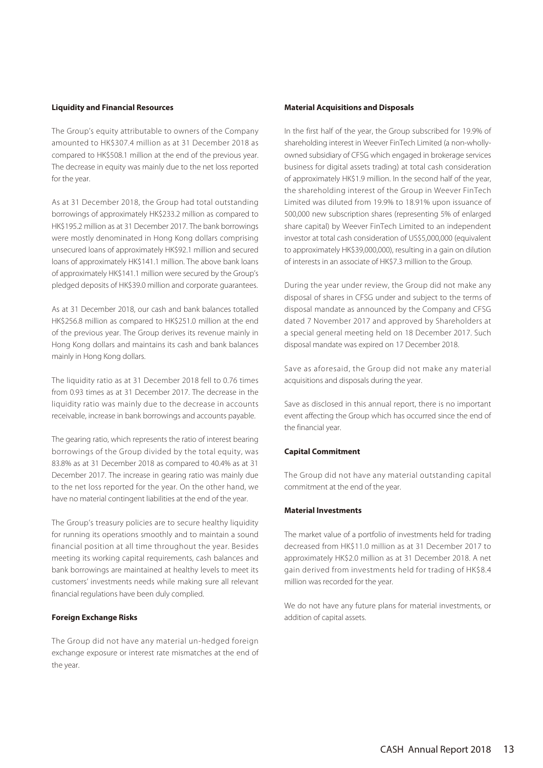#### **Liquidity and Financial Resources**

The Group's equity attributable to owners of the Company amounted to HK\$307.4 million as at 31 December 2018 as compared to HK\$508.1 million at the end of the previous year. The decrease in equity was mainly due to the net loss reported for the year.

As at 31 December 2018, the Group had total outstanding borrowings of approximately HK\$233.2 million as compared to HK\$195.2 million as at 31 December 2017. The bank borrowings were mostly denominated in Hong Kong dollars comprising unsecured loans of approximately HK\$92.1 million and secured loans of approximately HK\$141.1 million. The above bank loans of approximately HK\$141.1 million were secured by the Group's pledged deposits of HK\$39.0 million and corporate guarantees.

As at 31 December 2018, our cash and bank balances totalled HK\$256.8 million as compared to HK\$251.0 million at the end of the previous year. The Group derives its revenue mainly in Hong Kong dollars and maintains its cash and bank balances mainly in Hong Kong dollars.

The liquidity ratio as at 31 December 2018 fell to 0.76 times from 0.93 times as at 31 December 2017. The decrease in the liquidity ratio was mainly due to the decrease in accounts receivable, increase in bank borrowings and accounts payable.

The gearing ratio, which represents the ratio of interest bearing borrowings of the Group divided by the total equity, was 83.8% as at 31 December 2018 as compared to 40.4% as at 31 December 2017. The increase in gearing ratio was mainly due to the net loss reported for the year. On the other hand, we have no material contingent liabilities at the end of the year.

The Group's treasury policies are to secure healthy liquidity for running its operations smoothly and to maintain a sound financial position at all time throughout the year. Besides meeting its working capital requirements, cash balances and bank borrowings are maintained at healthy levels to meet its customers' investments needs while making sure all relevant financial regulations have been duly complied.

#### **Foreign Exchange Risks**

The Group did not have any material un-hedged foreign exchange exposure or interest rate mismatches at the end of the year.

#### **Material Acquisitions and Disposals**

In the first half of the year, the Group subscribed for 19.9% of shareholding interest in Weever FinTech Limited (a non-whollyowned subsidiary of CFSG which engaged in brokerage services business for digital assets trading) at total cash consideration of approximately HK\$1.9 million. In the second half of the year, the shareholding interest of the Group in Weever FinTech Limited was diluted from 19.9% to 18.91% upon issuance of 500,000 new subscription shares (representing 5% of enlarged share capital) by Weever FinTech Limited to an independent investor at total cash consideration of US\$5,000,000 (equivalent to approximately HK\$39,000,000), resulting in a gain on dilution of interests in an associate of HK\$7.3 million to the Group.

During the year under review, the Group did not make any disposal of shares in CFSG under and subject to the terms of disposal mandate as announced by the Company and CFSG dated 7 November 2017 and approved by Shareholders at a special general meeting held on 18 December 2017. Such disposal mandate was expired on 17 December 2018.

Save as aforesaid, the Group did not make any material acquisitions and disposals during the year.

Save as disclosed in this annual report, there is no important event affecting the Group which has occurred since the end of the financial year.

#### **Capital Commitment**

The Group did not have any material outstanding capital commitment at the end of the year.

#### **Material Investments**

The market value of a portfolio of investments held for trading decreased from HK\$11.0 million as at 31 December 2017 to approximately HK\$2.0 million as at 31 December 2018. A net gain derived from investments held for trading of HK\$8.4 million was recorded for the year.

We do not have any future plans for material investments, or addition of capital assets.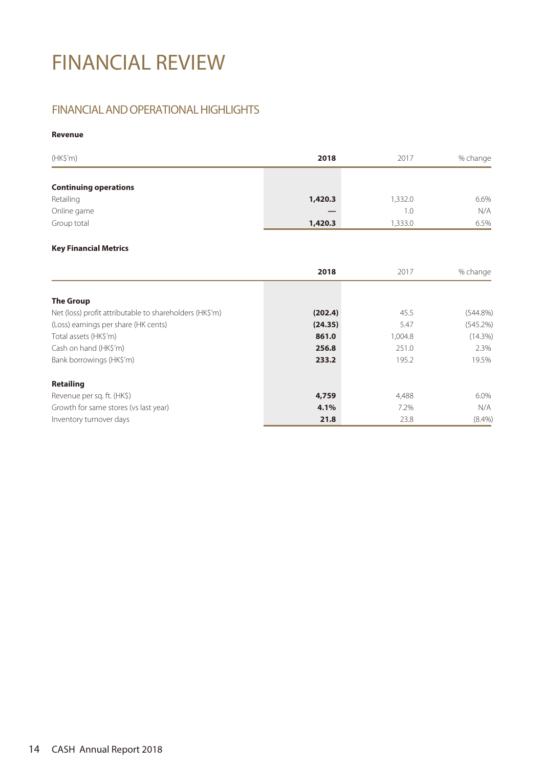# FINANCIAL REVIEW

# FINANCIAL AND OPERATIONAL HIGHLIGHTS

#### **Revenue**

| (HK\$'m)                     | 2018    | 2017    | % change |
|------------------------------|---------|---------|----------|
|                              |         |         |          |
| <b>Continuing operations</b> |         |         |          |
| Retailing                    | 1,420.3 | 1,332.0 | 6.6%     |
| Online game                  |         | 1.0     | N/A      |
| Group total                  | 1,420.3 | 1,333.0 | 6.5%     |
| <b>Key Financial Metrics</b> |         |         |          |
|                              | 2018    | 2017    | % change |
| <b>The Group</b>             |         |         |          |

| Net (loss) profit attributable to shareholders (HK\$'m) | (202.4) | 45.5    | $(544.8\%)$ |
|---------------------------------------------------------|---------|---------|-------------|
| (Loss) earnings per share (HK cents)                    | (24.35) | 5.47    | (545.2%)    |
| Total assets (HK\$'m)                                   | 861.0   | 1,004.8 | $(14.3\%)$  |
| Cash on hand (HK\$'m)                                   | 256.8   | 251.0   | 2.3%        |
| Bank borrowings (HK\$'m)                                | 233.2   | 195.2   | 19.5%       |
| <b>Retailing</b>                                        |         |         |             |
| Revenue per sq. ft. (HK\$)                              | 4,759   | 4.488   | 6.0%        |
| Growth for same stores (vs last year)                   | 4.1%    | 7.2%    | N/A         |
| Inventory turnover days                                 | 21.8    | 23.8    | $(8.4\%)$   |
|                                                         |         |         |             |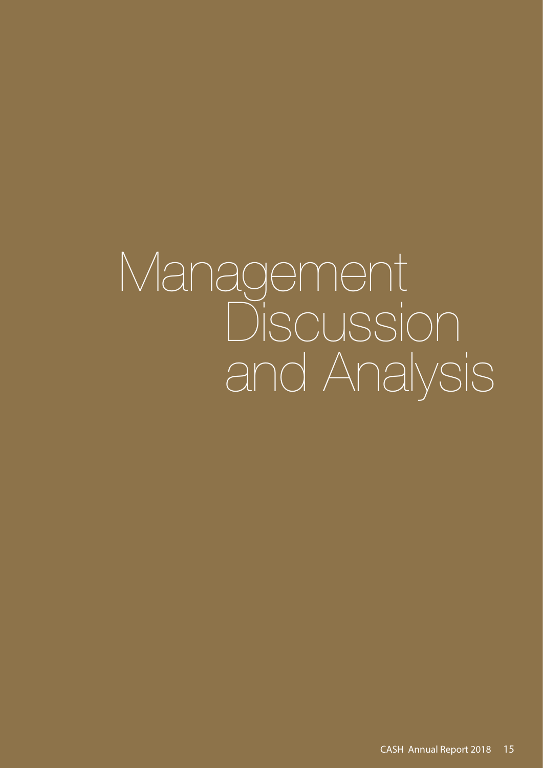# Management Discussion and Analysis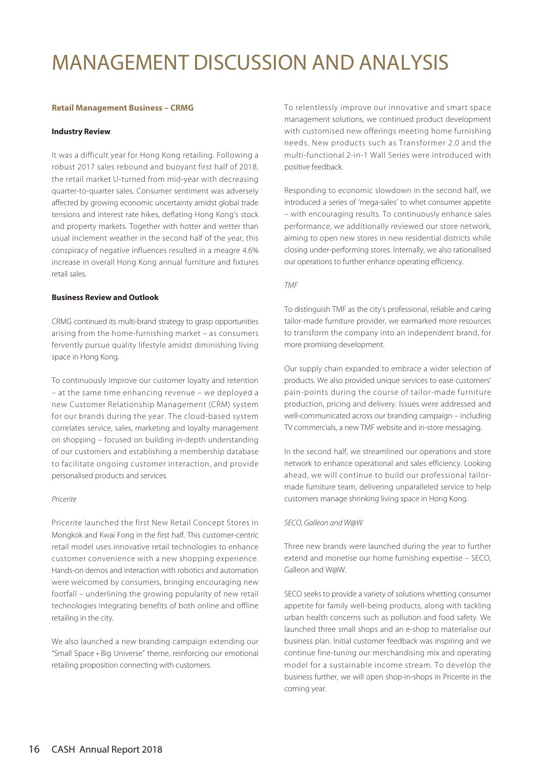# MANAGEMENT DISCUSSION AND ANALYSIS

#### **Retail Management Business – CRMG**

#### **Industry Review**

It was a difficult year for Hong Kong retailing. Following a robust 2017 sales rebound and buoyant first half of 2018, the retail market U-turned from mid-year with decreasing quarter-to-quarter sales. Consumer sentiment was adversely affected by growing economic uncertainty amidst global trade tensions and interest rate hikes, deflating Hong Kong's stock and property markets. Together with hotter and wetter than usual inclement weather in the second half of the year, this conspiracy of negative influences resulted in a meagre 4.6% increase in overall Hong Kong annual furniture and fixtures retail sales.

#### **Business Review and Outlook**

CRMG continued its multi-brand strategy to grasp opportunities arising from the home-furnishing market – as consumers fervently pursue quality lifestyle amidst diminishing living space in Hong Kong.

To continuously improve our customer loyalty and retention – at the same time enhancing revenue – we deployed a new Customer Relationship Management (CRM) system for our brands during the year. The cloud-based system correlates service, sales, marketing and loyalty management on shopping – focused on building in-depth understanding of our customers and establishing a membership database to facilitate ongoing customer interaction, and provide personalised products and services.

#### Pricerite

Pricerite launched the first New Retail Concept Stores in Mongkok and Kwai Fong in the first half. This customer-centric retail model uses innovative retail technologies to enhance customer convenience with a new shopping experience. Hands-on demos and interaction with robotics and automation were welcomed by consumers, bringing encouraging new footfall – underlining the growing popularity of new retail technologies integrating benefits of both online and offline retailing in the city.

We also launched a new branding campaign extending our "Small Space • Big Universe" theme, reinforcing our emotional retailing proposition connecting with customers.

To relentlessly improve our innovative and smart space management solutions, we continued product development with customised new offerings meeting home furnishing needs. New products such as Transformer 2.0 and the multi-functional 2-in-1 Wall Series were introduced with positive feedback.

Responding to economic slowdown in the second half, we introduced a series of 'mega-sales' to whet consumer appetite – with encouraging results. To continuously enhance sales performance, we additionally reviewed our store network, aiming to open new stores in new residential districts while closing under-performing stores. Internally, we also rationalised our operations to further enhance operating efficiency.

#### TMF

To distinguish TMF as the city's professional, reliable and caring tailor-made furniture provider, we earmarked more resources to transform the company into an independent brand, for more promising development.

Our supply chain expanded to embrace a wider selection of products. We also provided unique services to ease customers' pain-points during the course of tailor-made furniture production, pricing and delivery. Issues were addressed and well-communicated across our branding campaign – including TV commercials, a new TMF website and in-store messaging.

In the second half, we streamlined our operations and store network to enhance operational and sales efficiency. Looking ahead, we will continue to build our professional tailormade furniture team, delivering unparalleled service to help customers manage shrinking living space in Hong Kong.

#### SECO, Galleon and W@W

Three new brands were launched during the year to further extend and monetise our home furnishing expertise – SECO, Galleon and W@W.

SECO seeks to provide a variety of solutions whetting consumer appetite for family well-being products, along with tackling urban health concerns such as pollution and food safety. We launched three small shops and an e-shop to materialise our business plan. Initial customer feedback was inspiring and we continue fine-tuning our merchandising mix and operating model for a sustainable income stream. To develop the business further, we will open shop-in-shops in Pricerite in the coming year.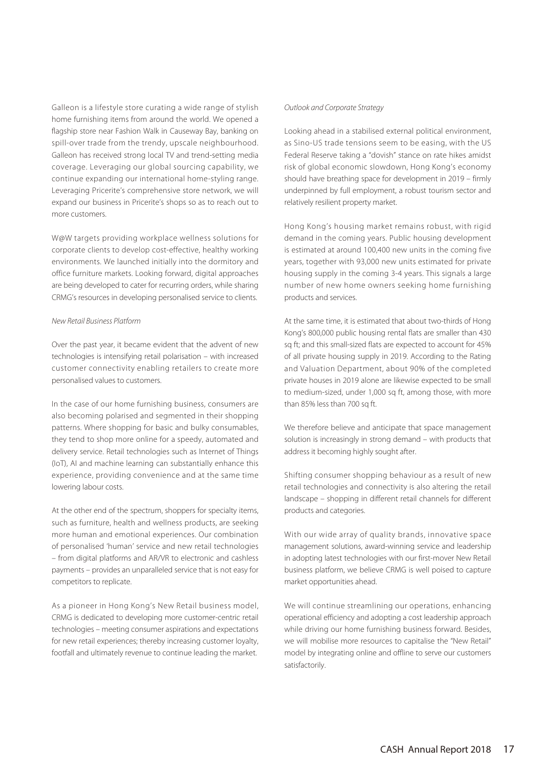Galleon is a lifestyle store curating a wide range of stylish home furnishing items from around the world. We opened a flagship store near Fashion Walk in Causeway Bay, banking on spill-over trade from the trendy, upscale neighbourhood. Galleon has received strong local TV and trend-setting media coverage. Leveraging our global sourcing capability, we continue expanding our international home-styling range. Leveraging Pricerite's comprehensive store network, we will expand our business in Pricerite's shops so as to reach out to more customers.

W@W targets providing workplace wellness solutions for corporate clients to develop cost-effective, healthy working environments. We launched initially into the dormitory and office furniture markets. Looking forward, digital approaches are being developed to cater for recurring orders, while sharing CRMG's resources in developing personalised service to clients.

#### New Retail Business Platform

Over the past year, it became evident that the advent of new technologies is intensifying retail polarisation – with increased customer connectivity enabling retailers to create more personalised values to customers.

In the case of our home furnishing business, consumers are also becoming polarised and segmented in their shopping patterns. Where shopping for basic and bulky consumables, they tend to shop more online for a speedy, automated and delivery service. Retail technologies such as Internet of Things (IoT), AI and machine learning can substantially enhance this experience, providing convenience and at the same time lowering labour costs.

At the other end of the spectrum, shoppers for specialty items, such as furniture, health and wellness products, are seeking more human and emotional experiences. Our combination of personalised 'human' service and new retail technologies – from digital platforms and AR/VR to electronic and cashless payments – provides an unparalleled service that is not easy for competitors to replicate.

As a pioneer in Hong Kong's New Retail business model, CRMG is dedicated to developing more customer-centric retail technologies – meeting consumer aspirations and expectations for new retail experiences; thereby increasing customer loyalty, footfall and ultimately revenue to continue leading the market.

#### Outlook and Corporate Strategy

Looking ahead in a stabilised external political environment, as Sino-US trade tensions seem to be easing, with the US Federal Reserve taking a "dovish" stance on rate hikes amidst risk of global economic slowdown, Hong Kong's economy should have breathing space for development in 2019 – firmly underpinned by full employment, a robust tourism sector and relatively resilient property market.

Hong Kong's housing market remains robust, with rigid demand in the coming years. Public housing development is estimated at around 100,400 new units in the coming five years, together with 93,000 new units estimated for private housing supply in the coming 3-4 years. This signals a large number of new home owners seeking home furnishing products and services.

At the same time, it is estimated that about two-thirds of Hong Kong's 800,000 public housing rental flats are smaller than 430 sq ft; and this small-sized flats are expected to account for 45% of all private housing supply in 2019. According to the Rating and Valuation Department, about 90% of the completed private houses in 2019 alone are likewise expected to be small to medium-sized, under 1,000 sq ft, among those, with more than 85% less than 700 sq ft.

We therefore believe and anticipate that space management solution is increasingly in strong demand – with products that address it becoming highly sought after.

Shifting consumer shopping behaviour as a result of new retail technologies and connectivity is also altering the retail landscape – shopping in different retail channels for different products and categories.

With our wide array of quality brands, innovative space management solutions, award-winning service and leadership in adopting latest technologies with our first-mover New Retail business platform, we believe CRMG is well poised to capture market opportunities ahead.

We will continue streamlining our operations, enhancing operational efficiency and adopting a cost leadership approach while driving our home furnishing business forward. Besides, we will mobilise more resources to capitalise the "New Retail" model by integrating online and offline to serve our customers satisfactorily.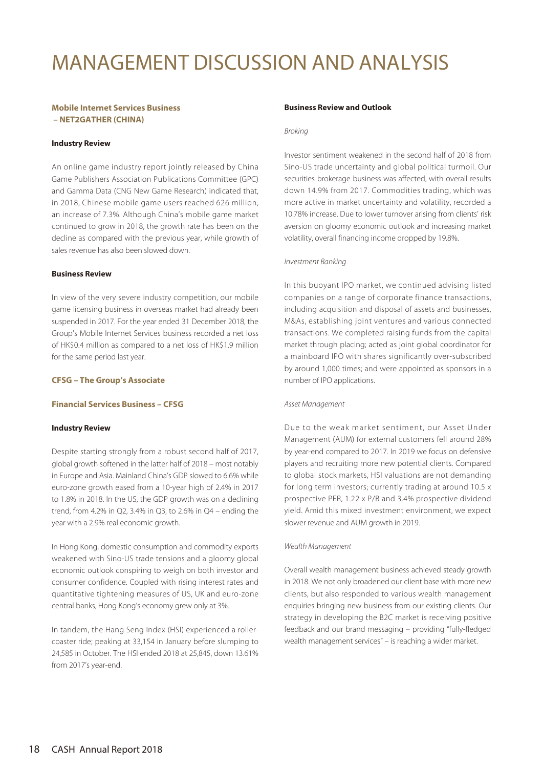# MANAGEMENT DISCUSSION AND ANALYSIS

#### **Mobile Internet Services Business – NET2GATHER (CHINA)**

#### **Industry Review**

An online game industry report jointly released by China Game Publishers Association Publications Committee (GPC) and Gamma Data (CNG New Game Research) indicated that, in 2018, Chinese mobile game users reached 626 million, an increase of 7.3%. Although China's mobile game market continued to grow in 2018, the growth rate has been on the decline as compared with the previous year, while growth of sales revenue has also been slowed down.

#### **Business Review**

In view of the very severe industry competition, our mobile game licensing business in overseas market had already been suspended in 2017. For the year ended 31 December 2018, the Group's Mobile Internet Services business recorded a net loss of HK\$0.4 million as compared to a net loss of HK\$1.9 million for the same period last year.

#### **CFSG – The Group's Associate**

#### **Financial Services Business – CFSG**

#### **Industry Review**

Despite starting strongly from a robust second half of 2017, global growth softened in the latter half of 2018 – most notably in Europe and Asia. Mainland China's GDP slowed to 6.6% while euro-zone growth eased from a 10-year high of 2.4% in 2017 to 1.8% in 2018. In the US, the GDP growth was on a declining trend, from 4.2% in Q2, 3.4% in Q3, to 2.6% in Q4 – ending the year with a 2.9% real economic growth.

In Hong Kong, domestic consumption and commodity exports weakened with Sino-US trade tensions and a gloomy global economic outlook conspiring to weigh on both investor and consumer confidence. Coupled with rising interest rates and quantitative tightening measures of US, UK and euro-zone central banks, Hong Kong's economy grew only at 3%.

In tandem, the Hang Seng Index (HSI) experienced a rollercoaster ride; peaking at 33,154 in January before slumping to 24,585 in October. The HSI ended 2018 at 25,845, down 13.61% from 2017's year-end.

#### **Business Review and Outlook**

#### Broking

Investor sentiment weakened in the second half of 2018 from Sino-US trade uncertainty and global political turmoil. Our securities brokerage business was affected, with overall results down 14.9% from 2017. Commodities trading, which was more active in market uncertainty and volatility, recorded a 10.78% increase. Due to lower turnover arising from clients' risk aversion on gloomy economic outlook and increasing market volatility, overall financing income dropped by 19.8%.

#### Investment Banking

In this buoyant IPO market, we continued advising listed companies on a range of corporate finance transactions, including acquisition and disposal of assets and businesses, M&As, establishing joint ventures and various connected transactions. We completed raising funds from the capital market through placing; acted as joint global coordinator for a mainboard IPO with shares significantly over-subscribed by around 1,000 times; and were appointed as sponsors in a number of IPO applications.

#### Asset Management

Due to the weak market sentiment, our Asset Under Management (AUM) for external customers fell around 28% by year-end compared to 2017. In 2019 we focus on defensive players and recruiting more new potential clients. Compared to global stock markets, HSI valuations are not demanding for long term investors; currently trading at around 10.5 x prospective PER, 1.22 x P/B and 3.4% prospective dividend yield. Amid this mixed investment environment, we expect slower revenue and AUM growth in 2019.

#### Wealth Management

Overall wealth management business achieved steady growth in 2018. We not only broadened our client base with more new clients, but also responded to various wealth management enquiries bringing new business from our existing clients. Our strategy in developing the B2C market is receiving positive feedback and our brand messaging – providing "fully-fledged wealth management services" – is reaching a wider market.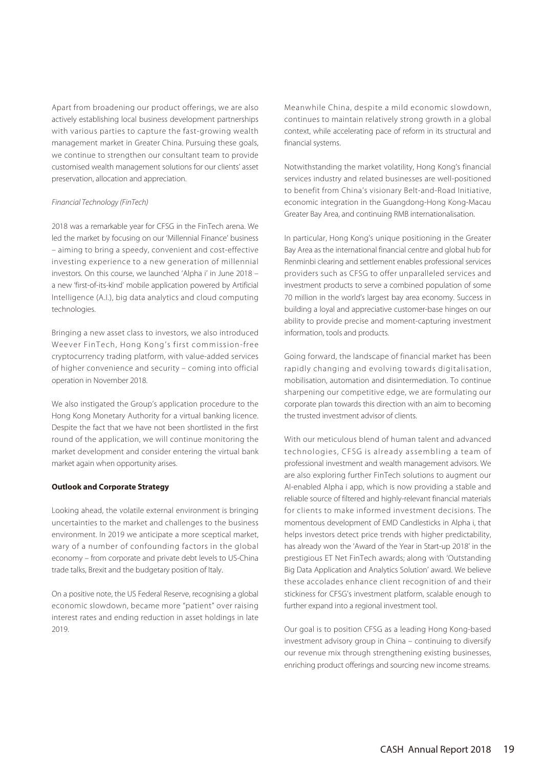Apart from broadening our product offerings, we are also actively establishing local business development partnerships with various parties to capture the fast-growing wealth management market in Greater China. Pursuing these goals, we continue to strengthen our consultant team to provide customised wealth management solutions for our clients' asset preservation, allocation and appreciation.

#### Financial Technology (FinTech)

2018 was a remarkable year for CFSG in the FinTech arena. We led the market by focusing on our 'Millennial Finance' business – aiming to bring a speedy, convenient and cost-effective investing experience to a new generation of millennial investors. On this course, we launched 'Alpha i' in June 2018 – a new 'first-of-its-kind' mobile application powered by Artificial Intelligence (A.I.), big data analytics and cloud computing technologies.

Bringing a new asset class to investors, we also introduced Weever FinTech, Hong Kong's first commission-free cryptocurrency trading platform, with value-added services of higher convenience and security – coming into official operation in November 2018.

We also instigated the Group's application procedure to the Hong Kong Monetary Authority for a virtual banking licence. Despite the fact that we have not been shortlisted in the first round of the application, we will continue monitoring the market development and consider entering the virtual bank market again when opportunity arises.

#### **Outlook and Corporate Strategy**

Looking ahead, the volatile external environment is bringing uncertainties to the market and challenges to the business environment. In 2019 we anticipate a more sceptical market, wary of a number of confounding factors in the global economy – from corporate and private debt levels to US-China trade talks, Brexit and the budgetary position of Italy.

On a positive note, the US Federal Reserve, recognising a global economic slowdown, became more "patient" over raising interest rates and ending reduction in asset holdings in late 2019.

Meanwhile China, despite a mild economic slowdown, continues to maintain relatively strong growth in a global context, while accelerating pace of reform in its structural and financial systems.

Notwithstanding the market volatility, Hong Kong's financial services industry and related businesses are well-positioned to benefit from China's visionary Belt-and-Road Initiative, economic integration in the Guangdong-Hong Kong-Macau Greater Bay Area, and continuing RMB internationalisation.

In particular, Hong Kong's unique positioning in the Greater Bay Area as the international financial centre and global hub for Renminbi clearing and settlement enables professional services providers such as CFSG to offer unparalleled services and investment products to serve a combined population of some 70 million in the world's largest bay area economy. Success in building a loyal and appreciative customer-base hinges on our ability to provide precise and moment-capturing investment information, tools and products.

Going forward, the landscape of financial market has been rapidly changing and evolving towards digitalisation, mobilisation, automation and disintermediation. To continue sharpening our competitive edge, we are formulating our corporate plan towards this direction with an aim to becoming the trusted investment advisor of clients.

With our meticulous blend of human talent and advanced technologies, CFSG is already assembling a team of professional investment and wealth management advisors. We are also exploring further FinTech solutions to augment our AI-enabled Alpha i app, which is now providing a stable and reliable source of filtered and highly-relevant financial materials for clients to make informed investment decisions. The momentous development of EMD Candlesticks in Alpha i, that helps investors detect price trends with higher predictability, has already won the 'Award of the Year in Start-up 2018' in the prestigious ET Net FinTech awards; along with 'Outstanding Big Data Application and Analytics Solution' award. We believe these accolades enhance client recognition of and their stickiness for CFSG's investment platform, scalable enough to further expand into a regional investment tool.

Our goal is to position CFSG as a leading Hong Kong-based investment advisory group in China – continuing to diversify our revenue mix through strengthening existing businesses, enriching product offerings and sourcing new income streams.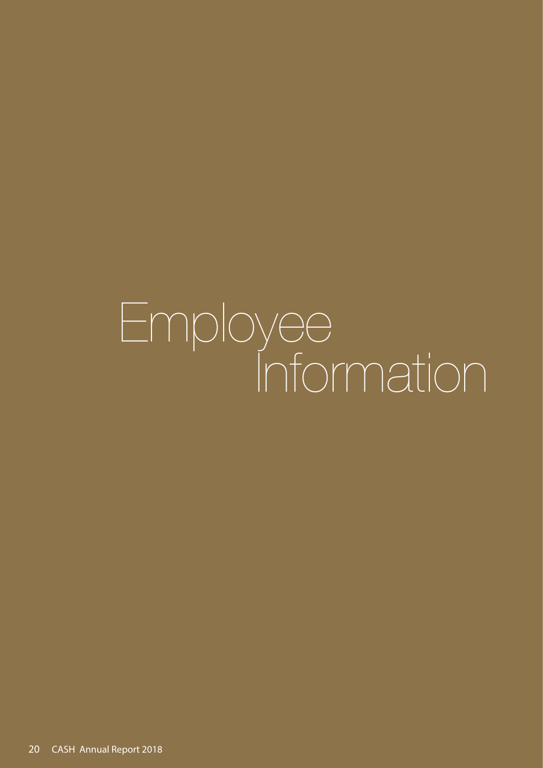# Employee Information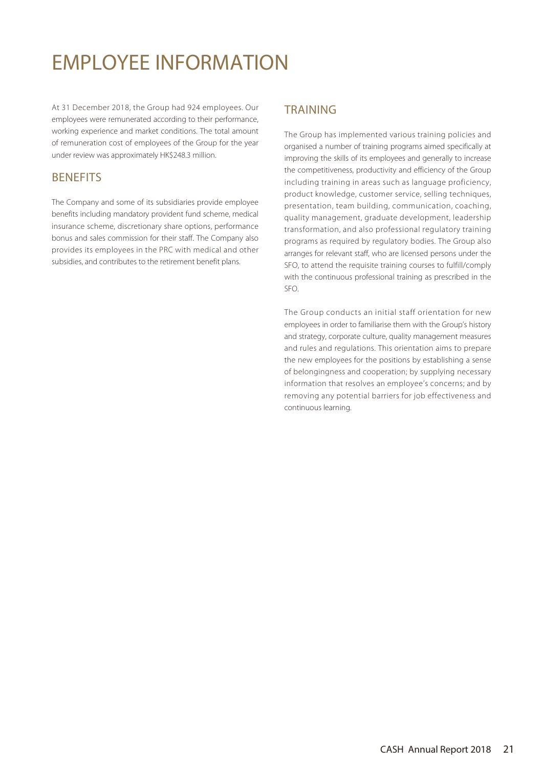# EMPLOYEE INFORMATION

At 31 December 2018, the Group had 924 employees. Our employees were remunerated according to their performance, working experience and market conditions. The total amount of remuneration cost of employees of the Group for the year under review was approximately HK\$248.3 million.

## **BENEFITS**

The Company and some of its subsidiaries provide employee benefits including mandatory provident fund scheme, medical insurance scheme, discretionary share options, performance bonus and sales commission for their staff. The Company also provides its employees in the PRC with medical and other subsidies, and contributes to the retirement benefit plans.

## TRAINING

The Group has implemented various training policies and organised a number of training programs aimed specifically at improving the skills of its employees and generally to increase the competitiveness, productivity and efficiency of the Group including training in areas such as language proficiency, product knowledge, customer service, selling techniques, presentation, team building, communication, coaching, quality management, graduate development, leadership transformation, and also professional regulatory training programs as required by regulatory bodies. The Group also arranges for relevant staff, who are licensed persons under the SFO, to attend the requisite training courses to fulfill/comply with the continuous professional training as prescribed in the SFO.

The Group conducts an initial staff orientation for new employees in order to familiarise them with the Group's history and strategy, corporate culture, quality management measures and rules and regulations. This orientation aims to prepare the new employees for the positions by establishing a sense of belongingness and cooperation; by supplying necessary information that resolves an employee's concerns; and by removing any potential barriers for job effectiveness and continuous learning.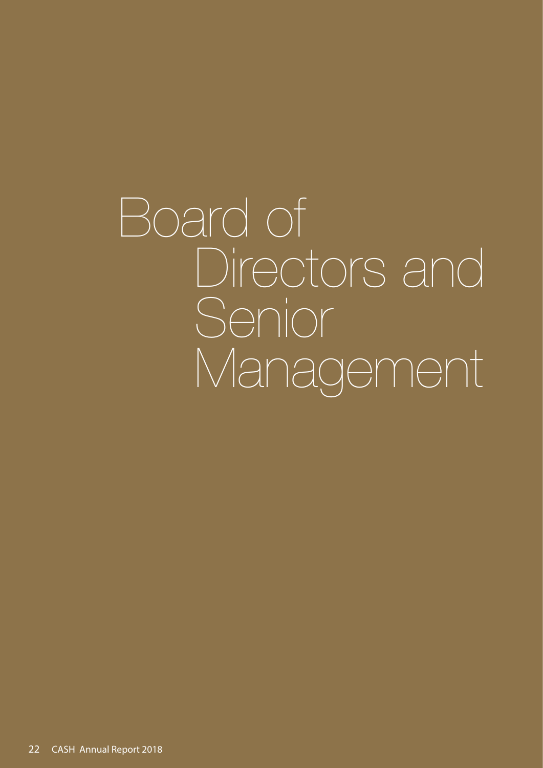# Board of Directors and Senior Management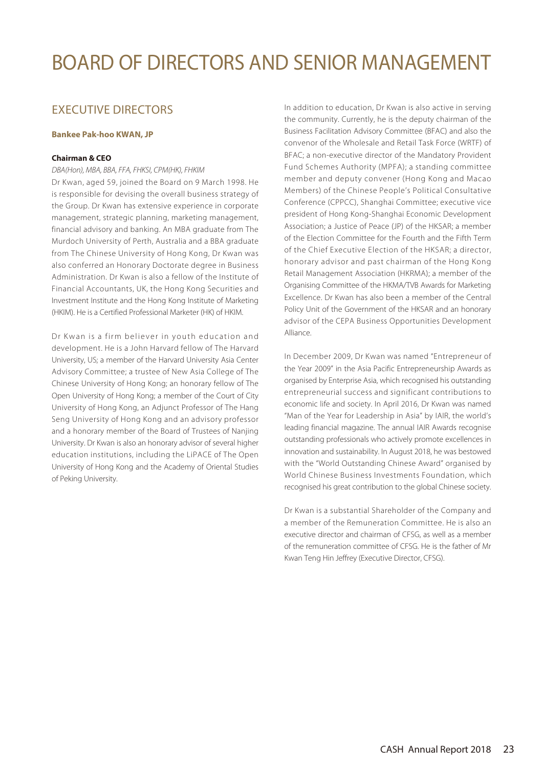# BOARD OF DIRECTORS AND SENIOR MANAGEMENT

# EXECUTIVE DIRECTORS

#### **Bankee Pak-hoo KWAN, JP**

#### **Chairman & CEO**

#### DBA(Hon), MBA, BBA, FFA, FHKSI, CPM(HK), FHKIM

Dr Kwan, aged 59, joined the Board on 9 March 1998. He is responsible for devising the overall business strategy of the Group. Dr Kwan has extensive experience in corporate management, strategic planning, marketing management, financial advisory and banking. An MBA graduate from The Murdoch University of Perth, Australia and a BBA graduate from The Chinese University of Hong Kong, Dr Kwan was also conferred an Honorary Doctorate degree in Business Administration. Dr Kwan is also a fellow of the Institute of Financial Accountants, UK, the Hong Kong Securities and Investment Institute and the Hong Kong Institute of Marketing (HKIM). He is a Certified Professional Marketer (HK) of HKIM.

Dr Kwan is a firm believer in youth education and development. He is a John Harvard fellow of The Harvard University, US; a member of the Harvard University Asia Center Advisory Committee; a trustee of New Asia College of The Chinese University of Hong Kong; an honorary fellow of The Open University of Hong Kong; a member of the Court of City University of Hong Kong, an Adjunct Professor of The Hang Seng University of Hong Kong and an advisory professor and a honorary member of the Board of Trustees of Nanjing University. Dr Kwan is also an honorary advisor of several higher education institutions, including the LiPACE of The Open University of Hong Kong and the Academy of Oriental Studies of Peking University.

In addition to education, Dr Kwan is also active in serving the community. Currently, he is the deputy chairman of the Business Facilitation Advisory Committee (BFAC) and also the convenor of the Wholesale and Retail Task Force (WRTF) of BFAC; a non-executive director of the Mandatory Provident Fund Schemes Authority (MPFA); a standing committee member and deputy convener (Hong Kong and Macao Members) of the Chinese People's Political Consultative Conference (CPPCC), Shanghai Committee; executive vice president of Hong Kong-Shanghai Economic Development Association; a Justice of Peace (JP) of the HKSAR; a member of the Election Committee for the Fourth and the Fifth Term of the Chief Executive Election of the HKSAR; a director, honorary advisor and past chairman of the Hong Kong Retail Management Association (HKRMA); a member of the Organising Committee of the HKMA/TVB Awards for Marketing Excellence. Dr Kwan has also been a member of the Central Policy Unit of the Government of the HKSAR and an honorary advisor of the CEPA Business Opportunities Development Alliance.

In December 2009, Dr Kwan was named "Entrepreneur of the Year 2009" in the Asia Pacific Entrepreneurship Awards as organised by Enterprise Asia, which recognised his outstanding entrepreneurial success and significant contributions to economic life and society. In April 2016, Dr Kwan was named "Man of the Year for Leadership in Asia" by IAIR, the world's leading financial magazine. The annual IAIR Awards recognise outstanding professionals who actively promote excellences in innovation and sustainability. In August 2018, he was bestowed with the "World Outstanding Chinese Award" organised by World Chinese Business Investments Foundation, which recognised his great contribution to the global Chinese society.

Dr Kwan is a substantial Shareholder of the Company and a member of the Remuneration Committee. He is also an executive director and chairman of CFSG, as well as a member of the remuneration committee of CFSG. He is the father of Mr Kwan Teng Hin Jeffrey (Executive Director, CFSG).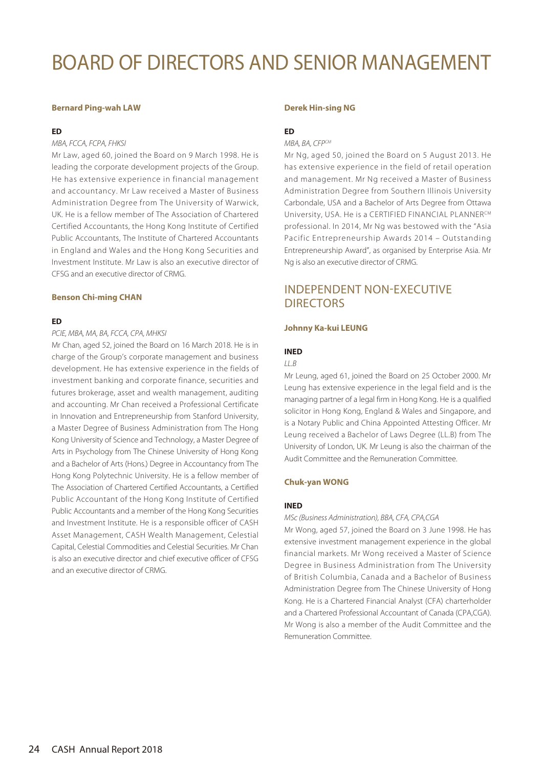# BOARD OF DIRECTORS AND SENIOR MANAGEMENT

#### **Bernard Ping-wah LAW**

#### **ED**

#### MBA, FCCA, FCPA, FHKSI

Mr Law, aged 60, joined the Board on 9 March 1998. He is leading the corporate development projects of the Group. He has extensive experience in financial management and accountancy. Mr Law received a Master of Business Administration Degree from The University of Warwick, UK. He is a fellow member of The Association of Chartered Certified Accountants, the Hong Kong Institute of Certified Public Accountants, The Institute of Chartered Accountants in England and Wales and the Hong Kong Securities and Investment Institute. Mr Law is also an executive director of CFSG and an executive director of CRMG.

#### **Benson Chi-ming CHAN**

#### **ED**

#### PCIE, MBA, MA, BA, FCCA, CPA, MHKSI

Mr Chan, aged 52, joined the Board on 16 March 2018. He is in charge of the Group's corporate management and business development. He has extensive experience in the fields of investment banking and corporate finance, securities and futures brokerage, asset and wealth management, auditing and accounting. Mr Chan received a Professional Certificate in Innovation and Entrepreneurship from Stanford University, a Master Degree of Business Administration from The Hong Kong University of Science and Technology, a Master Degree of Arts in Psychology from The Chinese University of Hong Kong and a Bachelor of Arts (Hons.) Degree in Accountancy from The Hong Kong Polytechnic University. He is a fellow member of The Association of Chartered Certified Accountants, a Certified Public Accountant of the Hong Kong Institute of Certified Public Accountants and a member of the Hong Kong Securities and Investment Institute. He is a responsible officer of CASH Asset Management, CASH Wealth Management, Celestial Capital, Celestial Commodities and Celestial Securities. Mr Chan is also an executive director and chief executive officer of CFSG and an executive director of CRMG.

#### **Derek Hin-sing NG**

### **ED**

MBA, BA, CFPCM

Mr Ng, aged 50, joined the Board on 5 August 2013. He has extensive experience in the field of retail operation and management. Mr Ng received a Master of Business Administration Degree from Southern Illinois University Carbondale, USA and a Bachelor of Arts Degree from Ottawa University, USA. He is a CERTIFIED FINANCIAL PLANNERCM professional. In 2014, Mr Ng was bestowed with the "Asia Pacific Entrepreneurship Awards 2014 – Outstanding Entrepreneurship Award", as organised by Enterprise Asia. Mr Ng is also an executive director of CRMG.

## INDEPENDENT NON-EXECUTIVE **DIRECTORS**

#### **Johnny Ka-kui LEUNG**

#### **INED**

#### $II$   $B$

Mr Leung, aged 61, joined the Board on 25 October 2000. Mr Leung has extensive experience in the legal field and is the managing partner of a legal firm in Hong Kong. He is a qualified solicitor in Hong Kong, England & Wales and Singapore, and is a Notary Public and China Appointed Attesting Officer. Mr Leung received a Bachelor of Laws Degree (LL.B) from The University of London, UK. Mr Leung is also the chairman of the Audit Committee and the Remuneration Committee.

#### **Chuk-yan WONG**

#### **INED**

MSc (Business Administration), BBA, CFA, CPA,CGA

Mr Wong, aged 57, joined the Board on 3 June 1998. He has extensive investment management experience in the global financial markets. Mr Wong received a Master of Science Degree in Business Administration from The University of British Columbia, Canada and a Bachelor of Business Administration Degree from The Chinese University of Hong Kong. He is a Chartered Financial Analyst (CFA) charterholder and a Chartered Professional Accountant of Canada (CPA,CGA). Mr Wong is also a member of the Audit Committee and the Remuneration Committee.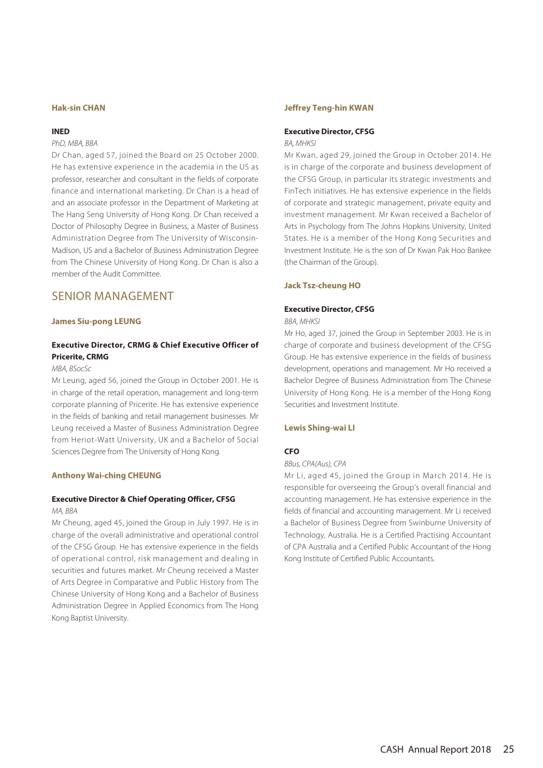#### **Hak-sin CHAN**

#### **INED**

PhD, MBA, BBA

Dr Chan, aged 57, joined the Board on 25 October 2000. He has extensive experience in the academia in the US as professor, researcher and consultant in the fields of corporate finance and international marketing. Dr Chan is a head of and an associate professor in the Department of Marketing at The Hang Seng University of Hong Kong. Dr Chan received a Doctor of Philosophy Degree in Business, a Master of Business Administration Degree from The University of Wisconsin-Madison, US and a Bachelor of Business Administration Degree from The Chinese University of Hong Kong. Dr Chan is also a member of the Audit Committee.

## SENIOR MANAGEMENT

#### **James Siu-pong LEUNG**

#### **Executive Director, CRMG & Chief Executive Officer of Pricerite, CRMG**

#### MBA, BSocSc

Mr Leung, aged 56, joined the Group in October 2001. He is in charge of the retail operation, management and long-term corporate planning of Pricerite. He has extensive experience in the fields of banking and retail management businesses. Mr Leung received a Master of Business Administration Degree from Heriot-Watt University, UK and a Bachelor of Social Sciences Degree from The University of Hong Kong.

#### **Anthony Wai-ching CHEUNG**

#### **Executive Director & Chief Operating Officer, CFSG**

MA, BBA

Mr Cheung, aged 45, joined the Group in July 1997. He is in charge of the overall administrative and operational control of the CFSG Group. He has extensive experience in the fields of operational control, risk management and dealing in securities and futures market. Mr Cheung received a Master of Arts Degree in Comparative and Public History from The Chinese University of Hong Kong and a Bachelor of Business Administration Degree in Applied Economics from The Hong Kong Baptist University.

#### **Jeffrey Teng-hin KWAN**

#### **Executive Director, CFSG**

**BA**, MHKSI

Mr Kwan, aged 29, joined the Group in October 2014. He is in charge of the corporate and business development of the CFSG Group, in particular its strategic investments and FinTech initiatives. He has extensive experience in the fields of corporate and strategic management, private equity and investment management. Mr Kwan received a Bachelor of Arts in Psychology from The Johns Hopkins University, United States. He is a member of the Hong Kong Securities and Investment Institute. He is the son of Dr Kwan Pak Hoo Bankee (the Chairman of the Group).

#### **Jack Tsz-cheung HO**

#### **Executive Director, CFSG**

BBA, MHKSI

Mr Ho, aged 37, joined the Group in September 2003. He is in charge of corporate and business development of the CFSG Group. He has extensive experience in the fields of business development, operations and management. Mr Ho received a Bachelor Degree of Business Administration from The Chinese University of Hong Kong. He is a member of the Hong Kong Securities and Investment Institute.

#### **Lewis Shing-wai LI**

#### **CFO**

BBus, CPA(Aus), CPA

Mr Li, aged 45, joined the Group in March 2014. He is responsible for overseeing the Group's overall financial and accounting management. He has extensive experience in the fields of financial and accounting management. Mr Li received a Bachelor of Business Degree from Swinburne University of Technology, Australia. He is a Certified Practising Accountant of CPA Australia and a Certified Public Accountant of the Hong Kong Institute of Certified Public Accountants.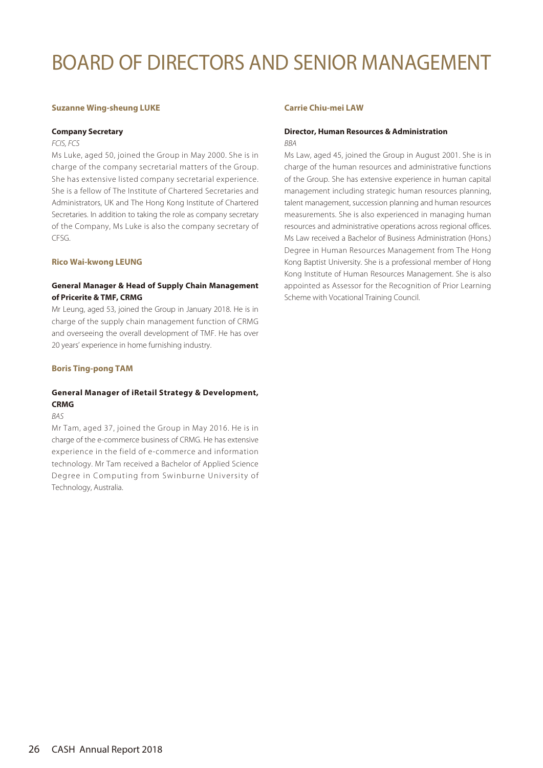# BOARD OF DIRECTORS AND SENIOR MANAGEMENT

#### **Suzanne Wing-sheung LUKE**

#### **Company Secretary**

#### FCIS, FCS

Ms Luke, aged 50, joined the Group in May 2000. She is in charge of the company secretarial matters of the Group. She has extensive listed company secretarial experience. She is a fellow of The Institute of Chartered Secretaries and Administrators, UK and The Hong Kong Institute of Chartered Secretaries. In addition to taking the role as company secretary of the Company, Ms Luke is also the company secretary of CFSG.

#### **Rico Wai-kwong LEUNG**

#### **General Manager & Head of Supply Chain Management of Pricerite & TMF, CRMG**

Mr Leung, aged 53, joined the Group in January 2018. He is in charge of the supply chain management function of CRMG and overseeing the overall development of TMF. He has over 20 years' experience in home furnishing industry.

#### **Boris Ting-pong TAM**

#### **General Manager of iRetail Strategy & Development, CRMG**

BAS

Mr Tam, aged 37, joined the Group in May 2016. He is in charge of the e-commerce business of CRMG. He has extensive experience in the field of e-commerce and information technology. Mr Tam received a Bachelor of Applied Science Degree in Computing from Swinburne University of Technology, Australia.

#### **Carrie Chiu-mei LAW**

#### **Director, Human Resources & Administration** BBA

Ms Law, aged 45, joined the Group in August 2001. She is in charge of the human resources and administrative functions of the Group. She has extensive experience in human capital management including strategic human resources planning, talent management, succession planning and human resources measurements. She is also experienced in managing human resources and administrative operations across regional offices. Ms Law received a Bachelor of Business Administration (Hons.) Degree in Human Resources Management from The Hong Kong Baptist University. She is a professional member of Hong Kong Institute of Human Resources Management. She is also appointed as Assessor for the Recognition of Prior Learning Scheme with Vocational Training Council.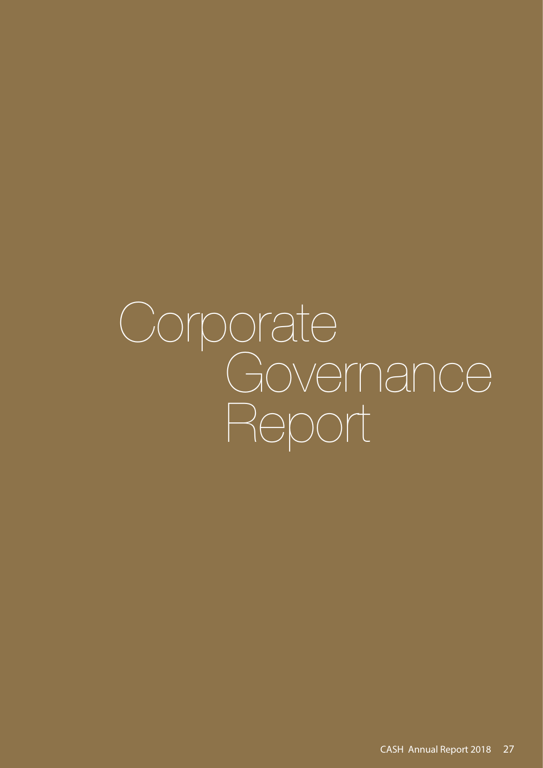# **Corporate**  Governance Report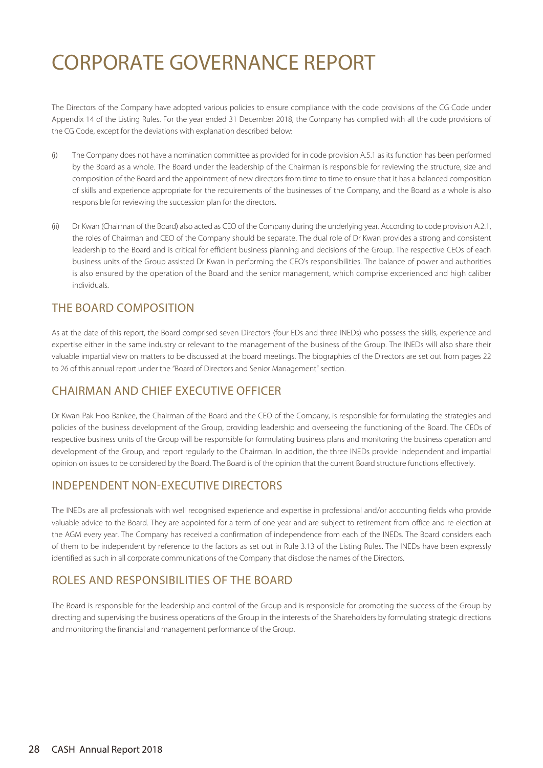# CORPORATE GOVERNANCE REPORT

The Directors of the Company have adopted various policies to ensure compliance with the code provisions of the CG Code under Appendix 14 of the Listing Rules. For the year ended 31 December 2018, the Company has complied with all the code provisions of the CG Code, except for the deviations with explanation described below:

- (i) The Company does not have a nomination committee as provided for in code provision A.5.1 as its function has been performed by the Board as a whole. The Board under the leadership of the Chairman is responsible for reviewing the structure, size and composition of the Board and the appointment of new directors from time to time to ensure that it has a balanced composition of skills and experience appropriate for the requirements of the businesses of the Company, and the Board as a whole is also responsible for reviewing the succession plan for the directors.
- (ii) Dr Kwan (Chairman of the Board) also acted as CEO of the Company during the underlying year. According to code provision A.2.1, the roles of Chairman and CEO of the Company should be separate. The dual role of Dr Kwan provides a strong and consistent leadership to the Board and is critical for efficient business planning and decisions of the Group. The respective CEOs of each business units of the Group assisted Dr Kwan in performing the CEO's responsibilities. The balance of power and authorities is also ensured by the operation of the Board and the senior management, which comprise experienced and high caliber individuals.

# THE BOARD COMPOSITION

As at the date of this report, the Board comprised seven Directors (four EDs and three INEDs) who possess the skills, experience and expertise either in the same industry or relevant to the management of the business of the Group. The INEDs will also share their valuable impartial view on matters to be discussed at the board meetings. The biographies of the Directors are set out from pages 22 to 26 of this annual report under the "Board of Directors and Senior Management" section.

# CHAIRMAN AND CHIEF EXECUTIVE OFFICER

Dr Kwan Pak Hoo Bankee, the Chairman of the Board and the CEO of the Company, is responsible for formulating the strategies and policies of the business development of the Group, providing leadership and overseeing the functioning of the Board. The CEOs of respective business units of the Group will be responsible for formulating business plans and monitoring the business operation and development of the Group, and report regularly to the Chairman. In addition, the three INEDs provide independent and impartial opinion on issues to be considered by the Board. The Board is of the opinion that the current Board structure functions effectively.

# INDEPENDENT NON-EXECUTIVE DIRECTORS

The INEDs are all professionals with well recognised experience and expertise in professional and/or accounting fields who provide valuable advice to the Board. They are appointed for a term of one year and are subject to retirement from office and re-election at the AGM every year. The Company has received a confirmation of independence from each of the INEDs. The Board considers each of them to be independent by reference to the factors as set out in Rule 3.13 of the Listing Rules. The INEDs have been expressly identified as such in all corporate communications of the Company that disclose the names of the Directors.

# ROLES AND RESPONSIBILITIES OF THE BOARD

The Board is responsible for the leadership and control of the Group and is responsible for promoting the success of the Group by directing and supervising the business operations of the Group in the interests of the Shareholders by formulating strategic directions and monitoring the financial and management performance of the Group.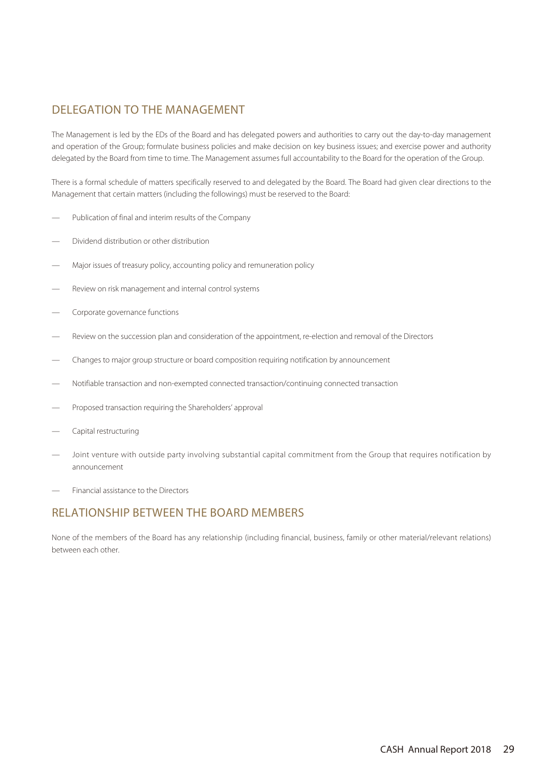# DELEGATION TO THE MANAGEMENT

The Management is led by the EDs of the Board and has delegated powers and authorities to carry out the day-to-day management and operation of the Group; formulate business policies and make decision on key business issues; and exercise power and authority delegated by the Board from time to time. The Management assumes full accountability to the Board for the operation of the Group.

There is a formal schedule of matters specifically reserved to and delegated by the Board. The Board had given clear directions to the Management that certain matters (including the followings) must be reserved to the Board:

- Publication of final and interim results of the Company
- Dividend distribution or other distribution
- Major issues of treasury policy, accounting policy and remuneration policy
- Review on risk management and internal control systems
- Corporate governance functions
- Review on the succession plan and consideration of the appointment, re-election and removal of the Directors
- Changes to major group structure or board composition requiring notification by announcement
- Notifiable transaction and non-exempted connected transaction/continuing connected transaction
- Proposed transaction requiring the Shareholders' approval
- Capital restructuring
- Joint venture with outside party involving substantial capital commitment from the Group that requires notification by announcement
- Financial assistance to the Directors

## RELATIONSHIP BETWEEN THE BOARD MEMBERS

None of the members of the Board has any relationship (including financial, business, family or other material/relevant relations) between each other.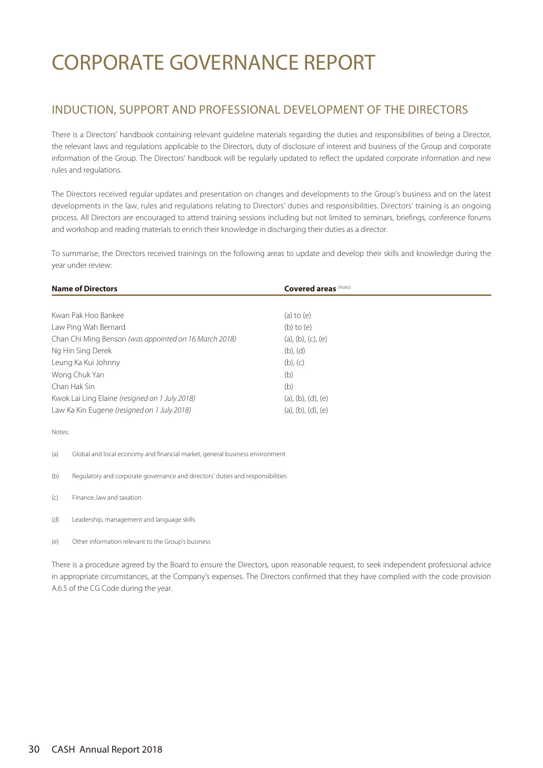# CORPORATE GOVERNANCE REPORT

# INDUCTION, SUPPORT AND PROFESSIONAL DEVELOPMENT OF THE DIRECTORS

There is a Directors' handbook containing relevant guideline materials regarding the duties and responsibilities of being a Director, the relevant laws and regulations applicable to the Directors, duty of disclosure of interest and business of the Group and corporate information of the Group. The Directors' handbook will be regularly updated to reflect the updated corporate information and new rules and regulations.

The Directors received regular updates and presentation on changes and developments to the Group's business and on the latest developments in the law, rules and regulations relating to Directors' duties and responsibilities. Directors' training is an ongoing process. All Directors are encouraged to attend training sessions including but not limited to seminars, briefings, conference forums and workshop and reading materials to enrich their knowledge in discharging their duties as a director.

To summarise, the Directors received trainings on the following areas to update and develop their skills and knowledge during the year under review:

| <b>Name of Directors</b>                              | <b>Covered areas</b> (Notes)  |  |  |
|-------------------------------------------------------|-------------------------------|--|--|
|                                                       |                               |  |  |
| Kwan Pak Hoo Bankee                                   | (a) to $(e)$                  |  |  |
| Law Ping Wah Bernard                                  | (b) to $(e)$                  |  |  |
| Chan Chi Ming Benson (was appointed on 16 March 2018) | $(a)$ , $(b)$ , $(c)$ , $(e)$ |  |  |
| Ng Hin Sing Derek                                     | $(b)$ , $(d)$                 |  |  |
| Leung Ka Kui Johnny                                   | $(b)$ , $(c)$                 |  |  |
| Wong Chuk Yan                                         | (b)                           |  |  |
| Chan Hak Sin                                          | (b)                           |  |  |
| Kwok Lai Ling Elaine (resigned on 1 July 2018)        | $(a)$ , $(b)$ , $(d)$ , $(e)$ |  |  |
| Law Ka Kin Eugene (resigned on 1 July 2018)           | (a), (b), (d), (e)            |  |  |

Notes:

(a) Global and local economy and financial market, general business environment

(b) Regulatory and corporate governance and directors' duties and responsibilities

(c) Finance, law and taxation

(d) Leadership, management and language skills

(e) Other information relevant to the Group's business

There is a procedure agreed by the Board to ensure the Directors, upon reasonable request, to seek independent professional advice in appropriate circumstances, at the Company's expenses. The Directors confirmed that they have complied with the code provision A.6.5 of the CG Code during the year.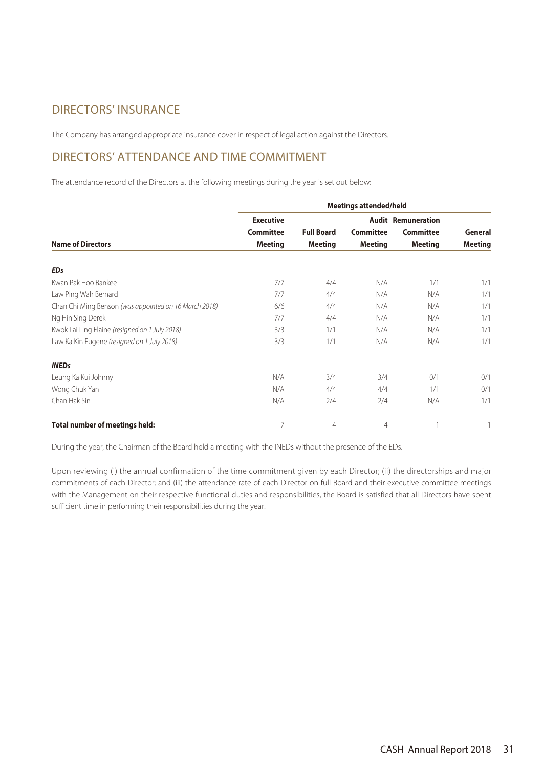# DIRECTORS' INSURANCE

The Company has arranged appropriate insurance cover in respect of legal action against the Directors.

# DIRECTORS' ATTENDANCE AND TIME COMMITMENT

The attendance record of the Directors at the following meetings during the year is set out below:

|                                                       | <b>Meetings attended/held</b> |                   |                  |                           |                |
|-------------------------------------------------------|-------------------------------|-------------------|------------------|---------------------------|----------------|
|                                                       | <b>Executive</b>              |                   |                  | <b>Audit Remuneration</b> |                |
| <b>Name of Directors</b>                              | <b>Committee</b>              | <b>Full Board</b> | <b>Committee</b> | <b>Committee</b>          | General        |
|                                                       | <b>Meeting</b>                | <b>Meeting</b>    | Meeting          | <b>Meeting</b>            | <b>Meeting</b> |
| <b>EDs</b>                                            |                               |                   |                  |                           |                |
| Kwan Pak Hoo Bankee                                   | 7/7                           | 4/4               | N/A              | 1/1                       | 1/1            |
| Law Ping Wah Bernard                                  | 7/7                           | 4/4               | N/A              | N/A                       | 1/1            |
| Chan Chi Ming Benson (was appointed on 16 March 2018) | 6/6                           | 4/4               | N/A              | N/A                       | 1/1            |
| Ng Hin Sing Derek                                     | 7/7                           | 4/4               | N/A              | N/A                       | 1/1            |
| Kwok Lai Ling Elaine (resigned on 1 July 2018)        | 3/3                           | 1/1               | N/A              | N/A                       | 1/1            |
| Law Ka Kin Eugene (resigned on 1 July 2018)           | 3/3                           | 1/1               | N/A              | N/A                       | 1/1            |
| <b>INEDs</b>                                          |                               |                   |                  |                           |                |
| Leung Ka Kui Johnny                                   | N/A                           | 3/4               | 3/4              | 0/1                       | 0/1            |
| Wong Chuk Yan                                         | N/A                           | 4/4               | 4/4              | 1/1                       | 0/1            |
| Chan Hak Sin                                          | N/A                           | 2/4               | 2/4              | N/A                       | 1/1            |
| <b>Total number of meetings held:</b>                 | 7                             | 4                 | $\overline{4}$   |                           |                |

During the year, the Chairman of the Board held a meeting with the INEDs without the presence of the EDs.

Upon reviewing (i) the annual confirmation of the time commitment given by each Director; (ii) the directorships and major commitments of each Director; and (iii) the attendance rate of each Director on full Board and their executive committee meetings with the Management on their respective functional duties and responsibilities, the Board is satisfied that all Directors have spent sufficient time in performing their responsibilities during the year.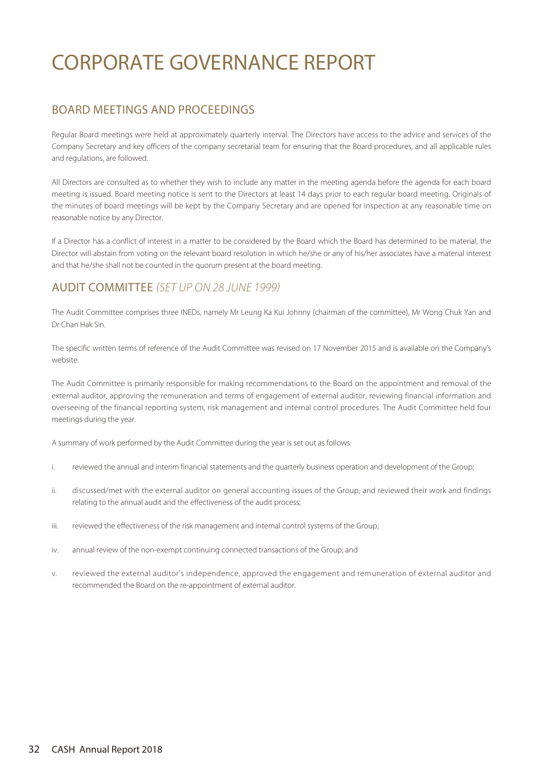# CORPORATE GOVERNANCE REPORT

# BOARD MEETINGS AND PROCEEDINGS

Regular Board meetings were held at approximately quarterly interval. The Directors have access to the advice and services of the Company Secretary and key officers of the company secretarial team for ensuring that the Board procedures, and all applicable rules and regulations, are followed.

All Directors are consulted as to whether they wish to include any matter in the meeting agenda before the agenda for each board meeting is issued. Board meeting notice is sent to the Directors at least 14 days prior to each regular board meeting. Originals of the minutes of board meetings will be kept by the Company Secretary and are opened for inspection at any reasonable time on reasonable notice by any Director.

If a Director has a conflict of interest in a matter to be considered by the Board which the Board has determined to be material, the Director will abstain from voting on the relevant board resolution in which he/she or any of his/her associates have a material interest and that he/she shall not be counted in the quorum present at the board meeting.

# AUDIT COMMITTEE (SET UP ON 28 JUNE 1999)

The Audit Committee comprises three INEDs, namely Mr Leung Ka Kui Johnny (chairman of the committee), Mr Wong Chuk Yan and Dr Chan Hak Sin.

The specific written terms of reference of the Audit Committee was revised on 17 November 2015 and is available on the Company's website.

The Audit Committee is primarily responsible for making recommendations to the Board on the appointment and removal of the external auditor, approving the remuneration and terms of engagement of external auditor, reviewing financial information and overseeing of the financial reporting system, risk management and internal control procedures. The Audit Committee held four meetings during the year.

A summary of work performed by the Audit Committee during the year is set out as follows:

- i. reviewed the annual and interim financial statements and the quarterly business operation and development of the Group;
- ii. discussed/met with the external auditor on general accounting issues of the Group, and reviewed their work and findings relating to the annual audit and the effectiveness of the audit process;
- iii. reviewed the effectiveness of the risk management and internal control systems of the Group;
- iv. annual review of the non-exempt continuing connected transactions of the Group; and
- v. reviewed the external auditor's independence, approved the engagement and remuneration of external auditor and recommended the Board on the re-appointment of external auditor.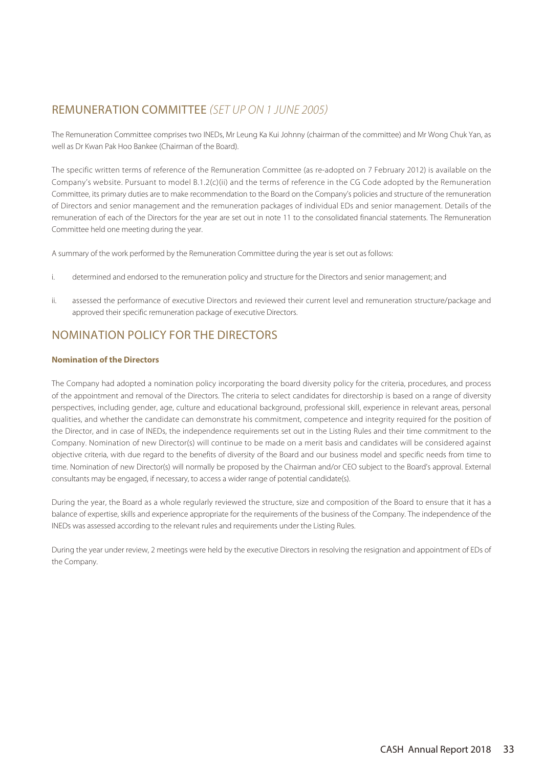# REMUNERATION COMMITTEE (SET UP ON 1 JUNE 2005)

The Remuneration Committee comprises two INEDs, Mr Leung Ka Kui Johnny (chairman of the committee) and Mr Wong Chuk Yan, as well as Dr Kwan Pak Hoo Bankee (Chairman of the Board).

The specific written terms of reference of the Remuneration Committee (as re-adopted on 7 February 2012) is available on the Company's website. Pursuant to model B.1.2(c)(ii) and the terms of reference in the CG Code adopted by the Remuneration Committee, its primary duties are to make recommendation to the Board on the Company's policies and structure of the remuneration of Directors and senior management and the remuneration packages of individual EDs and senior management. Details of the remuneration of each of the Directors for the year are set out in note 11 to the consolidated financial statements. The Remuneration Committee held one meeting during the year.

A summary of the work performed by the Remuneration Committee during the year is set out as follows:

- i. determined and endorsed to the remuneration policy and structure for the Directors and senior management; and
- ii. assessed the performance of executive Directors and reviewed their current level and remuneration structure/package and approved their specific remuneration package of executive Directors.

## NOMINATION POLICY FOR THE DIRECTORS

#### **Nomination of the Directors**

The Company had adopted a nomination policy incorporating the board diversity policy for the criteria, procedures, and process of the appointment and removal of the Directors. The criteria to select candidates for directorship is based on a range of diversity perspectives, including gender, age, culture and educational background, professional skill, experience in relevant areas, personal qualities, and whether the candidate can demonstrate his commitment, competence and integrity required for the position of the Director, and in case of INEDs, the independence requirements set out in the Listing Rules and their time commitment to the Company. Nomination of new Director(s) will continue to be made on a merit basis and candidates will be considered against objective criteria, with due regard to the benefits of diversity of the Board and our business model and specific needs from time to time. Nomination of new Director(s) will normally be proposed by the Chairman and/or CEO subject to the Board's approval. External consultants may be engaged, if necessary, to access a wider range of potential candidate(s).

During the year, the Board as a whole regularly reviewed the structure, size and composition of the Board to ensure that it has a balance of expertise, skills and experience appropriate for the requirements of the business of the Company. The independence of the INEDs was assessed according to the relevant rules and requirements under the Listing Rules.

During the year under review, 2 meetings were held by the executive Directors in resolving the resignation and appointment of EDs of the Company.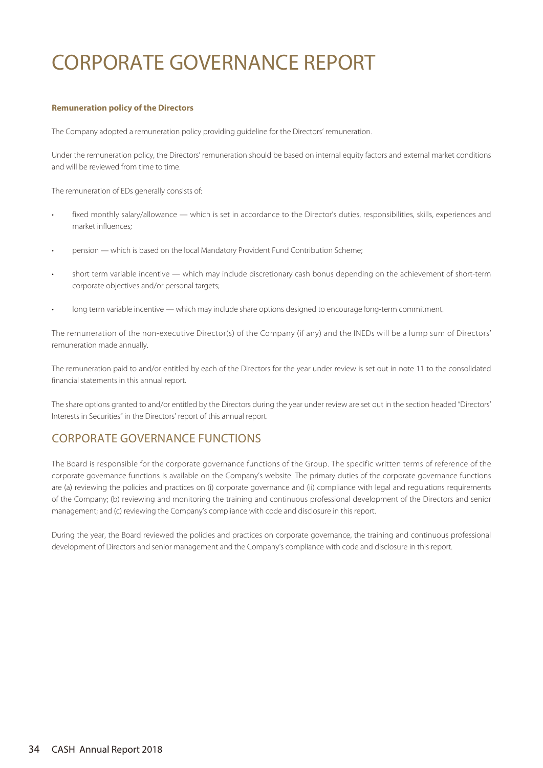# CORPORATE GOVERNANCE REPORT

#### **Remuneration policy of the Directors**

The Company adopted a remuneration policy providing guideline for the Directors' remuneration.

Under the remuneration policy, the Directors' remuneration should be based on internal equity factors and external market conditions and will be reviewed from time to time.

The remuneration of EDs generally consists of:

- fixed monthly salary/allowance which is set in accordance to the Director's duties, responsibilities, skills, experiences and market influences;
- pension which is based on the local Mandatory Provident Fund Contribution Scheme;
- short term variable incentive which may include discretionary cash bonus depending on the achievement of short-term corporate objectives and/or personal targets;
- long term variable incentive which may include share options designed to encourage long-term commitment.

The remuneration of the non-executive Director(s) of the Company (if any) and the INEDs will be a lump sum of Directors' remuneration made annually.

The remuneration paid to and/or entitled by each of the Directors for the year under review is set out in note 11 to the consolidated financial statements in this annual report.

The share options granted to and/or entitled by the Directors during the year under review are set out in the section headed "Directors' Interests in Securities" in the Directors' report of this annual report.

## CORPORATE GOVERNANCE FUNCTIONS

The Board is responsible for the corporate governance functions of the Group. The specific written terms of reference of the corporate governance functions is available on the Company's website. The primary duties of the corporate governance functions are (a) reviewing the policies and practices on (i) corporate governance and (ii) compliance with legal and regulations requirements of the Company; (b) reviewing and monitoring the training and continuous professional development of the Directors and senior management; and (c) reviewing the Company's compliance with code and disclosure in this report.

During the year, the Board reviewed the policies and practices on corporate governance, the training and continuous professional development of Directors and senior management and the Company's compliance with code and disclosure in this report.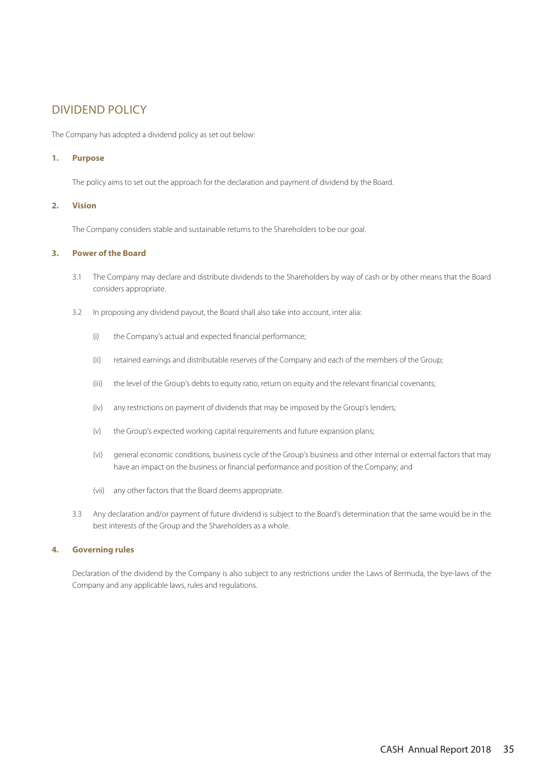# DIVIDEND POLICY

The Company has adopted a dividend policy as set out below:

#### **1. Purpose**

The policy aims to set out the approach for the declaration and payment of dividend by the Board.

#### **2. Vision**

The Company considers stable and sustainable returns to the Shareholders to be our goal.

#### **3. Power of the Board**

- 3.1 The Company may declare and distribute dividends to the Shareholders by way of cash or by other means that the Board considers appropriate.
- 3.2 In proposing any dividend payout, the Board shall also take into account, inter alia:
	- (i) the Company's actual and expected financial performance;
	- (ii) retained earnings and distributable reserves of the Company and each of the members of the Group;
	- (iii) the level of the Group's debts to equity ratio, return on equity and the relevant financial covenants;
	- (iv) any restrictions on payment of dividends that may be imposed by the Group's lenders;
	- (v) the Group's expected working capital requirements and future expansion plans;
	- (vi) general economic conditions, business cycle of the Group's business and other internal or external factors that may have an impact on the business or financial performance and position of the Company; and
	- (vii) any other factors that the Board deems appropriate.
- 3.3 Any declaration and/or payment of future dividend is subject to the Board's determination that the same would be in the best interests of the Group and the Shareholders as a whole.

#### **4. Governing rules**

Declaration of the dividend by the Company is also subject to any restrictions under the Laws of Bermuda, the bye-laws of the Company and any applicable laws, rules and regulations.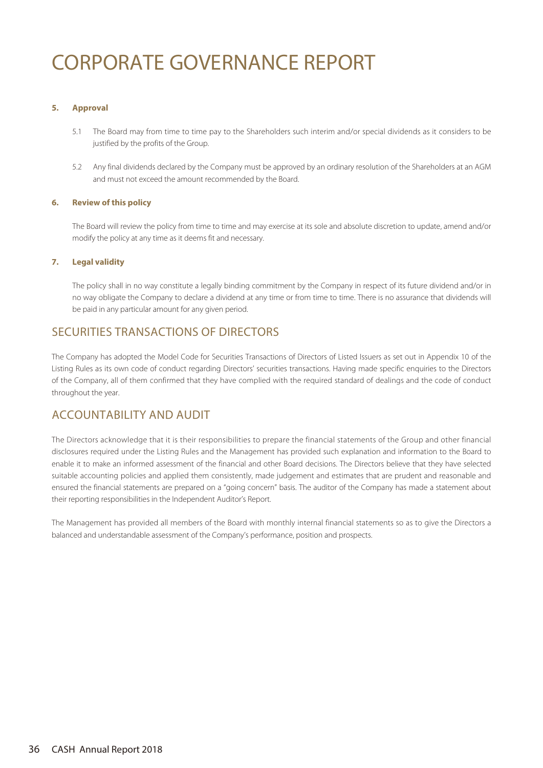# CORPORATE GOVERNANCE REPORT

### **5. Approval**

- 5.1 The Board may from time to time pay to the Shareholders such interim and/or special dividends as it considers to be justified by the profits of the Group.
- 5.2 Any final dividends declared by the Company must be approved by an ordinary resolution of the Shareholders at an AGM and must not exceed the amount recommended by the Board.

### **6. Review of this policy**

The Board will review the policy from time to time and may exercise at its sole and absolute discretion to update, amend and/or modify the policy at any time as it deems fit and necessary.

### **7. Legal validity**

The policy shall in no way constitute a legally binding commitment by the Company in respect of its future dividend and/or in no way obligate the Company to declare a dividend at any time or from time to time. There is no assurance that dividends will be paid in any particular amount for any given period.

### SECURITIES TRANSACTIONS OF DIRECTORS

The Company has adopted the Model Code for Securities Transactions of Directors of Listed Issuers as set out in Appendix 10 of the Listing Rules as its own code of conduct regarding Directors' securities transactions. Having made specific enquiries to the Directors of the Company, all of them confirmed that they have complied with the required standard of dealings and the code of conduct throughout the year.

### ACCOUNTABILITY AND AUDIT

The Directors acknowledge that it is their responsibilities to prepare the financial statements of the Group and other financial disclosures required under the Listing Rules and the Management has provided such explanation and information to the Board to enable it to make an informed assessment of the financial and other Board decisions. The Directors believe that they have selected suitable accounting policies and applied them consistently, made judgement and estimates that are prudent and reasonable and ensured the financial statements are prepared on a "going concern" basis. The auditor of the Company has made a statement about their reporting responsibilities in the Independent Auditor's Report.

The Management has provided all members of the Board with monthly internal financial statements so as to give the Directors a balanced and understandable assessment of the Company's performance, position and prospects.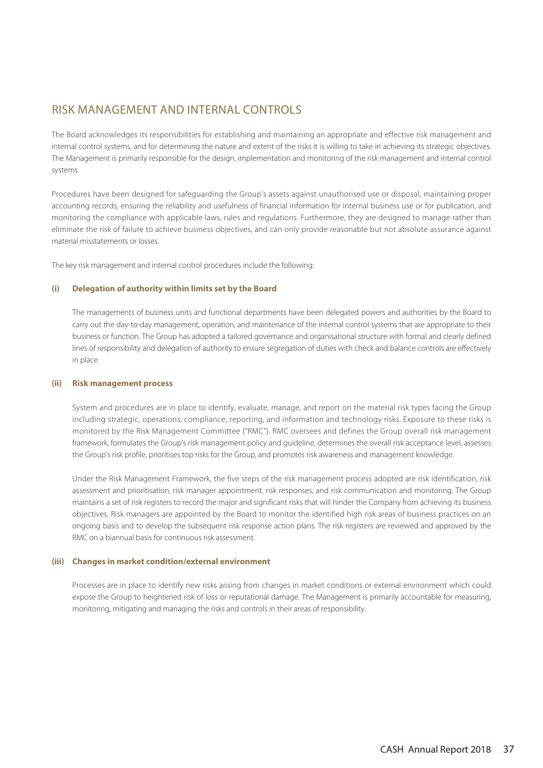### RISK MANAGEMENT AND INTERNAL CONTROLS

The Board acknowledges its responsibilities for establishing and maintaining an appropriate and effective risk management and internal control systems, and for determining the nature and extent of the risks it is willing to take in achieving its strategic objectives. The Management is primarily responsible for the design, implementation and monitoring of the risk management and internal control systems.

Procedures have been designed for safeguarding the Group's assets against unauthorised use or disposal, maintaining proper accounting records, ensuring the reliability and usefulness of financial information for internal business use or for publication, and monitoring the compliance with applicable laws, rules and regulations. Furthermore, they are designed to manage rather than eliminate the risk of failure to achieve business objectives, and can only provide reasonable but not absolute assurance against material misstatements or losses.

The key risk management and internal control procedures include the following:

### **(i) Delegation of authority within limits set by the Board**

The managements of business units and functional departments have been delegated powers and authorities by the Board to carry out the day-to-day management, operation, and maintenance of the internal control systems that are appropriate to their business or function. The Group has adopted a tailored governance and organisational structure with formal and clearly defined lines of responsibility and delegation of authority to ensure segregation of duties with check and balance controls are effectively in place.

#### **(ii) Risk management process**

System and procedures are in place to identify, evaluate, manage, and report on the material risk types facing the Group including strategic, operations, compliance, reporting, and information and technology risks. Exposure to these risks is monitored by the Risk Management Committee ("RMC"). RMC oversees and defines the Group overall risk management framework, formulates the Group's risk management policy and guideline, determines the overall risk acceptance level, assesses the Group's risk profile, prioritises top risks for the Group, and promotes risk awareness and management knowledge.

Under the Risk Management Framework, the five steps of the risk management process adopted are risk identification, risk assessment and prioritisation, risk manager appointment, risk responses, and risk communication and monitoring. The Group maintains a set of risk registers to record the major and significant risks that will hinder the Company from achieving its business objectives. Risk managers are appointed by the Board to monitor the identified high risk areas of business practices on an ongoing basis and to develop the subsequent risk response action plans. The risk registers are reviewed and approved by the RMC on a biannual basis for continuous risk assessment.

### **(iii) Changes in market condition/external environment**

Processes are in place to identify new risks arising from changes in market conditions or external environment which could expose the Group to heightened risk of loss or reputational damage. The Management is primarily accountable for measuring, monitoring, mitigating and managing the risks and controls in their areas of responsibility.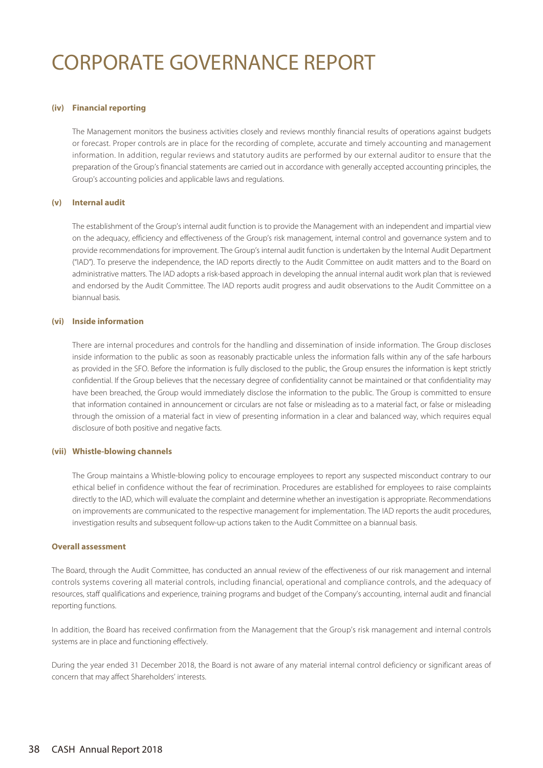# CORPORATE GOVERNANCE REPORT

### **(iv) Financial reporting**

The Management monitors the business activities closely and reviews monthly financial results of operations against budgets or forecast. Proper controls are in place for the recording of complete, accurate and timely accounting and management information. In addition, regular reviews and statutory audits are performed by our external auditor to ensure that the preparation of the Group's financial statements are carried out in accordance with generally accepted accounting principles, the Group's accounting policies and applicable laws and regulations.

### **(v) Internal audit**

The establishment of the Group's internal audit function is to provide the Management with an independent and impartial view on the adequacy, efficiency and effectiveness of the Group's risk management, internal control and governance system and to provide recommendations for improvement. The Group's internal audit function is undertaken by the Internal Audit Department ("IAD"). To preserve the independence, the IAD reports directly to the Audit Committee on audit matters and to the Board on administrative matters. The IAD adopts a risk-based approach in developing the annual internal audit work plan that is reviewed and endorsed by the Audit Committee. The IAD reports audit progress and audit observations to the Audit Committee on a biannual basis.

### **(vi) Inside information**

There are internal procedures and controls for the handling and dissemination of inside information. The Group discloses inside information to the public as soon as reasonably practicable unless the information falls within any of the safe harbours as provided in the SFO. Before the information is fully disclosed to the public, the Group ensures the information is kept strictly confidential. If the Group believes that the necessary degree of confidentiality cannot be maintained or that confidentiality may have been breached, the Group would immediately disclose the information to the public. The Group is committed to ensure that information contained in announcement or circulars are not false or misleading as to a material fact, or false or misleading through the omission of a material fact in view of presenting information in a clear and balanced way, which requires equal disclosure of both positive and negative facts.

#### **(vii) Whistle-blowing channels**

The Group maintains a Whistle-blowing policy to encourage employees to report any suspected misconduct contrary to our ethical belief in confidence without the fear of recrimination. Procedures are established for employees to raise complaints directly to the IAD, which will evaluate the complaint and determine whether an investigation is appropriate. Recommendations on improvements are communicated to the respective management for implementation. The IAD reports the audit procedures, investigation results and subsequent follow-up actions taken to the Audit Committee on a biannual basis.

### **Overall assessment**

The Board, through the Audit Committee, has conducted an annual review of the effectiveness of our risk management and internal controls systems covering all material controls, including financial, operational and compliance controls, and the adequacy of resources, staff qualifications and experience, training programs and budget of the Company's accounting, internal audit and financial reporting functions.

In addition, the Board has received confirmation from the Management that the Group's risk management and internal controls systems are in place and functioning effectively.

During the year ended 31 December 2018, the Board is not aware of any material internal control deficiency or significant areas of concern that may affect Shareholders' interests.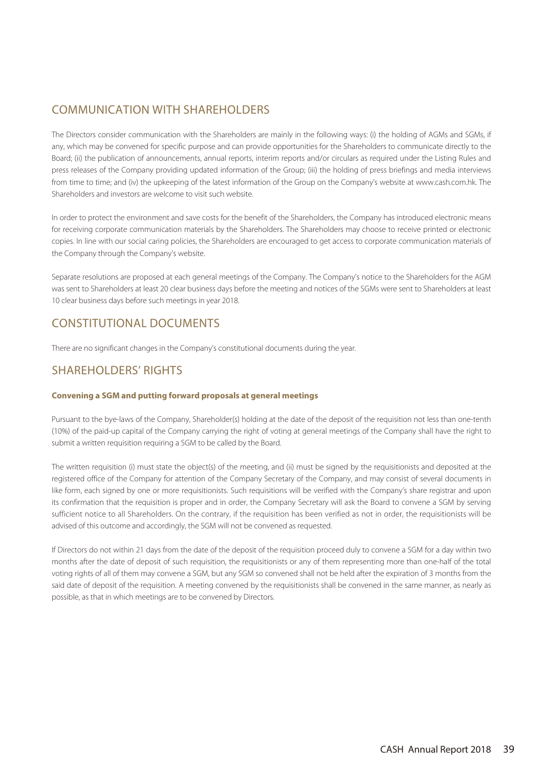# COMMUNICATION WITH SHARFHOLDERS

The Directors consider communication with the Shareholders are mainly in the following ways: (i) the holding of AGMs and SGMs, if any, which may be convened for specific purpose and can provide opportunities for the Shareholders to communicate directly to the Board; (ii) the publication of announcements, annual reports, interim reports and/or circulars as required under the Listing Rules and press releases of the Company providing updated information of the Group; (iii) the holding of press briefings and media interviews from time to time; and (iv) the upkeeping of the latest information of the Group on the Company's website at www.cash.com.hk. The Shareholders and investors are welcome to visit such website.

In order to protect the environment and save costs for the benefit of the Shareholders, the Company has introduced electronic means for receiving corporate communication materials by the Shareholders. The Shareholders may choose to receive printed or electronic copies. In line with our social caring policies, the Shareholders are encouraged to get access to corporate communication materials of the Company through the Company's website.

Separate resolutions are proposed at each general meetings of the Company. The Company's notice to the Shareholders for the AGM was sent to Shareholders at least 20 clear business days before the meeting and notices of the SGMs were sent to Shareholders at least 10 clear business days before such meetings in year 2018.

### CONSTITUTIONAL DOCUMENTS

There are no significant changes in the Company's constitutional documents during the year.

# SHAREHOLDERS' RIGHTS

### **Convening a SGM and putting forward proposals at general meetings**

Pursuant to the bye-laws of the Company, Shareholder(s) holding at the date of the deposit of the requisition not less than one-tenth (10%) of the paid-up capital of the Company carrying the right of voting at general meetings of the Company shall have the right to submit a written requisition requiring a SGM to be called by the Board.

The written requisition (i) must state the object(s) of the meeting, and (ii) must be signed by the requisitionists and deposited at the registered office of the Company for attention of the Company Secretary of the Company, and may consist of several documents in like form, each signed by one or more requisitionists. Such requisitions will be verified with the Company's share registrar and upon its confirmation that the requisition is proper and in order, the Company Secretary will ask the Board to convene a SGM by serving sufficient notice to all Shareholders. On the contrary, if the requisition has been verified as not in order, the requisitionists will be advised of this outcome and accordingly, the SGM will not be convened as requested.

If Directors do not within 21 days from the date of the deposit of the requisition proceed duly to convene a SGM for a day within two months after the date of deposit of such requisition, the requisitionists or any of them representing more than one-half of the total voting rights of all of them may convene a SGM, but any SGM so convened shall not be held after the expiration of 3 months from the said date of deposit of the requisition. A meeting convened by the requisitionists shall be convened in the same manner, as nearly as possible, as that in which meetings are to be convened by Directors.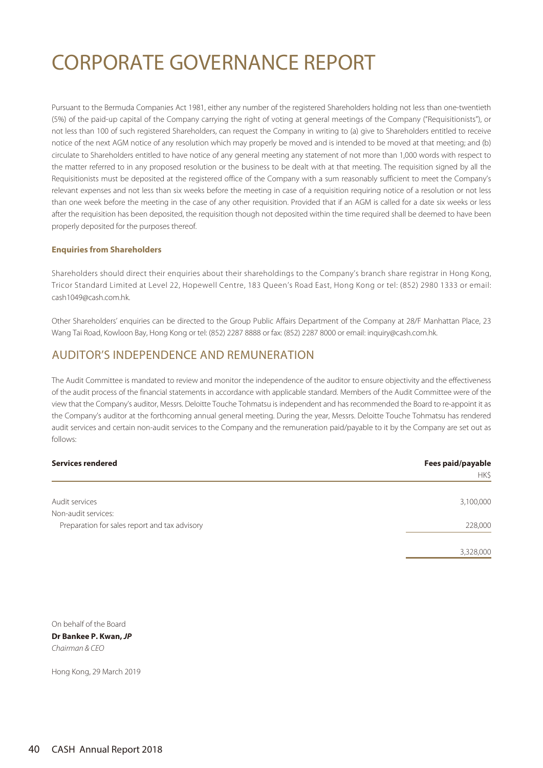# CORPORATE GOVERNANCE REPORT

Pursuant to the Bermuda Companies Act 1981, either any number of the registered Shareholders holding not less than one-twentieth (5%) of the paid-up capital of the Company carrying the right of voting at general meetings of the Company ("Requisitionists"), or not less than 100 of such registered Shareholders, can request the Company in writing to (a) give to Shareholders entitled to receive notice of the next AGM notice of any resolution which may properly be moved and is intended to be moved at that meeting; and (b) circulate to Shareholders entitled to have notice of any general meeting any statement of not more than 1,000 words with respect to the matter referred to in any proposed resolution or the business to be dealt with at that meeting. The requisition signed by all the Requisitionists must be deposited at the registered office of the Company with a sum reasonably sufficient to meet the Company's relevant expenses and not less than six weeks before the meeting in case of a requisition requiring notice of a resolution or not less than one week before the meeting in the case of any other requisition. Provided that if an AGM is called for a date six weeks or less after the requisition has been deposited, the requisition though not deposited within the time required shall be deemed to have been properly deposited for the purposes thereof.

### **Enquiries from Shareholders**

Shareholders should direct their enquiries about their shareholdings to the Company's branch share registrar in Hong Kong, Tricor Standard Limited at Level 22, Hopewell Centre, 183 Queen's Road East, Hong Kong or tel: (852) 2980 1333 or email: cash1049@cash.com.hk.

Other Shareholders' enquiries can be directed to the Group Public Affairs Department of the Company at 28/F Manhattan Place, 23 Wang Tai Road, Kowloon Bay, Hong Kong or tel: (852) 2287 8888 or fax: (852) 2287 8000 or email: inquiry@cash.com.hk.

### AUDITOR'S INDEPENDENCE AND REMUNERATION

The Audit Committee is mandated to review and monitor the independence of the auditor to ensure objectivity and the effectiveness of the audit process of the financial statements in accordance with applicable standard. Members of the Audit Committee were of the view that the Company's auditor, Messrs. Deloitte Touche Tohmatsu is independent and has recommended the Board to re-appoint it as the Company's auditor at the forthcoming annual general meeting. During the year, Messrs. Deloitte Touche Tohmatsu has rendered audit services and certain non-audit services to the Company and the remuneration paid/payable to it by the Company are set out as follows:

| <b>Services rendered</b>                      | Fees paid/payable |
|-----------------------------------------------|-------------------|
|                                               | HK\$              |
| Audit services                                | 3,100,000         |
| Non-audit services:                           |                   |
| Preparation for sales report and tax advisory | 228,000           |
|                                               | 3,328,000         |

On behalf of the Board **Dr Bankee P. Kwan,** *JP* Chairman & CEO

Hong Kong, 29 March 2019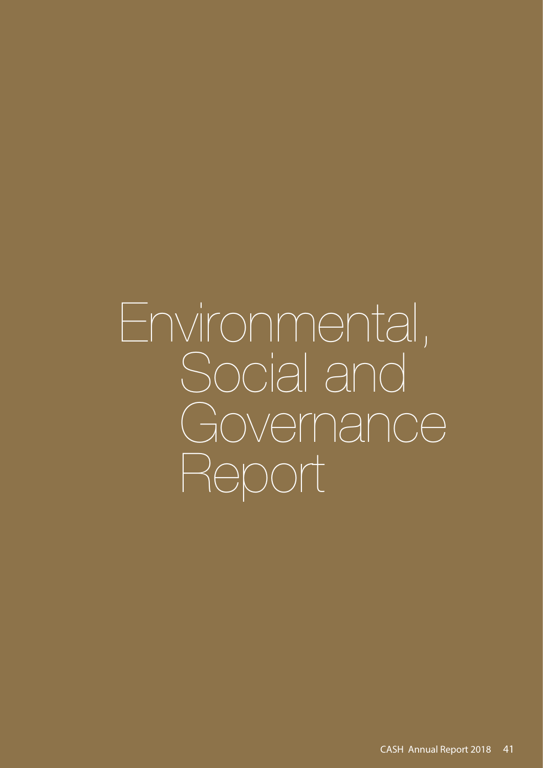Environmental, Social and Governance Report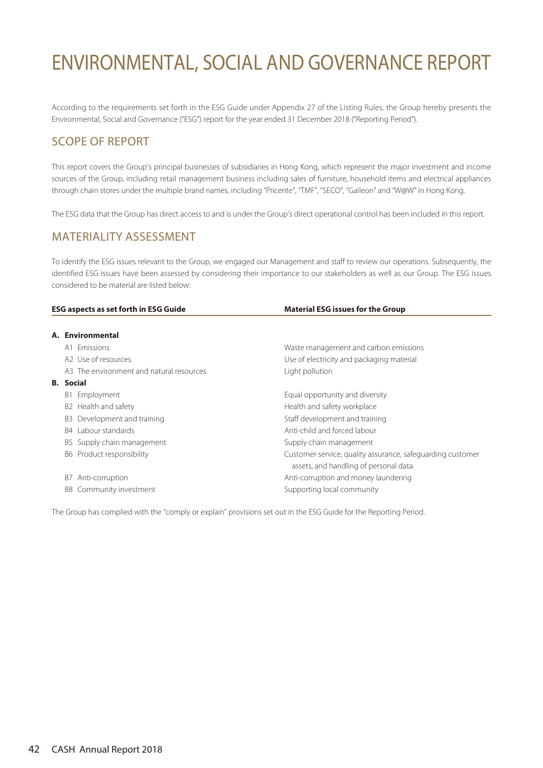# ENVIRONMENTAL, SOCIAL AND GOVERNANCE REPORT

According to the requirements set forth in the ESG Guide under Appendix 27 of the Listing Rules, the Group hereby presents the Environmental, Social and Governance ("ESG") report for the year ended 31 December 2018 ("Reporting Period").

### SCOPE OF REPORT

This report covers the Group's principal businesses of subsidiaries in Hong Kong, which represent the major investment and income sources of the Group, including retail management business including sales of furniture, household items and electrical appliances through chain stores under the multiple brand names, including "Pricerite", "TMF", "SECO", "Galleon" and "W@W" in Hong Kong.

The ESG data that the Group has direct access to and is under the Group's direct operational control has been included in this report.

### MATERIALITY ASSESSMENT

To identify the ESG issues relevant to the Group, we engaged our Management and staff to review our operations. Subsequently, the identified ESG issues have been assessed by considering their importance to our stakeholders as well as our Group. The ESG issues considered to be material are listed below:

| <b>ESG aspects as set forth in ESG Guide</b> | <b>Material ESG issues for the Group</b>                                                            |
|----------------------------------------------|-----------------------------------------------------------------------------------------------------|
|                                              |                                                                                                     |
| A. Environmental                             |                                                                                                     |
| A1 Fmissions                                 | Waste management and carbon emissions                                                               |
| A <sub>2</sub> Use of resources              | Use of electricity and packaging material                                                           |
| A3 The environment and natural resources     | Light pollution                                                                                     |
| <b>B.</b> Social                             |                                                                                                     |
| Employment<br><b>B1</b>                      | Equal opportunity and diversity                                                                     |
| B2 Health and safety                         | Health and safety workplace                                                                         |
| Development and training<br>B3               | Staff development and training                                                                      |
| B4 Labour standards                          | Anti-child and forced labour                                                                        |
| B5 Supply chain management                   | Supply chain management                                                                             |
| B6 Product responsibility                    | Customer service, quality assurance, safeguarding customer<br>assets, and handling of personal data |
| Anti-corruption<br>B7                        | Anti-corruption and money laundering                                                                |
| B8 Community investment                      | Supporting local community                                                                          |
|                                              |                                                                                                     |

The Group has complied with the "comply or explain" provisions set out in the ESG Guide for the Reporting Period.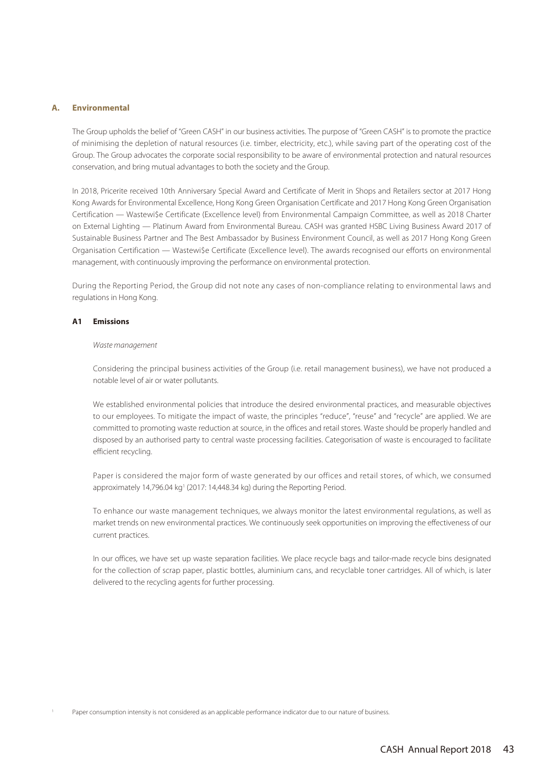### **A. Environmental**

The Group upholds the belief of "Green CASH" in our business activities. The purpose of "Green CASH" is to promote the practice of minimising the depletion of natural resources (i.e. timber, electricity, etc.), while saving part of the operating cost of the Group. The Group advocates the corporate social responsibility to be aware of environmental protection and natural resources conservation, and bring mutual advantages to both the society and the Group.

In 2018, Pricerite received 10th Anniversary Special Award and Certificate of Merit in Shops and Retailers sector at 2017 Hong Kong Awards for Environmental Excellence, Hong Kong Green Organisation Certificate and 2017 Hong Kong Green Organisation Certification — Wastewi\$e Certificate (Excellence level) from Environmental Campaign Committee, as well as 2018 Charter on External Lighting — Platinum Award from Environmental Bureau. CASH was granted HSBC Living Business Award 2017 of Sustainable Business Partner and The Best Ambassador by Business Environment Council, as well as 2017 Hong Kong Green Organisation Certification — Wastewi\$e Certificate (Excellence level). The awards recognised our efforts on environmental management, with continuously improving the performance on environmental protection.

During the Reporting Period, the Group did not note any cases of non-compliance relating to environmental laws and regulations in Hong Kong.

### **A1 Emissions**

#### Waste management

Considering the principal business activities of the Group (i.e. retail management business), we have not produced a notable level of air or water pollutants.

We established environmental policies that introduce the desired environmental practices, and measurable objectives to our employees. To mitigate the impact of waste, the principles "reduce", "reuse" and "recycle" are applied. We are committed to promoting waste reduction at source, in the offices and retail stores. Waste should be properly handled and disposed by an authorised party to central waste processing facilities. Categorisation of waste is encouraged to facilitate efficient recycling.

Paper is considered the major form of waste generated by our offices and retail stores, of which, we consumed approximately 14,796.04 kg<sup>1</sup> (2017: 14,448.34 kg) during the Reporting Period.

To enhance our waste management techniques, we always monitor the latest environmental regulations, as well as market trends on new environmental practices. We continuously seek opportunities on improving the effectiveness of our current practices.

In our offices, we have set up waste separation facilities. We place recycle bags and tailor-made recycle bins designated for the collection of scrap paper, plastic bottles, aluminium cans, and recyclable toner cartridges. All of which, is later delivered to the recycling agents for further processing.

Paper consumption intensity is not considered as an applicable performance indicator due to our nature of business.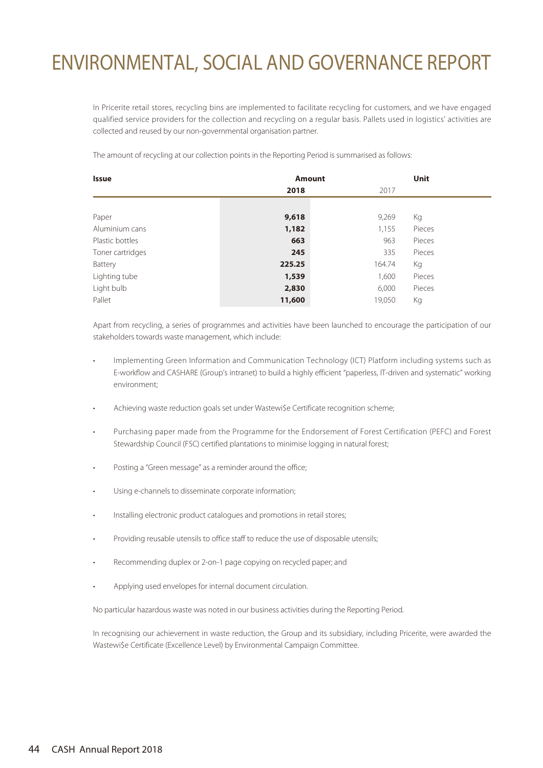# ENVIRONMENTAL, SOCIAL AND GOVERNANCE REPORT

In Pricerite retail stores, recycling bins are implemented to facilitate recycling for customers, and we have engaged qualified service providers for the collection and recycling on a regular basis. Pallets used in logistics' activities are collected and reused by our non-governmental organisation partner.

The amount of recycling at our collection points in the Reporting Period is summarised as follows:

| <b>Issue</b>     | <b>Amount</b> |        | Unit   |
|------------------|---------------|--------|--------|
|                  | 2018          | 2017   |        |
|                  |               |        |        |
| Paper            | 9,618         | 9,269  | Кg     |
| Aluminium cans   | 1,182         | 1,155  | Pieces |
| Plastic bottles  | 663           | 963    | Pieces |
| Toner cartridges | 245           | 335    | Pieces |
| Battery          | 225.25        | 164.74 | Кg     |
| Lighting tube    | 1,539         | 1,600  | Pieces |
| Light bulb       | 2,830         | 6,000  | Pieces |
| Pallet           | 11,600        | 19,050 | Кg     |

Apart from recycling, a series of programmes and activities have been launched to encourage the participation of our stakeholders towards waste management, which include:

- Implementing Green Information and Communication Technology (ICT) Platform including systems such as E-workflow and CASHARE (Group's intranet) to build a highly efficient "paperless, IT-driven and systematic" working environment;
- Achieving waste reduction goals set under Wastewi\$e Certificate recognition scheme;
- Purchasing paper made from the Programme for the Endorsement of Forest Certification (PEFC) and Forest Stewardship Council (FSC) certified plantations to minimise logging in natural forest;
- Posting a "Green message" as a reminder around the office;
- Using e-channels to disseminate corporate information;
- Installing electronic product catalogues and promotions in retail stores;
- Providing reusable utensils to office staff to reduce the use of disposable utensils;
- Recommending duplex or 2-on-1 page copying on recycled paper; and
- Applying used envelopes for internal document circulation.

No particular hazardous waste was noted in our business activities during the Reporting Period.

In recognising our achievement in waste reduction, the Group and its subsidiary, including Pricerite, were awarded the Wastewi\$e Certificate (Excellence Level) by Environmental Campaign Committee.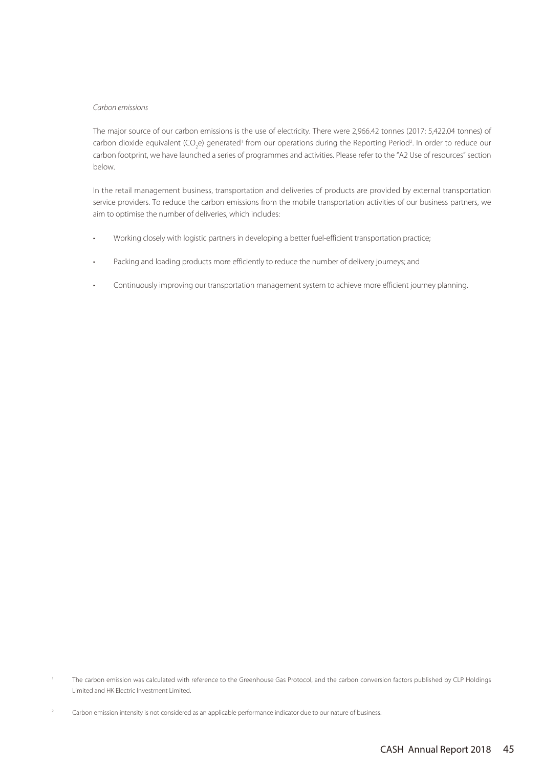### Carbon emissions

The major source of our carbon emissions is the use of electricity. There were 2,966.42 tonnes (2017: 5,422.04 tonnes) of carbon dioxide equivalent (CO<sub>2</sub>e) generated<sup>1</sup> from our operations during the Reporting Period<sup>2</sup>. In order to reduce our carbon footprint, we have launched a series of programmes and activities. Please refer to the "A2 Use of resources" section below.

In the retail management business, transportation and deliveries of products are provided by external transportation service providers. To reduce the carbon emissions from the mobile transportation activities of our business partners, we aim to optimise the number of deliveries, which includes:

- Working closely with logistic partners in developing a better fuel-efficient transportation practice;
- Packing and loading products more efficiently to reduce the number of delivery journeys; and
- Continuously improving our transportation management system to achieve more efficient journey planning.

The carbon emission was calculated with reference to the Greenhouse Gas Protocol, and the carbon conversion factors published by CLP Holdings Limited and HK Electric Investment Limited.

Carbon emission intensity is not considered as an applicable performance indicator due to our nature of business.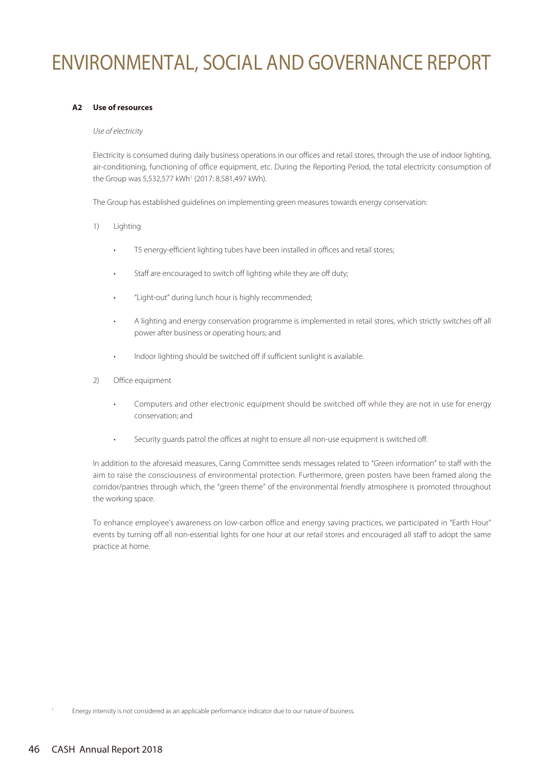# ENVIRONMENTAL, SOCIAL AND GOVERNANCE REPORT

### **A2 Use of resources**

#### Use of electricity

Electricity is consumed during daily business operations in our offices and retail stores, through the use of indoor lighting, air-conditioning, functioning of office equipment, etc. During the Reporting Period, the total electricity consumption of the Group was 5,532,577 kWh<sup>1</sup> (2017: 8,581,497 kWh).

The Group has established guidelines on implementing green measures towards energy conservation:

- 1) Lighting
	- T5 energy-efficient lighting tubes have been installed in offices and retail stores;
	- Staff are encouraged to switch off lighting while they are off duty;
	- "Light-out" during lunch hour is highly recommended;
	- A lighting and energy conservation programme is implemented in retail stores, which strictly switches off all power after business or operating hours; and
	- Indoor lighting should be switched off if sufficient sunlight is available.
- 2) Office equipment
	- Computers and other electronic equipment should be switched off while they are not in use for energy conservation; and
	- Security guards patrol the offices at night to ensure all non-use equipment is switched off.

In addition to the aforesaid measures, Caring Committee sends messages related to "Green information" to staff with the aim to raise the consciousness of environmental protection. Furthermore, green posters have been framed along the corridor/pantries through which, the "green theme" of the environmental friendly atmosphere is promoted throughout the working space.

To enhance employee's awareness on low-carbon office and energy saving practices, we participated in "Earth Hour" events by turning off all non-essential lights for one hour at our retail stores and encouraged all staff to adopt the same practice at home.

Energy intensity is not considered as an applicable performance indicator due to our nature of business.

1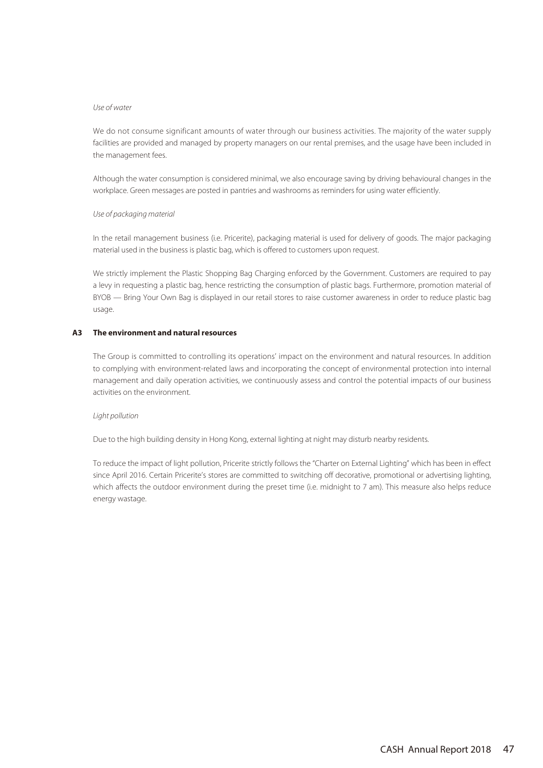#### Use of water

We do not consume significant amounts of water through our business activities. The majority of the water supply facilities are provided and managed by property managers on our rental premises, and the usage have been included in the management fees.

Although the water consumption is considered minimal, we also encourage saving by driving behavioural changes in the workplace. Green messages are posted in pantries and washrooms as reminders for using water efficiently.

### Use of packaging material

In the retail management business (i.e. Pricerite), packaging material is used for delivery of goods. The major packaging material used in the business is plastic bag, which is offered to customers upon request.

We strictly implement the Plastic Shopping Bag Charging enforced by the Government. Customers are required to pay a levy in requesting a plastic bag, hence restricting the consumption of plastic bags. Furthermore, promotion material of BYOB — Bring Your Own Bag is displayed in our retail stores to raise customer awareness in order to reduce plastic bag usage.

### **A3 The environment and natural resources**

The Group is committed to controlling its operations' impact on the environment and natural resources. In addition to complying with environment-related laws and incorporating the concept of environmental protection into internal management and daily operation activities, we continuously assess and control the potential impacts of our business activities on the environment.

### Light pollution

Due to the high building density in Hong Kong, external lighting at night may disturb nearby residents.

To reduce the impact of light pollution, Pricerite strictly follows the "Charter on External Lighting" which has been in effect since April 2016. Certain Pricerite's stores are committed to switching off decorative, promotional or advertising lighting, which affects the outdoor environment during the preset time (i.e. midnight to 7 am). This measure also helps reduce energy wastage.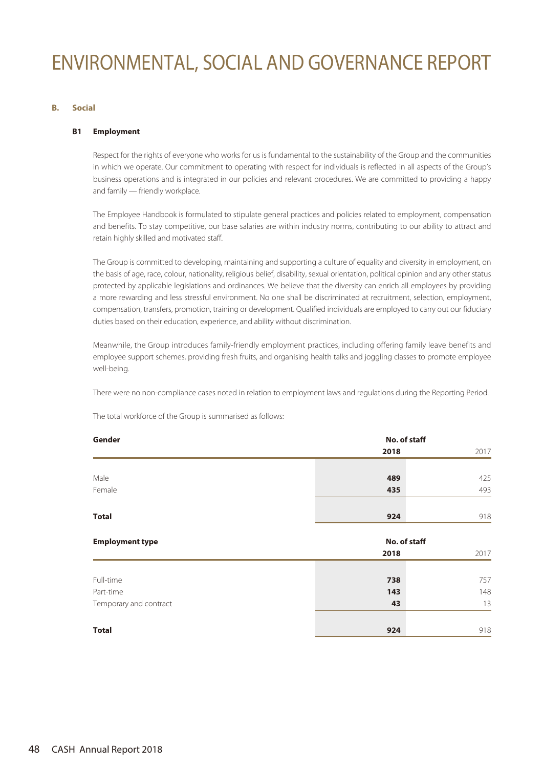# ENVIRONMENTAL, SOCIAL AND GOVERNANCE REPORT

### **B. Social**

### **B1 Employment**

Respect for the rights of everyone who works for us is fundamental to the sustainability of the Group and the communities in which we operate. Our commitment to operating with respect for individuals is reflected in all aspects of the Group's business operations and is integrated in our policies and relevant procedures. We are committed to providing a happy and family — friendly workplace.

The Employee Handbook is formulated to stipulate general practices and policies related to employment, compensation and benefits. To stay competitive, our base salaries are within industry norms, contributing to our ability to attract and retain highly skilled and motivated staff.

The Group is committed to developing, maintaining and supporting a culture of equality and diversity in employment, on the basis of age, race, colour, nationality, religious belief, disability, sexual orientation, political opinion and any other status protected by applicable legislations and ordinances. We believe that the diversity can enrich all employees by providing a more rewarding and less stressful environment. No one shall be discriminated at recruitment, selection, employment, compensation, transfers, promotion, training or development. Qualified individuals are employed to carry out our fiduciary duties based on their education, experience, and ability without discrimination.

Meanwhile, the Group introduces family-friendly employment practices, including offering family leave benefits and employee support schemes, providing fresh fruits, and organising health talks and joggling classes to promote employee well-being.

There were no non-compliance cases noted in relation to employment laws and regulations during the Reporting Period.

**Gender No. of staff 2018** 2017 Male **489** 425 Female **435** 493 **Total 924** 918

| <b>Employment type</b> |      | No. of staff |
|------------------------|------|--------------|
|                        | 2018 | 2017         |
|                        |      |              |
| Full-time              | 738  | 757          |
| Part-time              | 143  | 148          |
| Temporary and contract | 43   | 13           |
|                        |      |              |
| <b>Total</b>           | 924  | 918          |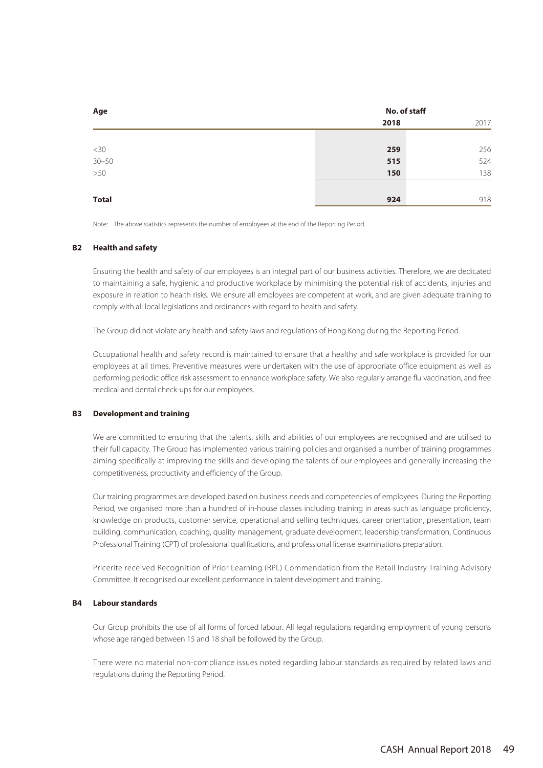| Age          | No. of staff |      |
|--------------|--------------|------|
|              | 2018         | 2017 |
|              |              |      |
| $<30\,$      | 259          | 256  |
| $30 - 50$    | 515          | 524  |
| >50          | 150          | 138  |
|              |              |      |
| <b>Total</b> | 924          | 918  |

Note: The above statistics represents the number of employees at the end of the Reporting Period.

#### **B2 Health and safety**

Ensuring the health and safety of our employees is an integral part of our business activities. Therefore, we are dedicated to maintaining a safe, hygienic and productive workplace by minimising the potential risk of accidents, injuries and exposure in relation to health risks. We ensure all employees are competent at work, and are given adequate training to comply with all local legislations and ordinances with regard to health and safety.

The Group did not violate any health and safety laws and regulations of Hong Kong during the Reporting Period.

Occupational health and safety record is maintained to ensure that a healthy and safe workplace is provided for our employees at all times. Preventive measures were undertaken with the use of appropriate office equipment as well as performing periodic office risk assessment to enhance workplace safety. We also regularly arrange flu vaccination, and free medical and dental check-ups for our employees.

### **B3 Development and training**

We are committed to ensuring that the talents, skills and abilities of our employees are recognised and are utilised to their full capacity. The Group has implemented various training policies and organised a number of training programmes aiming specifically at improving the skills and developing the talents of our employees and generally increasing the competitiveness, productivity and efficiency of the Group.

Our training programmes are developed based on business needs and competencies of employees. During the Reporting Period, we organised more than a hundred of in-house classes including training in areas such as language proficiency, knowledge on products, customer service, operational and selling techniques, career orientation, presentation, team building, communication, coaching, quality management, graduate development, leadership transformation, Continuous Professional Training (CPT) of professional qualifications, and professional license examinations preparation.

Pricerite received Recognition of Prior Learning (RPL) Commendation from the Retail Industry Training Advisory Committee. It recognised our excellent performance in talent development and training.

### **B4 Labour standards**

Our Group prohibits the use of all forms of forced labour. All legal regulations regarding employment of young persons whose age ranged between 15 and 18 shall be followed by the Group.

There were no material non-compliance issues noted regarding labour standards as required by related laws and regulations during the Reporting Period.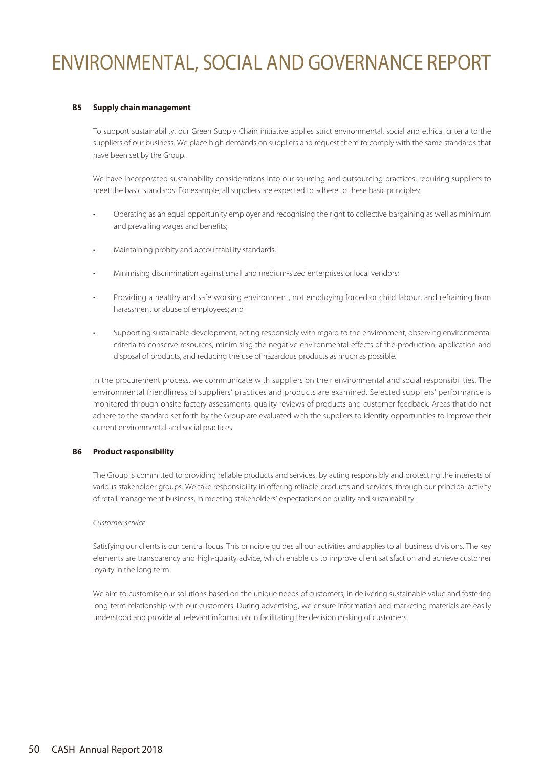# ENVIRONMENTAL, SOCIAL AND GOVERNANCE REPORT

### **B5 Supply chain management**

To support sustainability, our Green Supply Chain initiative applies strict environmental, social and ethical criteria to the suppliers of our business. We place high demands on suppliers and request them to comply with the same standards that have been set by the Group.

We have incorporated sustainability considerations into our sourcing and outsourcing practices, requiring suppliers to meet the basic standards. For example, all suppliers are expected to adhere to these basic principles:

- Operating as an equal opportunity employer and recognising the right to collective bargaining as well as minimum and prevailing wages and benefits;
- Maintaining probity and accountability standards;
- Minimising discrimination against small and medium-sized enterprises or local vendors;
- Providing a healthy and safe working environment, not employing forced or child labour, and refraining from harassment or abuse of employees; and
- Supporting sustainable development, acting responsibly with regard to the environment, observing environmental criteria to conserve resources, minimising the negative environmental effects of the production, application and disposal of products, and reducing the use of hazardous products as much as possible.

In the procurement process, we communicate with suppliers on their environmental and social responsibilities. The environmental friendliness of suppliers' practices and products are examined. Selected suppliers' performance is monitored through onsite factory assessments, quality reviews of products and customer feedback. Areas that do not adhere to the standard set forth by the Group are evaluated with the suppliers to identity opportunities to improve their current environmental and social practices.

### **B6 Product responsibility**

The Group is committed to providing reliable products and services, by acting responsibly and protecting the interests of various stakeholder groups. We take responsibility in offering reliable products and services, through our principal activity of retail management business, in meeting stakeholders' expectations on quality and sustainability.

#### Customer service

Satisfying our clients is our central focus. This principle guides all our activities and applies to all business divisions. The key elements are transparency and high-quality advice, which enable us to improve client satisfaction and achieve customer loyalty in the long term.

We aim to customise our solutions based on the unique needs of customers, in delivering sustainable value and fostering long-term relationship with our customers. During advertising, we ensure information and marketing materials are easily understood and provide all relevant information in facilitating the decision making of customers.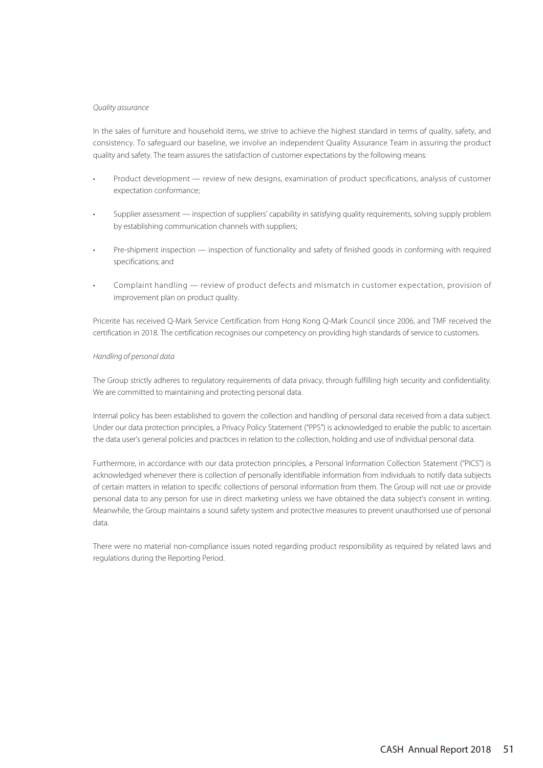### Quality assurance

In the sales of furniture and household items, we strive to achieve the highest standard in terms of quality, safety, and consistency. To safeguard our baseline, we involve an independent Quality Assurance Team in assuring the product quality and safety. The team assures the satisfaction of customer expectations by the following means:

- Product development review of new designs, examination of product specifications, analysis of customer expectation conformance;
- Supplier assessment inspection of suppliers' capability in satisfying quality requirements, solving supply problem by establishing communication channels with suppliers;
- Pre-shipment inspection inspection of functionality and safety of finished goods in conforming with required specifications; and
- Complaint handling review of product defects and mismatch in customer expectation, provision of improvement plan on product quality.

Pricerite has received Q-Mark Service Certification from Hong Kong Q-Mark Council since 2006, and TMF received the certification in 2018. The certification recognises our competency on providing high standards of service to customers.

#### Handling of personal data

The Group strictly adheres to regulatory requirements of data privacy, through fulfilling high security and confidentiality. We are committed to maintaining and protecting personal data.

Internal policy has been established to govern the collection and handling of personal data received from a data subject. Under our data protection principles, a Privacy Policy Statement ("PPS") is acknowledged to enable the public to ascertain the data user's general policies and practices in relation to the collection, holding and use of individual personal data.

Furthermore, in accordance with our data protection principles, a Personal Information Collection Statement ("PICS") is acknowledged whenever there is collection of personally identifiable information from individuals to notify data subjects of certain matters in relation to specific collections of personal information from them. The Group will not use or provide personal data to any person for use in direct marketing unless we have obtained the data subject's consent in writing. Meanwhile, the Group maintains a sound safety system and protective measures to prevent unauthorised use of personal data.

There were no material non-compliance issues noted regarding product responsibility as required by related laws and regulations during the Reporting Period.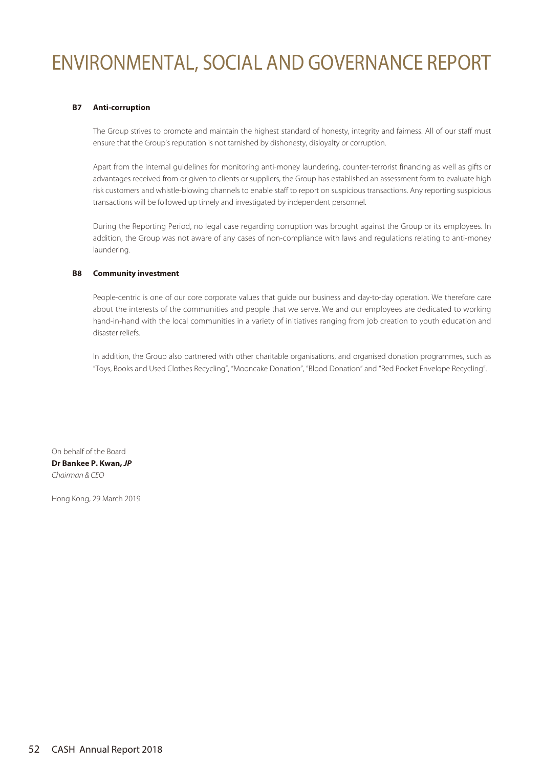# ENVIRONMENTAL, SOCIAL AND GOVERNANCE REPORT

### **B7 Anti-corruption**

The Group strives to promote and maintain the highest standard of honesty, integrity and fairness. All of our staff must ensure that the Group's reputation is not tarnished by dishonesty, disloyalty or corruption.

Apart from the internal guidelines for monitoring anti-money laundering, counter-terrorist financing as well as gifts or advantages received from or given to clients or suppliers, the Group has established an assessment form to evaluate high risk customers and whistle-blowing channels to enable staff to report on suspicious transactions. Any reporting suspicious transactions will be followed up timely and investigated by independent personnel.

During the Reporting Period, no legal case regarding corruption was brought against the Group or its employees. In addition, the Group was not aware of any cases of non-compliance with laws and regulations relating to anti-money laundering.

#### **B8 Community investment**

People-centric is one of our core corporate values that guide our business and day-to-day operation. We therefore care about the interests of the communities and people that we serve. We and our employees are dedicated to working hand-in-hand with the local communities in a variety of initiatives ranging from job creation to youth education and disaster reliefs.

In addition, the Group also partnered with other charitable organisations, and organised donation programmes, such as "Toys, Books and Used Clothes Recycling", "Mooncake Donation", "Blood Donation" and "Red Pocket Envelope Recycling".

On behalf of the Board **Dr Bankee P. Kwan,** *JP* Chairman & CEO

Hong Kong, 29 March 2019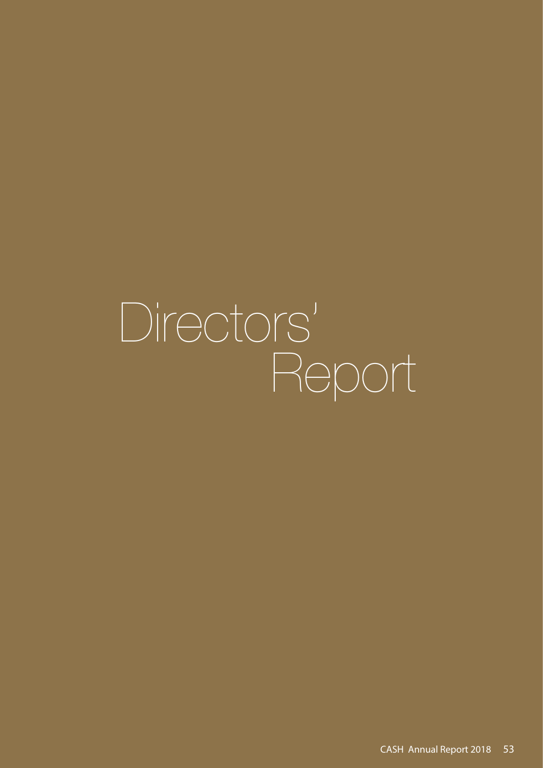# Directors' Report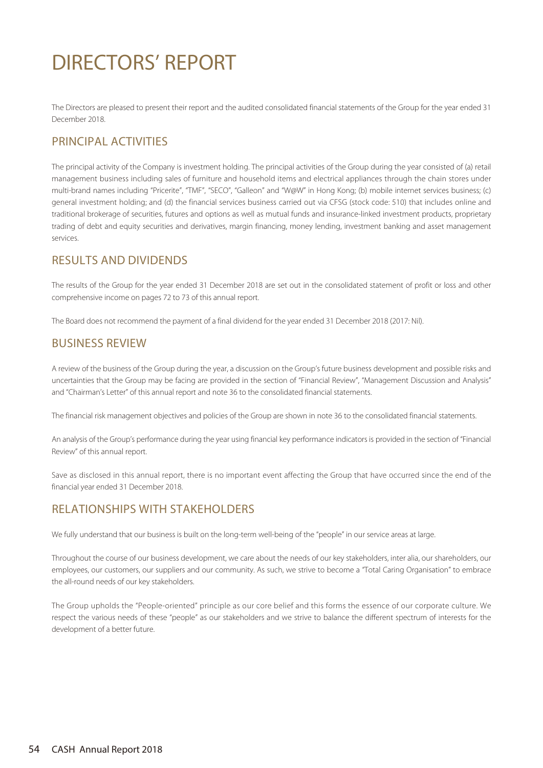# DIRECTORS' REPORT

The Directors are pleased to present their report and the audited consolidated financial statements of the Group for the year ended 31 December 2018.

# PRINCIPAL ACTIVITIES

The principal activity of the Company is investment holding. The principal activities of the Group during the year consisted of (a) retail management business including sales of furniture and household items and electrical appliances through the chain stores under multi-brand names including "Pricerite", "TMF", "SECO", "Galleon" and "W@W" in Hong Kong; (b) mobile internet services business; (c) general investment holding; and (d) the financial services business carried out via CFSG (stock code: 510) that includes online and traditional brokerage of securities, futures and options as well as mutual funds and insurance-linked investment products, proprietary trading of debt and equity securities and derivatives, margin financing, money lending, investment banking and asset management services.

# RESULTS AND DIVIDENDS

The results of the Group for the year ended 31 December 2018 are set out in the consolidated statement of profit or loss and other comprehensive income on pages 72 to 73 of this annual report.

The Board does not recommend the payment of a final dividend for the year ended 31 December 2018 (2017: Nil).

### BUSINESS REVIEW

A review of the business of the Group during the year, a discussion on the Group's future business development and possible risks and uncertainties that the Group may be facing are provided in the section of "Financial Review", "Management Discussion and Analysis" and "Chairman's Letter" of this annual report and note 36 to the consolidated financial statements.

The financial risk management objectives and policies of the Group are shown in note 36 to the consolidated financial statements.

An analysis of the Group's performance during the year using financial key performance indicators is provided in the section of "Financial Review" of this annual report.

Save as disclosed in this annual report, there is no important event affecting the Group that have occurred since the end of the financial year ended 31 December 2018.

# RELATIONSHIPS WITH STAKEHOLDERS

We fully understand that our business is built on the long-term well-being of the "people" in our service areas at large.

Throughout the course of our business development, we care about the needs of our key stakeholders, inter alia, our shareholders, our employees, our customers, our suppliers and our community. As such, we strive to become a "Total Caring Organisation" to embrace the all-round needs of our key stakeholders.

The Group upholds the "People-oriented" principle as our core belief and this forms the essence of our corporate culture. We respect the various needs of these "people" as our stakeholders and we strive to balance the different spectrum of interests for the development of a better future.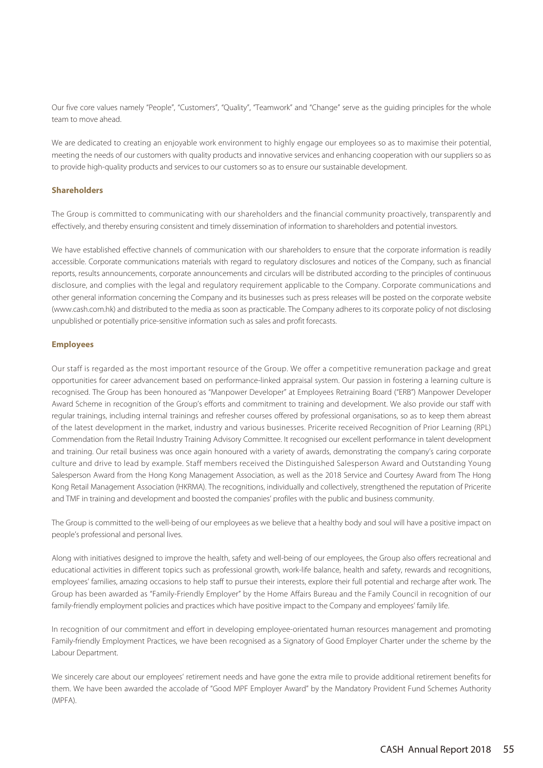Our five core values namely "People", "Customers", "Quality", "Teamwork" and "Change" serve as the guiding principles for the whole team to move ahead.

We are dedicated to creating an enjoyable work environment to highly engage our employees so as to maximise their potential, meeting the needs of our customers with quality products and innovative services and enhancing cooperation with our suppliers so as to provide high-quality products and services to our customers so as to ensure our sustainable development.

### **Shareholders**

The Group is committed to communicating with our shareholders and the financial community proactively, transparently and effectively, and thereby ensuring consistent and timely dissemination of information to shareholders and potential investors.

We have established effective channels of communication with our shareholders to ensure that the corporate information is readily accessible. Corporate communications materials with regard to regulatory disclosures and notices of the Company, such as financial reports, results announcements, corporate announcements and circulars will be distributed according to the principles of continuous disclosure, and complies with the legal and regulatory requirement applicable to the Company. Corporate communications and other general information concerning the Company and its businesses such as press releases will be posted on the corporate website (www.cash.com.hk) and distributed to the media as soon as practicable. The Company adheres to its corporate policy of not disclosing unpublished or potentially price-sensitive information such as sales and profit forecasts.

### **Employees**

Our staff is regarded as the most important resource of the Group. We offer a competitive remuneration package and great opportunities for career advancement based on performance-linked appraisal system. Our passion in fostering a learning culture is recognised. The Group has been honoured as "Manpower Developer" at Employees Retraining Board ("ERB") Manpower Developer Award Scheme in recognition of the Group's efforts and commitment to training and development. We also provide our staff with regular trainings, including internal trainings and refresher courses offered by professional organisations, so as to keep them abreast of the latest development in the market, industry and various businesses. Pricerite received Recognition of Prior Learning (RPL) Commendation from the Retail Industry Training Advisory Committee. It recognised our excellent performance in talent development and training. Our retail business was once again honoured with a variety of awards, demonstrating the company's caring corporate culture and drive to lead by example. Staff members received the Distinguished Salesperson Award and Outstanding Young Salesperson Award from the Hong Kong Management Association, as well as the 2018 Service and Courtesy Award from The Hong Kong Retail Management Association (HKRMA). The recognitions, individually and collectively, strengthened the reputation of Pricerite and TMF in training and development and boosted the companies' profiles with the public and business community.

The Group is committed to the well-being of our employees as we believe that a healthy body and soul will have a positive impact on people's professional and personal lives.

Along with initiatives designed to improve the health, safety and well-being of our employees, the Group also offers recreational and educational activities in different topics such as professional growth, work-life balance, health and safety, rewards and recognitions, employees' families, amazing occasions to help staff to pursue their interests, explore their full potential and recharge after work. The Group has been awarded as "Family-Friendly Employer" by the Home Affairs Bureau and the Family Council in recognition of our family-friendly employment policies and practices which have positive impact to the Company and employees' family life.

In recognition of our commitment and effort in developing employee-orientated human resources management and promoting Family-friendly Employment Practices, we have been recognised as a Signatory of Good Employer Charter under the scheme by the Labour Department.

We sincerely care about our employees' retirement needs and have gone the extra mile to provide additional retirement benefits for them. We have been awarded the accolade of "Good MPF Employer Award" by the Mandatory Provident Fund Schemes Authority (MPFA).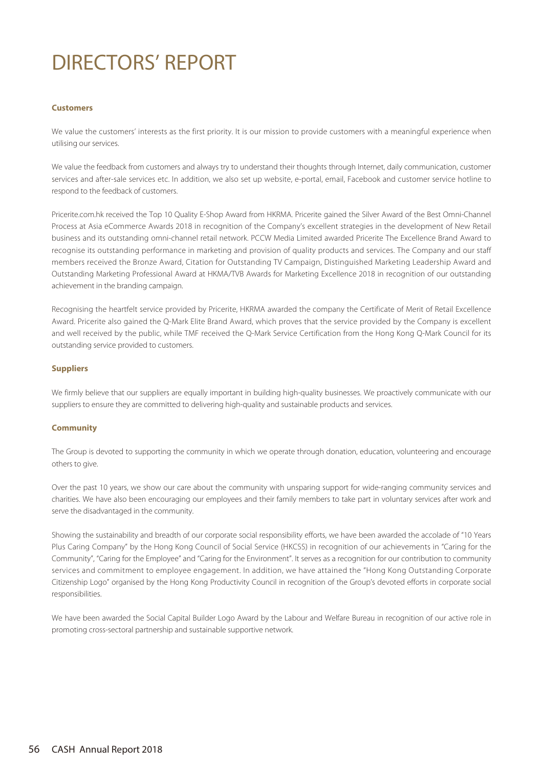# DIRECTORS' REPORT

### **Customers**

We value the customers' interests as the first priority. It is our mission to provide customers with a meaningful experience when utilising our services.

We value the feedback from customers and always try to understand their thoughts through Internet, daily communication, customer services and after-sale services etc. In addition, we also set up website, e-portal, email, Facebook and customer service hotline to respond to the feedback of customers.

Pricerite.com.hk received the Top 10 Quality E-Shop Award from HKRMA. Pricerite gained the Silver Award of the Best Omni-Channel Process at Asia eCommerce Awards 2018 in recognition of the Company's excellent strategies in the development of New Retail business and its outstanding omni-channel retail network. PCCW Media Limited awarded Pricerite The Excellence Brand Award to recognise its outstanding performance in marketing and provision of quality products and services. The Company and our staff members received the Bronze Award, Citation for Outstanding TV Campaign, Distinguished Marketing Leadership Award and Outstanding Marketing Professional Award at HKMA/TVB Awards for Marketing Excellence 2018 in recognition of our outstanding achievement in the branding campaign.

Recognising the heartfelt service provided by Pricerite, HKRMA awarded the company the Certificate of Merit of Retail Excellence Award. Pricerite also gained the Q-Mark Elite Brand Award, which proves that the service provided by the Company is excellent and well received by the public, while TMF received the Q-Mark Service Certification from the Hong Kong Q-Mark Council for its outstanding service provided to customers.

### **Suppliers**

We firmly believe that our suppliers are equally important in building high-quality businesses. We proactively communicate with our suppliers to ensure they are committed to delivering high-quality and sustainable products and services.

### **Community**

The Group is devoted to supporting the community in which we operate through donation, education, volunteering and encourage others to give.

Over the past 10 years, we show our care about the community with unsparing support for wide-ranging community services and charities. We have also been encouraging our employees and their family members to take part in voluntary services after work and serve the disadvantaged in the community.

Showing the sustainability and breadth of our corporate social responsibility efforts, we have been awarded the accolade of "10 Years Plus Caring Company" by the Hong Kong Council of Social Service (HKCSS) in recognition of our achievements in "Caring for the Community", "Caring for the Employee" and "Caring for the Environment". It serves as a recognition for our contribution to community services and commitment to employee engagement. In addition, we have attained the "Hong Kong Outstanding Corporate Citizenship Logo" organised by the Hong Kong Productivity Council in recognition of the Group's devoted efforts in corporate social responsibilities.

We have been awarded the Social Capital Builder Logo Award by the Labour and Welfare Bureau in recognition of our active role in promoting cross-sectoral partnership and sustainable supportive network.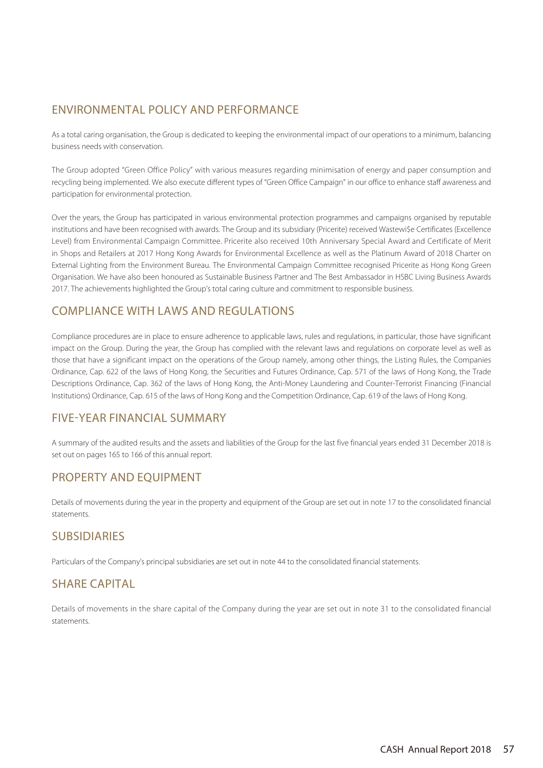# ENVIRONMENTAL POLICY AND PERFORMANCE

As a total caring organisation, the Group is dedicated to keeping the environmental impact of our operations to a minimum, balancing business needs with conservation.

The Group adopted "Green Office Policy" with various measures regarding minimisation of energy and paper consumption and recycling being implemented. We also execute different types of "Green Office Campaign" in our office to enhance staff awareness and participation for environmental protection.

Over the years, the Group has participated in various environmental protection programmes and campaigns organised by reputable institutions and have been recognised with awards. The Group and its subsidiary (Pricerite) received Wastewi\$e Certificates (Excellence Level) from Environmental Campaign Committee. Pricerite also received 10th Anniversary Special Award and Certificate of Merit in Shops and Retailers at 2017 Hong Kong Awards for Environmental Excellence as well as the Platinum Award of 2018 Charter on External Lighting from the Environment Bureau. The Environmental Campaign Committee recognised Pricerite as Hong Kong Green Organisation. We have also been honoured as Sustainable Business Partner and The Best Ambassador in HSBC Living Business Awards 2017. The achievements highlighted the Group's total caring culture and commitment to responsible business.

### COMPLIANCE WITH LAWS AND REGULATIONS

Compliance procedures are in place to ensure adherence to applicable laws, rules and regulations, in particular, those have significant impact on the Group. During the year, the Group has complied with the relevant laws and regulations on corporate level as well as those that have a significant impact on the operations of the Group namely, among other things, the Listing Rules, the Companies Ordinance, Cap. 622 of the laws of Hong Kong, the Securities and Futures Ordinance, Cap. 571 of the laws of Hong Kong, the Trade Descriptions Ordinance, Cap. 362 of the laws of Hong Kong, the Anti-Money Laundering and Counter-Terrorist Financing (Financial Institutions) Ordinance, Cap. 615 of the laws of Hong Kong and the Competition Ordinance, Cap. 619 of the laws of Hong Kong.

# FIVE-YEAR FINANCIAL SUMMARY

A summary of the audited results and the assets and liabilities of the Group for the last five financial years ended 31 December 2018 is set out on pages 165 to 166 of this annual report.

# PROPERTY AND EQUIPMENT

Details of movements during the year in the property and equipment of the Group are set out in note 17 to the consolidated financial statements.

### SUBSIDIARIES

Particulars of the Company's principal subsidiaries are set out in note 44 to the consolidated financial statements.

### SHARE CAPITAL

Details of movements in the share capital of the Company during the year are set out in note 31 to the consolidated financial statements.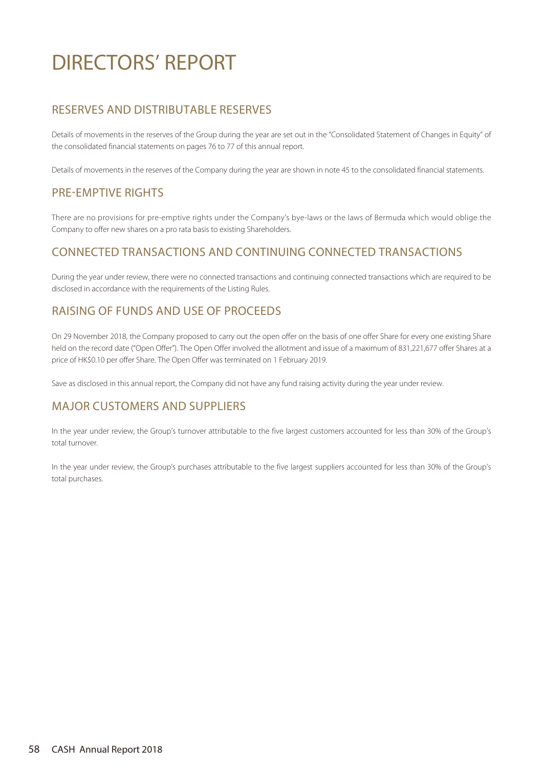# DIRECTORS' REPORT

# RESERVES AND DISTRIBUTABLE RESERVES

Details of movements in the reserves of the Group during the year are set out in the "Consolidated Statement of Changes in Equity" of the consolidated financial statements on pages 76 to 77 of this annual report.

Details of movements in the reserves of the Company during the year are shown in note 45 to the consolidated financial statements.

# PRE-EMPTIVE RIGHTS

There are no provisions for pre-emptive rights under the Company's bye-laws or the laws of Bermuda which would oblige the Company to offer new shares on a pro rata basis to existing Shareholders.

# CONNECTED TRANSACTIONS AND CONTINUING CONNECTED TRANSACTIONS

During the year under review, there were no connected transactions and continuing connected transactions which are required to be disclosed in accordance with the requirements of the Listing Rules.

### RAISING OF FUNDS AND USE OF PROCEEDS

On 29 November 2018, the Company proposed to carry out the open offer on the basis of one offer Share for every one existing Share held on the record date ("Open Offer"). The Open Offer involved the allotment and issue of a maximum of 831,221,677 offer Shares at a price of HK\$0.10 per offer Share. The Open Offer was terminated on 1 February 2019.

Save as disclosed in this annual report, the Company did not have any fund raising activity during the year under review.

# MAJOR CUSTOMERS AND SUPPLIERS

In the year under review, the Group's turnover attributable to the five largest customers accounted for less than 30% of the Group's total turnover.

In the year under review, the Group's purchases attributable to the five largest suppliers accounted for less than 30% of the Group's total purchases.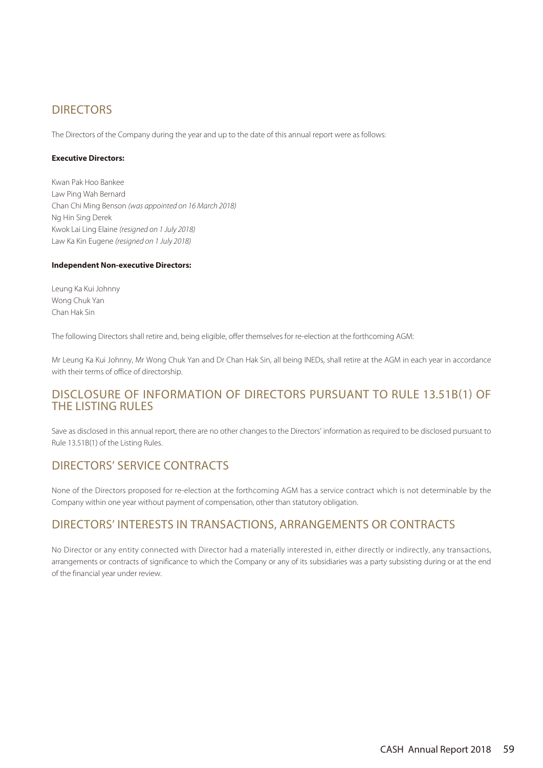# **DIRECTORS**

The Directors of the Company during the year and up to the date of this annual report were as follows:

### **Executive Directors:**

Kwan Pak Hoo Bankee Law Ping Wah Bernard Chan Chi Ming Benson (was appointed on 16 March 2018) Ng Hin Sing Derek Kwok Lai Ling Elaine (resigned on 1 July 2018) Law Ka Kin Eugene (resigned on 1 July 2018)

### **Independent Non-executive Directors:**

Leung Ka Kui Johnny Wong Chuk Yan Chan Hak Sin

The following Directors shall retire and, being eligible, offer themselves for re-election at the forthcoming AGM:

Mr Leung Ka Kui Johnny, Mr Wong Chuk Yan and Dr Chan Hak Sin, all being INEDs, shall retire at the AGM in each year in accordance with their terms of office of directorship.

### DISCLOSURE OF INFORMATION OF DIRECTORS PURSUANT TO RULE 13.51B(1) OF THE LISTING RULES

Save as disclosed in this annual report, there are no other changes to the Directors' information as required to be disclosed pursuant to Rule 13.51B(1) of the Listing Rules.

### DIRECTORS' SERVICE CONTRACTS

None of the Directors proposed for re-election at the forthcoming AGM has a service contract which is not determinable by the Company within one year without payment of compensation, other than statutory obligation.

# DIRECTORS' INTERESTS IN TRANSACTIONS, ARRANGEMENTS OR CONTRACTS

No Director or any entity connected with Director had a materially interested in, either directly or indirectly, any transactions, arrangements or contracts of significance to which the Company or any of its subsidiaries was a party subsisting during or at the end of the financial year under review.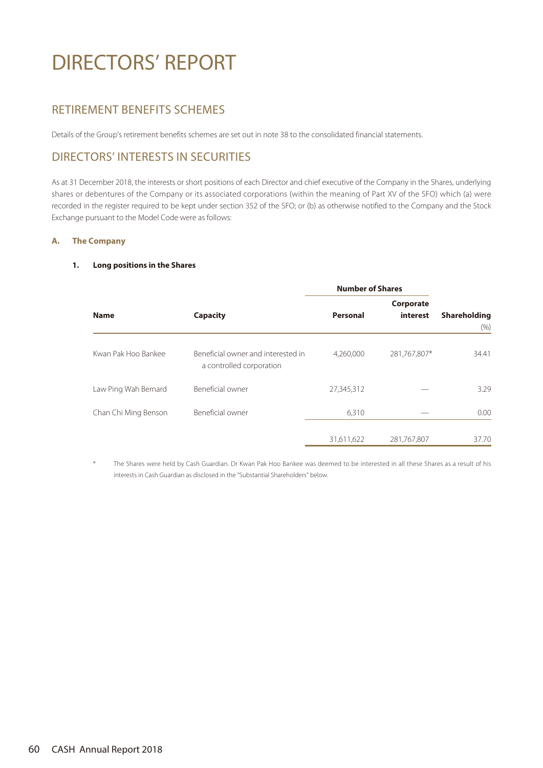# DIRECTORS' REPORT

# RETIREMENT BENEFITS SCHEMES

Details of the Group's retirement benefits schemes are set out in note 38 to the consolidated financial statements.

### DIRECTORS' INTERESTS IN SECURITIES

As at 31 December 2018, the interests or short positions of each Director and chief executive of the Company in the Shares, underlying shares or debentures of the Company or its associated corporations (within the meaning of Part XV of the SFO) which (a) were recorded in the register required to be kept under section 352 of the SFO; or (b) as otherwise notified to the Company and the Stock Exchange pursuant to the Model Code were as follows:

### **A. The Company**

### **1. Long positions in the Shares**

|                      |                                                                | <b>Number of Shares</b> |                       |                             |
|----------------------|----------------------------------------------------------------|-------------------------|-----------------------|-----------------------------|
| <b>Name</b>          | Capacity                                                       | Personal                | Corporate<br>interest | <b>Shareholding</b><br>(% ) |
| Kwan Pak Hoo Bankee  | Beneficial owner and interested in<br>a controlled corporation | 4,260,000               | 281,767,807*          | 34.41                       |
| Law Ping Wah Bernard | Beneficial owner                                               | 27,345,312              |                       | 3.29                        |
| Chan Chi Ming Benson | Beneficial owner                                               | 6,310                   |                       | 0.00                        |
|                      |                                                                | 31,611,622              | 281,767,807           | 37.70                       |

The Shares were held by Cash Guardian. Dr Kwan Pak Hoo Bankee was deemed to be interested in all these Shares as a result of his interests in Cash Guardian as disclosed in the "Substantial Shareholders" below.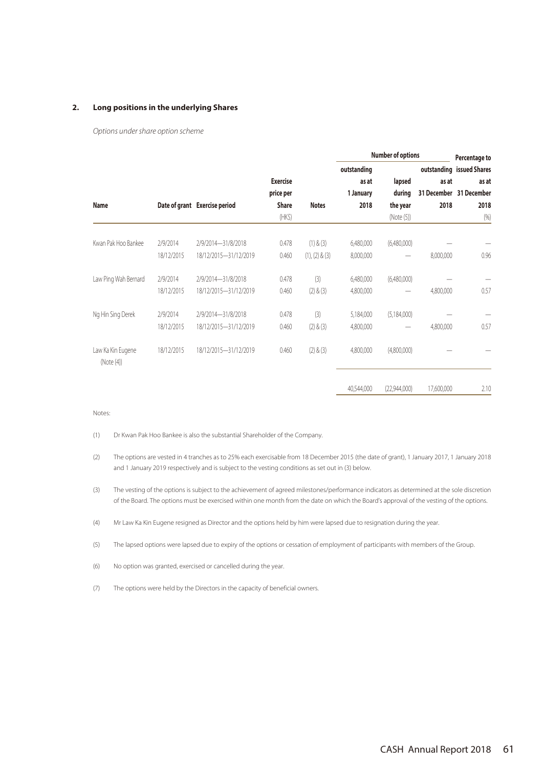### **2. Long positions in the underlying Shares**

Options under share option scheme

|                                 | <b>Number of options</b> |                               |                 | Percentage to         |             |              |            |                           |
|---------------------------------|--------------------------|-------------------------------|-----------------|-----------------------|-------------|--------------|------------|---------------------------|
|                                 |                          |                               |                 |                       | outstanding |              |            | outstanding issued Shares |
|                                 |                          |                               | <b>Exercise</b> |                       | as at       | lapsed       | as at      | as at                     |
|                                 |                          |                               | price per       |                       | 1 January   | during       |            | 31 December 31 December   |
| Name                            |                          | Date of grant Exercise period | <b>Share</b>    | <b>Notes</b>          | 2018        | the year     | 2018       | 2018                      |
|                                 |                          |                               | $(HK\$          |                       |             | (Note (5))   |            | (% )                      |
| Kwan Pak Hoo Bankee             | 2/9/2014                 | 2/9/2014-31/8/2018            | 0.478           | (1) & (3)             | 6,480,000   | (6,480,000)  |            |                           |
|                                 | 18/12/2015               | 18/12/2015-31/12/2019         | 0.460           | $(1)$ , $(2)$ & $(3)$ | 8,000,000   |              | 8,000,000  | 0.96                      |
| Law Ping Wah Bernard            | 2/9/2014                 | 2/9/2014-31/8/2018            | 0.478           | (3)                   | 6,480,000   | (6,480,000)  |            |                           |
|                                 | 18/12/2015               | 18/12/2015-31/12/2019         | 0.460           | (2) & (3)             | 4,800,000   |              | 4,800,000  | 0.57                      |
| Ng Hin Sing Derek               | 2/9/2014                 | 2/9/2014-31/8/2018            | 0.478           | (3)                   | 5,184,000   | (5,184,000)  |            |                           |
|                                 | 18/12/2015               | 18/12/2015-31/12/2019         | 0.460           | (2) & (3)             | 4,800,000   |              | 4,800,000  | 0.57                      |
| Law Ka Kin Eugene<br>(Note (4)) | 18/12/2015               | 18/12/2015-31/12/2019         | 0.460           | (2) & (3)             | 4,800,000   | (4,800,000)  |            |                           |
|                                 |                          |                               |                 |                       | 40,544,000  | (22,944,000) | 17,600,000 | 2.10                      |

#### Notes:

- (1) Dr Kwan Pak Hoo Bankee is also the substantial Shareholder of the Company.
- (2) The options are vested in 4 tranches as to 25% each exercisable from 18 December 2015 (the date of grant), 1 January 2017, 1 January 2018 and 1 January 2019 respectively and is subject to the vesting conditions as set out in (3) below.
- (3) The vesting of the options is subject to the achievement of agreed milestones/performance indicators as determined at the sole discretion of the Board. The options must be exercised within one month from the date on which the Board's approval of the vesting of the options.
- (4) Mr Law Ka Kin Eugene resigned as Director and the options held by him were lapsed due to resignation during the year.
- (5) The lapsed options were lapsed due to expiry of the options or cessation of employment of participants with members of the Group.
- (6) No option was granted, exercised or cancelled during the year.
- (7) The options were held by the Directors in the capacity of beneficial owners.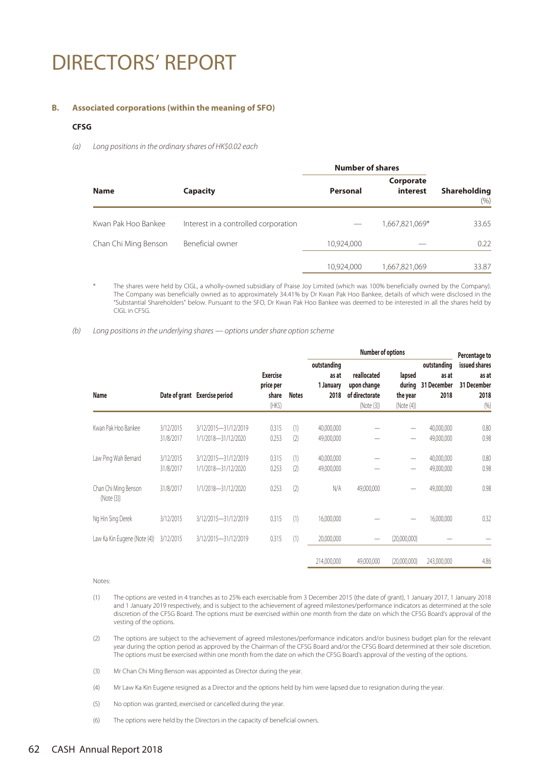# DIRECTORS' REPORT

### **B. Associated corporations (within the meaning of SFO)**

### **CFSG**

### (a) Long positions in the ordinary shares of HK\$0.02 each

|                      |                                      | <b>Number of shares</b> |                       |                                |
|----------------------|--------------------------------------|-------------------------|-----------------------|--------------------------------|
| <b>Name</b>          | Capacity                             | Personal                | Corporate<br>interest | <b>Shareholding</b><br>$(\% )$ |
| Kwan Pak Hoo Bankee  | Interest in a controlled corporation |                         | 1,667,821,069*        | 33.65                          |
| Chan Chi Ming Benson | Beneficial owner                     | 10,924,000              |                       | 0.22                           |
|                      |                                      | 10.924.000              | 1,667,821,069         | 33.87                          |

The shares were held by CIGL, a wholly-owned subsidiary of Praise Joy Limited (which was 100% beneficially owned by the Company). The Company was beneficially owned as to approximately 34.41% by Dr Kwan Pak Hoo Bankee, details of which were disclosed in the "Substantial Shareholders" below. Pursuant to the SFO, Dr Kwan Pak Hoo Bankee was deemed to be interested in all the shares held by CIGL in CFSG.

#### (b) Long positions in the underlying shares — options under share option scheme

|                                    |                                                                                       |                                             |                                           |                                                            |                                           | <b>Number of options</b>                    |                                                       |                          | Percentage to |
|------------------------------------|---------------------------------------------------------------------------------------|---------------------------------------------|-------------------------------------------|------------------------------------------------------------|-------------------------------------------|---------------------------------------------|-------------------------------------------------------|--------------------------|---------------|
| <b>Name</b>                        | <b>Exercise</b><br>price per<br>Date of grant Exercise period<br>share<br>$(HK\zeta)$ | <b>Notes</b>                                | outstanding<br>as at<br>1 January<br>2018 | reallocated<br>upon change<br>of directorate<br>(Note (3)) | lapsed<br>during<br>the year<br>(Note(4)) | outstanding<br>as at<br>31 December<br>2018 | issued shares<br>as at<br>31 December<br>2018<br>(% ) |                          |               |
| Kwan Pak Hoo Bankee                | 3/12/2015<br>31/8/2017                                                                | 3/12/2015-31/12/2019<br>1/1/2018-31/12/2020 | 0.315<br>0.253                            | (1)<br>(2)                                                 | 40,000,000<br>49,000,000                  |                                             |                                                       | 40,000,000<br>49,000,000 | 0.80<br>0.98  |
| Law Ping Wah Bernard               | 3/12/2015<br>31/8/2017                                                                | 3/12/2015-31/12/2019<br>1/1/2018-31/12/2020 | 0.315<br>0.253                            | (1)<br>(2)                                                 | 40,000,000<br>49,000,000                  |                                             | -                                                     | 40,000,000<br>49,000,000 | 0.80<br>0.98  |
| Chan Chi Ming Benson<br>(Note (3)) | 31/8/2017                                                                             | 1/1/2018-31/12/2020                         | 0.253                                     | (2)                                                        | N/A                                       | 49,000,000                                  |                                                       | 49,000,000               | 0.98          |
| Ng Hin Sing Derek                  | 3/12/2015                                                                             | 3/12/2015-31/12/2019                        | 0.315                                     | (1)                                                        | 16,000,000                                |                                             |                                                       | 16,000,000               | 0.32          |
| Law Ka Kin Eugene (Note (4))       | 3/12/2015                                                                             | 3/12/2015-31/12/2019                        | 0.315                                     | (1)                                                        | 20,000,000                                |                                             | (20,000,000)                                          |                          |               |
|                                    |                                                                                       |                                             |                                           |                                                            | 214,000,000                               | 49,000,000                                  | (20,000,000)                                          | 243,000,000              | 4.86          |

#### Notes:

- (1) The options are vested in 4 tranches as to 25% each exercisable from 3 December 2015 (the date of grant), 1 January 2017, 1 January 2018 and 1 January 2019 respectively, and is subject to the achievement of agreed milestones/performance indicators as determined at the sole discretion of the CFSG Board. The options must be exercised within one month from the date on which the CFSG Board's approval of the vesting of the options.
- (2) The options are subject to the achievement of agreed milestones/performance indicators and/or business budget plan for the relevant year during the option period as approved by the Chairman of the CFSG Board and/or the CFSG Board determined at their sole discretion. The options must be exercised within one month from the date on which the CFSG Board's approval of the vesting of the options.
- (3) Mr Chan Chi Ming Benson was appointed as Director during the year.
- (4) Mr Law Ka Kin Eugene resigned as a Director and the options held by him were lapsed due to resignation during the year.
- (5) No option was granted, exercised or cancelled during the year.
- (6) The options were held by the Directors in the capacity of beneficial owners.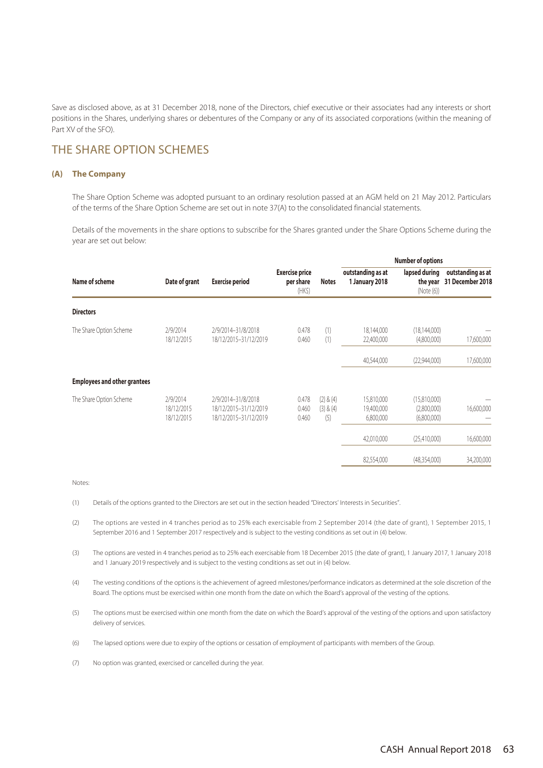Save as disclosed above, as at 31 December 2018, none of the Directors, chief executive or their associates had any interests or short positions in the Shares, underlying shares or debentures of the Company or any of its associated corporations (within the meaning of Part XV of the SFO).

### THE SHARE OPTION SCHEMES

### **(A) The Company**

The Share Option Scheme was adopted pursuant to an ordinary resolution passed at an AGM held on 21 May 2012. Particulars of the terms of the Share Option Scheme are set out in note 37(A) to the consolidated financial statements.

Details of the movements in the share options to subscribe for the Shares granted under the Share Options Scheme during the year are set out below:

|                                     |                                      |                                                                      |                                              |                                   |                                       | <b>Number of options</b>                   |                                       |
|-------------------------------------|--------------------------------------|----------------------------------------------------------------------|----------------------------------------------|-----------------------------------|---------------------------------------|--------------------------------------------|---------------------------------------|
| Name of scheme                      | Date of grant                        | <b>Exercise period</b>                                               | <b>Exercise price</b><br>per share<br>$(HK\$ | <b>Notes</b>                      | outstanding as at<br>1 January 2018   | lapsed during<br>the year<br>(Note(6))     | outstanding as at<br>31 December 2018 |
| <b>Directors</b>                    |                                      |                                                                      |                                              |                                   |                                       |                                            |                                       |
| The Share Option Scheme             | 2/9/2014<br>18/12/2015               | 2/9/2014-31/8/2018<br>18/12/2015-31/12/2019                          | 0.478<br>0.460                               | (1)<br>(1)                        | 18,144,000<br>22,400,000              | (18, 144, 000)<br>(4,800,000)              | 17,600,000                            |
|                                     |                                      |                                                                      |                                              |                                   | 40,544,000                            | (22,944,000)                               | 17,600,000                            |
| <b>Employees and other grantees</b> |                                      |                                                                      |                                              |                                   |                                       |                                            |                                       |
| The Share Option Scheme             | 2/9/2014<br>18/12/2015<br>18/12/2015 | 2/9/2014-31/8/2018<br>18/12/2015-31/12/2019<br>18/12/2015-31/12/2019 | 0.478<br>0.460<br>0.460                      | $(2)$ & $(4)$<br>(3) & (4)<br>(5) | 15,810,000<br>19,400,000<br>6,800,000 | (15,810,000)<br>(2,800,000)<br>(6,800,000) | 16,600,000                            |
|                                     |                                      |                                                                      |                                              |                                   | 42,010,000                            | (25,410,000)                               | 16,600,000                            |
|                                     |                                      |                                                                      |                                              |                                   | 82,554,000                            | (48, 354, 000)                             | 34,200,000                            |

#### Notes:

- (1) Details of the options granted to the Directors are set out in the section headed "Directors' Interests in Securities".
- (2) The options are vested in 4 tranches period as to 25% each exercisable from 2 September 2014 (the date of grant), 1 September 2015, 1 September 2016 and 1 September 2017 respectively and is subject to the vesting conditions as set out in (4) below.
- (3) The options are vested in 4 tranches period as to 25% each exercisable from 18 December 2015 (the date of grant), 1 January 2017, 1 January 2018 and 1 January 2019 respectively and is subject to the vesting conditions as set out in (4) below.
- (4) The vesting conditions of the options is the achievement of agreed milestones/performance indicators as determined at the sole discretion of the Board. The options must be exercised within one month from the date on which the Board's approval of the vesting of the options.
- (5) The options must be exercised within one month from the date on which the Board's approval of the vesting of the options and upon satisfactory delivery of services.
- (6) The lapsed options were due to expiry of the options or cessation of employment of participants with members of the Group.

(7) No option was granted, exercised or cancelled during the year.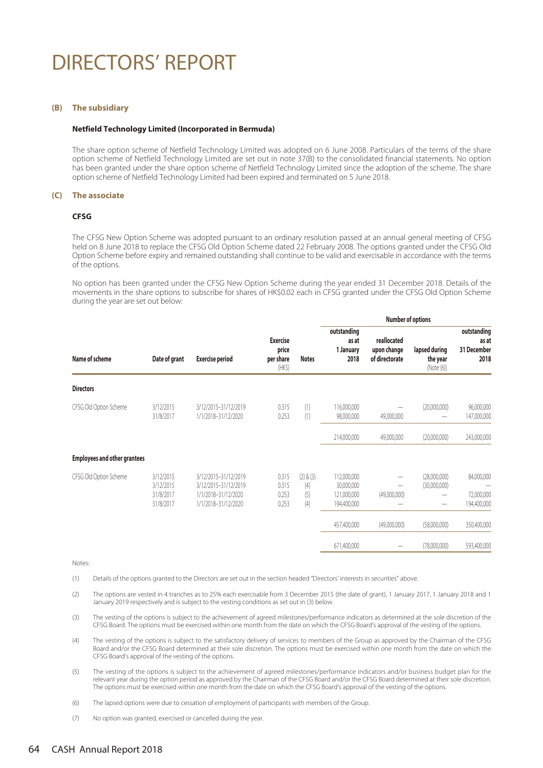# DIRECTORS' REPORT

#### **(B) The subsidiary**

#### **Netfield Technology Limited (Incorporated in Bermuda)**

The share option scheme of Netfield Technology Limited was adopted on 6 June 2008. Particulars of the terms of the share option scheme of Netfield Technology Limited are set out in note 37(B) to the consolidated financial statements. No option has been granted under the share option scheme of Netfield Technology Limited since the adoption of the scheme. The share option scheme of Netfield Technology Limited had been expired and terminated on 5 June 2018.

#### **(C) The associate**

#### **CFSG**

The CFSG New Option Scheme was adopted pursuant to an ordinary resolution passed at an annual general meeting of CFSG held on 8 June 2018 to replace the CFSG Old Option Scheme dated 22 February 2008. The options granted under the CFSG Old Option Scheme before expiry and remained outstanding shall continue to be valid and exercisable in accordance with the terms of the options.

No option has been granted under the CFSG New Option Scheme during the year ended 31 December 2018. Details of the movements in the share options to subscribe for shares of HK\$0.02 each in CFSG granted under the CFSG Old Option Scheme during the year are set out below:

| Name of scheme                      | Date of grant                                    | <b>Exercise period</b>                                                                     | <b>Exercise</b><br>price<br>per share<br>$(HK\zeta)$ | <b>Notes</b>                   | outstanding<br>as at<br>1 January<br>2018               | reallocated<br>upon change<br>of directorate | lapsed during<br>the year<br>(Note(6))          | outstanding<br>as at<br>31 December<br>2018 |
|-------------------------------------|--------------------------------------------------|--------------------------------------------------------------------------------------------|------------------------------------------------------|--------------------------------|---------------------------------------------------------|----------------------------------------------|-------------------------------------------------|---------------------------------------------|
| <b>Directors</b>                    |                                                  |                                                                                            |                                                      |                                |                                                         |                                              |                                                 |                                             |
| CFSG Old Option Scheme              | 3/12/2015<br>31/8/2017                           | 3/12/2015-31/12/2019<br>1/1/2018-31/12/2020                                                | 0.315<br>0.253                                       | (1)<br>(1)                     | 116,000,000<br>98,000,000                               | 49,000,000                                   | (20,000,000)                                    | 96,000,000<br>147,000,000                   |
|                                     |                                                  |                                                                                            |                                                      |                                | 214,000,000                                             | 49,000,000                                   | (20,000,000)                                    | 243,000,000                                 |
| <b>Employees and other grantees</b> |                                                  |                                                                                            |                                                      |                                |                                                         |                                              |                                                 |                                             |
| CFSG Old Option Scheme              | 3/12/2015<br>3/12/2015<br>31/8/2017<br>31/8/2017 | 3/12/2015-31/12/2019<br>3/12/2015-31/12/2019<br>1/1/2018-31/12/2020<br>1/1/2018-31/12/2020 | 0.315<br>0.315<br>0.253<br>0.253                     | (2) & (3)<br>(4)<br>(5)<br>(4) | 112,000,000<br>30,000,000<br>121,000,000<br>194,400,000 | (49,000,000)                                 | (28,000,000)<br>(30,000,000)<br>$\qquad \qquad$ | 84,000,000<br>72,000,000<br>194,400,000     |
|                                     |                                                  |                                                                                            |                                                      |                                | 457,400,000                                             | (49,000,000)                                 | (58,000,000)                                    | 350,400,000                                 |
|                                     |                                                  |                                                                                            |                                                      |                                | 671,400,000                                             | $\qquad \qquad -$                            | (78,000,000)                                    | 593,400,000                                 |

#### Notes:

(1) Details of the options granted to the Directors are set out in the section headed "Directors' interests in securities" above.

- (2) The options are vested in 4 tranches as to 25% each exercisable from 3 December 2015 (the date of grant), 1 January 2017, 1 January 2018 and 1 January 2019 respectively and is subject to the vesting conditions as set out in (3) below.
- (3) The vesting of the options is subject to the achievement of agreed milestones/performance indicators as determined at the sole discretion of the CFSG Board. The options must be exercised within one month from the date on which the CFSG Board's approval of the vesting of the options.
- (4) The vesting of the options is subject to the satisfactory delivery of services to members of the Group as approved by the Chairman of the CFSG Board and/or the CFSG Board determined at their sole discretion. The options must be exercised within one month from the date on which the CFSG Board's approval of the vesting of the options.
- (5) The vesting of the options is subject to the achievement of agreed milestones/performance indicators and/or business budget plan for the relevant year during the option period as approved by the Chairman of the CFSG Board and/or the CFSG Board determined at their sole discretion. The options must be exercised within one month from the date on which the CFSG Board's approval of the vesting of the options.
- (6) The lapsed options were due to cessation of employment of participants with members of the Group.
- (7) No option was granted, exercised or cancelled during the year.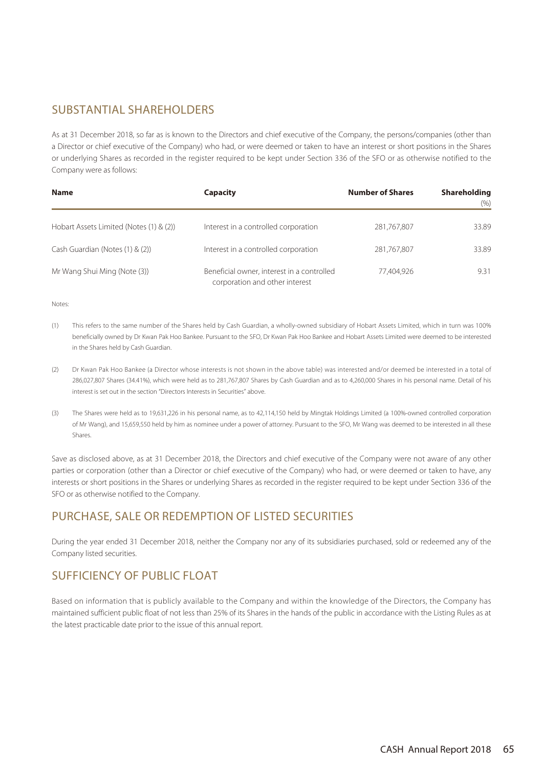# SUBSTANTIAL SHARFHOLDERS

As at 31 December 2018, so far as is known to the Directors and chief executive of the Company, the persons/companies (other than a Director or chief executive of the Company) who had, or were deemed or taken to have an interest or short positions in the Shares or underlying Shares as recorded in the register required to be kept under Section 336 of the SFO or as otherwise notified to the Company were as follows:

| <b>Name</b>                             | <b>Capacity</b>                                                              | <b>Number of Shares</b> | <b>Shareholding</b><br>$(\% )$ |
|-----------------------------------------|------------------------------------------------------------------------------|-------------------------|--------------------------------|
| Hobart Assets Limited (Notes (1) & (2)) | Interest in a controlled corporation                                         | 281,767,807             | 33.89                          |
| Cash Guardian (Notes (1) & (2))         | Interest in a controlled corporation                                         | 281,767,807             | 33.89                          |
| Mr Wang Shui Ming (Note (3))            | Beneficial owner, interest in a controlled<br>corporation and other interest | 77,404,926              | 9.31                           |

Notes:

- (1) This refers to the same number of the Shares held by Cash Guardian, a wholly-owned subsidiary of Hobart Assets Limited, which in turn was 100% beneficially owned by Dr Kwan Pak Hoo Bankee. Pursuant to the SFO, Dr Kwan Pak Hoo Bankee and Hobart Assets Limited were deemed to be interested in the Shares held by Cash Guardian.
- (2) Dr Kwan Pak Hoo Bankee (a Director whose interests is not shown in the above table) was interested and/or deemed be interested in a total of 286,027,807 Shares (34.41%), which were held as to 281,767,807 Shares by Cash Guardian and as to 4,260,000 Shares in his personal name. Detail of his interest is set out in the section "Directors Interests in Securities" above.
- (3) The Shares were held as to 19,631,226 in his personal name, as to 42,114,150 held by Mingtak Holdings Limited (a 100%-owned controlled corporation of Mr Wang), and 15,659,550 held by him as nominee under a power of attorney. Pursuant to the SFO, Mr Wang was deemed to be interested in all these Shares.

Save as disclosed above, as at 31 December 2018, the Directors and chief executive of the Company were not aware of any other parties or corporation (other than a Director or chief executive of the Company) who had, or were deemed or taken to have, any interests or short positions in the Shares or underlying Shares as recorded in the register required to be kept under Section 336 of the SFO or as otherwise notified to the Company.

# PURCHASE, SALE OR REDEMPTION OF LISTED SECURITIES

During the year ended 31 December 2018, neither the Company nor any of its subsidiaries purchased, sold or redeemed any of the Company listed securities.

# SUFFICIENCY OF PUBLIC FLOAT

Based on information that is publicly available to the Company and within the knowledge of the Directors, the Company has maintained sufficient public float of not less than 25% of its Shares in the hands of the public in accordance with the Listing Rules as at the latest practicable date prior to the issue of this annual report.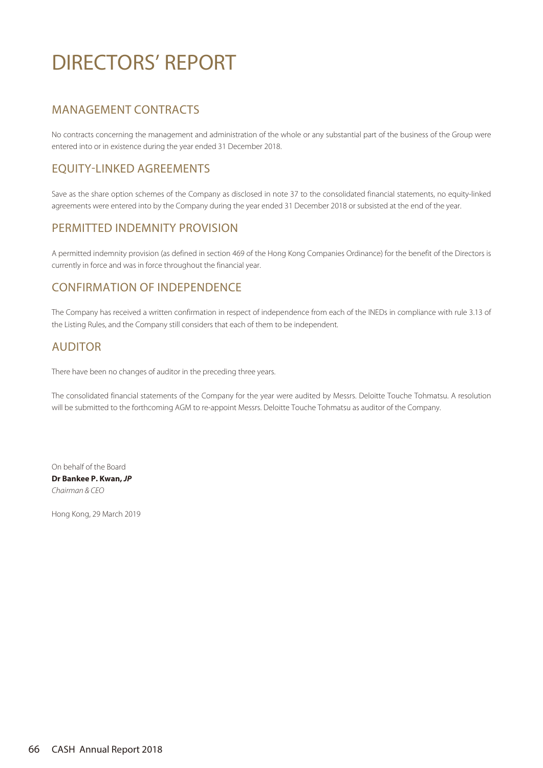# DIRECTORS' REPORT

# MANAGEMENT CONTRACTS

No contracts concerning the management and administration of the whole or any substantial part of the business of the Group were entered into or in existence during the year ended 31 December 2018.

# EQUITY-LINKED AGREEMENTS

Save as the share option schemes of the Company as disclosed in note 37 to the consolidated financial statements, no equity-linked agreements were entered into by the Company during the year ended 31 December 2018 or subsisted at the end of the year.

### PERMITTED INDEMNITY PROVISION

A permitted indemnity provision (as defined in section 469 of the Hong Kong Companies Ordinance) for the benefit of the Directors is currently in force and was in force throughout the financial year.

### CONFIRMATION OF INDEPENDENCE

The Company has received a written confirmation in respect of independence from each of the INEDs in compliance with rule 3.13 of the Listing Rules, and the Company still considers that each of them to be independent.

### AUDITOR

There have been no changes of auditor in the preceding three years.

The consolidated financial statements of the Company for the year were audited by Messrs. Deloitte Touche Tohmatsu. A resolution will be submitted to the forthcoming AGM to re-appoint Messrs. Deloitte Touche Tohmatsu as auditor of the Company.

On behalf of the Board **Dr Bankee P. Kwan,** *JP* Chairman & CEO

Hong Kong, 29 March 2019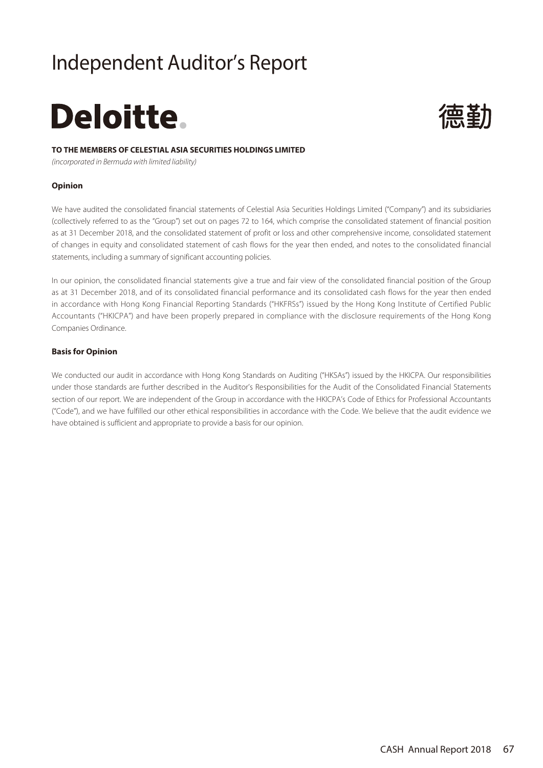# Deloitte.



### **TO THE MEMBERS OF CELESTIAL ASIA SECURITIES HOLDINGS LIMITED**

(incorporated in Bermuda with limited liability)

### **Opinion**

We have audited the consolidated financial statements of Celestial Asia Securities Holdings Limited ("Company") and its subsidiaries (collectively referred to as the "Group") set out on pages 72 to 164, which comprise the consolidated statement of financial position as at 31 December 2018, and the consolidated statement of profit or loss and other comprehensive income, consolidated statement of changes in equity and consolidated statement of cash flows for the year then ended, and notes to the consolidated financial statements, including a summary of significant accounting policies.

In our opinion, the consolidated financial statements give a true and fair view of the consolidated financial position of the Group as at 31 December 2018, and of its consolidated financial performance and its consolidated cash flows for the year then ended in accordance with Hong Kong Financial Reporting Standards ("HKFRSs") issued by the Hong Kong Institute of Certified Public Accountants ("HKICPA") and have been properly prepared in compliance with the disclosure requirements of the Hong Kong Companies Ordinance.

### **Basis for Opinion**

We conducted our audit in accordance with Hong Kong Standards on Auditing ("HKSAs") issued by the HKICPA. Our responsibilities under those standards are further described in the Auditor's Responsibilities for the Audit of the Consolidated Financial Statements section of our report. We are independent of the Group in accordance with the HKICPA's Code of Ethics for Professional Accountants ("Code"), and we have fulfilled our other ethical responsibilities in accordance with the Code. We believe that the audit evidence we have obtained is sufficient and appropriate to provide a basis for our opinion.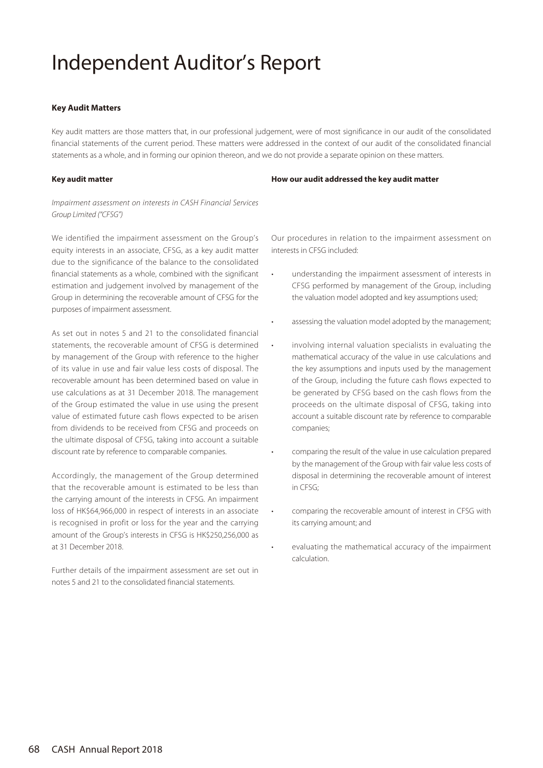### **Key Audit Matters**

Key audit matters are those matters that, in our professional judgement, were of most significance in our audit of the consolidated financial statements of the current period. These matters were addressed in the context of our audit of the consolidated financial statements as a whole, and in forming our opinion thereon, and we do not provide a separate opinion on these matters.

#### **Key audit matter How our audit addressed the key audit matter**

Impairment assessment on interests in CASH Financial Services Group Limited ("CFSG")

We identified the impairment assessment on the Group's equity interests in an associate, CFSG, as a key audit matter due to the significance of the balance to the consolidated financial statements as a whole, combined with the significant estimation and judgement involved by management of the Group in determining the recoverable amount of CFSG for the purposes of impairment assessment.

As set out in notes 5 and 21 to the consolidated financial statements, the recoverable amount of CFSG is determined by management of the Group with reference to the higher of its value in use and fair value less costs of disposal. The recoverable amount has been determined based on value in use calculations as at 31 December 2018. The management of the Group estimated the value in use using the present value of estimated future cash flows expected to be arisen from dividends to be received from CFSG and proceeds on the ultimate disposal of CFSG, taking into account a suitable discount rate by reference to comparable companies.

Accordingly, the management of the Group determined that the recoverable amount is estimated to be less than the carrying amount of the interests in CFSG. An impairment loss of HK\$64,966,000 in respect of interests in an associate is recognised in profit or loss for the year and the carrying amount of the Group's interests in CFSG is HK\$250,256,000 as at 31 December 2018.

Further details of the impairment assessment are set out in notes 5 and 21 to the consolidated financial statements.

Our procedures in relation to the impairment assessment on interests in CFSG included:

- understanding the impairment assessment of interests in CFSG performed by management of the Group, including the valuation model adopted and key assumptions used;
- assessing the valuation model adopted by the management;
- involving internal valuation specialists in evaluating the mathematical accuracy of the value in use calculations and the key assumptions and inputs used by the management of the Group, including the future cash flows expected to be generated by CFSG based on the cash flows from the proceeds on the ultimate disposal of CFSG, taking into account a suitable discount rate by reference to comparable companies;
- comparing the result of the value in use calculation prepared by the management of the Group with fair value less costs of disposal in determining the recoverable amount of interest in CFSG;
- comparing the recoverable amount of interest in CFSG with its carrying amount; and
- evaluating the mathematical accuracy of the impairment calculation.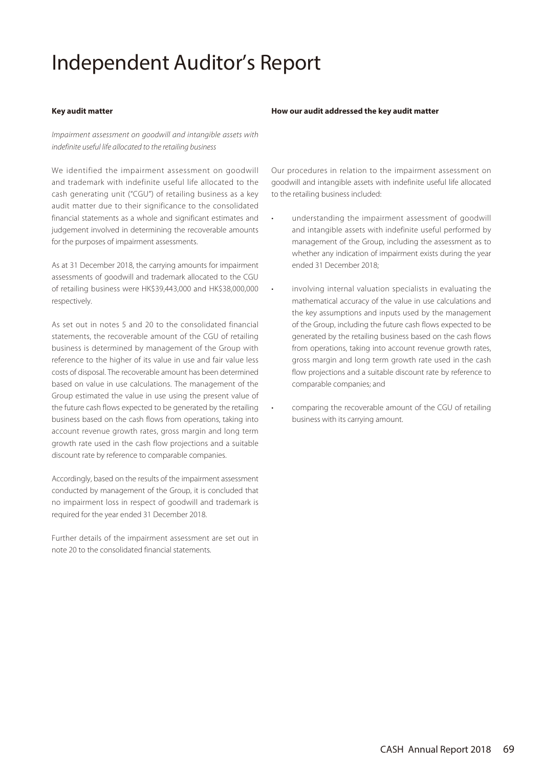Impairment assessment on goodwill and intangible assets with indefinite useful life allocated to the retailing business

We identified the impairment assessment on goodwill and trademark with indefinite useful life allocated to the cash generating unit ("CGU") of retailing business as a key audit matter due to their significance to the consolidated financial statements as a whole and significant estimates and judgement involved in determining the recoverable amounts for the purposes of impairment assessments.

As at 31 December 2018, the carrying amounts for impairment assessments of goodwill and trademark allocated to the CGU of retailing business were HK\$39,443,000 and HK\$38,000,000 respectively.

As set out in notes 5 and 20 to the consolidated financial statements, the recoverable amount of the CGU of retailing business is determined by management of the Group with reference to the higher of its value in use and fair value less costs of disposal. The recoverable amount has been determined based on value in use calculations. The management of the Group estimated the value in use using the present value of the future cash flows expected to be generated by the retailing business based on the cash flows from operations, taking into account revenue growth rates, gross margin and long term growth rate used in the cash flow projections and a suitable discount rate by reference to comparable companies.

Accordingly, based on the results of the impairment assessment conducted by management of the Group, it is concluded that no impairment loss in respect of goodwill and trademark is required for the year ended 31 December 2018.

Further details of the impairment assessment are set out in note 20 to the consolidated financial statements.

### **Key audit matter How our audit addressed the key audit matter**

Our procedures in relation to the impairment assessment on goodwill and intangible assets with indefinite useful life allocated to the retailing business included:

- understanding the impairment assessment of goodwill and intangible assets with indefinite useful performed by management of the Group, including the assessment as to whether any indication of impairment exists during the year ended 31 December 2018;
	- involving internal valuation specialists in evaluating the mathematical accuracy of the value in use calculations and the key assumptions and inputs used by the management of the Group, including the future cash flows expected to be generated by the retailing business based on the cash flows from operations, taking into account revenue growth rates, gross margin and long term growth rate used in the cash flow projections and a suitable discount rate by reference to comparable companies; and
	- comparing the recoverable amount of the CGU of retailing business with its carrying amount.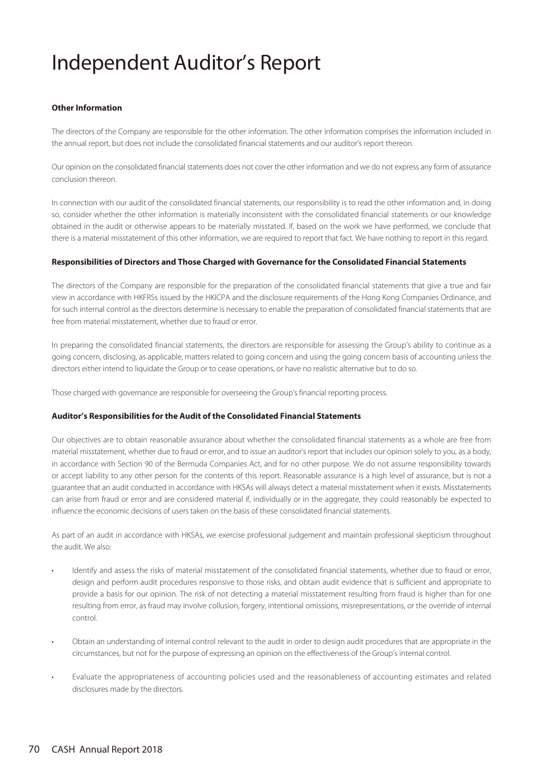### **Other Information**

The directors of the Company are responsible for the other information. The other information comprises the information included in the annual report, but does not include the consolidated financial statements and our auditor's report thereon.

Our opinion on the consolidated financial statements does not cover the other information and we do not express any form of assurance conclusion thereon.

In connection with our audit of the consolidated financial statements, our responsibility is to read the other information and, in doing so, consider whether the other information is materially inconsistent with the consolidated financial statements or our knowledge obtained in the audit or otherwise appears to be materially misstated. If, based on the work we have performed, we conclude that there is a material misstatement of this other information, we are required to report that fact. We have nothing to report in this regard.

### **Responsibilities of Directors and Those Charged with Governance for the Consolidated Financial Statements**

The directors of the Company are responsible for the preparation of the consolidated financial statements that give a true and fair view in accordance with HKFRSs issued by the HKICPA and the disclosure requirements of the Hong Kong Companies Ordinance, and for such internal control as the directors determine is necessary to enable the preparation of consolidated financial statements that are free from material misstatement, whether due to fraud or error.

In preparing the consolidated financial statements, the directors are responsible for assessing the Group's ability to continue as a going concern, disclosing, as applicable, matters related to going concern and using the going concern basis of accounting unless the directors either intend to liquidate the Group or to cease operations, or have no realistic alternative but to do so.

Those charged with governance are responsible for overseeing the Group's financial reporting process.

### **Auditor's Responsibilities for the Audit of the Consolidated Financial Statements**

Our objectives are to obtain reasonable assurance about whether the consolidated financial statements as a whole are free from material misstatement, whether due to fraud or error, and to issue an auditor's report that includes our opinion solely to you, as a body, in accordance with Section 90 of the Bermuda Companies Act, and for no other purpose. We do not assume responsibility towards or accept liability to any other person for the contents of this report. Reasonable assurance is a high level of assurance, but is not a guarantee that an audit conducted in accordance with HKSAs will always detect a material misstatement when it exists. Misstatements can arise from fraud or error and are considered material if, individually or in the aggregate, they could reasonably be expected to influence the economic decisions of users taken on the basis of these consolidated financial statements.

As part of an audit in accordance with HKSAs, we exercise professional judgement and maintain professional skepticism throughout the audit. We also:

- Identify and assess the risks of material misstatement of the consolidated financial statements, whether due to fraud or error, design and perform audit procedures responsive to those risks, and obtain audit evidence that is sufficient and appropriate to provide a basis for our opinion. The risk of not detecting a material misstatement resulting from fraud is higher than for one resulting from error, as fraud may involve collusion, forgery, intentional omissions, misrepresentations, or the override of internal control.
- Obtain an understanding of internal control relevant to the audit in order to design audit procedures that are appropriate in the circumstances, but not for the purpose of expressing an opinion on the effectiveness of the Group's internal control.
- Evaluate the appropriateness of accounting policies used and the reasonableness of accounting estimates and related disclosures made by the directors.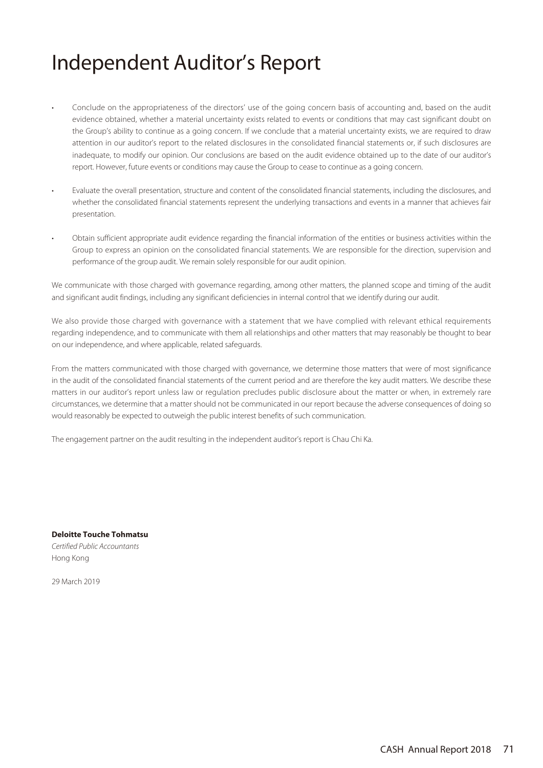- Conclude on the appropriateness of the directors' use of the going concern basis of accounting and, based on the audit evidence obtained, whether a material uncertainty exists related to events or conditions that may cast significant doubt on the Group's ability to continue as a going concern. If we conclude that a material uncertainty exists, we are required to draw attention in our auditor's report to the related disclosures in the consolidated financial statements or, if such disclosures are inadequate, to modify our opinion. Our conclusions are based on the audit evidence obtained up to the date of our auditor's report. However, future events or conditions may cause the Group to cease to continue as a going concern.
- Evaluate the overall presentation, structure and content of the consolidated financial statements, including the disclosures, and whether the consolidated financial statements represent the underlying transactions and events in a manner that achieves fair presentation.
- Obtain sufficient appropriate audit evidence regarding the financial information of the entities or business activities within the Group to express an opinion on the consolidated financial statements. We are responsible for the direction, supervision and performance of the group audit. We remain solely responsible for our audit opinion.

We communicate with those charged with governance regarding, among other matters, the planned scope and timing of the audit and significant audit findings, including any significant deficiencies in internal control that we identify during our audit.

We also provide those charged with governance with a statement that we have complied with relevant ethical requirements regarding independence, and to communicate with them all relationships and other matters that may reasonably be thought to bear on our independence, and where applicable, related safeguards.

From the matters communicated with those charged with governance, we determine those matters that were of most significance in the audit of the consolidated financial statements of the current period and are therefore the key audit matters. We describe these matters in our auditor's report unless law or regulation precludes public disclosure about the matter or when, in extremely rare circumstances, we determine that a matter should not be communicated in our report because the adverse consequences of doing so would reasonably be expected to outweigh the public interest benefits of such communication.

The engagement partner on the audit resulting in the independent auditor's report is Chau Chi Ka.

**Deloitte Touche Tohmatsu** Certified Public Accountants Hong Kong

29 March 2019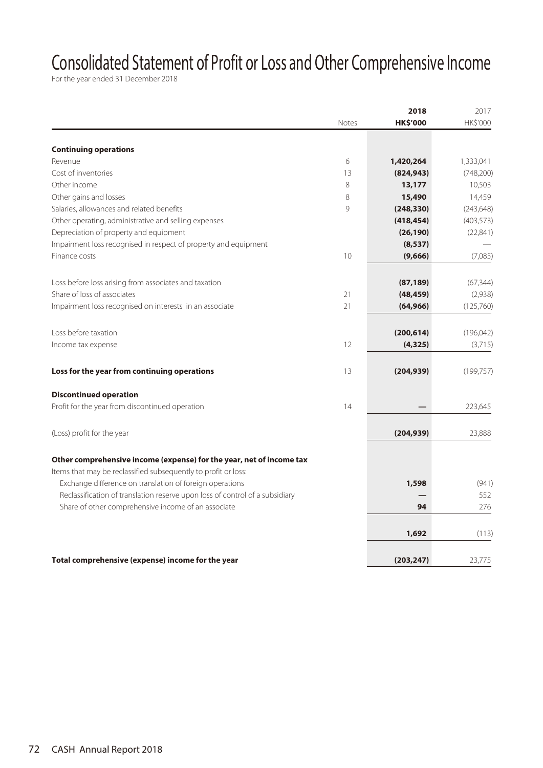# Consolidated Statement of Profit or Loss and Other Comprehensive Income

For the year ended 31 December 2018

|                                                                              |              | 2018            | 2017       |
|------------------------------------------------------------------------------|--------------|-----------------|------------|
|                                                                              | <b>Notes</b> | <b>HK\$'000</b> | HK\$'000   |
|                                                                              |              |                 |            |
| <b>Continuing operations</b>                                                 |              |                 |            |
| Revenue                                                                      | 6            | 1,420,264       | 1,333,041  |
| Cost of inventories                                                          | 13           | (824, 943)      | (748, 200) |
| Other income                                                                 | 8            | 13,177          | 10,503     |
| Other gains and losses                                                       | 8            | 15,490          | 14,459     |
| Salaries, allowances and related benefits                                    | 9            | (248, 330)      | (243, 648) |
| Other operating, administrative and selling expenses                         |              | (418, 454)      | (403, 573) |
| Depreciation of property and equipment                                       |              | (26, 190)       | (22, 841)  |
| Impairment loss recognised in respect of property and equipment              |              | (8, 537)        |            |
| Finance costs                                                                | 10           | (9,666)         | (7,085)    |
| Loss before loss arising from associates and taxation                        |              | (87, 189)       | (67, 344)  |
| Share of loss of associates                                                  | 21           | (48, 459)       | (2,938)    |
| Impairment loss recognised on interests in an associate                      | 21           | (64, 966)       | (125,760)  |
| Loss before taxation                                                         |              | (200, 614)      | (196,042)  |
| Income tax expense                                                           | 12           | (4,325)         | (3,715)    |
| Loss for the year from continuing operations                                 | 13           | (204, 939)      | (199, 757) |
| <b>Discontinued operation</b>                                                |              |                 |            |
| Profit for the year from discontinued operation                              | 14           |                 | 223,645    |
| (Loss) profit for the year                                                   |              | (204, 939)      | 23,888     |
| Other comprehensive income (expense) for the year, net of income tax         |              |                 |            |
| Items that may be reclassified subsequently to profit or loss:               |              |                 |            |
| Exchange difference on translation of foreign operations                     |              | 1,598           | (941)      |
| Reclassification of translation reserve upon loss of control of a subsidiary |              |                 | 552        |
| Share of other comprehensive income of an associate                          |              | 94              | 276        |
|                                                                              |              | 1,692           | (113)      |
|                                                                              |              |                 |            |
| Total comprehensive (expense) income for the year                            |              | (203, 247)      | 23,775     |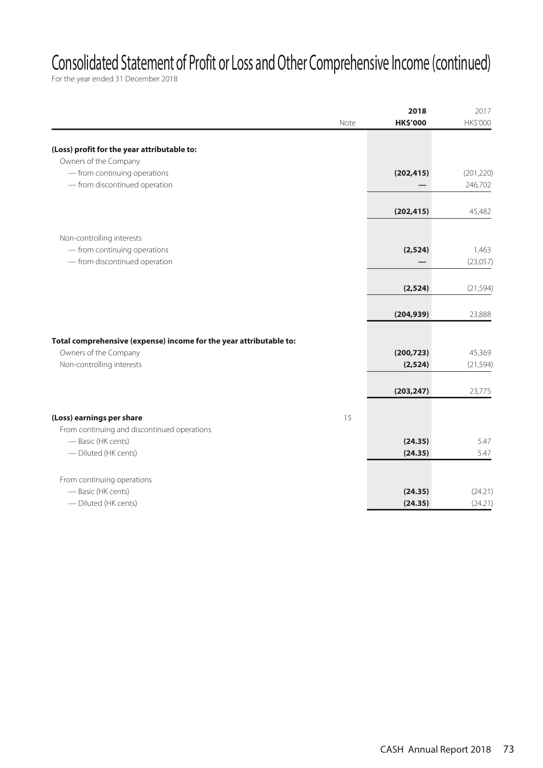# Consolidated Statement of Profit or Loss and Other Comprehensive Income (continued)

For the year ended 31 December 2018

|                                                                    |      | 2018            | 2017       |
|--------------------------------------------------------------------|------|-----------------|------------|
|                                                                    | Note | <b>HK\$'000</b> | HK\$'000   |
|                                                                    |      |                 |            |
| (Loss) profit for the year attributable to:                        |      |                 |            |
| Owners of the Company                                              |      |                 |            |
| - from continuing operations                                       |      | (202, 415)      | (201, 220) |
| - from discontinued operation                                      |      |                 | 246,702    |
|                                                                    |      | (202, 415)      | 45,482     |
|                                                                    |      |                 |            |
| Non-controlling interests                                          |      |                 |            |
| - from continuing operations                                       |      | (2, 524)        | 1,463      |
| - from discontinued operation                                      |      |                 | (23,057)   |
|                                                                    |      | (2,524)         | (21, 594)  |
|                                                                    |      |                 |            |
|                                                                    |      | (204, 939)      | 23,888     |
| Total comprehensive (expense) income for the year attributable to: |      |                 |            |
| Owners of the Company                                              |      | (200, 723)      | 45,369     |
| Non-controlling interests                                          |      | (2,524)         | (21, 594)  |
|                                                                    |      |                 |            |
|                                                                    |      | (203, 247)      | 23,775     |
|                                                                    |      |                 |            |
| (Loss) earnings per share                                          | 15   |                 |            |
| From continuing and discontinued operations                        |      |                 |            |
| - Basic (HK cents)                                                 |      | (24.35)         | 5.47       |
| - Diluted (HK cents)                                               |      | (24.35)         | 5.47       |
| From continuing operations                                         |      |                 |            |
| - Basic (HK cents)                                                 |      | (24.35)         | (24.21)    |
| - Diluted (HK cents)                                               |      | (24.35)         | (24.21)    |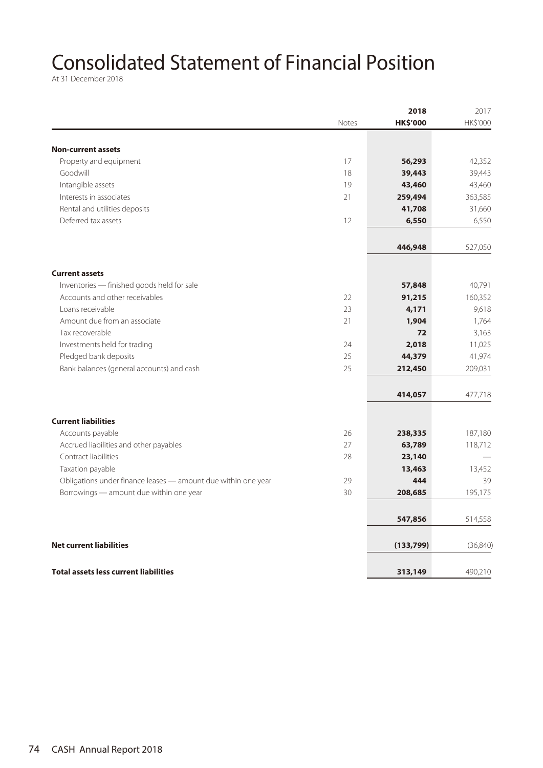# Consolidated Statement of Financial Position

At 31 December 2018

|                                                               |       | 2018            | 2017      |
|---------------------------------------------------------------|-------|-----------------|-----------|
|                                                               | Notes | <b>HK\$'000</b> | HK\$'000  |
|                                                               |       |                 |           |
| <b>Non-current assets</b>                                     |       |                 |           |
| Property and equipment                                        | 17    | 56,293          | 42,352    |
| Goodwill                                                      | 18    | 39,443          | 39,443    |
| Intangible assets                                             | 19    | 43,460          | 43,460    |
| Interests in associates                                       | 21    | 259,494         | 363,585   |
| Rental and utilities deposits                                 |       | 41,708          | 31,660    |
| Deferred tax assets                                           | 12    | 6,550           | 6,550     |
|                                                               |       | 446,948         | 527,050   |
| <b>Current assets</b>                                         |       |                 |           |
| Inventories - finished goods held for sale                    |       | 57,848          | 40,791    |
| Accounts and other receivables                                | 22    | 91,215          | 160,352   |
| Loans receivable                                              | 23    | 4,171           | 9,618     |
| Amount due from an associate                                  | 21    | 1,904           | 1,764     |
| Tax recoverable                                               |       | 72              | 3,163     |
| Investments held for trading                                  | 24    | 2,018           | 11,025    |
| Pledged bank deposits                                         | 25    | 44,379          | 41,974    |
| Bank balances (general accounts) and cash                     | 25    | 212,450         | 209,031   |
|                                                               |       | 414,057         | 477,718   |
| <b>Current liabilities</b>                                    |       |                 |           |
| Accounts payable                                              | 26    | 238,335         | 187,180   |
| Accrued liabilities and other payables                        | 27    | 63,789          | 118,712   |
| Contract liabilities                                          | 28    | 23,140          |           |
| Taxation payable                                              |       | 13,463          | 13,452    |
| Obligations under finance leases - amount due within one year | 29    | 444             | 39        |
| Borrowings - amount due within one year                       | 30    | 208,685         | 195,175   |
|                                                               |       | 547,856         | 514,558   |
| <b>Net current liabilities</b>                                |       | (133,799)       | (36, 840) |
| <b>Total assets less current liabilities</b>                  |       |                 |           |
|                                                               |       | 313,149         | 490,210   |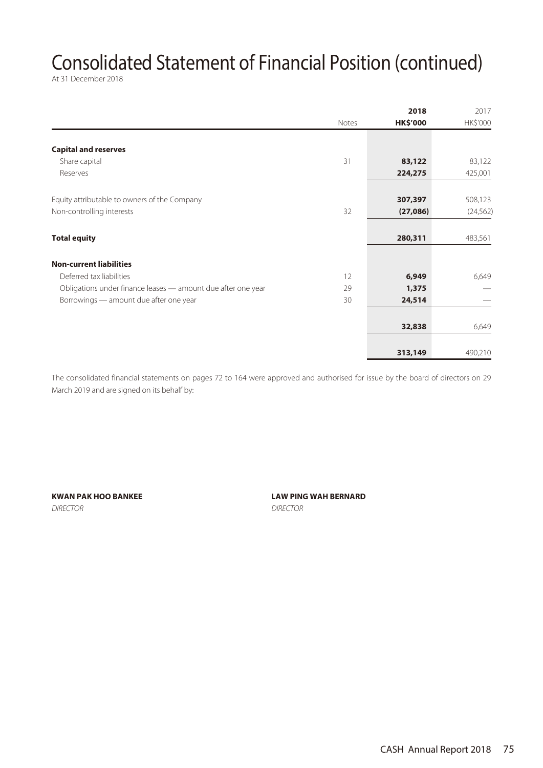# Consolidated Statement of Financial Position (continued)

At 31 December 2018

|                                                              |       | 2018            | 2017      |
|--------------------------------------------------------------|-------|-----------------|-----------|
|                                                              | Notes | <b>HK\$'000</b> | HK\$'000  |
|                                                              |       |                 |           |
| <b>Capital and reserves</b>                                  |       |                 |           |
| Share capital                                                | 31    | 83,122          | 83,122    |
| Reserves                                                     |       | 224,275         | 425,001   |
| Equity attributable to owners of the Company                 |       | 307,397         | 508,123   |
| Non-controlling interests                                    | 32    | (27,086)        | (24, 562) |
| <b>Total equity</b>                                          |       | 280,311         | 483,561   |
|                                                              |       |                 |           |
| <b>Non-current liabilities</b>                               |       |                 |           |
| Deferred tax liabilities                                     | 12    | 6,949           | 6,649     |
| Obligations under finance leases - amount due after one year | 29    | 1,375           |           |
| Borrowings - amount due after one year                       | 30    | 24,514          |           |
|                                                              |       | 32,838          | 6,649     |
|                                                              |       |                 |           |
|                                                              |       | 313,149         | 490,210   |

The consolidated financial statements on pages 72 to 164 were approved and authorised for issue by the board of directors on 29 March 2019 and are signed on its behalf by:

#### KWAN PAK HOO BANKEE **LAW PING WAH BERNARD**

DIRECTOR DIRECTOR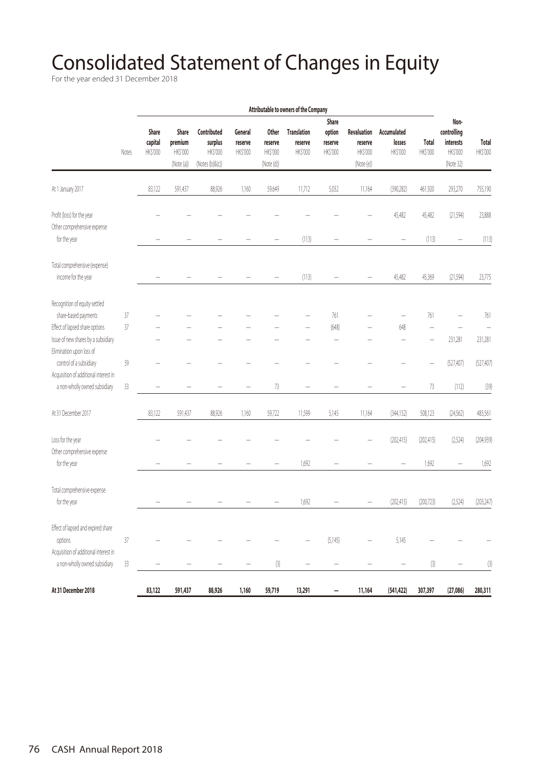# Consolidated Statement of Changes in Equity

For the year ended 31 December 2018

|                                                                  |        | Attributable to owners of the Company |                                            |                                                      |                                |                                            |                                           |                                        |                                                  |                                   |                          |                                                           |                          |
|------------------------------------------------------------------|--------|---------------------------------------|--------------------------------------------|------------------------------------------------------|--------------------------------|--------------------------------------------|-------------------------------------------|----------------------------------------|--------------------------------------------------|-----------------------------------|--------------------------|-----------------------------------------------------------|--------------------------|
|                                                                  | Notes  | Share<br>capital<br>HK\$'000          | Share<br>premium<br>HK\$'000<br>(Note (a)) | Contributed<br>surplus<br>HK\$'000<br>(Notes(b)&(c)) | General<br>reserve<br>HK\$'000 | Other<br>reserve<br>HK\$'000<br>(Note (d)) | <b>Translation</b><br>reserve<br>HK\$'000 | Share<br>option<br>reserve<br>HK\$'000 | Revaluation<br>reserve<br>HK\$'000<br>(Note (e)) | Accumulated<br>losses<br>HK\$'000 | <b>Total</b><br>HK\$'000 | Non-<br>controlling<br>interests<br>HK\$'000<br>(Note 32) | <b>Total</b><br>HK\$'000 |
| At 1 January 2017                                                |        | 83,122                                | 591,437                                    | 88,926                                               | 1,160                          | 59,649                                     | 11,712                                    | 5,032                                  | 11,164                                           | (390, 282)                        | 461,920                  | 293,270                                                   | 755,190                  |
| Profit (loss) for the year<br>Other comprehensive expense        |        |                                       |                                            |                                                      |                                |                                            |                                           |                                        |                                                  | 45,482                            | 45,482                   | (21, 594)                                                 | 23,888                   |
| for the year                                                     |        |                                       |                                            |                                                      |                                |                                            | (113)                                     |                                        |                                                  | $\overline{\phantom{m}}$          | (113)                    |                                                           | (113)                    |
| Total comprehensive (expense)                                    |        |                                       |                                            |                                                      |                                |                                            |                                           |                                        |                                                  |                                   |                          |                                                           |                          |
| income for the year                                              |        |                                       |                                            |                                                      |                                |                                            | (113)                                     |                                        |                                                  | 45,482                            | 45,369                   | (21, 594)                                                 | 23,775                   |
| Recognition of equity-settled                                    |        |                                       |                                            |                                                      |                                |                                            |                                           |                                        |                                                  |                                   |                          |                                                           |                          |
| share-based payments                                             | 37     |                                       |                                            |                                                      |                                |                                            |                                           | 761                                    |                                                  | $\overline{\phantom{0}}$          | 761                      |                                                           | 761                      |
| Effect of lapsed share options                                   | 37     |                                       |                                            |                                                      |                                |                                            |                                           | (648)                                  |                                                  | 648                               |                          |                                                           |                          |
| Issue of new shares by a subsidiary                              |        |                                       |                                            |                                                      |                                |                                            |                                           | $\overline{\phantom{a}}$               |                                                  | $\overline{\phantom{0}}$          |                          | 231,281                                                   | 231,281                  |
| Elimination upon loss of                                         |        |                                       |                                            |                                                      |                                |                                            |                                           |                                        |                                                  |                                   |                          |                                                           |                          |
| control of a subsidiary<br>Acquisition of additional interest in | 39     |                                       |                                            |                                                      |                                |                                            |                                           |                                        |                                                  |                                   |                          | (527, 407)                                                | (527, 407)               |
| a non-wholly owned subsidiary                                    | 33     |                                       | $\overline{\phantom{0}}$                   |                                                      |                                | $73\,$                                     | $\overline{\phantom{0}}$                  | $\overline{\phantom{0}}$               | $\overline{\phantom{0}}$                         |                                   | 73                       | (112)                                                     | (39)                     |
| At 31 December 2017                                              |        | 83,122                                | 591,437                                    | 88,926                                               | 1,160                          | 59,722                                     | 11,599                                    | 5,145                                  | 11,164                                           | (344, 152)                        | 508,123                  | (24, 562)                                                 | 483,561                  |
| Loss for the year                                                |        |                                       |                                            |                                                      |                                |                                            |                                           |                                        |                                                  | (202, 415)                        | (202, 415)               | (2,524)                                                   | (204, 939)               |
| Other comprehensive expense<br>for the year                      |        | $\overline{\phantom{0}}$              | ÷                                          |                                                      |                                |                                            | 1,692                                     |                                        |                                                  |                                   | 1,692                    |                                                           | 1,692                    |
|                                                                  |        |                                       |                                            |                                                      |                                |                                            |                                           |                                        |                                                  |                                   |                          |                                                           |                          |
| Total comprehensive expense<br>for the year                      |        |                                       |                                            |                                                      |                                |                                            | 1,692                                     |                                        | $\overline{\phantom{0}}$                         | (202, 415)                        | (200, 723)               | (2,524)                                                   | (203, 247)               |
|                                                                  |        |                                       |                                            |                                                      |                                |                                            |                                           |                                        |                                                  |                                   |                          |                                                           |                          |
| Effect of lapsed and expired share                               |        |                                       |                                            |                                                      |                                |                                            |                                           |                                        |                                                  |                                   |                          |                                                           |                          |
| options<br>Acquisition of additional interest in                 | 37     |                                       |                                            |                                                      |                                |                                            |                                           | (5, 145)                               |                                                  | 5,145                             |                          |                                                           |                          |
| a non-wholly owned subsidiary                                    | $33\,$ |                                       |                                            |                                                      |                                | $(3)$                                      |                                           |                                        |                                                  |                                   | $(3)$                    |                                                           | (3)                      |
| At 31 December 2018                                              |        | 83,122                                | 591,437                                    | 88,926                                               | 1,160                          | 59,719                                     | 13,291                                    | -                                      | 11,164                                           | (541, 422)                        | 307,397                  | (27,086)                                                  | 280,311                  |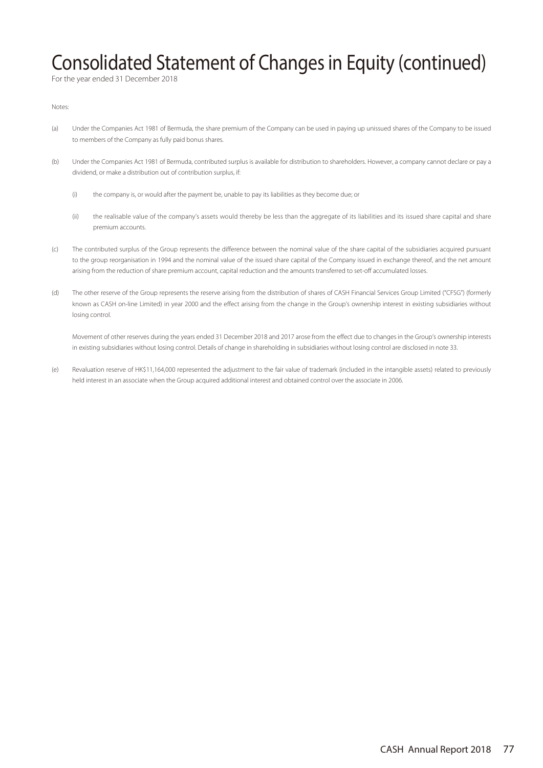# Consolidated Statement of Changes in Equity (continued)

For the year ended 31 December 2018

Notes:

- (a) Under the Companies Act 1981 of Bermuda, the share premium of the Company can be used in paying up unissued shares of the Company to be issued to members of the Company as fully paid bonus shares.
- (b) Under the Companies Act 1981 of Bermuda, contributed surplus is available for distribution to shareholders. However, a company cannot declare or pay a dividend, or make a distribution out of contribution surplus, if:
	- (i) the company is, or would after the payment be, unable to pay its liabilities as they become due; or
	- (ii) the realisable value of the company's assets would thereby be less than the aggregate of its liabilities and its issued share capital and share premium accounts.
- (c) The contributed surplus of the Group represents the difference between the nominal value of the share capital of the subsidiaries acquired pursuant to the group reorganisation in 1994 and the nominal value of the issued share capital of the Company issued in exchange thereof, and the net amount arising from the reduction of share premium account, capital reduction and the amounts transferred to set-off accumulated losses.
- (d) The other reserve of the Group represents the reserve arising from the distribution of shares of CASH Financial Services Group Limited ("CFSG") (formerly known as CASH on-line Limited) in year 2000 and the effect arising from the change in the Group's ownership interest in existing subsidiaries without losing control.

Movement of other reserves during the years ended 31 December 2018 and 2017 arose from the effect due to changes in the Group's ownership interests in existing subsidiaries without losing control. Details of change in shareholding in subsidiaries without losing control are disclosed in note 33.

(e) Revaluation reserve of HK\$11,164,000 represented the adjustment to the fair value of trademark (included in the intangible assets) related to previously held interest in an associate when the Group acquired additional interest and obtained control over the associate in 2006.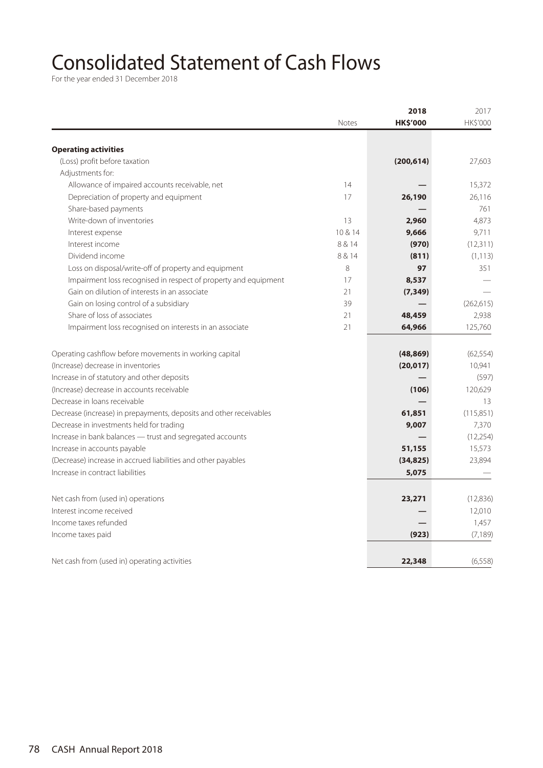# Consolidated Statement of Cash Flows

For the year ended 31 December 2018

|                                                                    | <b>Notes</b> | 2018<br><b>HK\$'000</b> | 2017<br>HK\$'000 |
|--------------------------------------------------------------------|--------------|-------------------------|------------------|
|                                                                    |              |                         |                  |
| <b>Operating activities</b>                                        |              |                         |                  |
| (Loss) profit before taxation                                      |              | (200, 614)              | 27,603           |
| Adjustments for:                                                   |              |                         |                  |
| Allowance of impaired accounts receivable, net                     | 14           |                         | 15,372           |
| Depreciation of property and equipment                             | 17           | 26,190                  | 26,116           |
| Share-based payments                                               |              |                         | 761              |
| Write-down of inventories                                          | 13           | 2,960                   | 4.873            |
| Interest expense                                                   | 10 & 14      | 9,666                   | 9,711            |
| Interest income                                                    | 8 & 14       | (970)                   | (12, 311)        |
| Dividend income                                                    | 8 & 14       | (811)                   | (1, 113)         |
| Loss on disposal/write-off of property and equipment               | 8            | 97                      | 351              |
| Impairment loss recognised in respect of property and equipment    | 17           | 8,537                   |                  |
| Gain on dilution of interests in an associate                      | 21           | (7, 349)                |                  |
| Gain on losing control of a subsidiary                             | 39           |                         | (262, 615)       |
| Share of loss of associates                                        | 21           | 48,459                  | 2,938            |
| Impairment loss recognised on interests in an associate            | 21           | 64,966                  | 125,760          |
| Operating cashflow before movements in working capital             |              | (48, 869)               | (62, 554)        |
| (Increase) decrease in inventories                                 |              | (20, 017)               | 10,941           |
| Increase in of statutory and other deposits                        |              |                         | (597)            |
| (Increase) decrease in accounts receivable                         |              | (106)                   | 120,629          |
| Decrease in loans receivable                                       |              |                         | 13               |
| Decrease (increase) in prepayments, deposits and other receivables |              | 61,851                  | (115, 851)       |
| Decrease in investments held for trading                           |              | 9,007                   | 7,370            |
| Increase in bank balances - trust and segregated accounts          |              |                         | (12, 254)        |
| Increase in accounts payable                                       |              | 51,155                  | 15,573           |
| (Decrease) increase in accrued liabilities and other payables      |              | (34, 825)               | 23,894           |
| Increase in contract liabilities                                   |              | 5,075                   |                  |
| Net cash from (used in) operations                                 |              | 23,271                  | (12,836)         |
| Interest income received                                           |              |                         | 12,010           |
| Income taxes refunded                                              |              |                         | 1,457            |
| Income taxes paid                                                  |              | (923)                   | (7, 189)         |
|                                                                    |              |                         |                  |
| Net cash from (used in) operating activities                       |              | 22,348                  | (6, 558)         |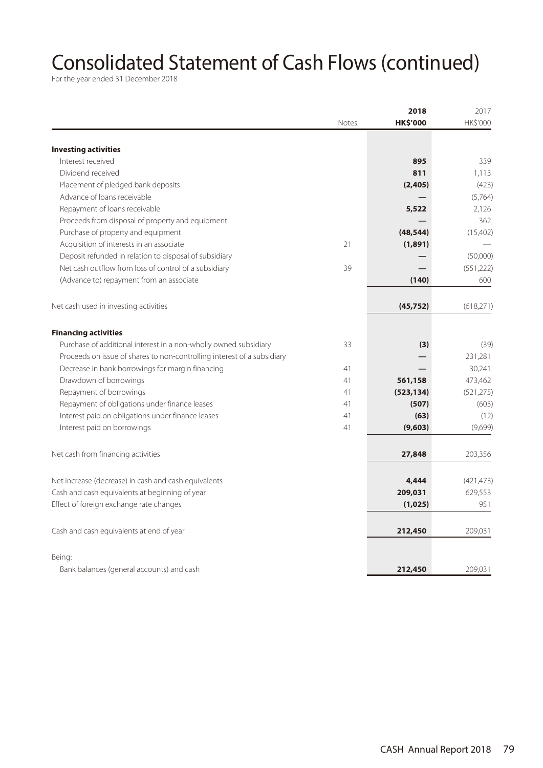# Consolidated Statement of Cash Flows (continued)

For the year ended 31 December 2018

|                                                                         |       | 2018            | 2017       |
|-------------------------------------------------------------------------|-------|-----------------|------------|
|                                                                         | Notes | <b>HK\$'000</b> | HK\$'000   |
|                                                                         |       |                 |            |
| <b>Investing activities</b>                                             |       |                 |            |
| Interest received                                                       |       | 895             | 339        |
| Dividend received                                                       |       | 811             | 1.113      |
| Placement of pledged bank deposits                                      |       | (2,405)         | (423)      |
| Advance of loans receivable                                             |       |                 | (5,764)    |
| Repayment of loans receivable                                           |       | 5,522           | 2,126      |
| Proceeds from disposal of property and equipment                        |       |                 | 362        |
| Purchase of property and equipment                                      |       | (48, 544)       | (15,402)   |
| Acquisition of interests in an associate                                | 21    | (1,891)         |            |
| Deposit refunded in relation to disposal of subsidiary                  |       |                 | (50,000)   |
| Net cash outflow from loss of control of a subsidiary                   | 39    |                 | (551, 222) |
| (Advance to) repayment from an associate                                |       | (140)           | 600        |
| Net cash used in investing activities                                   |       | (45, 752)       | (618,271)  |
| <b>Financing activities</b>                                             |       |                 |            |
| Purchase of additional interest in a non-wholly owned subsidiary        | 33    | (3)             | (39)       |
| Proceeds on issue of shares to non-controlling interest of a subsidiary |       |                 | 231,281    |
| Decrease in bank borrowings for margin financing                        | 41    |                 | 30,241     |
| Drawdown of borrowings                                                  | 41    | 561,158         | 473,462    |
| Repayment of borrowings                                                 | 41    | (523, 134)      | (521, 275) |
| Repayment of obligations under finance leases                           | 41    | (507)           | (603)      |
| Interest paid on obligations under finance leases                       | 41    | (63)            | (12)       |
| Interest paid on borrowings                                             | 41    | (9,603)         | (9,699)    |
| Net cash from financing activities                                      |       | 27,848          | 203,356    |
| Net increase (decrease) in cash and cash equivalents                    |       | 4,444           | (421, 473) |
| Cash and cash equivalents at beginning of year                          |       | 209,031         | 629,553    |
| Effect of foreign exchange rate changes                                 |       | (1,025)         | 951        |
|                                                                         |       |                 |            |
| Cash and cash equivalents at end of year                                |       | 212,450         | 209,031    |
| Being:                                                                  |       |                 |            |
| Bank balances (general accounts) and cash                               |       | 212,450         | 209.031    |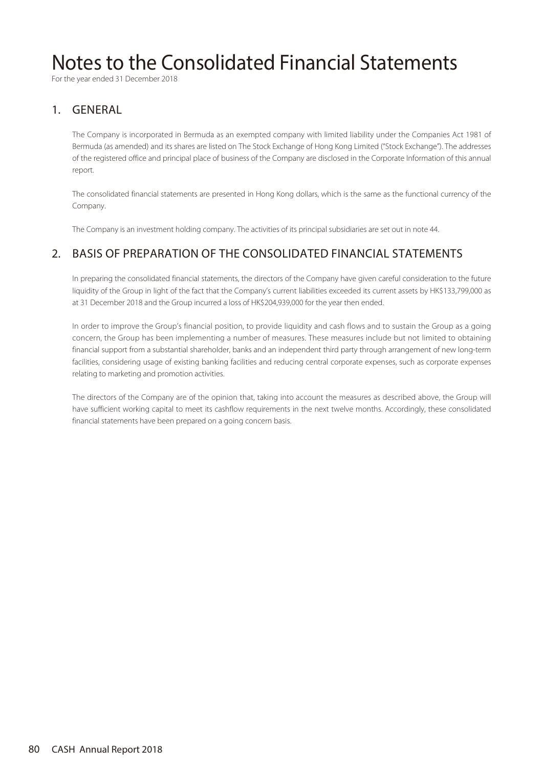# Notes to the Consolidated Financial Statements

For the year ended 31 December 2018

## 1. GENERAL

The Company is incorporated in Bermuda as an exempted company with limited liability under the Companies Act 1981 of Bermuda (as amended) and its shares are listed on The Stock Exchange of Hong Kong Limited ("Stock Exchange"). The addresses of the registered office and principal place of business of the Company are disclosed in the Corporate Information of this annual report.

The consolidated financial statements are presented in Hong Kong dollars, which is the same as the functional currency of the Company.

The Company is an investment holding company. The activities of its principal subsidiaries are set out in note 44.

## 2. BASIS OF PREPARATION OF THE CONSOLIDATED FINANCIAL STATEMENTS

In preparing the consolidated financial statements, the directors of the Company have given careful consideration to the future liquidity of the Group in light of the fact that the Company's current liabilities exceeded its current assets by HK\$133,799,000 as at 31 December 2018 and the Group incurred a loss of HK\$204,939,000 for the year then ended.

In order to improve the Group's financial position, to provide liquidity and cash flows and to sustain the Group as a going concern, the Group has been implementing a number of measures. These measures include but not limited to obtaining financial support from a substantial shareholder, banks and an independent third party through arrangement of new long-term facilities, considering usage of existing banking facilities and reducing central corporate expenses, such as corporate expenses relating to marketing and promotion activities.

The directors of the Company are of the opinion that, taking into account the measures as described above, the Group will have sufficient working capital to meet its cashflow requirements in the next twelve months. Accordingly, these consolidated financial statements have been prepared on a going concern basis.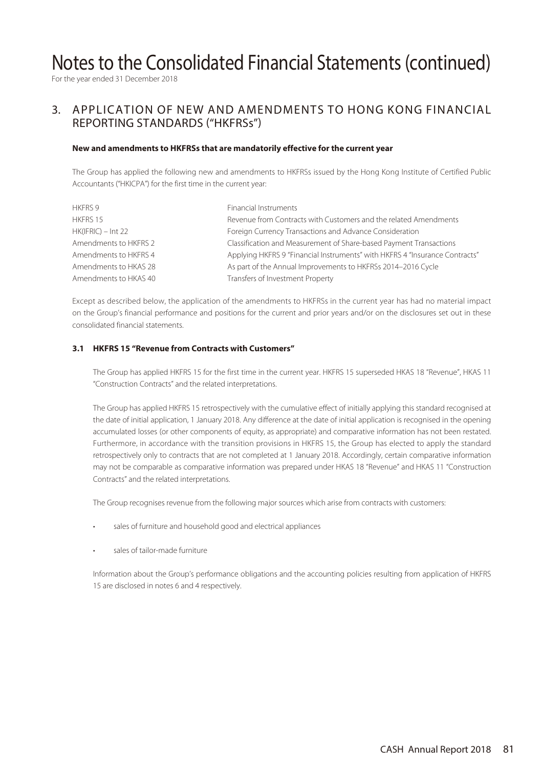For the year ended 31 December 2018

## 3. APPLICATION OF NEW AND AMENDMENTS TO HONG KONG FINANCIAL REPORTING STANDARDS ("HKFRSs")

#### **New and amendments to HKFRSs that are mandatorily effective for the current year**

The Group has applied the following new and amendments to HKFRSs issued by the Hong Kong Institute of Certified Public Accountants ("HKICPA") for the first time in the current year:

| <b>HKFRS 9</b>        | Financial Instruments                                                       |
|-----------------------|-----------------------------------------------------------------------------|
| <b>HKFRS 15</b>       | Revenue from Contracts with Customers and the related Amendments            |
| $HK(IFRIC) - Int 22$  | Foreign Currency Transactions and Advance Consideration                     |
| Amendments to HKFRS 2 | Classification and Measurement of Share-based Payment Transactions          |
| Amendments to HKFRS 4 | Applying HKFRS 9 "Financial Instruments" with HKFRS 4 "Insurance Contracts" |
| Amendments to HKAS 28 | As part of the Annual Improvements to HKFRSs 2014-2016 Cycle                |
| Amendments to HKAS 40 | Transfers of Investment Property                                            |

Except as described below, the application of the amendments to HKFRSs in the current year has had no material impact on the Group's financial performance and positions for the current and prior years and/or on the disclosures set out in these consolidated financial statements.

### **3.1 HKFRS 15 "Revenue from Contracts with Customers"**

The Group has applied HKFRS 15 for the first time in the current year. HKFRS 15 superseded HKAS 18 "Revenue", HKAS 11 "Construction Contracts" and the related interpretations.

The Group has applied HKFRS 15 retrospectively with the cumulative effect of initially applying this standard recognised at the date of initial application, 1 January 2018. Any difference at the date of initial application is recognised in the opening accumulated losses (or other components of equity, as appropriate) and comparative information has not been restated. Furthermore, in accordance with the transition provisions in HKFRS 15, the Group has elected to apply the standard retrospectively only to contracts that are not completed at 1 January 2018. Accordingly, certain comparative information may not be comparable as comparative information was prepared under HKAS 18 "Revenue" and HKAS 11 "Construction Contracts" and the related interpretations.

The Group recognises revenue from the following major sources which arise from contracts with customers:

- sales of furniture and household good and electrical appliances
- sales of tailor-made furniture

Information about the Group's performance obligations and the accounting policies resulting from application of HKFRS 15 are disclosed in notes 6 and 4 respectively.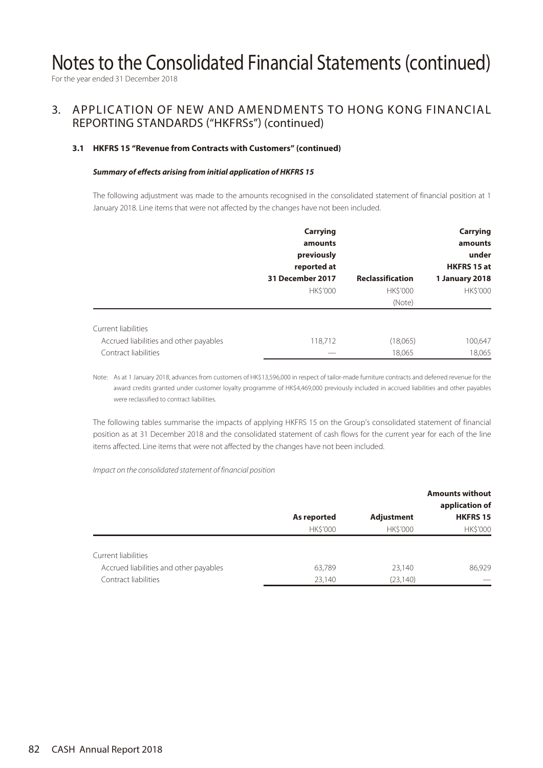For the year ended 31 December 2018

## 3. APPLICATION OF NEW AND AMENDMENTS TO HONG KONG FINANCIAL REPORTING STANDARDS ("HKFRSs") (continued)

### **3.1 HKFRS 15 "Revenue from Contracts with Customers" (continued)**

#### *Summary of effects arising from initial application of HKFRS 15*

The following adjustment was made to the amounts recognised in the consolidated statement of financial position at 1 January 2018. Line items that were not affected by the changes have not been included.

|                                                                                       | Carrying<br>amounts<br>previously<br>reported at |                                               | <b>Carrying</b><br>amounts<br>under<br><b>HKFRS 15 at</b> |
|---------------------------------------------------------------------------------------|--------------------------------------------------|-----------------------------------------------|-----------------------------------------------------------|
|                                                                                       | 31 December 2017<br><b>HKS'000</b>               | <b>Reclassification</b><br>HK\$'000<br>(Note) | 1 January 2018<br>HK\$'000                                |
| Current liabilities<br>Accrued liabilities and other payables<br>Contract liabilities | 118,712                                          | (18,065)<br>18,065                            | 100,647<br>18,065                                         |

Note: As at 1 January 2018, advances from customers of HK\$13,596,000 in respect of tailor-made furniture contracts and deferred revenue for the award credits granted under customer loyalty programme of HK\$4,469,000 previously included in accrued liabilities and other payables were reclassified to contract liabilities.

The following tables summarise the impacts of applying HKFRS 15 on the Group's consolidated statement of financial position as at 31 December 2018 and the consolidated statement of cash flows for the current year for each of the line items affected. Line items that were not affected by the changes have not been included.

Impact on the consolidated statement of financial position

|                                                               | As reported     | <b>Adjustment</b> | <b>Amounts without</b><br>application of<br><b>HKFRS 15</b> |
|---------------------------------------------------------------|-----------------|-------------------|-------------------------------------------------------------|
|                                                               | <b>HK\$'000</b> | <b>HKS'000</b>    | <b>HKS'000</b>                                              |
| Current liabilities<br>Accrued liabilities and other payables | 63,789          | 23,140            | 86.929                                                      |
| Contract liabilities                                          | 23,140          | (23, 140)         |                                                             |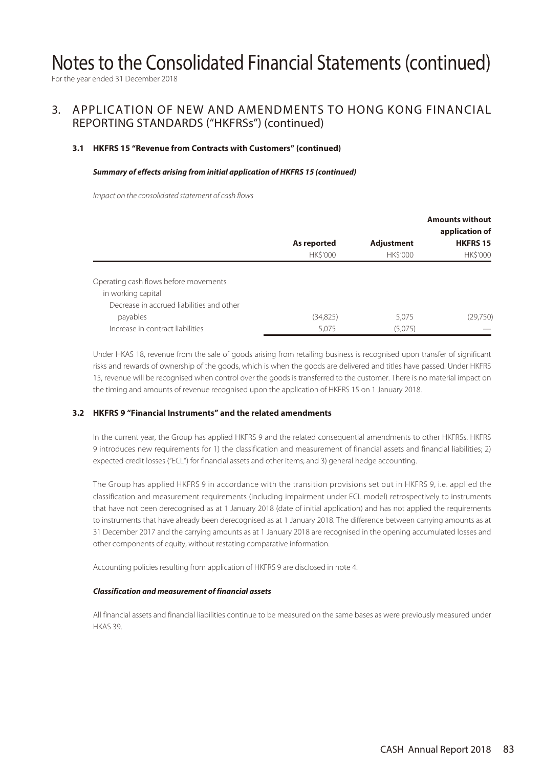For the year ended 31 December 2018

## 3. APPLICATION OF NEW AND AMENDMENTS TO HONG KONG FINANCIAL REPORTING STANDARDS ("HKFRSs") (continued)

### **3.1 HKFRS 15 "Revenue from Contracts with Customers" (continued)**

#### *Summary of effects arising from initial application of HKFRS 15 (continued)*

Impact on the consolidated statement of cash flows

|                                                                 |                |                   | <b>Amounts without</b><br>application of |
|-----------------------------------------------------------------|----------------|-------------------|------------------------------------------|
|                                                                 | As reported    | <b>Adjustment</b> | <b>HKFRS 15</b>                          |
|                                                                 | <b>HKS'000</b> | <b>HKS'000</b>    | <b>HK\$'000</b>                          |
| Operating cash flows before movements                           |                |                   |                                          |
| in working capital<br>Decrease in accrued liabilities and other |                |                   |                                          |
| payables                                                        | (34,825)       | 5,075             | (29,750)                                 |
| Increase in contract liabilities                                | 5.075          | (5,075)           |                                          |

Under HKAS 18, revenue from the sale of goods arising from retailing business is recognised upon transfer of significant risks and rewards of ownership of the goods, which is when the goods are delivered and titles have passed. Under HKFRS 15, revenue will be recognised when control over the goods is transferred to the customer. There is no material impact on the timing and amounts of revenue recognised upon the application of HKFRS 15 on 1 January 2018.

## **3.2 HKFRS 9 "Financial Instruments" and the related amendments**

In the current year, the Group has applied HKFRS 9 and the related consequential amendments to other HKFRSs. HKFRS 9 introduces new requirements for 1) the classification and measurement of financial assets and financial liabilities; 2) expected credit losses ("ECL") for financial assets and other items; and 3) general hedge accounting.

The Group has applied HKFRS 9 in accordance with the transition provisions set out in HKFRS 9, i.e. applied the classification and measurement requirements (including impairment under ECL model) retrospectively to instruments that have not been derecognised as at 1 January 2018 (date of initial application) and has not applied the requirements to instruments that have already been derecognised as at 1 January 2018. The difference between carrying amounts as at 31 December 2017 and the carrying amounts as at 1 January 2018 are recognised in the opening accumulated losses and other components of equity, without restating comparative information.

Accounting policies resulting from application of HKFRS 9 are disclosed in note 4.

### *Classification and measurement of financial assets*

All financial assets and financial liabilities continue to be measured on the same bases as were previously measured under HKAS 39.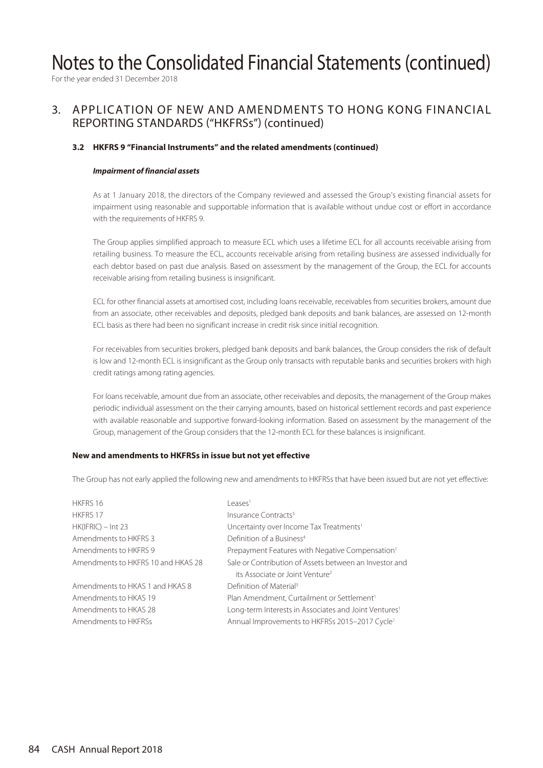For the year ended 31 December 2018

## 3. APPLICATION OF NEW AND AMENDMENTS TO HONG KONG FINANCIAL REPORTING STANDARDS ("HKFRSs") (continued)

### **3.2 HKFRS 9 "Financial Instruments" and the related amendments (continued)**

#### *Impairment of financial assets*

As at 1 January 2018, the directors of the Company reviewed and assessed the Group's existing financial assets for impairment using reasonable and supportable information that is available without undue cost or effort in accordance with the requirements of HKFRS 9.

The Group applies simplified approach to measure ECL which uses a lifetime ECL for all accounts receivable arising from retailing business. To measure the ECL, accounts receivable arising from retailing business are assessed individually for each debtor based on past due analysis. Based on assessment by the management of the Group, the ECL for accounts receivable arising from retailing business is insignificant.

ECL for other financial assets at amortised cost, including loans receivable, receivables from securities brokers, amount due from an associate, other receivables and deposits, pledged bank deposits and bank balances, are assessed on 12-month ECL basis as there had been no significant increase in credit risk since initial recognition.

For receivables from securities brokers, pledged bank deposits and bank balances, the Group considers the risk of default is low and 12-month ECL is insignificant as the Group only transacts with reputable banks and securities brokers with high credit ratings among rating agencies.

For loans receivable, amount due from an associate, other receivables and deposits, the management of the Group makes periodic individual assessment on the their carrying amounts, based on historical settlement records and past experience with available reasonable and supportive forward-looking information. Based on assessment by the management of the Group, management of the Group considers that the 12-month ECL for these balances is insignificant.

#### **New and amendments to HKFRSs in issue but not yet effective**

The Group has not early applied the following new and amendments to HKFRSs that have been issued but are not yet effective:

| HKFRS 16                           | l eases <sup>1</sup>                                              |
|------------------------------------|-------------------------------------------------------------------|
| HKFRS 17                           | Insurance Contracts <sup>3</sup>                                  |
| $HK(IFRIC) - Int 23$               | Uncertainty over Income Tax Treatments <sup>1</sup>               |
| Amendments to HKFRS 3              | Definition of a Business <sup>4</sup>                             |
| Amendments to HKFRS 9              | Prepayment Features with Negative Compensation <sup>1</sup>       |
| Amendments to HKFRS 10 and HKAS 28 | Sale or Contribution of Assets between an Investor and            |
|                                    | its Associate or Joint Venture <sup>2</sup>                       |
| Amendments to HKAS 1 and HKAS 8    | Definition of Material <sup>5</sup>                               |
| Amendments to HKAS 19              | Plan Amendment, Curtailment or Settlement <sup>1</sup>            |
| Amendments to HKAS 28              | Long-term Interests in Associates and Joint Ventures <sup>1</sup> |
| Amendments to HKFRSs               | Annual Improvements to HKFRSs 2015-2017 Cycle <sup>1</sup>        |
|                                    |                                                                   |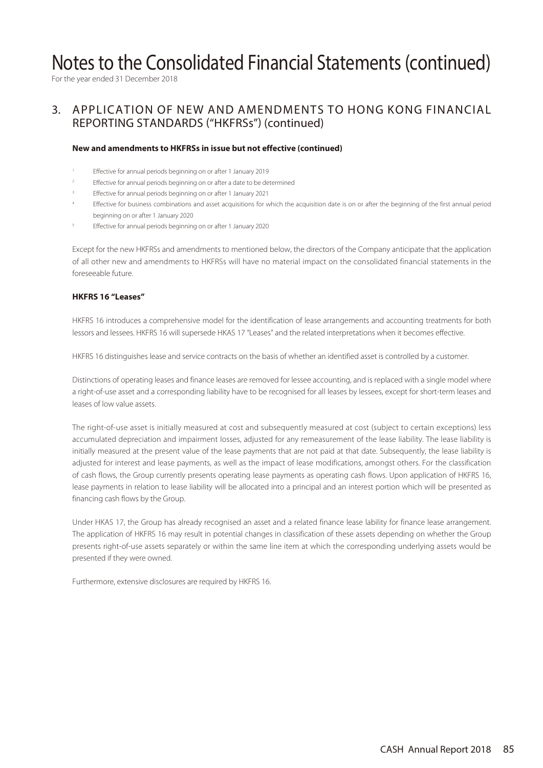For the year ended 31 December 2018

## 3. APPLICATION OF NEW AND AMENDMENTS TO HONG KONG FINANCIAL REPORTING STANDARDS ("HKFRSs") (continued)

#### **New and amendments to HKFRSs in issue but not effective (continued)**

- 1 Effective for annual periods beginning on or after 1 January 2019
- 2 Effective for annual periods beginning on or after a date to be determined
- 3 Effective for annual periods beginning on or after 1 January 2021
- 4 Effective for business combinations and asset acquisitions for which the acquisition date is on or after the beginning of the first annual period beginning on or after 1 January 2020
- 5 Effective for annual periods beginning on or after 1 January 2020

Except for the new HKFRSs and amendments to mentioned below, the directors of the Company anticipate that the application of all other new and amendments to HKFRSs will have no material impact on the consolidated financial statements in the foreseeable future.

#### **HKFRS 16 "Leases"**

HKFRS 16 introduces a comprehensive model for the identification of lease arrangements and accounting treatments for both lessors and lessees. HKFRS 16 will supersede HKAS 17 "Leases" and the related interpretations when it becomes effective.

HKFRS 16 distinguishes lease and service contracts on the basis of whether an identified asset is controlled by a customer.

Distinctions of operating leases and finance leases are removed for lessee accounting, and is replaced with a single model where a right-of-use asset and a corresponding liability have to be recognised for all leases by lessees, except for short-term leases and leases of low value assets.

The right-of-use asset is initially measured at cost and subsequently measured at cost (subject to certain exceptions) less accumulated depreciation and impairment losses, adjusted for any remeasurement of the lease liability. The lease liability is initially measured at the present value of the lease payments that are not paid at that date. Subsequently, the lease liability is adjusted for interest and lease payments, as well as the impact of lease modifications, amongst others. For the classification of cash flows, the Group currently presents operating lease payments as operating cash flows. Upon application of HKFRS 16, lease payments in relation to lease liability will be allocated into a principal and an interest portion which will be presented as financing cash flows by the Group.

Under HKAS 17, the Group has already recognised an asset and a related finance lease lability for finance lease arrangement. The application of HKFRS 16 may result in potential changes in classification of these assets depending on whether the Group presents right-of-use assets separately or within the same line item at which the corresponding underlying assets would be presented if they were owned.

Furthermore, extensive disclosures are required by HKFRS 16.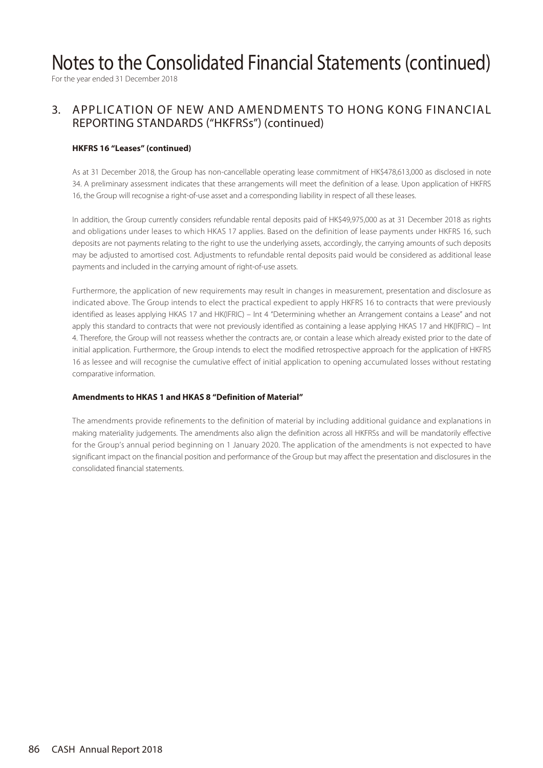For the year ended 31 December 2018

## 3. APPLICATION OF NEW AND AMENDMENTS TO HONG KONG FINANCIAL REPORTING STANDARDS ("HKFRSs") (continued)

### **HKFRS 16 "Leases" (continued)**

As at 31 December 2018, the Group has non-cancellable operating lease commitment of HK\$478,613,000 as disclosed in note 34. A preliminary assessment indicates that these arrangements will meet the definition of a lease. Upon application of HKFRS 16, the Group will recognise a right-of-use asset and a corresponding liability in respect of all these leases.

In addition, the Group currently considers refundable rental deposits paid of HK\$49,975,000 as at 31 December 2018 as rights and obligations under leases to which HKAS 17 applies. Based on the definition of lease payments under HKFRS 16, such deposits are not payments relating to the right to use the underlying assets, accordingly, the carrying amounts of such deposits may be adjusted to amortised cost. Adjustments to refundable rental deposits paid would be considered as additional lease payments and included in the carrying amount of right-of-use assets.

Furthermore, the application of new requirements may result in changes in measurement, presentation and disclosure as indicated above. The Group intends to elect the practical expedient to apply HKFRS 16 to contracts that were previously identified as leases applying HKAS 17 and HK(IFRIC) – Int 4 "Determining whether an Arrangement contains a Lease" and not apply this standard to contracts that were not previously identified as containing a lease applying HKAS 17 and HK(IFRIC) – Int 4. Therefore, the Group will not reassess whether the contracts are, or contain a lease which already existed prior to the date of initial application. Furthermore, the Group intends to elect the modified retrospective approach for the application of HKFRS 16 as lessee and will recognise the cumulative effect of initial application to opening accumulated losses without restating comparative information.

#### **Amendments to HKAS 1 and HKAS 8 "Definition of Material"**

The amendments provide refinements to the definition of material by including additional guidance and explanations in making materiality judgements. The amendments also align the definition across all HKFRSs and will be mandatorily effective for the Group's annual period beginning on 1 January 2020. The application of the amendments is not expected to have significant impact on the financial position and performance of the Group but may affect the presentation and disclosures in the consolidated financial statements.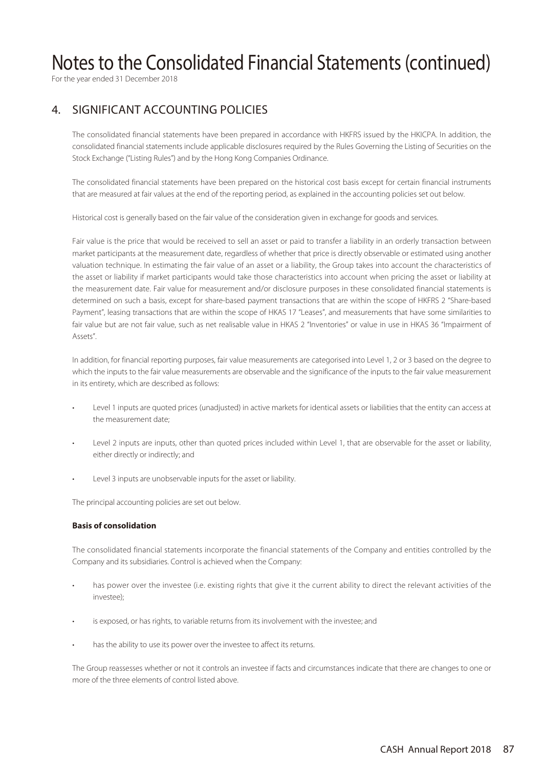For the year ended 31 December 2018

# 4. SIGNIFICANT ACCOUNTING POLICIES

The consolidated financial statements have been prepared in accordance with HKFRS issued by the HKICPA. In addition, the consolidated financial statements include applicable disclosures required by the Rules Governing the Listing of Securities on the Stock Exchange ("Listing Rules") and by the Hong Kong Companies Ordinance.

The consolidated financial statements have been prepared on the historical cost basis except for certain financial instruments that are measured at fair values at the end of the reporting period, as explained in the accounting policies set out below.

Historical cost is generally based on the fair value of the consideration given in exchange for goods and services.

Fair value is the price that would be received to sell an asset or paid to transfer a liability in an orderly transaction between market participants at the measurement date, regardless of whether that price is directly observable or estimated using another valuation technique. In estimating the fair value of an asset or a liability, the Group takes into account the characteristics of the asset or liability if market participants would take those characteristics into account when pricing the asset or liability at the measurement date. Fair value for measurement and/or disclosure purposes in these consolidated financial statements is determined on such a basis, except for share-based payment transactions that are within the scope of HKFRS 2 "Share-based Payment", leasing transactions that are within the scope of HKAS 17 "Leases", and measurements that have some similarities to fair value but are not fair value, such as net realisable value in HKAS 2 "Inventories" or value in use in HKAS 36 "Impairment of Assets".

In addition, for financial reporting purposes, fair value measurements are categorised into Level 1, 2 or 3 based on the degree to which the inputs to the fair value measurements are observable and the significance of the inputs to the fair value measurement in its entirety, which are described as follows:

- Level 1 inputs are quoted prices (unadjusted) in active markets for identical assets or liabilities that the entity can access at the measurement date;
- Level 2 inputs are inputs, other than quoted prices included within Level 1, that are observable for the asset or liability, either directly or indirectly; and
- Level 3 inputs are unobservable inputs for the asset or liability.

The principal accounting policies are set out below.

### **Basis of consolidation**

The consolidated financial statements incorporate the financial statements of the Company and entities controlled by the Company and its subsidiaries. Control is achieved when the Company:

- has power over the investee (i.e. existing rights that give it the current ability to direct the relevant activities of the investee);
- is exposed, or has rights, to variable returns from its involvement with the investee; and
- has the ability to use its power over the investee to affect its returns.

The Group reassesses whether or not it controls an investee if facts and circumstances indicate that there are changes to one or more of the three elements of control listed above.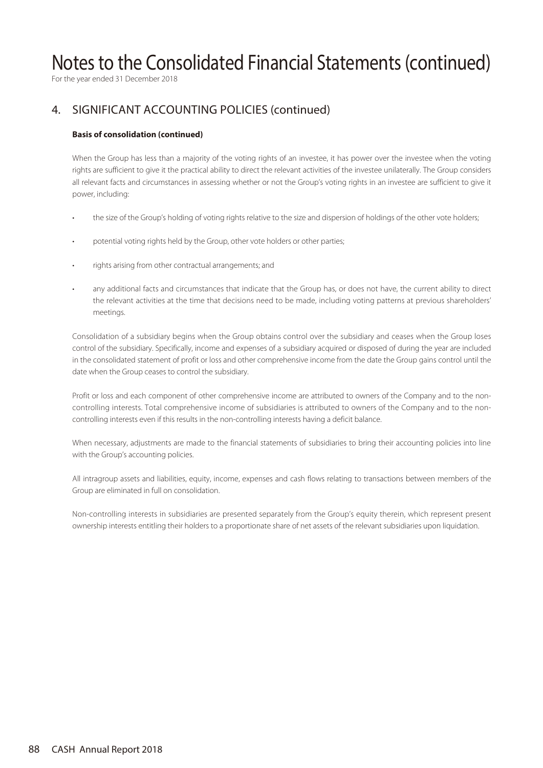For the year ended 31 December 2018

## 4. SIGNIFICANT ACCOUNTING POLICIES (continued)

## **Basis of consolidation (continued)**

When the Group has less than a majority of the voting rights of an investee, it has power over the investee when the voting rights are sufficient to give it the practical ability to direct the relevant activities of the investee unilaterally. The Group considers all relevant facts and circumstances in assessing whether or not the Group's voting rights in an investee are sufficient to give it power, including:

- the size of the Group's holding of voting rights relative to the size and dispersion of holdings of the other vote holders;
- potential voting rights held by the Group, other vote holders or other parties;
- rights arising from other contractual arrangements; and
- any additional facts and circumstances that indicate that the Group has, or does not have, the current ability to direct the relevant activities at the time that decisions need to be made, including voting patterns at previous shareholders' meetings.

Consolidation of a subsidiary begins when the Group obtains control over the subsidiary and ceases when the Group loses control of the subsidiary. Specifically, income and expenses of a subsidiary acquired or disposed of during the year are included in the consolidated statement of profit or loss and other comprehensive income from the date the Group gains control until the date when the Group ceases to control the subsidiary.

Profit or loss and each component of other comprehensive income are attributed to owners of the Company and to the noncontrolling interests. Total comprehensive income of subsidiaries is attributed to owners of the Company and to the noncontrolling interests even if this results in the non-controlling interests having a deficit balance.

When necessary, adjustments are made to the financial statements of subsidiaries to bring their accounting policies into line with the Group's accounting policies.

All intragroup assets and liabilities, equity, income, expenses and cash flows relating to transactions between members of the Group are eliminated in full on consolidation.

Non-controlling interests in subsidiaries are presented separately from the Group's equity therein, which represent present ownership interests entitling their holders to a proportionate share of net assets of the relevant subsidiaries upon liquidation.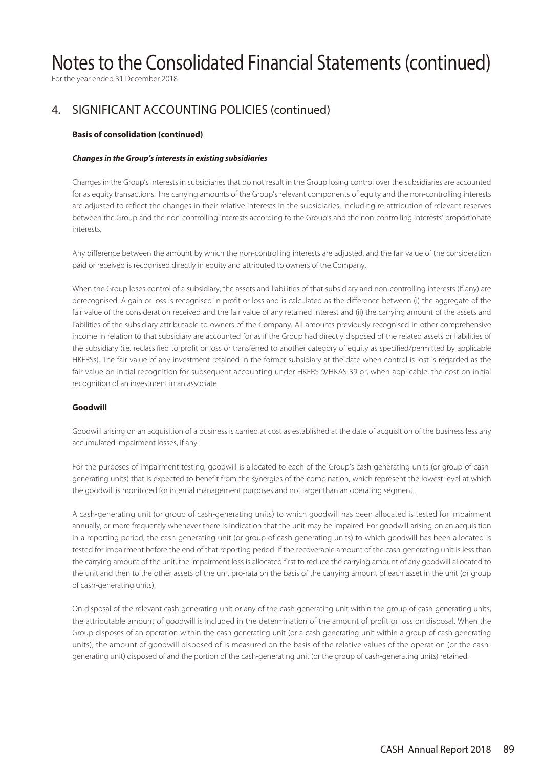For the year ended 31 December 2018

## 4. SIGNIFICANT ACCOUNTING POLICIES (continued)

### **Basis of consolidation (continued)**

### *Changes in the Group's interests in existing subsidiaries*

Changes in the Group's interests in subsidiaries that do not result in the Group losing control over the subsidiaries are accounted for as equity transactions. The carrying amounts of the Group's relevant components of equity and the non-controlling interests are adjusted to reflect the changes in their relative interests in the subsidiaries, including re-attribution of relevant reserves between the Group and the non-controlling interests according to the Group's and the non-controlling interests' proportionate interests.

Any difference between the amount by which the non-controlling interests are adjusted, and the fair value of the consideration paid or received is recognised directly in equity and attributed to owners of the Company.

When the Group loses control of a subsidiary, the assets and liabilities of that subsidiary and non-controlling interests (if any) are derecognised. A gain or loss is recognised in profit or loss and is calculated as the difference between (i) the aggregate of the fair value of the consideration received and the fair value of any retained interest and (ii) the carrying amount of the assets and liabilities of the subsidiary attributable to owners of the Company. All amounts previously recognised in other comprehensive income in relation to that subsidiary are accounted for as if the Group had directly disposed of the related assets or liabilities of the subsidiary (i.e. reclassified to profit or loss or transferred to another category of equity as specified/permitted by applicable HKFRSs). The fair value of any investment retained in the former subsidiary at the date when control is lost is regarded as the fair value on initial recognition for subsequent accounting under HKFRS 9/HKAS 39 or, when applicable, the cost on initial recognition of an investment in an associate.

### **Goodwill**

Goodwill arising on an acquisition of a business is carried at cost as established at the date of acquisition of the business less any accumulated impairment losses, if any.

For the purposes of impairment testing, goodwill is allocated to each of the Group's cash-generating units (or group of cashgenerating units) that is expected to benefit from the synergies of the combination, which represent the lowest level at which the goodwill is monitored for internal management purposes and not larger than an operating segment.

A cash-generating unit (or group of cash-generating units) to which goodwill has been allocated is tested for impairment annually, or more frequently whenever there is indication that the unit may be impaired. For goodwill arising on an acquisition in a reporting period, the cash-generating unit (or group of cash-generating units) to which goodwill has been allocated is tested for impairment before the end of that reporting period. If the recoverable amount of the cash-generating unit is less than the carrying amount of the unit, the impairment loss is allocated first to reduce the carrying amount of any goodwill allocated to the unit and then to the other assets of the unit pro-rata on the basis of the carrying amount of each asset in the unit (or group of cash-generating units).

On disposal of the relevant cash-generating unit or any of the cash-generating unit within the group of cash-generating units, the attributable amount of goodwill is included in the determination of the amount of profit or loss on disposal. When the Group disposes of an operation within the cash-generating unit (or a cash-generating unit within a group of cash-generating units), the amount of goodwill disposed of is measured on the basis of the relative values of the operation (or the cashgenerating unit) disposed of and the portion of the cash-generating unit (or the group of cash-generating units) retained.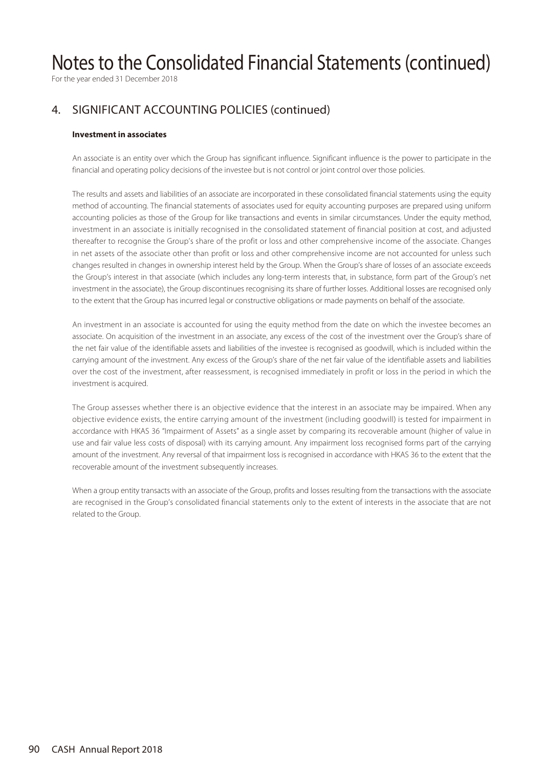For the year ended 31 December 2018

# 4. SIGNIFICANT ACCOUNTING POLICIES (continued)

## **Investment in associates**

An associate is an entity over which the Group has significant influence. Significant influence is the power to participate in the financial and operating policy decisions of the investee but is not control or joint control over those policies.

The results and assets and liabilities of an associate are incorporated in these consolidated financial statements using the equity method of accounting. The financial statements of associates used for equity accounting purposes are prepared using uniform accounting policies as those of the Group for like transactions and events in similar circumstances. Under the equity method, investment in an associate is initially recognised in the consolidated statement of financial position at cost, and adjusted thereafter to recognise the Group's share of the profit or loss and other comprehensive income of the associate. Changes in net assets of the associate other than profit or loss and other comprehensive income are not accounted for unless such changes resulted in changes in ownership interest held by the Group. When the Group's share of losses of an associate exceeds the Group's interest in that associate (which includes any long-term interests that, in substance, form part of the Group's net investment in the associate), the Group discontinues recognising its share of further losses. Additional losses are recognised only to the extent that the Group has incurred legal or constructive obligations or made payments on behalf of the associate.

An investment in an associate is accounted for using the equity method from the date on which the investee becomes an associate. On acquisition of the investment in an associate, any excess of the cost of the investment over the Group's share of the net fair value of the identifiable assets and liabilities of the investee is recognised as goodwill, which is included within the carrying amount of the investment. Any excess of the Group's share of the net fair value of the identifiable assets and liabilities over the cost of the investment, after reassessment, is recognised immediately in profit or loss in the period in which the investment is acquired.

The Group assesses whether there is an objective evidence that the interest in an associate may be impaired. When any objective evidence exists, the entire carrying amount of the investment (including goodwill) is tested for impairment in accordance with HKAS 36 "Impairment of Assets" as a single asset by comparing its recoverable amount (higher of value in use and fair value less costs of disposal) with its carrying amount. Any impairment loss recognised forms part of the carrying amount of the investment. Any reversal of that impairment loss is recognised in accordance with HKAS 36 to the extent that the recoverable amount of the investment subsequently increases.

When a group entity transacts with an associate of the Group, profits and losses resulting from the transactions with the associate are recognised in the Group's consolidated financial statements only to the extent of interests in the associate that are not related to the Group.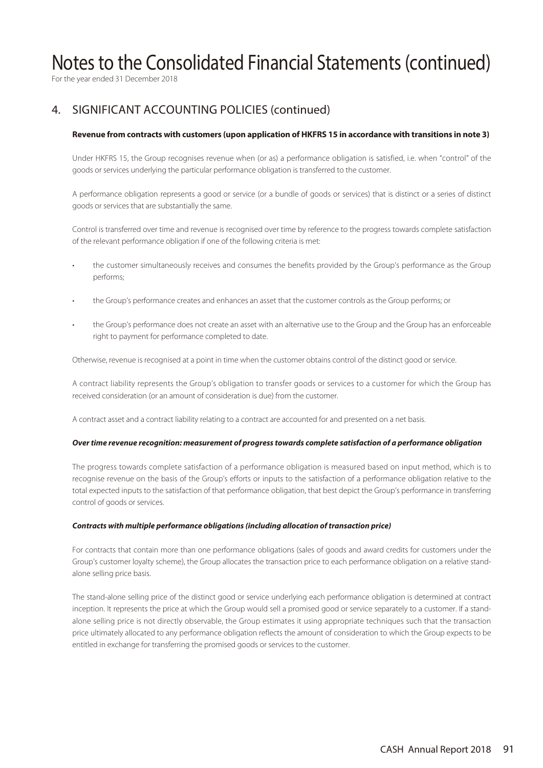For the year ended 31 December 2018

# 4. SIGNIFICANT ACCOUNTING POLICIES (continued)

## **Revenue from contracts with customers (upon application of HKFRS 15 in accordance with transitions in note 3)**

Under HKFRS 15, the Group recognises revenue when (or as) a performance obligation is satisfied, i.e. when "control" of the goods or services underlying the particular performance obligation is transferred to the customer.

A performance obligation represents a good or service (or a bundle of goods or services) that is distinct or a series of distinct goods or services that are substantially the same.

Control is transferred over time and revenue is recognised over time by reference to the progress towards complete satisfaction of the relevant performance obligation if one of the following criteria is met:

- the customer simultaneously receives and consumes the benefits provided by the Group's performance as the Group performs;
- the Group's performance creates and enhances an asset that the customer controls as the Group performs; or
- the Group's performance does not create an asset with an alternative use to the Group and the Group has an enforceable right to payment for performance completed to date.

Otherwise, revenue is recognised at a point in time when the customer obtains control of the distinct good or service.

A contract liability represents the Group's obligation to transfer goods or services to a customer for which the Group has received consideration (or an amount of consideration is due) from the customer.

A contract asset and a contract liability relating to a contract are accounted for and presented on a net basis.

#### *Over time revenue recognition: measurement of progress towards complete satisfaction of a performance obligation*

The progress towards complete satisfaction of a performance obligation is measured based on input method, which is to recognise revenue on the basis of the Group's efforts or inputs to the satisfaction of a performance obligation relative to the total expected inputs to the satisfaction of that performance obligation, that best depict the Group's performance in transferring control of goods or services.

### *Contracts with multiple performance obligations (including allocation of transaction price)*

For contracts that contain more than one performance obligations (sales of goods and award credits for customers under the Group's customer loyalty scheme), the Group allocates the transaction price to each performance obligation on a relative standalone selling price basis.

The stand-alone selling price of the distinct good or service underlying each performance obligation is determined at contract inception. It represents the price at which the Group would sell a promised good or service separately to a customer. If a standalone selling price is not directly observable, the Group estimates it using appropriate techniques such that the transaction price ultimately allocated to any performance obligation reflects the amount of consideration to which the Group expects to be entitled in exchange for transferring the promised goods or services to the customer.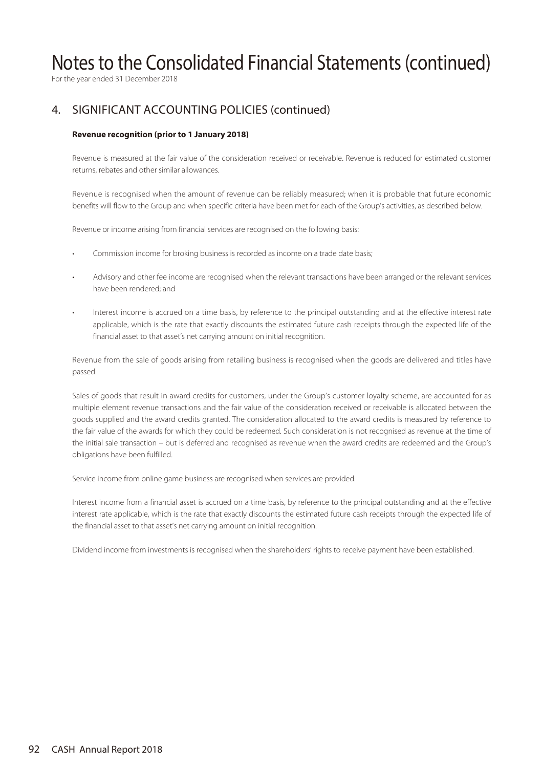For the year ended 31 December 2018

## 4. SIGNIFICANT ACCOUNTING POLICIES (continued)

## **Revenue recognition (prior to 1 January 2018)**

Revenue is measured at the fair value of the consideration received or receivable. Revenue is reduced for estimated customer returns, rebates and other similar allowances.

Revenue is recognised when the amount of revenue can be reliably measured; when it is probable that future economic benefits will flow to the Group and when specific criteria have been met for each of the Group's activities, as described below.

Revenue or income arising from financial services are recognised on the following basis:

- Commission income for broking business is recorded as income on a trade date basis;
- Advisory and other fee income are recognised when the relevant transactions have been arranged or the relevant services have been rendered; and
- Interest income is accrued on a time basis, by reference to the principal outstanding and at the effective interest rate applicable, which is the rate that exactly discounts the estimated future cash receipts through the expected life of the financial asset to that asset's net carrying amount on initial recognition.

Revenue from the sale of goods arising from retailing business is recognised when the goods are delivered and titles have passed.

Sales of goods that result in award credits for customers, under the Group's customer loyalty scheme, are accounted for as multiple element revenue transactions and the fair value of the consideration received or receivable is allocated between the goods supplied and the award credits granted. The consideration allocated to the award credits is measured by reference to the fair value of the awards for which they could be redeemed. Such consideration is not recognised as revenue at the time of the initial sale transaction – but is deferred and recognised as revenue when the award credits are redeemed and the Group's obligations have been fulfilled.

Service income from online game business are recognised when services are provided.

Interest income from a financial asset is accrued on a time basis, by reference to the principal outstanding and at the effective interest rate applicable, which is the rate that exactly discounts the estimated future cash receipts through the expected life of the financial asset to that asset's net carrying amount on initial recognition.

Dividend income from investments is recognised when the shareholders' rights to receive payment have been established.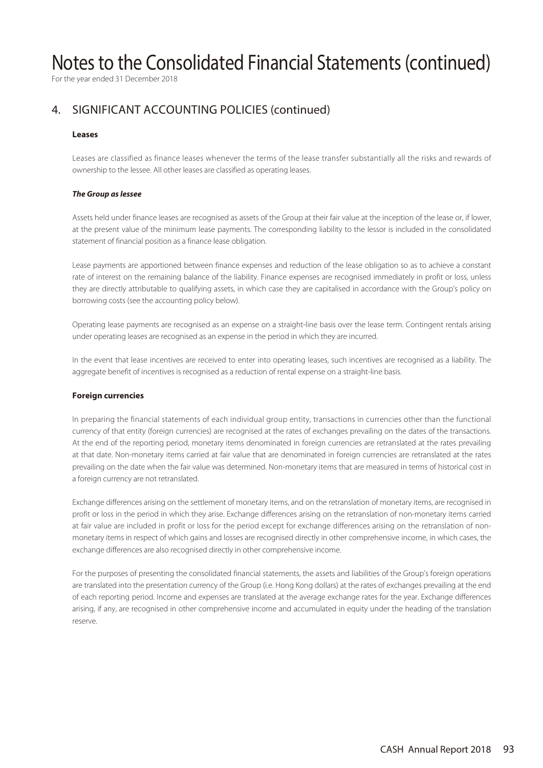For the year ended 31 December 2018

# 4. SIGNIFICANT ACCOUNTING POLICIES (continued)

#### **Leases**

Leases are classified as finance leases whenever the terms of the lease transfer substantially all the risks and rewards of ownership to the lessee. All other leases are classified as operating leases.

#### *The Group as lessee*

Assets held under finance leases are recognised as assets of the Group at their fair value at the inception of the lease or, if lower, at the present value of the minimum lease payments. The corresponding liability to the lessor is included in the consolidated statement of financial position as a finance lease obligation.

Lease payments are apportioned between finance expenses and reduction of the lease obligation so as to achieve a constant rate of interest on the remaining balance of the liability. Finance expenses are recognised immediately in profit or loss, unless they are directly attributable to qualifying assets, in which case they are capitalised in accordance with the Group's policy on borrowing costs (see the accounting policy below).

Operating lease payments are recognised as an expense on a straight-line basis over the lease term. Contingent rentals arising under operating leases are recognised as an expense in the period in which they are incurred.

In the event that lease incentives are received to enter into operating leases, such incentives are recognised as a liability. The aggregate benefit of incentives is recognised as a reduction of rental expense on a straight-line basis.

#### **Foreign currencies**

In preparing the financial statements of each individual group entity, transactions in currencies other than the functional currency of that entity (foreign currencies) are recognised at the rates of exchanges prevailing on the dates of the transactions. At the end of the reporting period, monetary items denominated in foreign currencies are retranslated at the rates prevailing at that date. Non-monetary items carried at fair value that are denominated in foreign currencies are retranslated at the rates prevailing on the date when the fair value was determined. Non-monetary items that are measured in terms of historical cost in a foreign currency are not retranslated.

Exchange differences arising on the settlement of monetary items, and on the retranslation of monetary items, are recognised in profit or loss in the period in which they arise. Exchange differences arising on the retranslation of non-monetary items carried at fair value are included in profit or loss for the period except for exchange differences arising on the retranslation of nonmonetary items in respect of which gains and losses are recognised directly in other comprehensive income, in which cases, the exchange differences are also recognised directly in other comprehensive income.

For the purposes of presenting the consolidated financial statements, the assets and liabilities of the Group's foreign operations are translated into the presentation currency of the Group (i.e. Hong Kong dollars) at the rates of exchanges prevailing at the end of each reporting period. Income and expenses are translated at the average exchange rates for the year. Exchange differences arising, if any, are recognised in other comprehensive income and accumulated in equity under the heading of the translation reserve.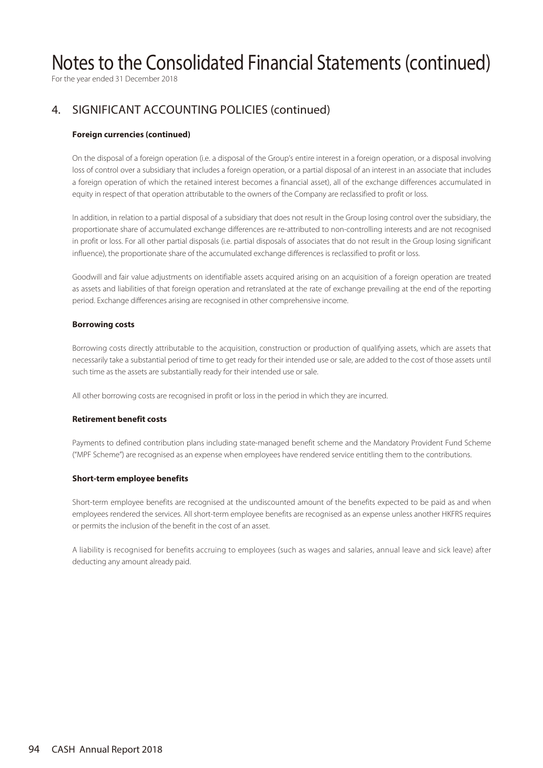For the year ended 31 December 2018

## 4. SIGNIFICANT ACCOUNTING POLICIES (continued)

## **Foreign currencies (continued)**

On the disposal of a foreign operation (i.e. a disposal of the Group's entire interest in a foreign operation, or a disposal involving loss of control over a subsidiary that includes a foreign operation, or a partial disposal of an interest in an associate that includes a foreign operation of which the retained interest becomes a financial asset), all of the exchange differences accumulated in equity in respect of that operation attributable to the owners of the Company are reclassified to profit or loss.

In addition, in relation to a partial disposal of a subsidiary that does not result in the Group losing control over the subsidiary, the proportionate share of accumulated exchange differences are re-attributed to non-controlling interests and are not recognised in profit or loss. For all other partial disposals (i.e. partial disposals of associates that do not result in the Group losing significant influence), the proportionate share of the accumulated exchange differences is reclassified to profit or loss.

Goodwill and fair value adjustments on identifiable assets acquired arising on an acquisition of a foreign operation are treated as assets and liabilities of that foreign operation and retranslated at the rate of exchange prevailing at the end of the reporting period. Exchange differences arising are recognised in other comprehensive income.

### **Borrowing costs**

Borrowing costs directly attributable to the acquisition, construction or production of qualifying assets, which are assets that necessarily take a substantial period of time to get ready for their intended use or sale, are added to the cost of those assets until such time as the assets are substantially ready for their intended use or sale.

All other borrowing costs are recognised in profit or loss in the period in which they are incurred.

### **Retirement benefit costs**

Payments to defined contribution plans including state-managed benefit scheme and the Mandatory Provident Fund Scheme ("MPF Scheme") are recognised as an expense when employees have rendered service entitling them to the contributions.

### **Short-term employee benefits**

Short-term employee benefits are recognised at the undiscounted amount of the benefits expected to be paid as and when employees rendered the services. All short-term employee benefits are recognised as an expense unless another HKFRS requires or permits the inclusion of the benefit in the cost of an asset.

A liability is recognised for benefits accruing to employees (such as wages and salaries, annual leave and sick leave) after deducting any amount already paid.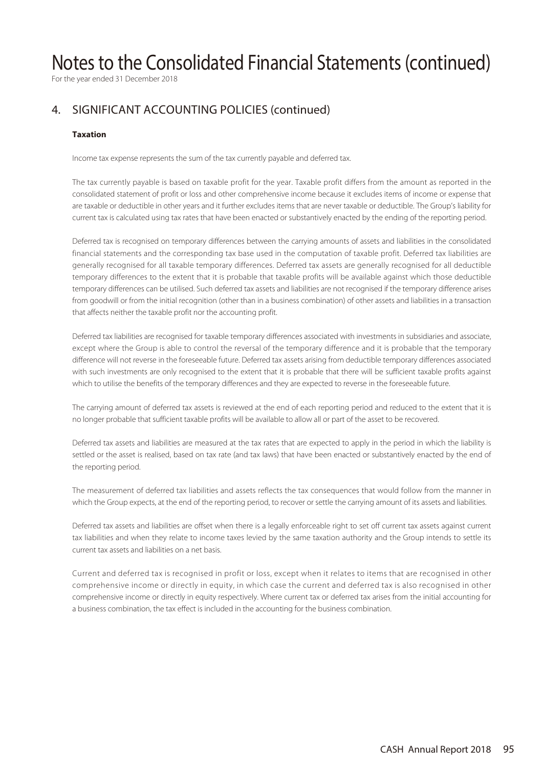For the year ended 31 December 2018

# 4. SIGNIFICANT ACCOUNTING POLICIES (continued)

### **Taxation**

Income tax expense represents the sum of the tax currently payable and deferred tax.

The tax currently payable is based on taxable profit for the year. Taxable profit differs from the amount as reported in the consolidated statement of profit or loss and other comprehensive income because it excludes items of income or expense that are taxable or deductible in other years and it further excludes items that are never taxable or deductible. The Group's liability for current tax is calculated using tax rates that have been enacted or substantively enacted by the ending of the reporting period.

Deferred tax is recognised on temporary differences between the carrying amounts of assets and liabilities in the consolidated financial statements and the corresponding tax base used in the computation of taxable profit. Deferred tax liabilities are generally recognised for all taxable temporary differences. Deferred tax assets are generally recognised for all deductible temporary differences to the extent that it is probable that taxable profits will be available against which those deductible temporary differences can be utilised. Such deferred tax assets and liabilities are not recognised if the temporary difference arises from goodwill or from the initial recognition (other than in a business combination) of other assets and liabilities in a transaction that affects neither the taxable profit nor the accounting profit.

Deferred tax liabilities are recognised for taxable temporary differences associated with investments in subsidiaries and associate, except where the Group is able to control the reversal of the temporary difference and it is probable that the temporary difference will not reverse in the foreseeable future. Deferred tax assets arising from deductible temporary differences associated with such investments are only recognised to the extent that it is probable that there will be sufficient taxable profits against which to utilise the benefits of the temporary differences and they are expected to reverse in the foreseeable future.

The carrying amount of deferred tax assets is reviewed at the end of each reporting period and reduced to the extent that it is no longer probable that sufficient taxable profits will be available to allow all or part of the asset to be recovered.

Deferred tax assets and liabilities are measured at the tax rates that are expected to apply in the period in which the liability is settled or the asset is realised, based on tax rate (and tax laws) that have been enacted or substantively enacted by the end of the reporting period.

The measurement of deferred tax liabilities and assets reflects the tax consequences that would follow from the manner in which the Group expects, at the end of the reporting period, to recover or settle the carrying amount of its assets and liabilities.

Deferred tax assets and liabilities are offset when there is a legally enforceable right to set off current tax assets against current tax liabilities and when they relate to income taxes levied by the same taxation authority and the Group intends to settle its current tax assets and liabilities on a net basis.

Current and deferred tax is recognised in profit or loss, except when it relates to items that are recognised in other comprehensive income or directly in equity, in which case the current and deferred tax is also recognised in other comprehensive income or directly in equity respectively. Where current tax or deferred tax arises from the initial accounting for a business combination, the tax effect is included in the accounting for the business combination.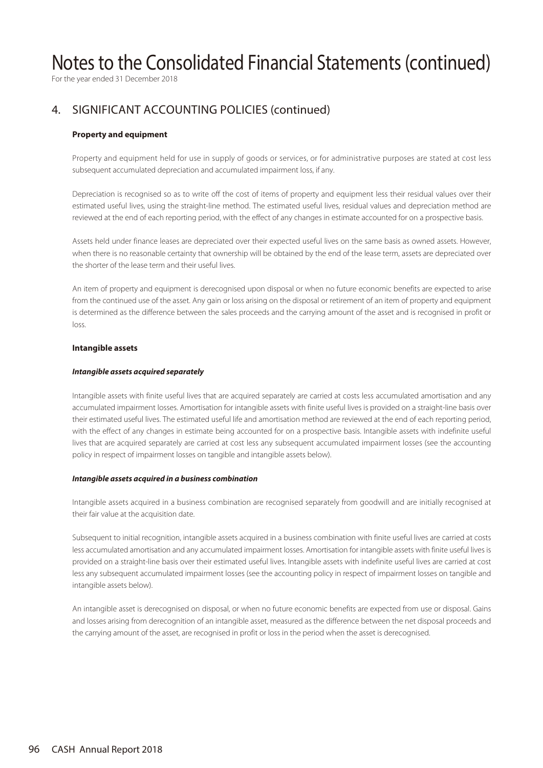For the year ended 31 December 2018

## 4. SIGNIFICANT ACCOUNTING POLICIES (continued)

### **Property and equipment**

Property and equipment held for use in supply of goods or services, or for administrative purposes are stated at cost less subsequent accumulated depreciation and accumulated impairment loss, if any.

Depreciation is recognised so as to write off the cost of items of property and equipment less their residual values over their estimated useful lives, using the straight-line method. The estimated useful lives, residual values and depreciation method are reviewed at the end of each reporting period, with the effect of any changes in estimate accounted for on a prospective basis.

Assets held under finance leases are depreciated over their expected useful lives on the same basis as owned assets. However, when there is no reasonable certainty that ownership will be obtained by the end of the lease term, assets are depreciated over the shorter of the lease term and their useful lives.

An item of property and equipment is derecognised upon disposal or when no future economic benefits are expected to arise from the continued use of the asset. Any gain or loss arising on the disposal or retirement of an item of property and equipment is determined as the difference between the sales proceeds and the carrying amount of the asset and is recognised in profit or loss.

#### **Intangible assets**

#### *Intangible assets acquired separately*

Intangible assets with finite useful lives that are acquired separately are carried at costs less accumulated amortisation and any accumulated impairment losses. Amortisation for intangible assets with finite useful lives is provided on a straight-line basis over their estimated useful lives. The estimated useful life and amortisation method are reviewed at the end of each reporting period, with the effect of any changes in estimate being accounted for on a prospective basis. Intangible assets with indefinite useful lives that are acquired separately are carried at cost less any subsequent accumulated impairment losses (see the accounting policy in respect of impairment losses on tangible and intangible assets below).

#### *Intangible assets acquired in a business combination*

Intangible assets acquired in a business combination are recognised separately from goodwill and are initially recognised at their fair value at the acquisition date.

Subsequent to initial recognition, intangible assets acquired in a business combination with finite useful lives are carried at costs less accumulated amortisation and any accumulated impairment losses. Amortisation for intangible assets with finite useful lives is provided on a straight-line basis over their estimated useful lives. Intangible assets with indefinite useful lives are carried at cost less any subsequent accumulated impairment losses (see the accounting policy in respect of impairment losses on tangible and intangible assets below).

An intangible asset is derecognised on disposal, or when no future economic benefits are expected from use or disposal. Gains and losses arising from derecognition of an intangible asset, measured as the difference between the net disposal proceeds and the carrying amount of the asset, are recognised in profit or loss in the period when the asset is derecognised.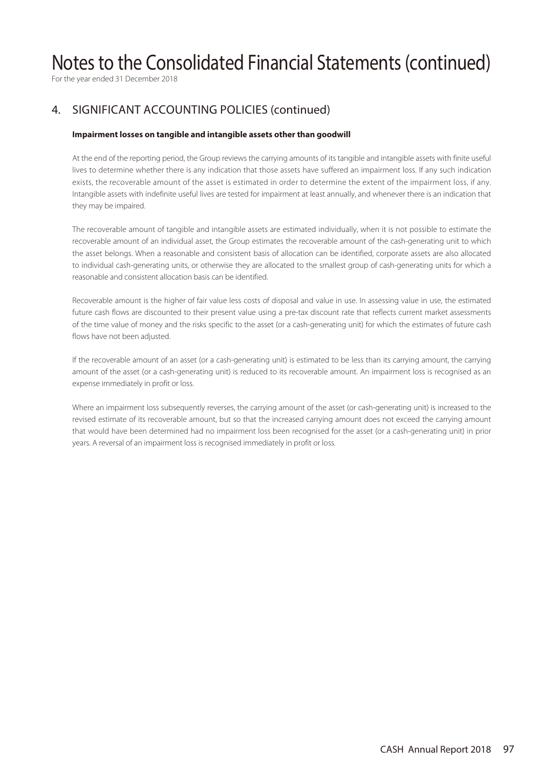For the year ended 31 December 2018

## 4. SIGNIFICANT ACCOUNTING POLICIES (continued)

## **Impairment losses on tangible and intangible assets other than goodwill**

At the end of the reporting period, the Group reviews the carrying amounts of its tangible and intangible assets with finite useful lives to determine whether there is any indication that those assets have suffered an impairment loss. If any such indication exists, the recoverable amount of the asset is estimated in order to determine the extent of the impairment loss, if any. Intangible assets with indefinite useful lives are tested for impairment at least annually, and whenever there is an indication that they may be impaired.

The recoverable amount of tangible and intangible assets are estimated individually, when it is not possible to estimate the recoverable amount of an individual asset, the Group estimates the recoverable amount of the cash-generating unit to which the asset belongs. When a reasonable and consistent basis of allocation can be identified, corporate assets are also allocated to individual cash-generating units, or otherwise they are allocated to the smallest group of cash-generating units for which a reasonable and consistent allocation basis can be identified.

Recoverable amount is the higher of fair value less costs of disposal and value in use. In assessing value in use, the estimated future cash flows are discounted to their present value using a pre-tax discount rate that reflects current market assessments of the time value of money and the risks specific to the asset (or a cash-generating unit) for which the estimates of future cash flows have not been adjusted.

If the recoverable amount of an asset (or a cash-generating unit) is estimated to be less than its carrying amount, the carrying amount of the asset (or a cash-generating unit) is reduced to its recoverable amount. An impairment loss is recognised as an expense immediately in profit or loss.

Where an impairment loss subsequently reverses, the carrying amount of the asset (or cash-generating unit) is increased to the revised estimate of its recoverable amount, but so that the increased carrying amount does not exceed the carrying amount that would have been determined had no impairment loss been recognised for the asset (or a cash-generating unit) in prior years. A reversal of an impairment loss is recognised immediately in profit or loss.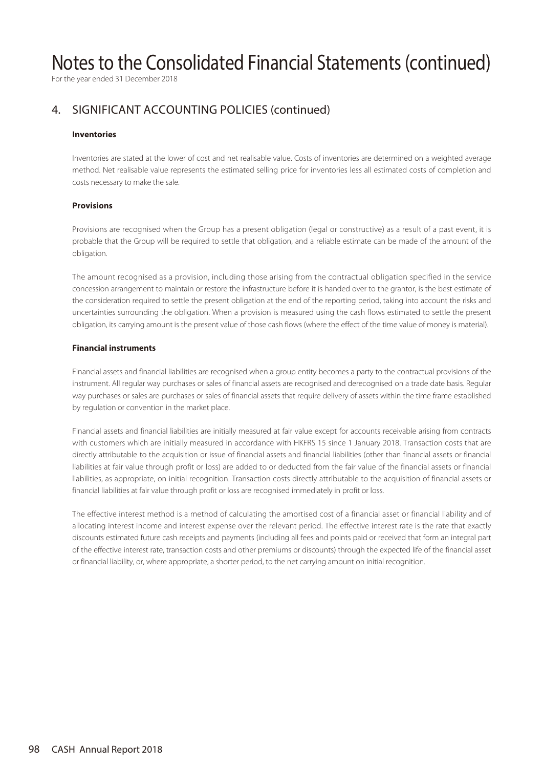For the year ended 31 December 2018

## 4. SIGNIFICANT ACCOUNTING POLICIES (continued)

### **Inventories**

Inventories are stated at the lower of cost and net realisable value. Costs of inventories are determined on a weighted average method. Net realisable value represents the estimated selling price for inventories less all estimated costs of completion and costs necessary to make the sale.

#### **Provisions**

Provisions are recognised when the Group has a present obligation (legal or constructive) as a result of a past event, it is probable that the Group will be required to settle that obligation, and a reliable estimate can be made of the amount of the obligation.

The amount recognised as a provision, including those arising from the contractual obligation specified in the service concession arrangement to maintain or restore the infrastructure before it is handed over to the grantor, is the best estimate of the consideration required to settle the present obligation at the end of the reporting period, taking into account the risks and uncertainties surrounding the obligation. When a provision is measured using the cash flows estimated to settle the present obligation, its carrying amount is the present value of those cash flows (where the effect of the time value of money is material).

#### **Financial instruments**

Financial assets and financial liabilities are recognised when a group entity becomes a party to the contractual provisions of the instrument. All regular way purchases or sales of financial assets are recognised and derecognised on a trade date basis. Regular way purchases or sales are purchases or sales of financial assets that require delivery of assets within the time frame established by regulation or convention in the market place.

Financial assets and financial liabilities are initially measured at fair value except for accounts receivable arising from contracts with customers which are initially measured in accordance with HKFRS 15 since 1 January 2018. Transaction costs that are directly attributable to the acquisition or issue of financial assets and financial liabilities (other than financial assets or financial liabilities at fair value through profit or loss) are added to or deducted from the fair value of the financial assets or financial liabilities, as appropriate, on initial recognition. Transaction costs directly attributable to the acquisition of financial assets or financial liabilities at fair value through profit or loss are recognised immediately in profit or loss.

The effective interest method is a method of calculating the amortised cost of a financial asset or financial liability and of allocating interest income and interest expense over the relevant period. The effective interest rate is the rate that exactly discounts estimated future cash receipts and payments (including all fees and points paid or received that form an integral part of the effective interest rate, transaction costs and other premiums or discounts) through the expected life of the financial asset or financial liability, or, where appropriate, a shorter period, to the net carrying amount on initial recognition.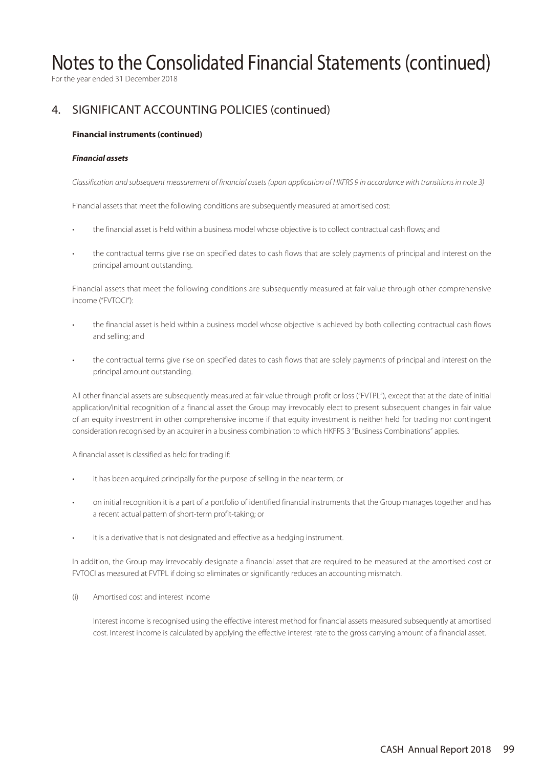For the year ended 31 December 2018

# 4. SIGNIFICANT ACCOUNTING POLICIES (continued)

## **Financial instruments (continued)**

### *Financial assets*

Classification and subsequent measurement of financial assets (upon application of HKFRS 9 in accordance with transitions in note 3)

Financial assets that meet the following conditions are subsequently measured at amortised cost:

- the financial asset is held within a business model whose objective is to collect contractual cash flows; and
- the contractual terms give rise on specified dates to cash flows that are solely payments of principal and interest on the principal amount outstanding.

Financial assets that meet the following conditions are subsequently measured at fair value through other comprehensive income ("FVTOCI"):

- the financial asset is held within a business model whose objective is achieved by both collecting contractual cash flows and selling; and
- the contractual terms give rise on specified dates to cash flows that are solely payments of principal and interest on the principal amount outstanding.

All other financial assets are subsequently measured at fair value through profit or loss ("FVTPL"), except that at the date of initial application/initial recognition of a financial asset the Group may irrevocably elect to present subsequent changes in fair value of an equity investment in other comprehensive income if that equity investment is neither held for trading nor contingent consideration recognised by an acquirer in a business combination to which HKFRS 3 "Business Combinations" applies.

A financial asset is classified as held for trading if:

- it has been acquired principally for the purpose of selling in the near term; or
- on initial recognition it is a part of a portfolio of identified financial instruments that the Group manages together and has a recent actual pattern of short-term profit-taking; or
- it is a derivative that is not designated and effective as a hedging instrument.

In addition, the Group may irrevocably designate a financial asset that are required to be measured at the amortised cost or FVTOCI as measured at FVTPL if doing so eliminates or significantly reduces an accounting mismatch.

(i) Amortised cost and interest income

Interest income is recognised using the effective interest method for financial assets measured subsequently at amortised cost. Interest income is calculated by applying the effective interest rate to the gross carrying amount of a financial asset.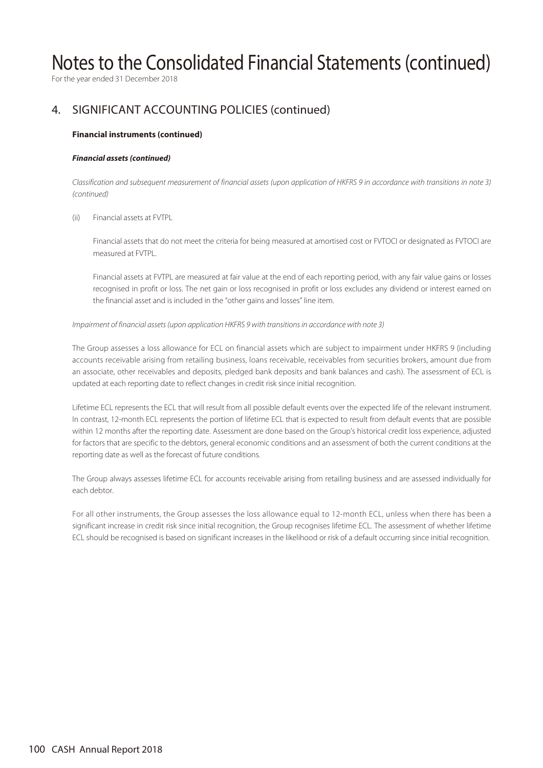For the year ended 31 December 2018

## 4. SIGNIFICANT ACCOUNTING POLICIES (continued)

### **Financial instruments (continued)**

### *Financial assets (continued)*

Classification and subsequent measurement of financial assets (upon application of HKFRS 9 in accordance with transitions in note 3) (continued)

(ii) Financial assets at FVTPL

Financial assets that do not meet the criteria for being measured at amortised cost or FVTOCI or designated as FVTOCI are measured at FVTPL.

Financial assets at FVTPL are measured at fair value at the end of each reporting period, with any fair value gains or losses recognised in profit or loss. The net gain or loss recognised in profit or loss excludes any dividend or interest earned on the financial asset and is included in the "other gains and losses" line item.

#### Impairment of financial assets (upon application HKFRS 9 with transitions in accordance with note 3)

The Group assesses a loss allowance for ECL on financial assets which are subject to impairment under HKFRS 9 (including accounts receivable arising from retailing business, loans receivable, receivables from securities brokers, amount due from an associate, other receivables and deposits, pledged bank deposits and bank balances and cash). The assessment of ECL is updated at each reporting date to reflect changes in credit risk since initial recognition.

Lifetime ECL represents the ECL that will result from all possible default events over the expected life of the relevant instrument. In contrast, 12-month ECL represents the portion of lifetime ECL that is expected to result from default events that are possible within 12 months after the reporting date. Assessment are done based on the Group's historical credit loss experience, adjusted for factors that are specific to the debtors, general economic conditions and an assessment of both the current conditions at the reporting date as well as the forecast of future conditions.

The Group always assesses lifetime ECL for accounts receivable arising from retailing business and are assessed individually for each debtor.

For all other instruments, the Group assesses the loss allowance equal to 12-month ECL, unless when there has been a significant increase in credit risk since initial recognition, the Group recognises lifetime ECL. The assessment of whether lifetime ECL should be recognised is based on significant increases in the likelihood or risk of a default occurring since initial recognition.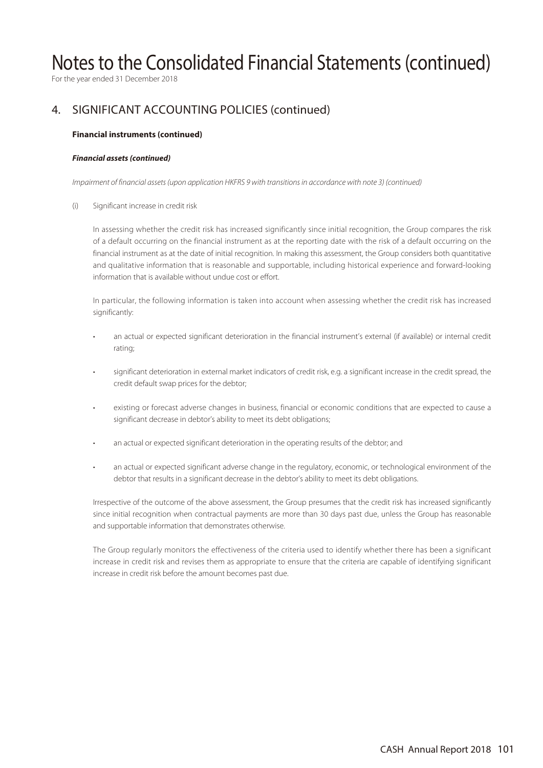For the year ended 31 December 2018

# 4. SIGNIFICANT ACCOUNTING POLICIES (continued)

## **Financial instruments (continued)**

### *Financial assets (continued)*

Impairment of financial assets (upon application HKFRS 9 with transitions in accordance with note 3) (continued)

(i) Significant increase in credit risk

In assessing whether the credit risk has increased significantly since initial recognition, the Group compares the risk of a default occurring on the financial instrument as at the reporting date with the risk of a default occurring on the financial instrument as at the date of initial recognition. In making this assessment, the Group considers both quantitative and qualitative information that is reasonable and supportable, including historical experience and forward-looking information that is available without undue cost or effort.

In particular, the following information is taken into account when assessing whether the credit risk has increased significantly:

- an actual or expected significant deterioration in the financial instrument's external (if available) or internal credit rating;
- significant deterioration in external market indicators of credit risk, e.g. a significant increase in the credit spread, the credit default swap prices for the debtor;
- existing or forecast adverse changes in business, financial or economic conditions that are expected to cause a significant decrease in debtor's ability to meet its debt obligations;
- an actual or expected significant deterioration in the operating results of the debtor; and
- an actual or expected significant adverse change in the regulatory, economic, or technological environment of the debtor that results in a significant decrease in the debtor's ability to meet its debt obligations.

Irrespective of the outcome of the above assessment, the Group presumes that the credit risk has increased significantly since initial recognition when contractual payments are more than 30 days past due, unless the Group has reasonable and supportable information that demonstrates otherwise.

The Group regularly monitors the effectiveness of the criteria used to identify whether there has been a significant increase in credit risk and revises them as appropriate to ensure that the criteria are capable of identifying significant increase in credit risk before the amount becomes past due.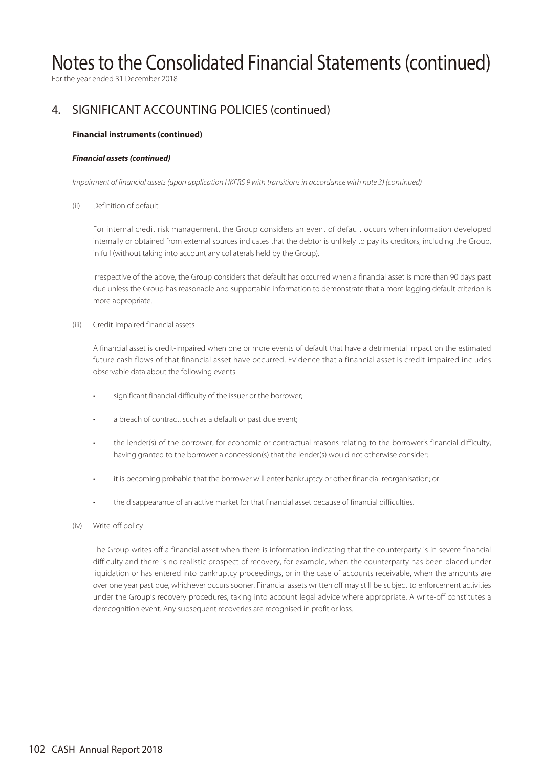For the year ended 31 December 2018

# 4. SIGNIFICANT ACCOUNTING POLICIES (continued)

## **Financial instruments (continued)**

### *Financial assets (continued)*

Impairment of financial assets (upon application HKFRS 9 with transitions in accordance with note 3) (continued)

(ii) Definition of default

For internal credit risk management, the Group considers an event of default occurs when information developed internally or obtained from external sources indicates that the debtor is unlikely to pay its creditors, including the Group, in full (without taking into account any collaterals held by the Group).

Irrespective of the above, the Group considers that default has occurred when a financial asset is more than 90 days past due unless the Group has reasonable and supportable information to demonstrate that a more lagging default criterion is more appropriate.

(iii) Credit-impaired financial assets

A financial asset is credit-impaired when one or more events of default that have a detrimental impact on the estimated future cash flows of that financial asset have occurred. Evidence that a financial asset is credit-impaired includes observable data about the following events:

- significant financial difficulty of the issuer or the borrower;
- a breach of contract, such as a default or past due event;
- the lender(s) of the borrower, for economic or contractual reasons relating to the borrower's financial difficulty, having granted to the borrower a concession(s) that the lender(s) would not otherwise consider;
- it is becoming probable that the borrower will enter bankruptcy or other financial reorganisation; or
- the disappearance of an active market for that financial asset because of financial difficulties.
- (iv) Write-off policy

The Group writes off a financial asset when there is information indicating that the counterparty is in severe financial difficulty and there is no realistic prospect of recovery, for example, when the counterparty has been placed under liquidation or has entered into bankruptcy proceedings, or in the case of accounts receivable, when the amounts are over one year past due, whichever occurs sooner. Financial assets written off may still be subject to enforcement activities under the Group's recovery procedures, taking into account legal advice where appropriate. A write-off constitutes a derecognition event. Any subsequent recoveries are recognised in profit or loss.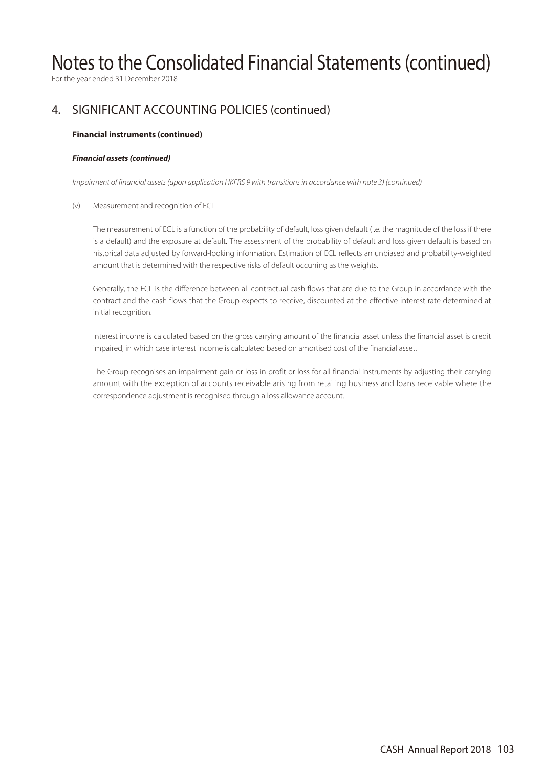For the year ended 31 December 2018

# 4. SIGNIFICANT ACCOUNTING POLICIES (continued)

## **Financial instruments (continued)**

### *Financial assets (continued)*

Impairment of financial assets (upon application HKFRS 9 with transitions in accordance with note 3) (continued)

(v) Measurement and recognition of ECL

The measurement of ECL is a function of the probability of default, loss given default (i.e. the magnitude of the loss if there is a default) and the exposure at default. The assessment of the probability of default and loss given default is based on historical data adjusted by forward-looking information. Estimation of ECL reflects an unbiased and probability-weighted amount that is determined with the respective risks of default occurring as the weights.

Generally, the ECL is the difference between all contractual cash flows that are due to the Group in accordance with the contract and the cash flows that the Group expects to receive, discounted at the effective interest rate determined at initial recognition.

Interest income is calculated based on the gross carrying amount of the financial asset unless the financial asset is credit impaired, in which case interest income is calculated based on amortised cost of the financial asset.

The Group recognises an impairment gain or loss in profit or loss for all financial instruments by adjusting their carrying amount with the exception of accounts receivable arising from retailing business and loans receivable where the correspondence adjustment is recognised through a loss allowance account.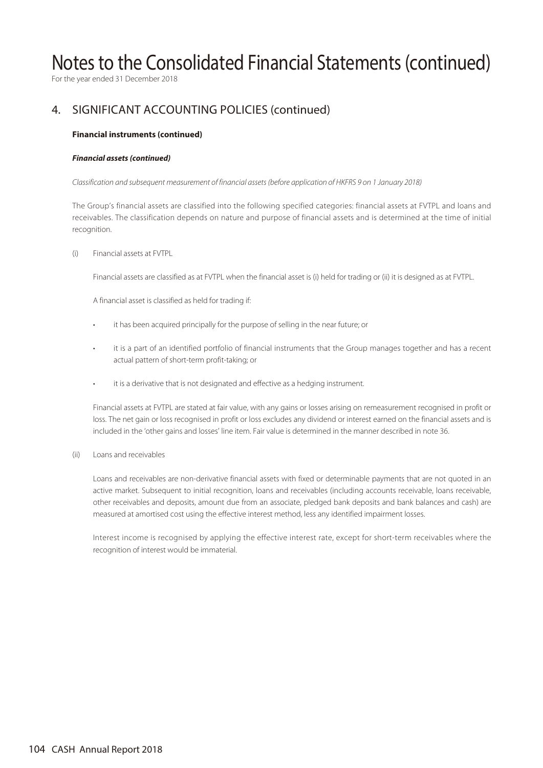For the year ended 31 December 2018

## 4. SIGNIFICANT ACCOUNTING POLICIES (continued)

## **Financial instruments (continued)**

### *Financial assets (continued)*

Classification and subsequent measurement of financial assets (before application of HKFRS 9 on 1 January 2018)

The Group's financial assets are classified into the following specified categories: financial assets at FVTPL and loans and receivables. The classification depends on nature and purpose of financial assets and is determined at the time of initial recognition.

(i) Financial assets at FVTPL

Financial assets are classified as at FVTPL when the financial asset is (i) held for trading or (ii) it is designed as at FVTPL.

A financial asset is classified as held for trading if:

- it has been acquired principally for the purpose of selling in the near future; or
- it is a part of an identified portfolio of financial instruments that the Group manages together and has a recent actual pattern of short-term profit-taking; or
- it is a derivative that is not designated and effective as a hedging instrument.

Financial assets at FVTPL are stated at fair value, with any gains or losses arising on remeasurement recognised in profit or loss. The net gain or loss recognised in profit or loss excludes any dividend or interest earned on the financial assets and is included in the 'other gains and losses' line item. Fair value is determined in the manner described in note 36.

(ii) Loans and receivables

Loans and receivables are non-derivative financial assets with fixed or determinable payments that are not quoted in an active market. Subsequent to initial recognition, loans and receivables (including accounts receivable, loans receivable, other receivables and deposits, amount due from an associate, pledged bank deposits and bank balances and cash) are measured at amortised cost using the effective interest method, less any identified impairment losses.

Interest income is recognised by applying the effective interest rate, except for short-term receivables where the recognition of interest would be immaterial.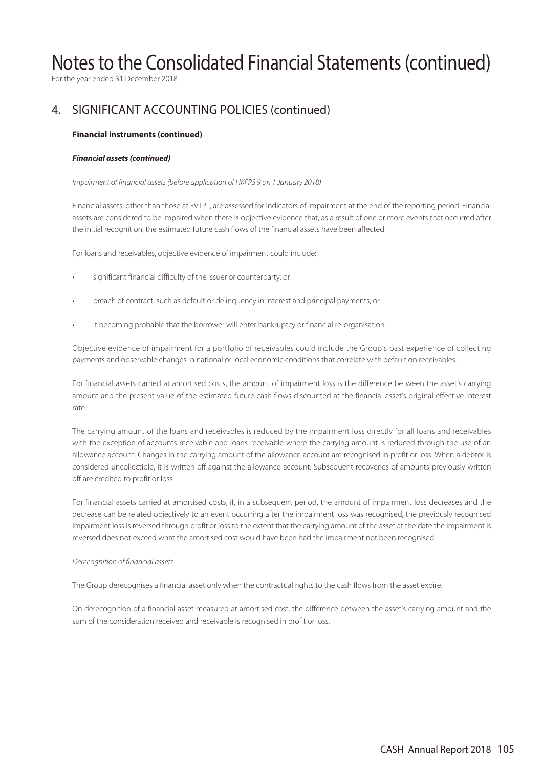For the year ended 31 December 2018

# 4. SIGNIFICANT ACCOUNTING POLICIES (continued)

## **Financial instruments (continued)**

### *Financial assets (continued)*

Impairment of financial assets (before application of HKFRS 9 on 1 January 2018)

Financial assets, other than those at FVTPL, are assessed for indicators of impairment at the end of the reporting period. Financial assets are considered to be impaired when there is objective evidence that, as a result of one or more events that occurred after the initial recognition, the estimated future cash flows of the financial assets have been affected.

For loans and receivables, objective evidence of impairment could include:

- significant financial difficulty of the issuer or counterparty; or
- breach of contract, such as default or delinquency in interest and principal payments; or
- it becoming probable that the borrower will enter bankruptcy or financial re-organisation.

Objective evidence of impairment for a portfolio of receivables could include the Group's past experience of collecting payments and observable changes in national or local economic conditions that correlate with default on receivables.

For financial assets carried at amortised costs, the amount of impairment loss is the difference between the asset's carrying amount and the present value of the estimated future cash flows discounted at the financial asset's original effective interest rate.

The carrying amount of the loans and receivables is reduced by the impairment loss directly for all loans and receivables with the exception of accounts receivable and loans receivable where the carrying amount is reduced through the use of an allowance account. Changes in the carrying amount of the allowance account are recognised in profit or loss. When a debtor is considered uncollectible, it is written off against the allowance account. Subsequent recoveries of amounts previously written off are credited to profit or loss.

For financial assets carried at amortised costs, if, in a subsequent period, the amount of impairment loss decreases and the decrease can be related objectively to an event occurring after the impairment loss was recognised, the previously recognised impairment loss is reversed through profit or loss to the extent that the carrying amount of the asset at the date the impairment is reversed does not exceed what the amortised cost would have been had the impairment not been recognised.

#### Derecognition of financial assets

The Group derecognises a financial asset only when the contractual rights to the cash flows from the asset expire.

On derecognition of a financial asset measured at amortised cost, the difference between the asset's carrying amount and the sum of the consideration received and receivable is recognised in profit or loss.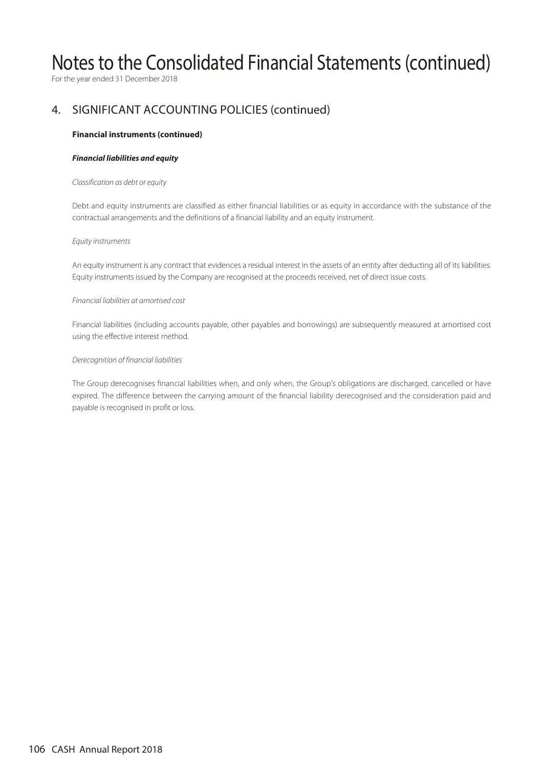For the year ended 31 December 2018

## 4. SIGNIFICANT ACCOUNTING POLICIES (continued)

### **Financial instruments (continued)**

### *Financial liabilities and equity*

#### Classification as debt or equity

Debt and equity instruments are classified as either financial liabilities or as equity in accordance with the substance of the contractual arrangements and the definitions of a financial liability and an equity instrument.

#### Equity instruments

An equity instrument is any contract that evidences a residual interest in the assets of an entity after deducting all of its liabilities. Equity instruments issued by the Company are recognised at the proceeds received, net of direct issue costs.

#### Financial liabilities at amortised cost

Financial liabilities (including accounts payable, other payables and borrowings) are subsequently measured at amortised cost using the effective interest method.

#### Derecognition of financial liabilities

The Group derecognises financial liabilities when, and only when, the Group's obligations are discharged, cancelled or have expired. The difference between the carrying amount of the financial liability derecognised and the consideration paid and payable is recognised in profit or loss.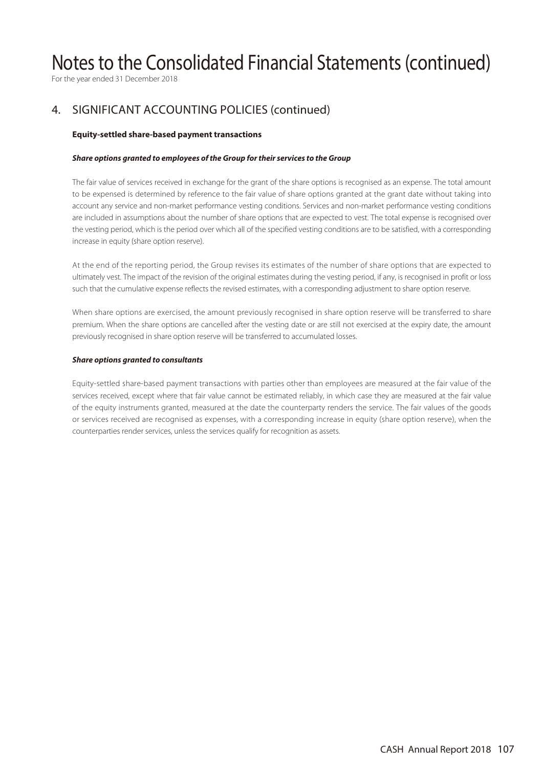For the year ended 31 December 2018

# 4. SIGNIFICANT ACCOUNTING POLICIES (continued)

### **Equity-settled share-based payment transactions**

### *Share options granted to employees of the Group for their services to the Group*

The fair value of services received in exchange for the grant of the share options is recognised as an expense. The total amount to be expensed is determined by reference to the fair value of share options granted at the grant date without taking into account any service and non-market performance vesting conditions. Services and non-market performance vesting conditions are included in assumptions about the number of share options that are expected to vest. The total expense is recognised over the vesting period, which is the period over which all of the specified vesting conditions are to be satisfied, with a corresponding increase in equity (share option reserve).

At the end of the reporting period, the Group revises its estimates of the number of share options that are expected to ultimately vest. The impact of the revision of the original estimates during the vesting period, if any, is recognised in profit or loss such that the cumulative expense reflects the revised estimates, with a corresponding adjustment to share option reserve.

When share options are exercised, the amount previously recognised in share option reserve will be transferred to share premium. When the share options are cancelled after the vesting date or are still not exercised at the expiry date, the amount previously recognised in share option reserve will be transferred to accumulated losses.

### *Share options granted to consultants*

Equity-settled share-based payment transactions with parties other than employees are measured at the fair value of the services received, except where that fair value cannot be estimated reliably, in which case they are measured at the fair value of the equity instruments granted, measured at the date the counterparty renders the service. The fair values of the goods or services received are recognised as expenses, with a corresponding increase in equity (share option reserve), when the counterparties render services, unless the services qualify for recognition as assets.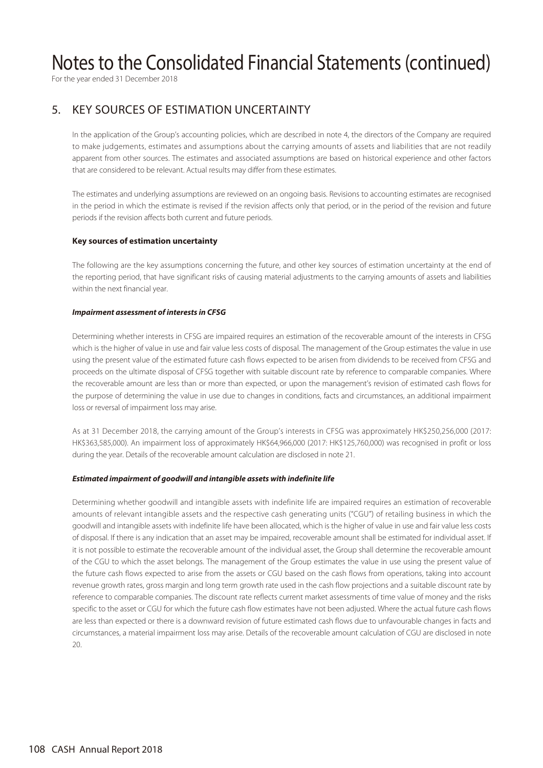For the year ended 31 December 2018

## 5. KEY SOURCES OF ESTIMATION UNCERTAINTY

In the application of the Group's accounting policies, which are described in note 4, the directors of the Company are required to make judgements, estimates and assumptions about the carrying amounts of assets and liabilities that are not readily apparent from other sources. The estimates and associated assumptions are based on historical experience and other factors that are considered to be relevant. Actual results may differ from these estimates.

The estimates and underlying assumptions are reviewed on an ongoing basis. Revisions to accounting estimates are recognised in the period in which the estimate is revised if the revision affects only that period, or in the period of the revision and future periods if the revision affects both current and future periods.

### **Key sources of estimation uncertainty**

The following are the key assumptions concerning the future, and other key sources of estimation uncertainty at the end of the reporting period, that have significant risks of causing material adjustments to the carrying amounts of assets and liabilities within the next financial year.

#### *Impairment assessment of interests in CFSG*

Determining whether interests in CFSG are impaired requires an estimation of the recoverable amount of the interests in CFSG which is the higher of value in use and fair value less costs of disposal. The management of the Group estimates the value in use using the present value of the estimated future cash flows expected to be arisen from dividends to be received from CFSG and proceeds on the ultimate disposal of CFSG together with suitable discount rate by reference to comparable companies. Where the recoverable amount are less than or more than expected, or upon the management's revision of estimated cash flows for the purpose of determining the value in use due to changes in conditions, facts and circumstances, an additional impairment loss or reversal of impairment loss may arise.

As at 31 December 2018, the carrying amount of the Group's interests in CFSG was approximately HK\$250,256,000 (2017: HK\$363,585,000). An impairment loss of approximately HK\$64,966,000 (2017: HK\$125,760,000) was recognised in profit or loss during the year. Details of the recoverable amount calculation are disclosed in note 21.

#### *Estimated impairment of goodwill and intangible assets with indefinite life*

Determining whether goodwill and intangible assets with indefinite life are impaired requires an estimation of recoverable amounts of relevant intangible assets and the respective cash generating units ("CGU") of retailing business in which the goodwill and intangible assets with indefinite life have been allocated, which is the higher of value in use and fair value less costs of disposal. If there is any indication that an asset may be impaired, recoverable amount shall be estimated for individual asset. If it is not possible to estimate the recoverable amount of the individual asset, the Group shall determine the recoverable amount of the CGU to which the asset belongs. The management of the Group estimates the value in use using the present value of the future cash flows expected to arise from the assets or CGU based on the cash flows from operations, taking into account revenue growth rates, gross margin and long term growth rate used in the cash flow projections and a suitable discount rate by reference to comparable companies. The discount rate reflects current market assessments of time value of money and the risks specific to the asset or CGU for which the future cash flow estimates have not been adjusted. Where the actual future cash flows are less than expected or there is a downward revision of future estimated cash flows due to unfavourable changes in facts and circumstances, a material impairment loss may arise. Details of the recoverable amount calculation of CGU are disclosed in note 20.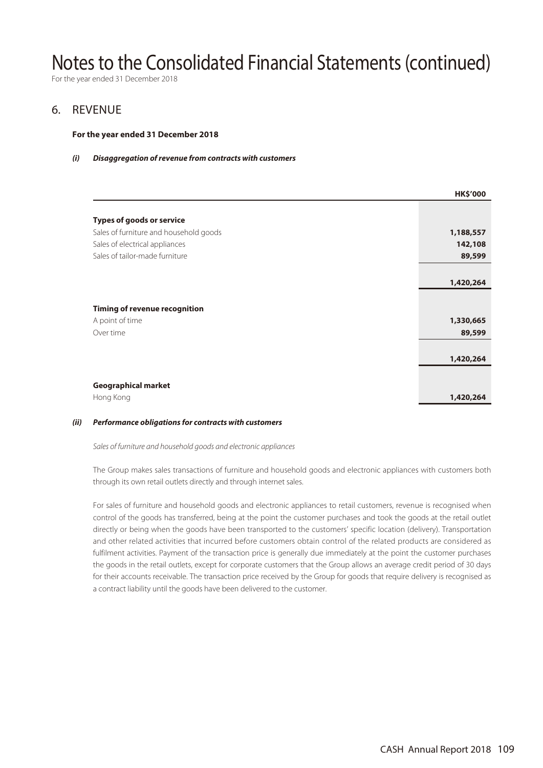For the year ended 31 December 2018

### 6. REVENUE

#### **For the year ended 31 December 2018**

#### *(i) Disaggregation of revenue from contracts with customers*

|                                        | <b>HK\$'000</b> |
|----------------------------------------|-----------------|
|                                        |                 |
| <b>Types of goods or service</b>       |                 |
| Sales of furniture and household goods | 1,188,557       |
| Sales of electrical appliances         | 142,108         |
| Sales of tailor-made furniture         | 89,599          |
|                                        |                 |
|                                        | 1,420,264       |
|                                        |                 |
| <b>Timing of revenue recognition</b>   |                 |
| A point of time                        | 1,330,665       |
| Over time                              | 89,599          |
|                                        |                 |
|                                        | 1,420,264       |
|                                        |                 |
| Geographical market                    |                 |
| Hong Kong                              | 1,420,264       |

#### *(ii) Performance obligations for contracts with customers*

Sales of furniture and household goods and electronic appliances

The Group makes sales transactions of furniture and household goods and electronic appliances with customers both through its own retail outlets directly and through internet sales.

For sales of furniture and household goods and electronic appliances to retail customers, revenue is recognised when control of the goods has transferred, being at the point the customer purchases and took the goods at the retail outlet directly or being when the goods have been transported to the customers' specific location (delivery). Transportation and other related activities that incurred before customers obtain control of the related products are considered as fulfilment activities. Payment of the transaction price is generally due immediately at the point the customer purchases the goods in the retail outlets, except for corporate customers that the Group allows an average credit period of 30 days for their accounts receivable. The transaction price received by the Group for goods that require delivery is recognised as a contract liability until the goods have been delivered to the customer.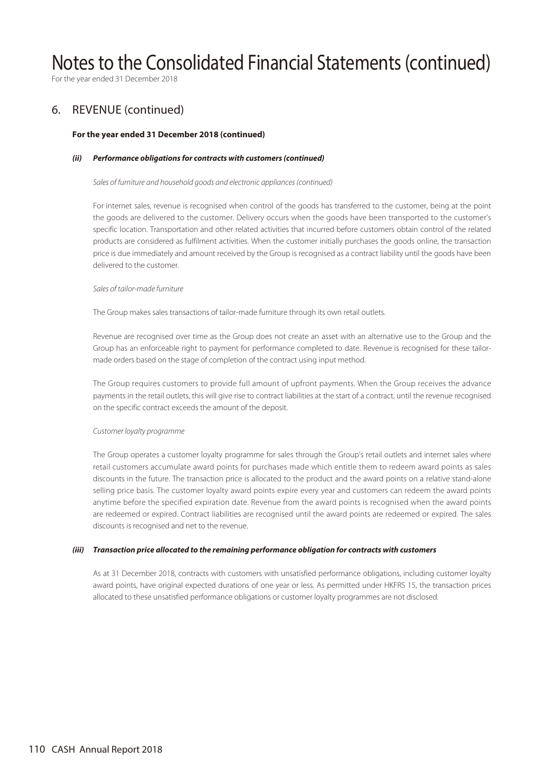For the year ended 31 December 2018

## 6. REVENUE (continued)

#### **For the year ended 31 December 2018 (continued)**

#### *(ii) Performance obligations for contracts with customers (continued)*

Sales of furniture and household goods and electronic appliances (continued)

For internet sales, revenue is recognised when control of the goods has transferred to the customer, being at the point the goods are delivered to the customer. Delivery occurs when the goods have been transported to the customer's specific location. Transportation and other related activities that incurred before customers obtain control of the related products are considered as fulfilment activities. When the customer initially purchases the goods online, the transaction price is due immediately and amount received by the Group is recognised as a contract liability until the goods have been delivered to the customer.

#### Sales of tailor-made furniture

The Group makes sales transactions of tailor-made furniture through its own retail outlets.

Revenue are recognised over time as the Group does not create an asset with an alternative use to the Group and the Group has an enforceable right to payment for performance completed to date. Revenue is recognised for these tailormade orders based on the stage of completion of the contract using input method.

The Group requires customers to provide full amount of upfront payments. When the Group receives the advance payments in the retail outlets, this will give rise to contract liabilities at the start of a contract, until the revenue recognised on the specific contract exceeds the amount of the deposit.

#### Customer loyalty programme

The Group operates a customer loyalty programme for sales through the Group's retail outlets and internet sales where retail customers accumulate award points for purchases made which entitle them to redeem award points as sales discounts in the future. The transaction price is allocated to the product and the award points on a relative stand-alone selling price basis. The customer loyalty award points expire every year and customers can redeem the award points anytime before the specified expiration date. Revenue from the award points is recognised when the award points are redeemed or expired. Contract liabilities are recognised until the award points are redeemed or expired. The sales discounts is recognised and net to the revenue.

#### *(iii) Transaction price allocated to the remaining performance obligation for contracts with customers*

As at 31 December 2018, contracts with customers with unsatisfied performance obligations, including customer loyalty award points, have original expected durations of one year or less. As permitted under HKFRS 15, the transaction prices allocated to these unsatisfied performance obligations or customer loyalty programmes are not disclosed.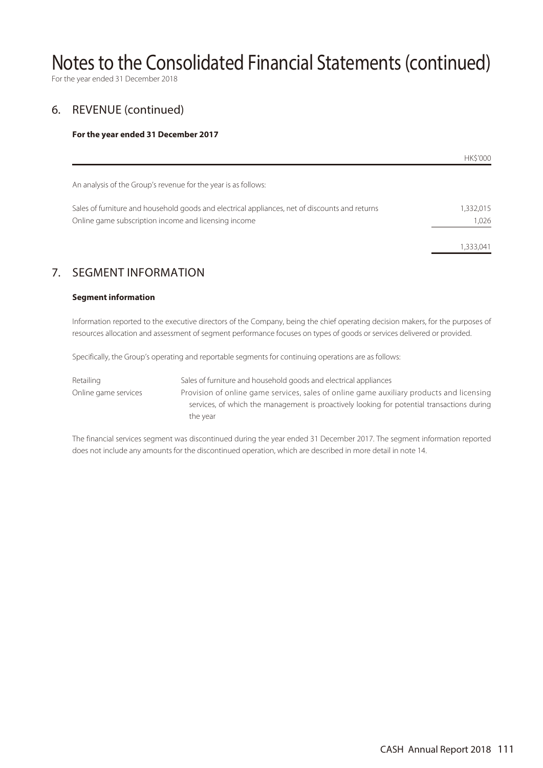For the year ended 31 December 2018

## 6. REVENUE (continued)

### **For the year ended 31 December 2017**

|                                                                                                                                                        | <b>HKS'000</b>     |
|--------------------------------------------------------------------------------------------------------------------------------------------------------|--------------------|
| An analysis of the Group's revenue for the year is as follows:                                                                                         |                    |
| Sales of furniture and household goods and electrical appliances, net of discounts and returns<br>Online game subscription income and licensing income | 1,332,015<br>1,026 |
|                                                                                                                                                        | 1,333,041          |

### 7. SEGMENT INFORMATION

#### **Segment information**

Information reported to the executive directors of the Company, being the chief operating decision makers, for the purposes of resources allocation and assessment of segment performance focuses on types of goods or services delivered or provided.

Specifically, the Group's operating and reportable segments for continuing operations are as follows:

Retailing Sales of furniture and household goods and electrical appliances Online game services Provision of online game services, sales of online game auxiliary products and licensing services, of which the management is proactively looking for potential transactions during the year

The financial services segment was discontinued during the year ended 31 December 2017. The segment information reported does not include any amounts for the discontinued operation, which are described in more detail in note 14.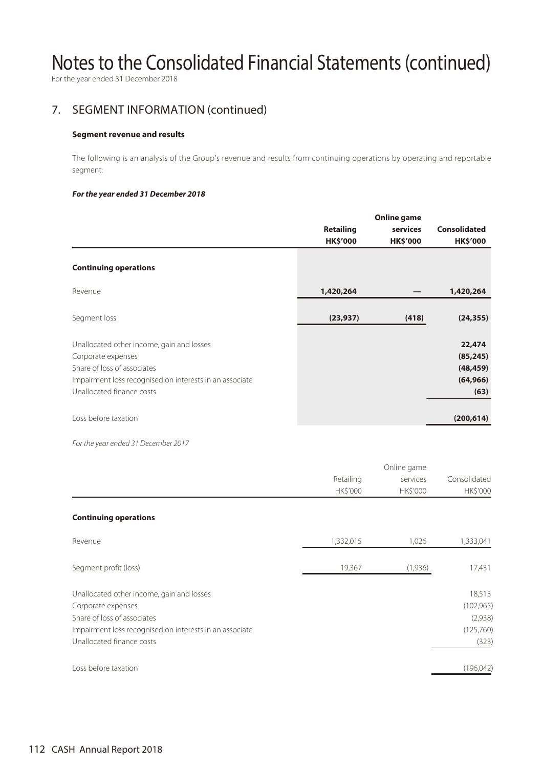For the year ended 31 December 2018

### 7. SEGMENT INFORMATION (continued)

### **Segment revenue and results**

The following is an analysis of the Group's revenue and results from continuing operations by operating and reportable segment:

#### *For the year ended 31 December 2018*

|                                                         |                  | <b>Online game</b> |                     |
|---------------------------------------------------------|------------------|--------------------|---------------------|
|                                                         | <b>Retailing</b> | services           | <b>Consolidated</b> |
|                                                         | <b>HK\$'000</b>  | <b>HK\$'000</b>    | <b>HK\$'000</b>     |
|                                                         |                  |                    |                     |
| <b>Continuing operations</b>                            |                  |                    |                     |
| Revenue                                                 | 1,420,264        |                    | 1,420,264           |
|                                                         |                  |                    |                     |
| Segment loss                                            | (23, 937)        | (418)              | (24, 355)           |
| Unallocated other income, gain and losses               |                  |                    | 22,474              |
| Corporate expenses                                      |                  |                    | (85, 245)           |
| Share of loss of associates                             |                  |                    | (48, 459)           |
| Impairment loss recognised on interests in an associate |                  |                    | (64, 966)           |
| Unallocated finance costs                               |                  |                    | (63)                |
| Loss before taxation                                    |                  |                    | (200, 614)          |

For the year ended 31 December 2017

|                                                                                                                                                                                        |                       | Online game          |                                                       |  |
|----------------------------------------------------------------------------------------------------------------------------------------------------------------------------------------|-----------------------|----------------------|-------------------------------------------------------|--|
|                                                                                                                                                                                        | Retailing<br>HK\$'000 | services<br>HK\$'000 | Consolidated<br>HK\$'000                              |  |
| <b>Continuing operations</b>                                                                                                                                                           |                       |                      |                                                       |  |
| Revenue                                                                                                                                                                                | 1,332,015             | 1,026                | 1,333,041                                             |  |
| Segment profit (loss)                                                                                                                                                                  | 19,367                | (1,936)              | 17,431                                                |  |
| Unallocated other income, gain and losses<br>Corporate expenses<br>Share of loss of associates<br>Impairment loss recognised on interests in an associate<br>Unallocated finance costs |                       |                      | 18,513<br>(102, 965)<br>(2,938)<br>(125,760)<br>(323) |  |
| Loss before taxation                                                                                                                                                                   |                       |                      | (196,042)                                             |  |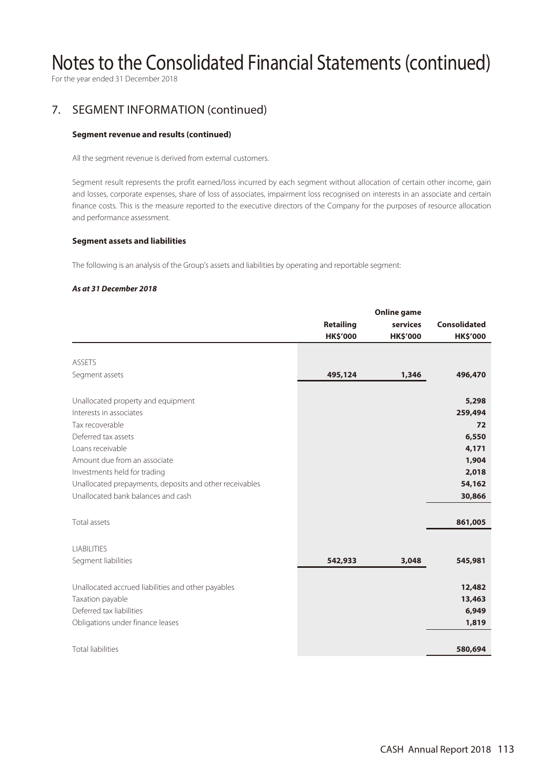For the year ended 31 December 2018

## 7. SEGMENT INFORMATION (continued)

### **Segment revenue and results (continued)**

All the segment revenue is derived from external customers.

Segment result represents the profit earned/loss incurred by each segment without allocation of certain other income, gain and losses, corporate expenses, share of loss of associates, impairment loss recognised on interests in an associate and certain finance costs. This is the measure reported to the executive directors of the Company for the purposes of resource allocation and performance assessment.

#### **Segment assets and liabilities**

The following is an analysis of the Group's assets and liabilities by operating and reportable segment:

#### *As at 31 December 2018*

|                                                         |                  | <b>Online game</b> |                     |
|---------------------------------------------------------|------------------|--------------------|---------------------|
|                                                         | <b>Retailing</b> | services           | <b>Consolidated</b> |
|                                                         | <b>HK\$'000</b>  | <b>HK\$'000</b>    | <b>HK\$'000</b>     |
|                                                         |                  |                    |                     |
| <b>ASSETS</b>                                           |                  |                    |                     |
| Segment assets                                          | 495,124          | 1,346              | 496,470             |
|                                                         |                  |                    |                     |
| Unallocated property and equipment                      |                  |                    | 5,298               |
| Interests in associates                                 |                  |                    | 259,494             |
| Tax recoverable                                         |                  |                    | 72                  |
| Deferred tax assets                                     |                  |                    | 6,550               |
| Loans receivable                                        |                  |                    | 4,171               |
| Amount due from an associate                            |                  |                    | 1,904               |
| Investments held for trading                            |                  |                    | 2,018               |
| Unallocated prepayments, deposits and other receivables |                  |                    | 54,162              |
| Unallocated bank balances and cash                      |                  |                    | 30,866              |
|                                                         |                  |                    |                     |
| Total assets                                            |                  |                    | 861,005             |
|                                                         |                  |                    |                     |
| <b>LIABILITIES</b>                                      |                  |                    |                     |
| Segment liabilities                                     | 542,933          | 3,048              | 545,981             |
|                                                         |                  |                    |                     |
| Unallocated accrued liabilities and other payables      |                  |                    | 12,482              |
| Taxation payable                                        |                  |                    | 13,463              |
| Deferred tax liabilities                                |                  |                    | 6,949               |
| Obligations under finance leases                        |                  |                    | 1,819               |
|                                                         |                  |                    |                     |
| <b>Total liabilities</b>                                |                  |                    | 580,694             |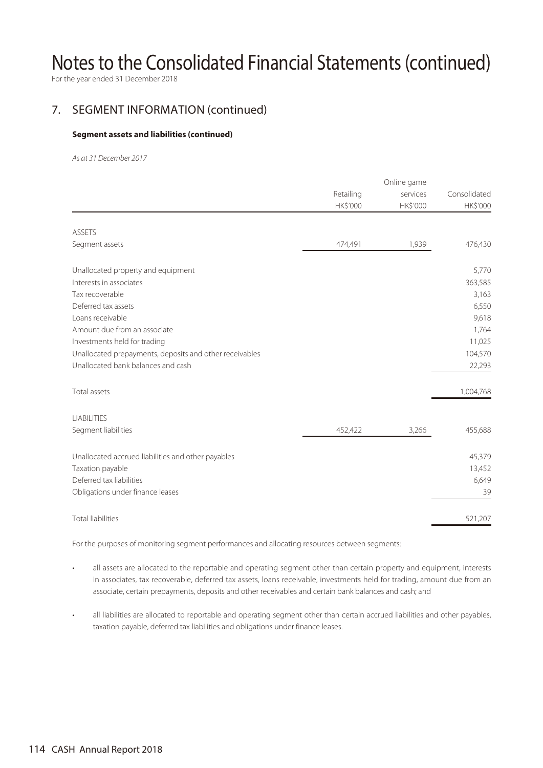For the year ended 31 December 2018

## 7. SEGMENT INFORMATION (continued)

### **Segment assets and liabilities (continued)**

As at 31 December 2017

|                                                         | Retailing | services | Consolidated |
|---------------------------------------------------------|-----------|----------|--------------|
|                                                         | HK\$'000  | HK\$'000 | HK\$'000     |
| <b>ASSETS</b>                                           |           |          |              |
|                                                         |           |          |              |
| Segment assets                                          | 474,491   | 1,939    | 476,430      |
| Unallocated property and equipment                      |           |          | 5,770        |
| Interests in associates                                 |           |          | 363,585      |
| Tax recoverable                                         |           |          | 3,163        |
| Deferred tax assets                                     |           |          | 6,550        |
| Loans receivable                                        |           |          | 9,618        |
| Amount due from an associate                            |           |          | 1,764        |
| Investments held for trading                            |           |          | 11,025       |
| Unallocated prepayments, deposits and other receivables |           |          | 104,570      |
| Unallocated bank balances and cash                      |           |          | 22,293       |
| Total assets                                            |           |          | 1,004,768    |
| <b>LIABILITIES</b>                                      |           |          |              |
| Segment liabilities                                     | 452,422   | 3,266    | 455,688      |
| Unallocated accrued liabilities and other payables      |           |          | 45,379       |
| Taxation payable                                        |           |          | 13,452       |
| Deferred tax liabilities                                |           |          | 6,649        |
| Obligations under finance leases                        |           |          | 39           |
|                                                         |           |          |              |
| <b>Total liabilities</b>                                |           |          | 521,207      |

For the purposes of monitoring segment performances and allocating resources between segments:

- all assets are allocated to the reportable and operating segment other than certain property and equipment, interests in associates, tax recoverable, deferred tax assets, loans receivable, investments held for trading, amount due from an associate, certain prepayments, deposits and other receivables and certain bank balances and cash; and
- all liabilities are allocated to reportable and operating segment other than certain accrued liabilities and other payables, taxation payable, deferred tax liabilities and obligations under finance leases.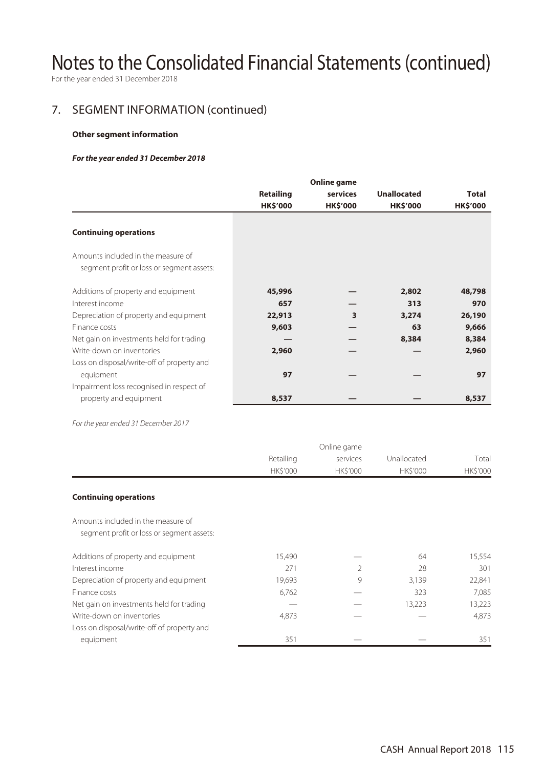For the year ended 31 December 2018

## 7. SEGMENT INFORMATION (continued)

### **Other segment information**

#### *For the year ended 31 December 2018*

|                                            |                  | <b>Online game</b> |                    |                 |
|--------------------------------------------|------------------|--------------------|--------------------|-----------------|
|                                            | <b>Retailing</b> | services           | <b>Unallocated</b> | <b>Total</b>    |
|                                            | <b>HK\$'000</b>  | <b>HK\$'000</b>    | <b>HK\$'000</b>    | <b>HK\$'000</b> |
| <b>Continuing operations</b>               |                  |                    |                    |                 |
| Amounts included in the measure of         |                  |                    |                    |                 |
| segment profit or loss or segment assets:  |                  |                    |                    |                 |
| Additions of property and equipment        | 45,996           |                    | 2,802              | 48,798          |
| Interest income                            | 657              |                    | 313                | 970             |
| Depreciation of property and equipment     | 22,913           | 3                  | 3,274              | 26,190          |
| Finance costs                              | 9,603            |                    | 63                 | 9,666           |
| Net gain on investments held for trading   |                  |                    | 8,384              | 8,384           |
| Write-down on inventories                  | 2,960            |                    |                    | 2,960           |
| Loss on disposal/write-off of property and |                  |                    |                    |                 |
| equipment                                  | 97               |                    |                    | 97              |
| Impairment loss recognised in respect of   |                  |                    |                    |                 |
| property and equipment                     | 8,537            |                    |                    | 8,537           |

For the year ended 31 December 2017

|                                            | Online game           |                      |                         |                   |
|--------------------------------------------|-----------------------|----------------------|-------------------------|-------------------|
|                                            | Retailing<br>HK\$'000 | services<br>HK\$'000 | Unallocated<br>HK\$'000 | Total<br>HK\$'000 |
|                                            |                       |                      |                         |                   |
| <b>Continuing operations</b>               |                       |                      |                         |                   |
| Amounts included in the measure of         |                       |                      |                         |                   |
| segment profit or loss or segment assets:  |                       |                      |                         |                   |
| Additions of property and equipment        | 15,490                |                      | 64                      | 15,554            |
| Interest income                            | 271                   | 2                    | 28                      | 301               |
| Depreciation of property and equipment     | 19,693                | 9                    | 3,139                   | 22,841            |
| Finance costs                              | 6,762                 |                      | 323                     | 7,085             |
| Net gain on investments held for trading   |                       |                      | 13,223                  | 13,223            |
| Write-down on inventories                  | 4,873                 |                      |                         | 4,873             |
| Loss on disposal/write-off of property and |                       |                      |                         |                   |
| equipment                                  | 351                   |                      |                         | 351               |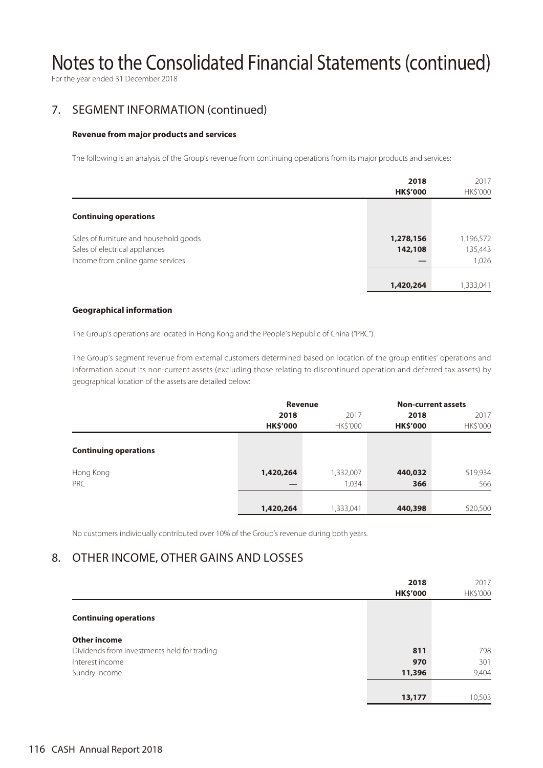For the year ended 31 December 2018

## 7. SEGMENT INFORMATION (continued)

### **Revenue from major products and services**

The following is an analysis of the Group's revenue from continuing operations from its major products and services:

|                                        | 2018            | 2017      |
|----------------------------------------|-----------------|-----------|
|                                        | <b>HK\$'000</b> | HK\$'000  |
|                                        |                 |           |
| <b>Continuing operations</b>           |                 |           |
|                                        |                 |           |
| Sales of furniture and household goods | 1,278,156       | 1,196,572 |
| Sales of electrical appliances         | 142,108         | 135,443   |
| Income from online game services       |                 | 1,026     |
|                                        |                 |           |
|                                        | 1,420,264       | 1,333,041 |

#### **Geographical information**

The Group's operations are located in Hong Kong and the People's Republic of China ("PRC").

The Group's segment revenue from external customers determined based on location of the group entities' operations and information about its non-current assets (excluding those relating to discontinued operation and deferred tax assets) by geographical location of the assets are detailed below:

|                              |                 | <b>Revenue</b>  |                 | <b>Non-current assets</b> |
|------------------------------|-----------------|-----------------|-----------------|---------------------------|
|                              | 2018            | 2017            | 2018            | 2017                      |
|                              | <b>HK\$'000</b> | <b>HK\$'000</b> | <b>HK\$'000</b> | HK\$'000                  |
| <b>Continuing operations</b> |                 |                 |                 |                           |
| Hong Kong                    | 1,420,264       | 1,332,007       | 440,032         | 519,934                   |
| <b>PRC</b>                   |                 | 1,034           | 366             | 566                       |
|                              | 1,420,264       | 1,333,041       | 440,398         | 520,500                   |

No customers individually contributed over 10% of the Group's revenue during both years.

## 8. OTHER INCOME, OTHER GAINS AND LOSSES

|                                             | 2018<br><b>HK\$'000</b> | 2017<br>HK\$'000 |
|---------------------------------------------|-------------------------|------------------|
| <b>Continuing operations</b>                |                         |                  |
| <b>Other income</b>                         |                         |                  |
| Dividends from investments held for trading | 811                     | 798              |
| Interest income                             | 970                     | 301              |
| Sundry income                               | 11,396                  | 9,404            |
|                                             | 13,177                  | 10,503           |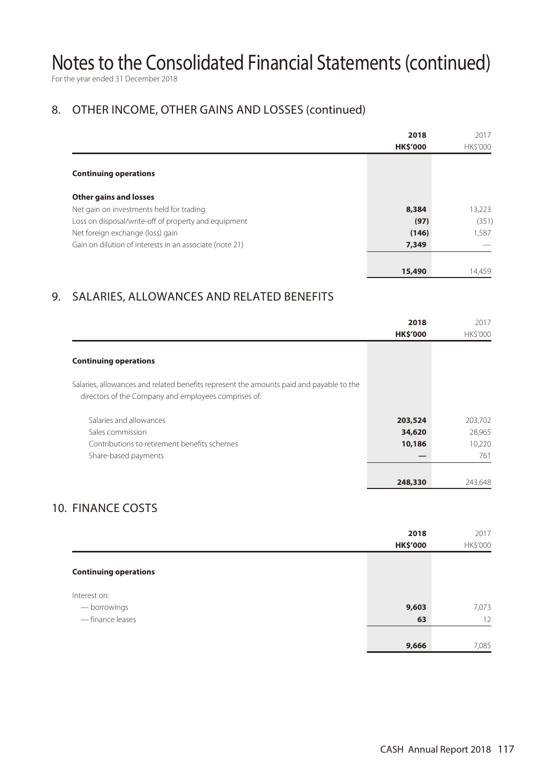For the year ended 31 December 2018

## 8. OTHER INCOME, OTHER GAINS AND LOSSES (continued)

|                                                         | 2018<br><b>HK\$'000</b> | 2017<br><b>HKS'000</b> |
|---------------------------------------------------------|-------------------------|------------------------|
| <b>Continuing operations</b>                            |                         |                        |
| <b>Other gains and losses</b>                           |                         |                        |
| Net gain on investments held for trading                | 8,384                   | 13,223                 |
| Loss on disposal/write-off of property and equipment    | (97)                    | (351)                  |
| Net foreign exchange (loss) gain                        | (146)                   | 1,587                  |
| Gain on dilution of interests in an associate (note 21) | 7,349                   |                        |
|                                                         |                         |                        |
|                                                         | 15,490                  | 14.459                 |

## 9. SALARIES, ALLOWANCES AND RELATED BENEFITS

|                                                                                                                                                 | 2018            | 2017     |
|-------------------------------------------------------------------------------------------------------------------------------------------------|-----------------|----------|
|                                                                                                                                                 | <b>HK\$'000</b> | HK\$'000 |
| <b>Continuing operations</b>                                                                                                                    |                 |          |
| Salaries, allowances and related benefits represent the amounts paid and payable to the<br>directors of the Company and employees comprises of: |                 |          |
| Salaries and allowances                                                                                                                         | 203,524         | 203,702  |
| Sales commission                                                                                                                                | 34,620          | 28,965   |
| Contributions to retirement benefits schemes                                                                                                    | 10,186          | 10,220   |
| Share-based payments                                                                                                                            |                 | 761      |
|                                                                                                                                                 | 248,330         | 243.648  |

### 10. FINANCE COSTS

|                              | 2018<br><b>HK\$'000</b> | 2017<br>HK\$'000 |
|------------------------------|-------------------------|------------------|
| <b>Continuing operations</b> |                         |                  |
| Interest on:<br>- borrowings | 9,603                   | 7,073            |
| - finance leases             | 63                      | 12               |
|                              | 9,666                   | 7,085            |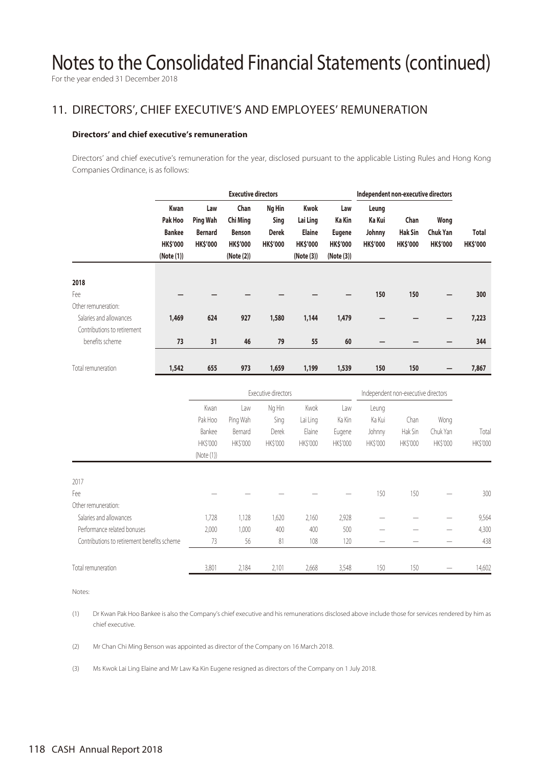For the year ended 31 December 2018

## 11. DIRECTORS', CHIEF EXECUTIVE'S AND EMPLOYEES' REMUNERATION

### **Directors' and chief executive's remuneration**

Directors' and chief executive's remuneration for the year, disclosed pursuant to the applicable Listing Rules and Hong Kong Companies Ordinance, is as follows:

|                                             |                                                                   | <b>Executive directors</b>                                  |                                                                           |                                                   |                                                                    | Independent non-executive directors                                    |                                              |                                           |                                            |                                 |
|---------------------------------------------|-------------------------------------------------------------------|-------------------------------------------------------------|---------------------------------------------------------------------------|---------------------------------------------------|--------------------------------------------------------------------|------------------------------------------------------------------------|----------------------------------------------|-------------------------------------------|--------------------------------------------|---------------------------------|
|                                             | Kwan<br>Pak Hoo<br><b>Bankee</b><br><b>HK\$'000</b><br>(Note (1)) | Law<br><b>Ping Wah</b><br><b>Bernard</b><br><b>HK\$'000</b> | Chan<br><b>Chi Ming</b><br><b>Benson</b><br><b>HK\$'000</b><br>(Note (2)) | Ng Hin<br>Sing<br><b>Derek</b><br><b>HK\$'000</b> | Kwok<br>Lai Ling<br><b>Elaine</b><br><b>HK\$'000</b><br>(Note (3)) | Law<br><b>Ka Kin</b><br><b>Eugene</b><br><b>HK\$'000</b><br>(Note (3)) | Leung<br>Ka Kui<br>Johnny<br><b>HK\$'000</b> | Chan<br><b>Hak Sin</b><br><b>HK\$'000</b> | Wong<br><b>Chuk Yan</b><br><b>HK\$'000</b> | <b>Total</b><br><b>HK\$'000</b> |
| 2018                                        |                                                                   |                                                             |                                                                           |                                                   |                                                                    |                                                                        |                                              |                                           |                                            |                                 |
| Fee                                         |                                                                   |                                                             |                                                                           |                                                   |                                                                    |                                                                        | 150                                          | 150                                       |                                            | 300                             |
| Other remuneration:                         |                                                                   |                                                             |                                                                           |                                                   |                                                                    |                                                                        |                                              |                                           |                                            |                                 |
| Salaries and allowances                     | 1,469                                                             | 624                                                         | 927                                                                       | 1,580                                             | 1,144                                                              | 1,479                                                                  |                                              |                                           |                                            | 7,223                           |
| Contributions to retirement                 |                                                                   |                                                             |                                                                           |                                                   |                                                                    |                                                                        |                                              |                                           |                                            |                                 |
| benefits scheme                             | 73                                                                | 31                                                          | 46                                                                        | 79                                                | 55                                                                 | 60                                                                     |                                              |                                           |                                            | 344                             |
| Total remuneration                          | 1,542                                                             | 655                                                         | 973                                                                       | 1,659                                             | 1,199                                                              | 1,539                                                                  | 150                                          | 150                                       |                                            | 7,867                           |
|                                             |                                                                   |                                                             |                                                                           | Executive directors                               |                                                                    |                                                                        |                                              | Independent non-executive directors       |                                            |                                 |
|                                             |                                                                   | Kwan                                                        | Law                                                                       | Ng Hin                                            | Kwok                                                               | Law                                                                    | Leung                                        |                                           |                                            |                                 |
|                                             |                                                                   | Pak Hoo                                                     | Ping Wah                                                                  | Sing                                              | Lai Ling                                                           | Ka Kin                                                                 | Ka Kui                                       | Chan                                      | Wong                                       |                                 |
|                                             |                                                                   | Bankee                                                      | Bernard                                                                   | Derek                                             | Elaine                                                             | Eugene                                                                 | Johnny                                       | Hak Sin                                   | Chuk Yan                                   | Total                           |
|                                             |                                                                   | HK\$'000                                                    | HK\$'000                                                                  | HK\$'000                                          | HK\$'000                                                           | HK\$'000                                                               | HK\$'000                                     | HK\$'000                                  | HK\$'000                                   | HK\$'000                        |
|                                             |                                                                   | (Note (1))                                                  |                                                                           |                                                   |                                                                    |                                                                        |                                              |                                           |                                            |                                 |
| 2017                                        |                                                                   |                                                             |                                                                           |                                                   |                                                                    |                                                                        |                                              |                                           |                                            |                                 |
| Fee                                         |                                                                   |                                                             |                                                                           |                                                   |                                                                    |                                                                        | 150                                          | 150                                       |                                            | 300                             |
| Other remuneration:                         |                                                                   |                                                             |                                                                           |                                                   |                                                                    |                                                                        |                                              |                                           |                                            |                                 |
| Salaries and allowances                     |                                                                   | 1,728                                                       | 1,128                                                                     | 1,620                                             | 2,160                                                              | 2,928                                                                  |                                              |                                           |                                            | 9,564                           |
| Performance related bonuses                 |                                                                   | 2,000                                                       | 1,000                                                                     | 400                                               | 400                                                                | 500                                                                    | -                                            |                                           |                                            | 4,300                           |
| Contributions to retirement benefits scheme |                                                                   | 73                                                          | 56                                                                        | 81                                                | 108                                                                | 120                                                                    | $\overline{\phantom{0}}$                     |                                           | $\overline{\phantom{0}}$                   | 438                             |
| Total remuneration                          |                                                                   | 3,801                                                       | 2,184                                                                     | 2,101                                             | 2,668                                                              | 3,548                                                                  | 150                                          | 150                                       |                                            | 14,602                          |

Notes:

(1) Dr Kwan Pak Hoo Bankee is also the Company's chief executive and his remunerations disclosed above include those for services rendered by him as chief executive.

(2) Mr Chan Chi Ming Benson was appointed as director of the Company on 16 March 2018.

(3) Ms Kwok Lai Ling Elaine and Mr Law Ka Kin Eugene resigned as directors of the Company on 1 July 2018.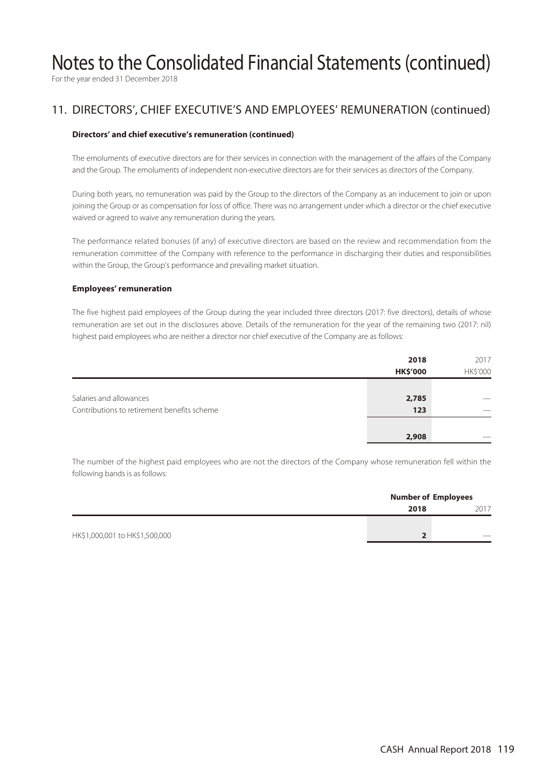For the year ended 31 December 2018

## 11. DIRECTORS', CHIEF EXECUTIVE'S AND EMPLOYEES' REMUNERATION (continued)

### **Directors' and chief executive's remuneration (continued)**

The emoluments of executive directors are for their services in connection with the management of the affairs of the Company and the Group. The emoluments of independent non-executive directors are for their services as directors of the Company.

During both years, no remuneration was paid by the Group to the directors of the Company as an inducement to join or upon joining the Group or as compensation for loss of office. There was no arrangement under which a director or the chief executive waived or agreed to waive any remuneration during the years.

The performance related bonuses (if any) of executive directors are based on the review and recommendation from the remuneration committee of the Company with reference to the performance in discharging their duties and responsibilities within the Group, the Group's performance and prevailing market situation.

#### **Employees' remuneration**

The five highest paid employees of the Group during the year included three directors (2017: five directors), details of whose remuneration are set out in the disclosures above. Details of the remuneration for the year of the remaining two (2017: nil) highest paid employees who are neither a director nor chief executive of the Company are as follows:

|                                             | 2018            | 2017     |
|---------------------------------------------|-----------------|----------|
|                                             | <b>HK\$'000</b> | HK\$'000 |
|                                             |                 |          |
| Salaries and allowances                     | 2,785           |          |
| Contributions to retirement benefits scheme | 123             |          |
|                                             |                 |          |
|                                             | 2,908           |          |

The number of the highest paid employees who are not the directors of the Company whose remuneration fell within the following bands is as follows:

|                                |      | <b>Number of Employees</b> |  |  |
|--------------------------------|------|----------------------------|--|--|
|                                | 2018 | 2017                       |  |  |
|                                |      |                            |  |  |
| HK\$1,000,001 to HK\$1,500,000 |      | $-$                        |  |  |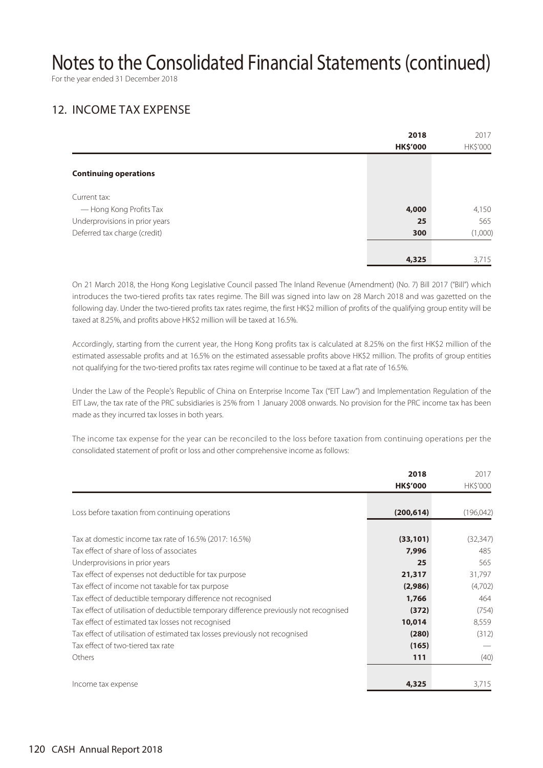For the year ended 31 December 2018

## 12. INCOME TAX EXPENSE

|                                | 2018            | 2017     |
|--------------------------------|-----------------|----------|
|                                | <b>HK\$'000</b> | HK\$'000 |
| <b>Continuing operations</b>   |                 |          |
| Current tax:                   |                 |          |
| - Hong Kong Profits Tax        | 4,000           | 4,150    |
| Underprovisions in prior years | 25              | 565      |
| Deferred tax charge (credit)   | 300             | (1,000)  |
|                                | 4,325           | 3,715    |

On 21 March 2018, the Hong Kong Legislative Council passed The Inland Revenue (Amendment) (No. 7) Bill 2017 ("Bill") which introduces the two-tiered profits tax rates regime. The Bill was signed into law on 28 March 2018 and was gazetted on the following day. Under the two-tiered profits tax rates regime, the first HK\$2 million of profits of the qualifying group entity will be taxed at 8.25%, and profits above HK\$2 million will be taxed at 16.5%.

Accordingly, starting from the current year, the Hong Kong profits tax is calculated at 8.25% on the first HK\$2 million of the estimated assessable profits and at 16.5% on the estimated assessable profits above HK\$2 million. The profits of group entities not qualifying for the two-tiered profits tax rates regime will continue to be taxed at a flat rate of 16.5%.

Under the Law of the People's Republic of China on Enterprise Income Tax ("EIT Law") and Implementation Regulation of the EIT Law, the tax rate of the PRC subsidiaries is 25% from 1 January 2008 onwards. No provision for the PRC income tax has been made as they incurred tax losses in both years.

The income tax expense for the year can be reconciled to the loss before taxation from continuing operations per the consolidated statement of profit or loss and other comprehensive income as follows:

|                                                                                        | 2018<br><b>HK\$'000</b> | 2017<br>HK\$'000 |
|----------------------------------------------------------------------------------------|-------------------------|------------------|
|                                                                                        |                         |                  |
| Loss before taxation from continuing operations                                        | (200, 614)              | (196,042)        |
|                                                                                        |                         |                  |
| Tax at domestic income tax rate of 16.5% (2017: 16.5%)                                 | (33, 101)               | (32, 347)        |
| Tax effect of share of loss of associates                                              | 7,996                   | 485              |
| Underprovisions in prior years                                                         | 25                      | 565              |
| Tax effect of expenses not deductible for tax purpose                                  | 21,317                  | 31,797           |
| Tax effect of income not taxable for tax purpose                                       | (2,986)                 | (4,702)          |
| Tax effect of deductible temporary difference not recognised                           | 1,766                   | 464              |
| Tax effect of utilisation of deductible temporary difference previously not recognised | (372)                   | (754)            |
| Tax effect of estimated tax losses not recognised                                      | 10,014                  | 8,559            |
| Tax effect of utilisation of estimated tax losses previously not recognised            | (280)                   | (312)            |
| Tax effect of two-tiered tax rate                                                      | (165)                   |                  |
| Others                                                                                 | 111                     | (40)             |
|                                                                                        |                         |                  |
| Income tax expense                                                                     | 4,325                   | 3,715            |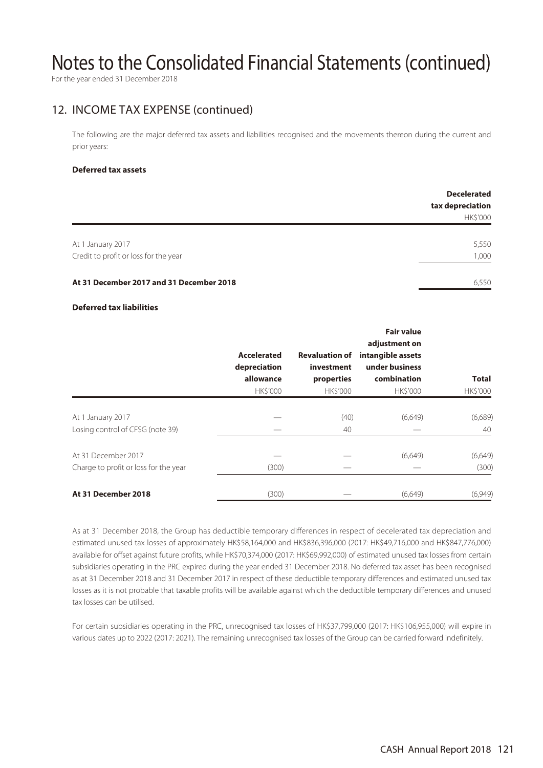For the year ended 31 December 2018

### 12. INCOME TAX EXPENSE (continued)

The following are the major deferred tax assets and liabilities recognised and the movements thereon during the current and prior years:

#### **Deferred tax assets**

|                                          | <b>Decelerated</b><br>tax depreciation<br>HK\$'000 |
|------------------------------------------|----------------------------------------------------|
| At 1 January 2017                        | 5,550                                              |
| Credit to profit or loss for the year    | 1,000                                              |
| At 31 December 2017 and 31 December 2018 | 6,550                                              |

#### **Deferred tax liabilities**

|                                       |                                                 |                                     | <b>Fair value</b><br>adjustment on                 |              |
|---------------------------------------|-------------------------------------------------|-------------------------------------|----------------------------------------------------|--------------|
|                                       | <b>Accelerated</b><br>depreciation<br>allowance | <b>Revaluation of</b><br>investment | intangible assets<br>under business<br>combination | <b>Total</b> |
|                                       | HK\$'000                                        | properties<br><b>HKS'000</b>        | <b>HKS'000</b>                                     | HK\$'000     |
|                                       |                                                 |                                     |                                                    |              |
| At 1 January 2017                     |                                                 | (40)                                | (6,649)                                            | (6,689)      |
| Losing control of CFSG (note 39)      |                                                 | 40                                  |                                                    | 40           |
| At 31 December 2017                   |                                                 |                                     | (6,649)                                            | (6,649)      |
| Charge to profit or loss for the year | (300)                                           |                                     |                                                    | (300)        |
| At 31 December 2018                   | (300)                                           |                                     | (6,649)                                            | (6,949)      |

As at 31 December 2018, the Group has deductible temporary differences in respect of decelerated tax depreciation and estimated unused tax losses of approximately HK\$58,164,000 and HK\$836,396,000 (2017: HK\$49,716,000 and HK\$847,776,000) available for offset against future profits, while HK\$70,374,000 (2017: HK\$69,992,000) of estimated unused tax losses from certain subsidiaries operating in the PRC expired during the year ended 31 December 2018. No deferred tax asset has been recognised as at 31 December 2018 and 31 December 2017 in respect of these deductible temporary differences and estimated unused tax losses as it is not probable that taxable profits will be available against which the deductible temporary differences and unused tax losses can be utilised.

For certain subsidiaries operating in the PRC, unrecognised tax losses of HK\$37,799,000 (2017: HK\$106,955,000) will expire in various dates up to 2022 (2017: 2021). The remaining unrecognised tax losses of the Group can be carried forward indefinitely.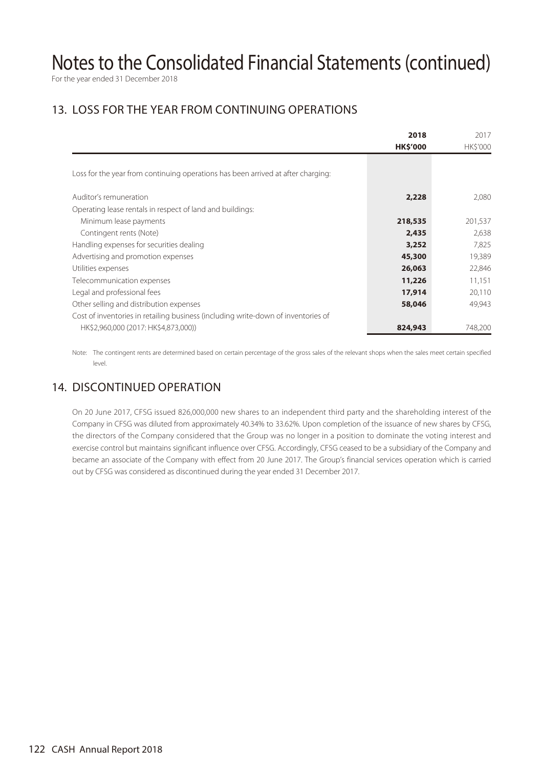For the year ended 31 December 2018

## 13. LOSS FOR THE YEAR FROM CONTINUING OPERATIONS

|                                                                                   | 2018            | 2017     |
|-----------------------------------------------------------------------------------|-----------------|----------|
|                                                                                   | <b>HK\$'000</b> | HK\$'000 |
|                                                                                   |                 |          |
| Loss for the year from continuing operations has been arrived at after charging:  |                 |          |
| Auditor's remuneration                                                            | 2,228           | 2,080    |
| Operating lease rentals in respect of land and buildings:                         |                 |          |
| Minimum lease payments                                                            | 218,535         | 201,537  |
| Contingent rents (Note)                                                           | 2,435           | 2,638    |
| Handling expenses for securities dealing                                          | 3,252           | 7,825    |
| Advertising and promotion expenses                                                | 45,300          | 19,389   |
| Utilities expenses                                                                | 26,063          | 22,846   |
| Telecommunication expenses                                                        | 11,226          | 11,151   |
| Legal and professional fees                                                       | 17,914          | 20,110   |
| Other selling and distribution expenses                                           | 58,046          | 49,943   |
| Cost of inventories in retailing business (including write-down of inventories of |                 |          |
| HK\$2,960,000 (2017: HK\$4,873,000))                                              | 824,943         | 748,200  |

Note: The contingent rents are determined based on certain percentage of the gross sales of the relevant shops when the sales meet certain specified level.

### 14. DISCONTINUED OPERATION

On 20 June 2017, CFSG issued 826,000,000 new shares to an independent third party and the shareholding interest of the Company in CFSG was diluted from approximately 40.34% to 33.62%. Upon completion of the issuance of new shares by CFSG, the directors of the Company considered that the Group was no longer in a position to dominate the voting interest and exercise control but maintains significant influence over CFSG. Accordingly, CFSG ceased to be a subsidiary of the Company and became an associate of the Company with effect from 20 June 2017. The Group's financial services operation which is carried out by CFSG was considered as discontinued during the year ended 31 December 2017.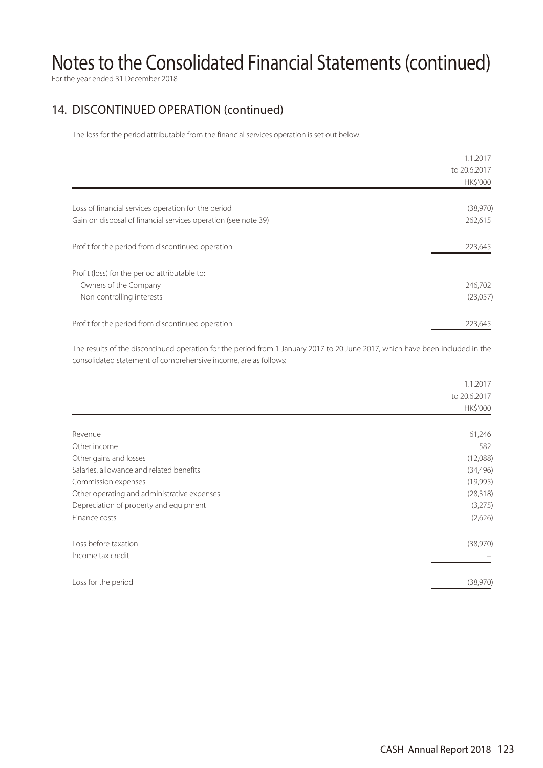For the year ended 31 December 2018

## 14. DISCONTINUED OPERATION (continued)

The loss for the period attributable from the financial services operation is set out below.

|                                                                | 1.1.2017     |
|----------------------------------------------------------------|--------------|
|                                                                | to 20.6.2017 |
|                                                                | HK\$'000     |
| Loss of financial services operation for the period            | (38,970)     |
| Gain on disposal of financial services operation (see note 39) | 262,615      |
| Profit for the period from discontinued operation              | 223,645      |
| Profit (loss) for the period attributable to:                  |              |
| Owners of the Company                                          | 246,702      |
| Non-controlling interests                                      | (23,057)     |
| Profit for the period from discontinued operation              | 223,645      |

The results of the discontinued operation for the period from 1 January 2017 to 20 June 2017, which have been included in the consolidated statement of comprehensive income, are as follows:

|                                             | 1.1.2017     |
|---------------------------------------------|--------------|
|                                             | to 20.6.2017 |
|                                             | HK\$'000     |
|                                             |              |
| Revenue                                     | 61,246       |
| Other income                                | 582          |
| Other gains and losses                      | (12,088)     |
| Salaries, allowance and related benefits    | (34, 496)    |
| Commission expenses                         | (19,995)     |
| Other operating and administrative expenses | (28, 318)    |
| Depreciation of property and equipment      | (3,275)      |
| Finance costs                               | (2,626)      |
| Loss before taxation                        | (38,970)     |
| Income tax credit                           |              |
| Loss for the period                         | (38,970)     |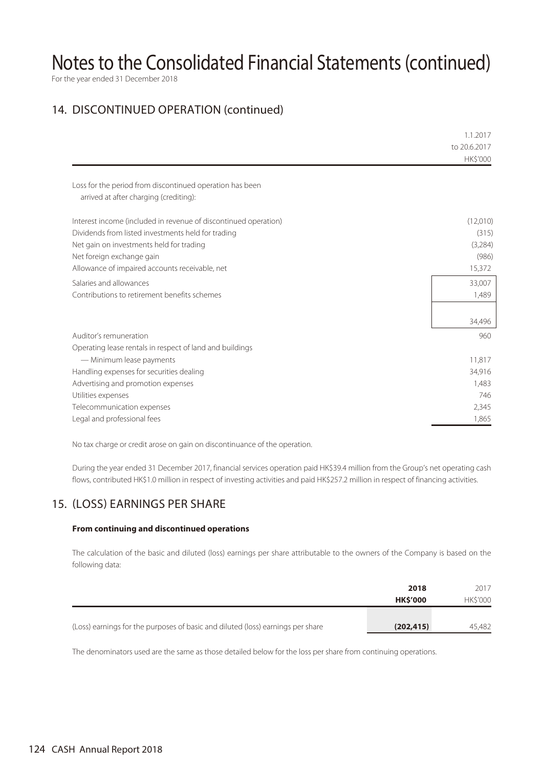For the year ended 31 December 2018

## 14. DISCONTINUED OPERATION (continued)

|                                                                                                    | 1.1.2017<br>to 20.6.2017<br>HK\$'000 |
|----------------------------------------------------------------------------------------------------|--------------------------------------|
| Loss for the period from discontinued operation has been<br>arrived at after charging (crediting): |                                      |
| Interest income (included in revenue of discontinued operation)                                    | (12,010)                             |
| Dividends from listed investments held for trading                                                 | (315)                                |
| Net gain on investments held for trading                                                           | (3,284)                              |
| Net foreign exchange gain                                                                          | (986)                                |
| Allowance of impaired accounts receivable, net                                                     | 15,372                               |
| Salaries and allowances                                                                            | 33,007                               |
| Contributions to retirement benefits schemes                                                       | 1,489                                |
|                                                                                                    | 34,496                               |
| Auditor's remuneration                                                                             | 960                                  |
| Operating lease rentals in respect of land and buildings                                           |                                      |
| - Minimum lease payments                                                                           | 11,817                               |
| Handling expenses for securities dealing                                                           | 34,916                               |
| Advertising and promotion expenses                                                                 | 1,483                                |
| Utilities expenses                                                                                 | 746                                  |
| Telecommunication expenses                                                                         | 2,345                                |
| Legal and professional fees                                                                        | 1,865                                |

No tax charge or credit arose on gain on discontinuance of the operation.

During the year ended 31 December 2017, financial services operation paid HK\$39.4 million from the Group's net operating cash flows, contributed HK\$1.0 million in respect of investing activities and paid HK\$257.2 million in respect of financing activities.

### 15. (LOSS) EARNINGS PER SHARE

### **From continuing and discontinued operations**

The calculation of the basic and diluted (loss) earnings per share attributable to the owners of the Company is based on the following data:

|                                                                                 | 2018<br><b>HK\$'000</b> | 2017<br><b>HKS'000</b> |
|---------------------------------------------------------------------------------|-------------------------|------------------------|
| (Loss) earnings for the purposes of basic and diluted (loss) earnings per share | (202, 415)              | 45.482                 |

The denominators used are the same as those detailed below for the loss per share from continuing operations.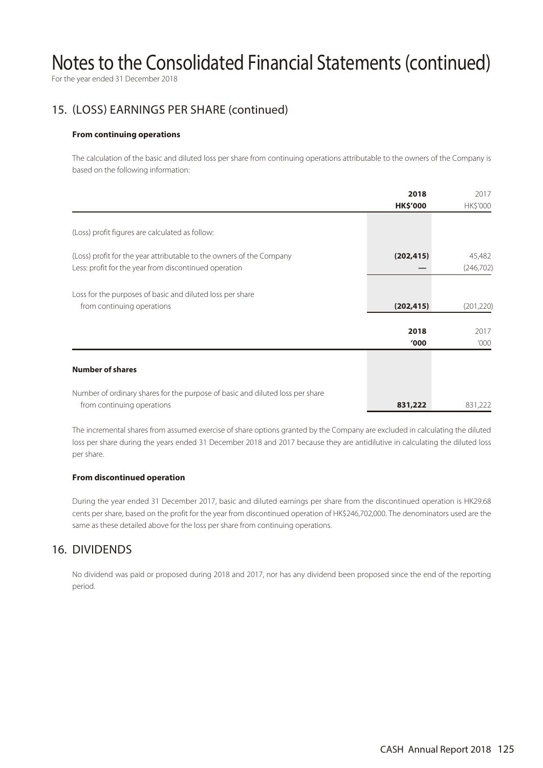For the year ended 31 December 2018

## 15. (LOSS) EARNINGS PER SHARE (continued)

#### **From continuing operations**

The calculation of the basic and diluted loss per share from continuing operations attributable to the owners of the Company is based on the following information:

|                                                                               | 2018            | 2017       |
|-------------------------------------------------------------------------------|-----------------|------------|
|                                                                               | <b>HK\$'000</b> | HK\$'000   |
| (Loss) profit figures are calculated as follow:                               |                 |            |
|                                                                               |                 |            |
| (Loss) profit for the year attributable to the owners of the Company          | (202, 415)      | 45,482     |
| Less: profit for the year from discontinued operation                         |                 | (246,702)  |
|                                                                               |                 |            |
| Loss for the purposes of basic and diluted loss per share                     |                 |            |
| from continuing operations                                                    | (202, 415)      | (201, 220) |
|                                                                               |                 |            |
|                                                                               | 2018<br>'000    | 2017       |
|                                                                               |                 | '000       |
| <b>Number of shares</b>                                                       |                 |            |
|                                                                               |                 |            |
| Number of ordinary shares for the purpose of basic and diluted loss per share |                 |            |
| from continuing operations                                                    | 831,222         | 831,222    |

The incremental shares from assumed exercise of share options granted by the Company are excluded in calculating the diluted loss per share during the years ended 31 December 2018 and 2017 because they are antidilutive in calculating the diluted loss per share.

### **From discontinued operation**

During the year ended 31 December 2017, basic and diluted earnings per share from the discontinued operation is HK29.68 cents per share, based on the profit for the year from discontinued operation of HK\$246,702,000. The denominators used are the same as these detailed above for the loss per share from continuing operations.

### 16. DIVIDENDS

No dividend was paid or proposed during 2018 and 2017, nor has any dividend been proposed since the end of the reporting period.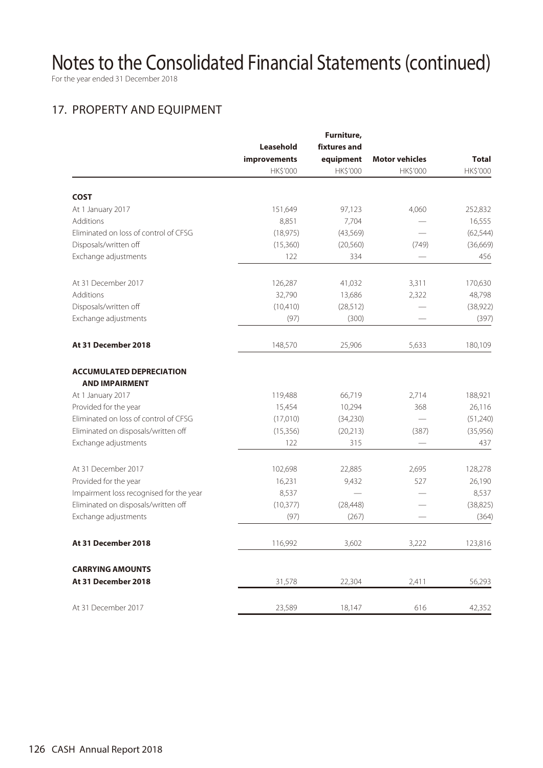For the year ended 31 December 2018

## 17. PROPERTY AND EQUIPMENT

|                                                |              | Furniture,   |                       |              |
|------------------------------------------------|--------------|--------------|-----------------------|--------------|
|                                                | Leasehold    | fixtures and |                       |              |
|                                                | improvements | equipment    | <b>Motor vehicles</b> | <b>Total</b> |
|                                                | HK\$'000     | HK\$'000     | HK\$'000              | HK\$'000     |
| <b>COST</b>                                    |              |              |                       |              |
| At 1 January 2017                              | 151,649      | 97,123       | 4,060                 | 252,832      |
| Additions                                      | 8,851        | 7,704        |                       | 16,555       |
| Eliminated on loss of control of CFSG          | (18, 975)    | (43, 569)    |                       | (62, 544)    |
| Disposals/written off                          | (15,360)     | (20, 560)    | (749)                 | (36,669)     |
| Exchange adjustments                           | 122          | 334          |                       | 456          |
|                                                |              |              |                       |              |
| At 31 December 2017                            | 126,287      | 41,032       | 3,311                 | 170,630      |
| Additions                                      | 32,790       | 13,686       | 2,322                 | 48,798       |
| Disposals/written off                          | (10, 410)    | (28, 512)    |                       | (38, 922)    |
| Exchange adjustments                           | (97)         | (300)        |                       | (397)        |
| At 31 December 2018                            | 148,570      | 25,906       | 5,633                 | 180,109      |
| <b>ACCUMULATED DEPRECIATION</b>                |              |              |                       |              |
| <b>AND IMPAIRMENT</b>                          |              |              |                       |              |
| At 1 January 2017                              | 119,488      | 66,719       | 2.714                 | 188,921      |
| Provided for the year                          | 15,454       | 10,294       | 368                   | 26,116       |
| Eliminated on loss of control of CFSG          | (17,010)     | (34,230)     |                       | (51,240)     |
| Eliminated on disposals/written off            | (15, 356)    | (20, 213)    | (387)                 | (35,956)     |
| Exchange adjustments                           | 122          | 315          |                       | 437          |
| At 31 December 2017                            | 102,698      | 22,885       | 2,695                 | 128,278      |
| Provided for the year                          | 16,231       | 9,432        | 527                   | 26,190       |
| Impairment loss recognised for the year        | 8,537        |              |                       | 8,537        |
| Eliminated on disposals/written off            | (10, 377)    | (28, 448)    |                       | (38, 825)    |
| Exchange adjustments                           | (97)         | (267)        |                       | (364)        |
| At 31 December 2018                            | 116,992      | 3,602        | 3,222                 | 123,816      |
|                                                |              |              |                       |              |
| <b>CARRYING AMOUNTS</b><br>At 31 December 2018 | 31,578       | 22,304       | 2,411                 | 56,293       |
|                                                |              |              |                       |              |
| At 31 December 2017                            | 23,589       | 18,147       | 616                   | 42,352       |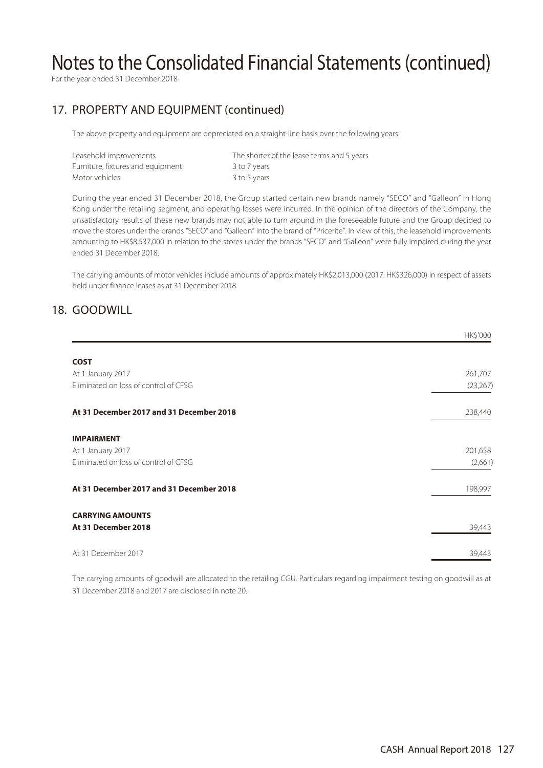For the year ended 31 December 2018

## 17. PROPERTY AND EQUIPMENT (continued)

The above property and equipment are depreciated on a straight-line basis over the following years:

| Leasehold improvements            | The shorter of the lease terms and 5 years |
|-----------------------------------|--------------------------------------------|
| Furniture, fixtures and equipment | 3 to 7 years                               |
| Motor vehicles                    | 3 to 5 years                               |

During the year ended 31 December 2018, the Group started certain new brands namely "SECO" and "Galleon" in Hong Kong under the retailing segment, and operating losses were incurred. In the opinion of the directors of the Company, the unsatisfactory results of these new brands may not able to turn around in the foreseeable future and the Group decided to move the stores under the brands "SECO" and "Galleon" into the brand of "Pricerite". In view of this, the leasehold improvements amounting to HK\$8,537,000 in relation to the stores under the brands "SECO" and "Galleon" were fully impaired during the year ended 31 December 2018.

The carrying amounts of motor vehicles include amounts of approximately HK\$2,013,000 (2017: HK\$326,000) in respect of assets held under finance leases as at 31 December 2018.

## 18. GOODWILL

|                                          | HK\$'000  |
|------------------------------------------|-----------|
| <b>COST</b>                              |           |
| At 1 January 2017                        | 261,707   |
| Eliminated on loss of control of CFSG    | (23, 267) |
| At 31 December 2017 and 31 December 2018 | 238,440   |
| <b>IMPAIRMENT</b>                        |           |
| At 1 January 2017                        | 201,658   |
| Eliminated on loss of control of CFSG    | (2,661)   |
| At 31 December 2017 and 31 December 2018 | 198,997   |
| <b>CARRYING AMOUNTS</b>                  |           |
| At 31 December 2018                      | 39,443    |
| At 31 December 2017                      | 39,443    |

The carrying amounts of goodwill are allocated to the retailing CGU. Particulars regarding impairment testing on goodwill as at 31 December 2018 and 2017 are disclosed in note 20.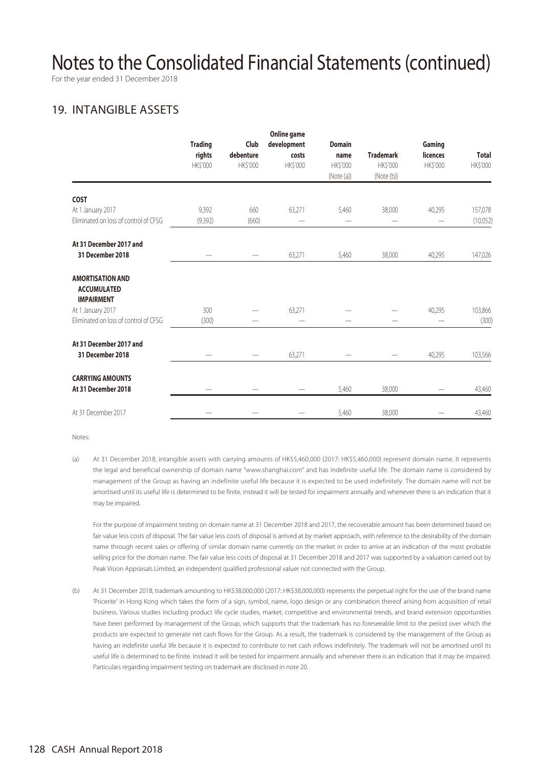For the year ended 31 December 2018

## 19. INTANGIBLE ASSETS

|                                                                    |                 |                   | Online game |                          |                  |                          |              |
|--------------------------------------------------------------------|-----------------|-------------------|-------------|--------------------------|------------------|--------------------------|--------------|
|                                                                    | <b>Trading</b>  | Club              | development | <b>Domain</b>            |                  | Gaming                   |              |
|                                                                    | rights          | debenture         | costs       | name                     | <b>Trademark</b> | licences                 | <b>Total</b> |
|                                                                    | HK\$'000        | HK\$'000          | HK\$'000    | HK\$'000                 | HK\$'000         | HK\$'000                 | HK\$'000     |
|                                                                    |                 |                   |             | (Note(a))                | (Note(b))        |                          |              |
| <b>COST</b>                                                        |                 |                   |             |                          |                  |                          |              |
| At 1 January 2017                                                  | 9,392           | 660               | 63,271      | 5,460                    | 38,000           | 40,295                   | 157,078      |
| Eliminated on loss of control of CFSG                              | (9,392)         | (660)             |             | $\overline{\phantom{0}}$ |                  | $\overline{\phantom{0}}$ | (10,052)     |
| At 31 December 2017 and                                            |                 |                   |             |                          |                  |                          |              |
| 31 December 2018                                                   | $\qquad \qquad$ | $\qquad \qquad -$ | 63,271      | 5,460                    | 38,000           | 40,295                   | 147,026      |
| <b>AMORTISATION AND</b><br><b>ACCUMULATED</b><br><b>IMPAIRMENT</b> |                 |                   |             |                          |                  |                          |              |
| At 1 January 2017                                                  | 300             |                   | 63,271      |                          |                  | 40,295                   | 103,866      |
| Fliminated on loss of control of CESG                              | (300)           |                   |             |                          |                  |                          | (300)        |
| At 31 December 2017 and                                            |                 |                   |             |                          |                  |                          |              |
| 31 December 2018                                                   |                 | $\qquad \qquad$   | 63,271      |                          |                  | 40,295                   | 103,566      |
| <b>CARRYING AMOUNTS</b>                                            |                 |                   |             |                          |                  |                          |              |
| At 31 December 2018                                                |                 |                   |             | 5,460                    | 38,000           |                          | 43,460       |
| At 31 December 2017                                                |                 |                   |             | 5,460                    | 38,000           |                          | 43,460       |

Notes:

(a) At 31 December 2018, intangible assets with carrying amounts of HK\$5,460,000 (2017: HK\$5,460,000) represent domain name. It represents the legal and beneficial ownership of domain name "www.shanghai.com" and has indefinite useful life. The domain name is considered by management of the Group as having an indefinite useful life because it is expected to be used indefinitely. The domain name will not be amortised until its useful life is determined to be finite, instead it will be tested for impairment annually and whenever there is an indication that it may be impaired.

For the purpose of impairment testing on domain name at 31 December 2018 and 2017, the recoverable amount has been determined based on fair value less costs of disposal. The fair value less costs of disposal is arrived at by market approach, with reference to the desirability of the domain name through recent sales or offering of similar domain name currently on the market in order to arrive at an indication of the most probable selling price for the domain name. The fair value less costs of disposal at 31 December 2018 and 2017 was supported by a valuation carried out by Peak Vision Appraisals Limited, an independent qualified professional valuer not connected with the Group.

(b) At 31 December 2018, trademark amounting to HK\$38,000,000 (2017: HK\$38,000,000) represents the perpetual right for the use of the brand name 'Pricerite' in Hong Kong which takes the form of a sign, symbol, name, logo design or any combination thereof arising from acquisition of retail business. Various studies including product life cycle studies, market, competitive and environmental trends, and brand extension opportunities have been performed by management of the Group, which supports that the trademark has no foreseeable limit to the period over which the products are expected to generate net cash flows for the Group. As a result, the trademark is considered by the management of the Group as having an indefinite useful life because it is expected to contribute to net cash inflows indefinitely. The trademark will not be amortised until its useful life is determined to be finite. Instead it will be tested for impairment annually and whenever there is an indication that it may be impaired. Particulars regarding impairment testing on trademark are disclosed in note 20.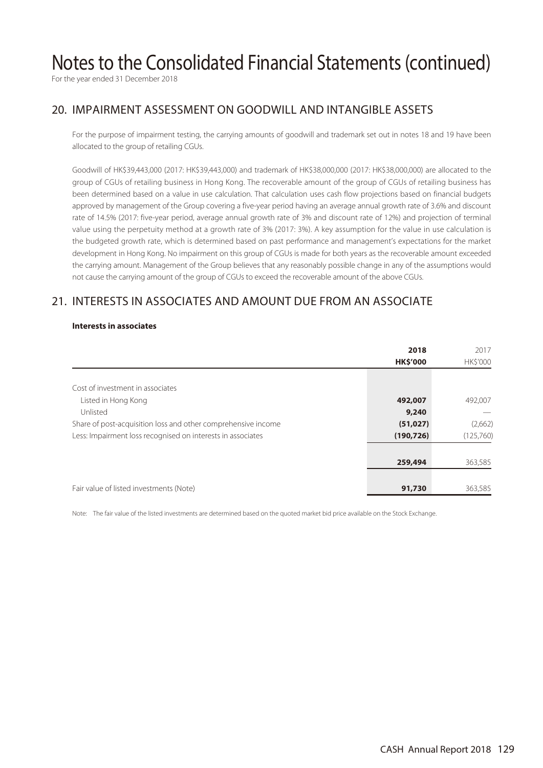For the year ended 31 December 2018

## 20. IMPAIRMENT ASSESSMENT ON GOODWILL AND INTANGIBLE ASSETS

For the purpose of impairment testing, the carrying amounts of goodwill and trademark set out in notes 18 and 19 have been allocated to the group of retailing CGUs.

Goodwill of HK\$39,443,000 (2017: HK\$39,443,000) and trademark of HK\$38,000,000 (2017: HK\$38,000,000) are allocated to the group of CGUs of retailing business in Hong Kong. The recoverable amount of the group of CGUs of retailing business has been determined based on a value in use calculation. That calculation uses cash flow projections based on financial budgets approved by management of the Group covering a five-year period having an average annual growth rate of 3.6% and discount rate of 14.5% (2017: five-year period, average annual growth rate of 3% and discount rate of 12%) and projection of terminal value using the perpetuity method at a growth rate of 3% (2017: 3%). A key assumption for the value in use calculation is the budgeted growth rate, which is determined based on past performance and management's expectations for the market development in Hong Kong. No impairment on this group of CGUs is made for both years as the recoverable amount exceeded the carrying amount. Management of the Group believes that any reasonably possible change in any of the assumptions would not cause the carrying amount of the group of CGUs to exceed the recoverable amount of the above CGUs.

### 21. INTERESTS IN ASSOCIATES AND AMOUNT DUE FROM AN ASSOCIATE

#### **Interests in associates**

|                                                               | 2018<br><b>HK\$'000</b> | 2017<br>HK\$'000 |
|---------------------------------------------------------------|-------------------------|------------------|
|                                                               |                         |                  |
| Cost of investment in associates                              |                         |                  |
| Listed in Hong Kong                                           | 492,007                 | 492,007          |
| Unlisted                                                      | 9,240                   |                  |
| Share of post-acquisition loss and other comprehensive income | (51, 027)               | (2,662)          |
| Less: Impairment loss recognised on interests in associates   | (190, 726)              | (125,760)        |
|                                                               |                         |                  |
|                                                               | 259,494                 | 363,585          |
| Fair value of listed investments (Note)                       | 91,730                  | 363,585          |

Note: The fair value of the listed investments are determined based on the quoted market bid price available on the Stock Exchange.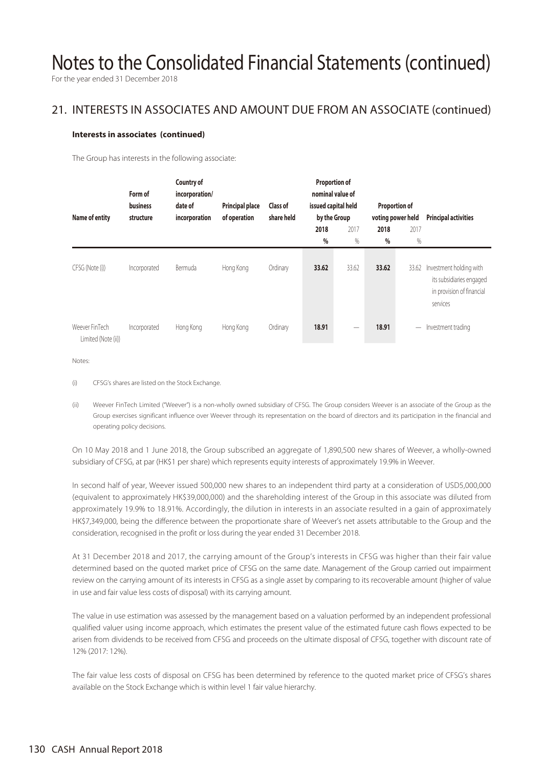For the year ended 31 December 2018

### 21. INTERESTS IN ASSOCIATES AND AMOUNT DUE FROM AN ASSOCIATE (continued)

#### **Interests in associates (continued)**

The Group has interests in the following associate:

| Name of entity                        | Form of<br><b>business</b><br>structure | <b>Country of</b><br>incorporation/<br>date of<br>incorporation | <b>Principal place</b><br>of operation | <b>Class of</b><br>share held | <b>Proportion of</b><br>nominal value of<br>issued capital held<br>by the Group |       | <b>Proportion of</b><br>voting power held |       | <b>Principal activities</b>                                                                  |
|---------------------------------------|-----------------------------------------|-----------------------------------------------------------------|----------------------------------------|-------------------------------|---------------------------------------------------------------------------------|-------|-------------------------------------------|-------|----------------------------------------------------------------------------------------------|
|                                       |                                         |                                                                 |                                        |                               | 2018                                                                            | 2017  | 2018                                      | 2017  |                                                                                              |
|                                       |                                         |                                                                 |                                        |                               | $\%$                                                                            | %     | $\%$                                      | %     |                                                                                              |
| CFSG (Note (i))                       | Incorporated                            | Bermuda                                                         | Hong Kong                              | Ordinary                      | 33.62                                                                           | 33.62 | 33.62                                     | 33.62 | Investment holding with<br>its subsidiaries engaged<br>in provision of financial<br>services |
| Weever FinTech<br>Limited (Note (ii)) | Incorporated                            | Hong Kong                                                       | Hong Kong                              | Ordinary                      | 18.91                                                                           |       | 18.91                                     | -     | Investment trading                                                                           |

Notes:

(i) CFSG's shares are listed on the Stock Exchange.

(ii) Weever FinTech Limited ("Weever") is a non-wholly owned subsidiary of CFSG. The Group considers Weever is an associate of the Group as the Group exercises significant influence over Weever through its representation on the board of directors and its participation in the financial and operating policy decisions.

On 10 May 2018 and 1 June 2018, the Group subscribed an aggregate of 1,890,500 new shares of Weever, a wholly-owned subsidiary of CFSG, at par (HK\$1 per share) which represents equity interests of approximately 19.9% in Weever.

In second half of year, Weever issued 500,000 new shares to an independent third party at a consideration of USD5,000,000 (equivalent to approximately HK\$39,000,000) and the shareholding interest of the Group in this associate was diluted from approximately 19.9% to 18.91%. Accordingly, the dilution in interests in an associate resulted in a gain of approximately HK\$7,349,000, being the difference between the proportionate share of Weever's net assets attributable to the Group and the consideration, recognised in the profit or loss during the year ended 31 December 2018.

At 31 December 2018 and 2017, the carrying amount of the Group's interests in CFSG was higher than their fair value determined based on the quoted market price of CFSG on the same date. Management of the Group carried out impairment review on the carrying amount of its interests in CFSG as a single asset by comparing to its recoverable amount (higher of value in use and fair value less costs of disposal) with its carrying amount.

The value in use estimation was assessed by the management based on a valuation performed by an independent professional qualified valuer using income approach, which estimates the present value of the estimated future cash flows expected to be arisen from dividends to be received from CFSG and proceeds on the ultimate disposal of CFSG, together with discount rate of 12% (2017: 12%).

The fair value less costs of disposal on CFSG has been determined by reference to the quoted market price of CFSG's shares available on the Stock Exchange which is within level 1 fair value hierarchy.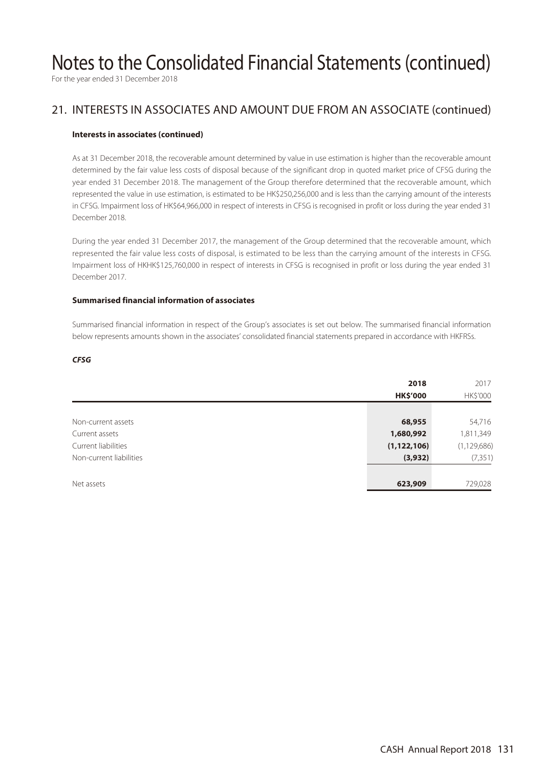For the year ended 31 December 2018

### 21. INTERESTS IN ASSOCIATES AND AMOUNT DUE FROM AN ASSOCIATE (continued)

### **Interests in associates (continued)**

As at 31 December 2018, the recoverable amount determined by value in use estimation is higher than the recoverable amount determined by the fair value less costs of disposal because of the significant drop in quoted market price of CFSG during the year ended 31 December 2018. The management of the Group therefore determined that the recoverable amount, which represented the value in use estimation, is estimated to be HK\$250,256,000 and is less than the carrying amount of the interests in CFSG. Impairment loss of HK\$64,966,000 in respect of interests in CFSG is recognised in profit or loss during the year ended 31 December 2018.

During the year ended 31 December 2017, the management of the Group determined that the recoverable amount, which represented the fair value less costs of disposal, is estimated to be less than the carrying amount of the interests in CFSG. Impairment loss of HKHK\$125,760,000 in respect of interests in CFSG is recognised in profit or loss during the year ended 31 December 2017.

#### **Summarised financial information of associates**

Summarised financial information in respect of the Group's associates is set out below. The summarised financial information below represents amounts shown in the associates' consolidated financial statements prepared in accordance with HKFRSs.

#### *CFSG*

| 2018            | 2017          |
|-----------------|---------------|
| <b>HK\$'000</b> | HK\$'000      |
|                 |               |
| 68,955          | 54,716        |
| 1,680,992       | 1,811,349     |
| (1, 122, 106)   | (1, 129, 686) |
| (3,932)         | (7, 351)      |
| 623,909         | 729,028       |
|                 |               |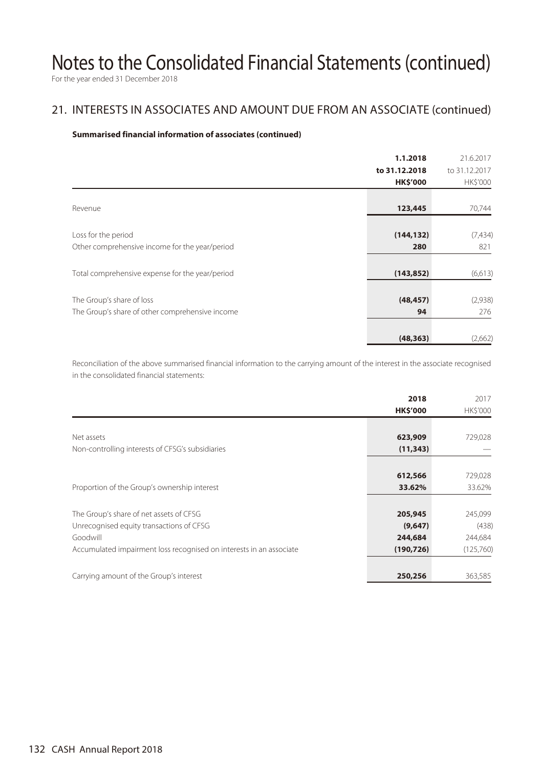For the year ended 31 December 2018

## 21. INTERESTS IN ASSOCIATES AND AMOUNT DUE FROM AN ASSOCIATE (continued)

### **Summarised financial information of associates (continued)**

|                                                                              | 1.1.2018<br>to 31.12.2018<br><b>HK\$'000</b> | 21.6.2017<br>to 31.12.2017<br>HK\$'000 |
|------------------------------------------------------------------------------|----------------------------------------------|----------------------------------------|
| Revenue                                                                      | 123,445                                      | 70,744                                 |
| Loss for the period<br>Other comprehensive income for the year/period        | (144, 132)<br>280                            | (7,434)<br>821                         |
| Total comprehensive expense for the year/period                              | (143, 852)                                   | (6,613)                                |
| The Group's share of loss<br>The Group's share of other comprehensive income | (48, 457)<br>94                              | (2,938)<br>276                         |
|                                                                              | (48, 363)                                    | (2,662)                                |

Reconciliation of the above summarised financial information to the carrying amount of the interest in the associate recognised in the consolidated financial statements:

|                                                                     | 2018            | 2017            |
|---------------------------------------------------------------------|-----------------|-----------------|
|                                                                     | <b>HK\$'000</b> | <b>HK\$'000</b> |
|                                                                     |                 |                 |
| Net assets                                                          | 623,909         | 729,028         |
| Non-controlling interests of CFSG's subsidiaries                    | (11, 343)       |                 |
|                                                                     |                 |                 |
|                                                                     | 612,566         | 729,028         |
| Proportion of the Group's ownership interest                        | 33.62%          | 33.62%          |
|                                                                     |                 |                 |
| The Group's share of net assets of CFSG                             | 205,945         | 245,099         |
| Unrecognised equity transactions of CFSG                            | (9,647)         | (438)           |
| Goodwill                                                            | 244,684         | 244,684         |
| Accumulated impairment loss recognised on interests in an associate | (190, 726)      | (125,760)       |
|                                                                     |                 |                 |
| Carrying amount of the Group's interest                             | 250,256         | 363,585         |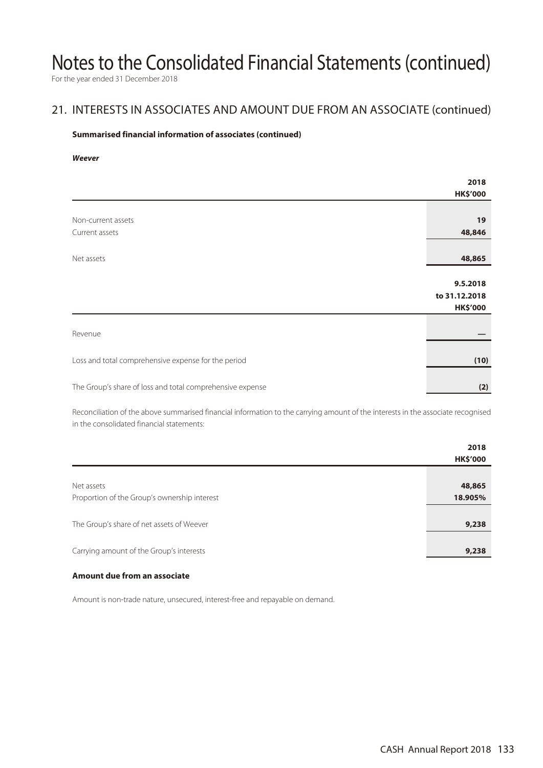For the year ended 31 December 2018

### 21. INTERESTS IN ASSOCIATES AND AMOUNT DUE FROM AN ASSOCIATE (continued)

### **Summarised financial information of associates (continued)**

*Weever*

|                                                           | 2018<br><b>HK\$'000</b> |
|-----------------------------------------------------------|-------------------------|
|                                                           |                         |
| Non-current assets                                        | 19                      |
| Current assets                                            | 48,846                  |
|                                                           |                         |
| Net assets                                                | 48,865                  |
|                                                           | 9.5.2018                |
|                                                           | to 31.12.2018           |
|                                                           | <b>HK\$'000</b>         |
| Revenue                                                   |                         |
| Loss and total comprehensive expense for the period       | (10)                    |
| The Group's share of loss and total comprehensive expense | (2)                     |

Reconciliation of the above summarised financial information to the carrying amount of the interests in the associate recognised in the consolidated financial statements:

|                                                            | 2018<br><b>HK\$'000</b> |
|------------------------------------------------------------|-------------------------|
| Net assets<br>Proportion of the Group's ownership interest | 48,865<br>18.905%       |
| The Group's share of net assets of Weever                  | 9,238                   |
| Carrying amount of the Group's interests                   | 9,238                   |

#### **Amount due from an associate**

Amount is non-trade nature, unsecured, interest-free and repayable on demand.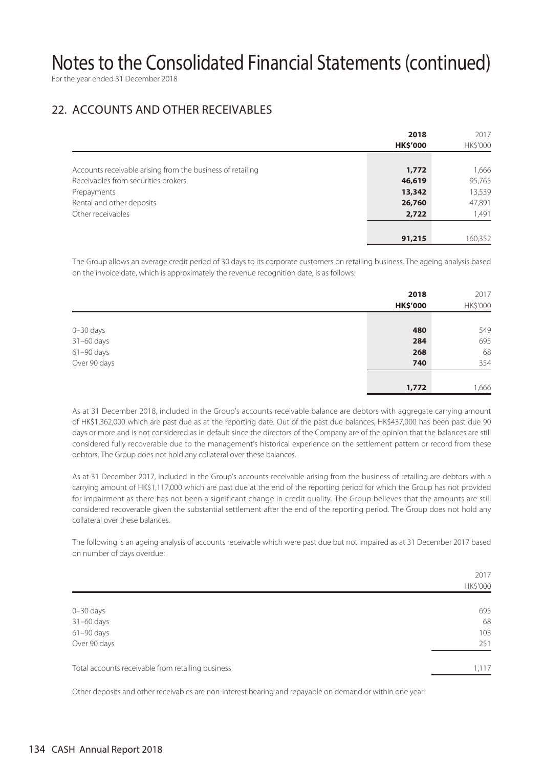For the year ended 31 December 2018

### 22. ACCOUNTS AND OTHER RECEIVABLES

|                                                            | 2018            | 2017     |
|------------------------------------------------------------|-----------------|----------|
|                                                            | <b>HK\$'000</b> | HK\$'000 |
|                                                            |                 |          |
| Accounts receivable arising from the business of retailing | 1,772           | 1,666    |
| Receivables from securities brokers                        | 46,619          | 95,765   |
| Prepayments                                                | 13,342          | 13,539   |
| Rental and other deposits                                  | 26,760          | 47,891   |
| Other receivables                                          | 2,722           | 1,491    |
|                                                            |                 |          |
|                                                            | 91,215          | 160,352  |

The Group allows an average credit period of 30 days to its corporate customers on retailing business. The ageing analysis based on the invoice date, which is approximately the revenue recognition date, is as follows:

|               | 2018<br><b>HK\$'000</b> | 2017<br>HK\$'000 |
|---------------|-------------------------|------------------|
|               |                         |                  |
| $0 - 30$ days | 480                     | 549              |
| 31-60 days    | 284                     | 695              |
| 61-90 days    | 268                     | 68               |
| Over 90 days  | 740                     | 354              |
|               |                         |                  |
|               | 1,772                   | 1,666            |

As at 31 December 2018, included in the Group's accounts receivable balance are debtors with aggregate carrying amount of HK\$1,362,000 which are past due as at the reporting date. Out of the past due balances, HK\$437,000 has been past due 90 days or more and is not considered as in default since the directors of the Company are of the opinion that the balances are still considered fully recoverable due to the management's historical experience on the settlement pattern or record from these debtors. The Group does not hold any collateral over these balances.

As at 31 December 2017, included in the Group's accounts receivable arising from the business of retailing are debtors with a carrying amount of HK\$1,117,000 which are past due at the end of the reporting period for which the Group has not provided for impairment as there has not been a significant change in credit quality. The Group believes that the amounts are still considered recoverable given the substantial settlement after the end of the reporting period. The Group does not hold any collateral over these balances.

The following is an ageing analysis of accounts receivable which were past due but not impaired as at 31 December 2017 based on number of days overdue:

|                                                   | 2017<br>HK\$'000 |
|---------------------------------------------------|------------------|
|                                                   |                  |
| $0 - 30$ days                                     | 695              |
| $31-60$ days                                      | 68               |
| 61-90 days                                        | 103              |
| Over 90 days                                      | 251              |
| Total accounts receivable from retailing business | 1,117            |
|                                                   |                  |

Other deposits and other receivables are non-interest bearing and repayable on demand or within one year.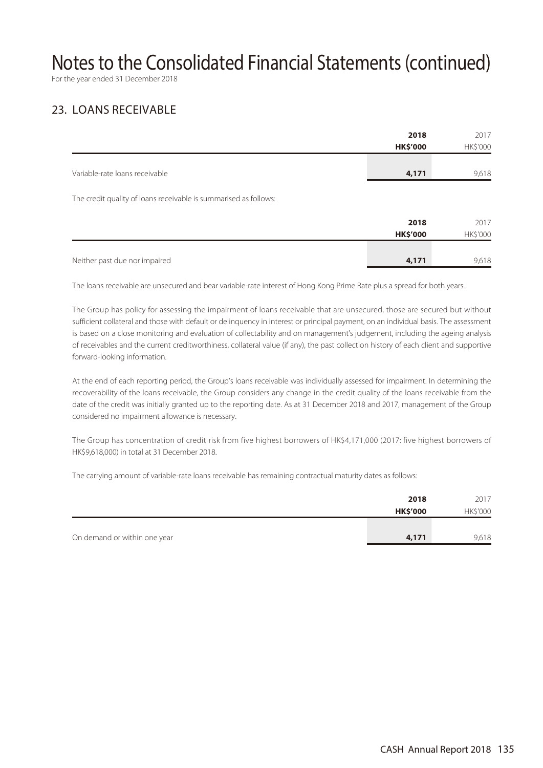For the year ended 31 December 2018

## 23. LOANS RECEIVABLE

|                                                                  | 2018            | 2017     |
|------------------------------------------------------------------|-----------------|----------|
|                                                                  | <b>HK\$'000</b> | HK\$'000 |
|                                                                  |                 |          |
| Variable-rate loans receivable                                   | 4,171           | 9,618    |
|                                                                  |                 |          |
| The credit quality of loans receivable is summarised as follows: |                 |          |
|                                                                  |                 |          |
|                                                                  | 2018            | 2017     |
|                                                                  | <b>HK\$'000</b> | HK\$'000 |
|                                                                  |                 |          |
| Neither past due nor impaired                                    | 4,171           | 9,618    |

The loans receivable are unsecured and bear variable-rate interest of Hong Kong Prime Rate plus a spread for both years.

The Group has policy for assessing the impairment of loans receivable that are unsecured, those are secured but without sufficient collateral and those with default or delinquency in interest or principal payment, on an individual basis. The assessment is based on a close monitoring and evaluation of collectability and on management's judgement, including the ageing analysis of receivables and the current creditworthiness, collateral value (if any), the past collection history of each client and supportive forward-looking information.

At the end of each reporting period, the Group's loans receivable was individually assessed for impairment. In determining the recoverability of the loans receivable, the Group considers any change in the credit quality of the loans receivable from the date of the credit was initially granted up to the reporting date. As at 31 December 2018 and 2017, management of the Group considered no impairment allowance is necessary.

The Group has concentration of credit risk from five highest borrowers of HK\$4,171,000 (2017: five highest borrowers of HK\$9,618,000) in total at 31 December 2018.

The carrying amount of variable-rate loans receivable has remaining contractual maturity dates as follows:

|                              | 2018            | 2017     |
|------------------------------|-----------------|----------|
|                              | <b>HK\$'000</b> | HK\$'000 |
|                              |                 |          |
| On demand or within one year | 4,171           | 9,618    |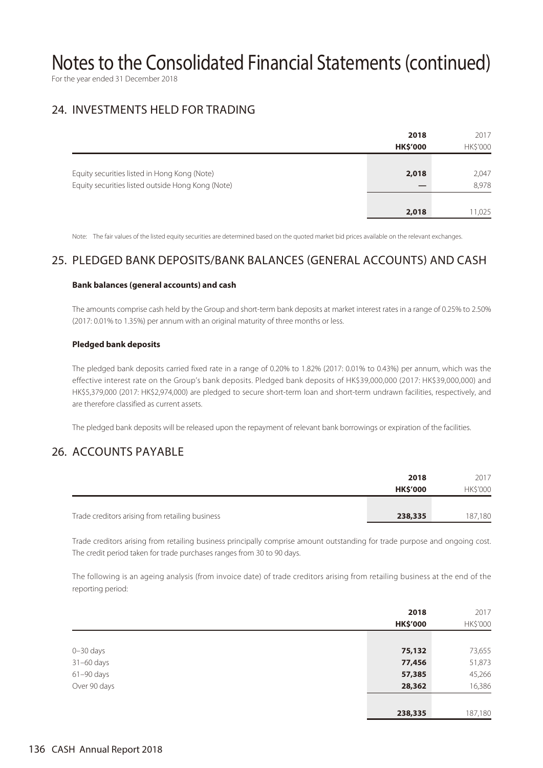For the year ended 31 December 2018

## 24. INVESTMENTS HELD FOR TRADING

|                                                   | 2018            | 2017     |
|---------------------------------------------------|-----------------|----------|
|                                                   | <b>HK\$'000</b> | HK\$'000 |
|                                                   |                 |          |
| Equity securities listed in Hong Kong (Note)      | 2,018           | 2,047    |
| Equity securities listed outside Hong Kong (Note) |                 | 8,978    |
|                                                   |                 |          |
|                                                   | 2,018           | 11,025   |

Note: The fair values of the listed equity securities are determined based on the quoted market bid prices available on the relevant exchanges.

## 25. PLEDGED BANK DEPOSITS/BANK BALANCES (GENERAL ACCOUNTS) AND CASH

### **Bank balances (general accounts) and cash**

The amounts comprise cash held by the Group and short-term bank deposits at market interest rates in a range of 0.25% to 2.50% (2017: 0.01% to 1.35%) per annum with an original maturity of three months or less.

### **Pledged bank deposits**

The pledged bank deposits carried fixed rate in a range of 0.20% to 1.82% (2017: 0.01% to 0.43%) per annum, which was the effective interest rate on the Group's bank deposits. Pledged bank deposits of HK\$39,000,000 (2017: HK\$39,000,000) and HK\$5,379,000 (2017: HK\$2,974,000) are pledged to secure short-term loan and short-term undrawn facilities, respectively, and are therefore classified as current assets.

The pledged bank deposits will be released upon the repayment of relevant bank borrowings or expiration of the facilities.

### 26. ACCOUNTS PAYABLE

|                                                 | 2018<br><b>HK\$'000</b> | 2017<br>HK\$'000 |
|-------------------------------------------------|-------------------------|------------------|
| Trade creditors arising from retailing business | 238,335                 | 187,180          |

Trade creditors arising from retailing business principally comprise amount outstanding for trade purpose and ongoing cost. The credit period taken for trade purchases ranges from 30 to 90 days.

The following is an ageing analysis (from invoice date) of trade creditors arising from retailing business at the end of the reporting period:

|                | 2018            | 2017     |
|----------------|-----------------|----------|
|                | <b>HK\$'000</b> | HK\$'000 |
|                |                 |          |
| $0 - 30$ days  | 75,132          | 73,655   |
| 31-60 days     | 77,456          | 51,873   |
| $61 - 90$ days | 57,385          | 45,266   |
| Over 90 days   | 28,362          | 16,386   |
|                |                 |          |
|                | 238,335         | 187,180  |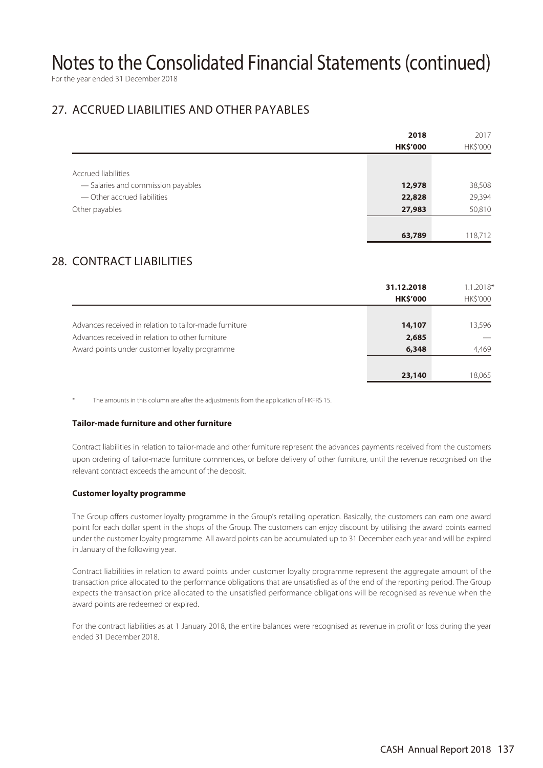For the year ended 31 December 2018

## 27. ACCRUED LIABILITIES AND OTHER PAYABLES

|                                    | 2018            | 2017     |
|------------------------------------|-----------------|----------|
|                                    | <b>HK\$'000</b> | HK\$'000 |
|                                    |                 |          |
| Accrued liabilities                |                 |          |
| - Salaries and commission payables | 12,978          | 38,508   |
| - Other accrued liabilities        | 22,828          | 29,394   |
| Other payables                     | 27,983          | 50,810   |
|                                    |                 |          |
|                                    | 63,789          | 118,712  |

## 28. CONTRACT LIABILITIES

|                                                                                                                                                             | 31.12.2018<br><b>HK\$'000</b> | 1.1.2018*<br>HK\$'000 |
|-------------------------------------------------------------------------------------------------------------------------------------------------------------|-------------------------------|-----------------------|
| Advances received in relation to tailor-made furniture<br>Advances received in relation to other furniture<br>Award points under customer loyalty programme | 14,107<br>2,685<br>6,348      | 13,596<br>4,469       |
|                                                                                                                                                             | 23,140                        | 18,065                |

The amounts in this column are after the adjustments from the application of HKFRS 15.

#### **Tailor-made furniture and other furniture**

Contract liabilities in relation to tailor-made and other furniture represent the advances payments received from the customers upon ordering of tailor-made furniture commences, or before delivery of other furniture, until the revenue recognised on the relevant contract exceeds the amount of the deposit.

### **Customer loyalty programme**

The Group offers customer loyalty programme in the Group's retailing operation. Basically, the customers can earn one award point for each dollar spent in the shops of the Group. The customers can enjoy discount by utilising the award points earned under the customer loyalty programme. All award points can be accumulated up to 31 December each year and will be expired in January of the following year.

Contract liabilities in relation to award points under customer loyalty programme represent the aggregate amount of the transaction price allocated to the performance obligations that are unsatisfied as of the end of the reporting period. The Group expects the transaction price allocated to the unsatisfied performance obligations will be recognised as revenue when the award points are redeemed or expired.

For the contract liabilities as at 1 January 2018, the entire balances were recognised as revenue in profit or loss during the year ended 31 December 2018.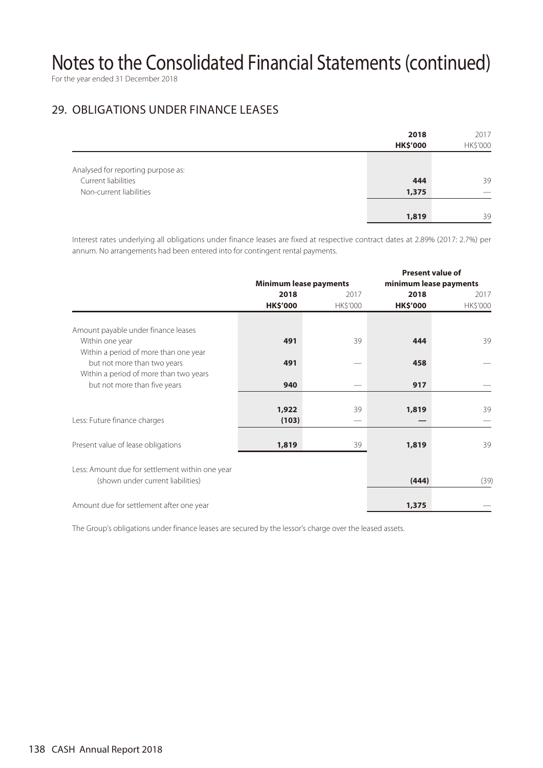For the year ended 31 December 2018

## 29. OBLIGATIONS UNDER FINANCE LEASES

|                                                                                      | 2018<br><b>HK\$'000</b> | 2017<br>HK\$'000 |
|--------------------------------------------------------------------------------------|-------------------------|------------------|
| Analysed for reporting purpose as:<br>Current liabilities<br>Non-current liabilities | 444<br>1,375            | 39               |
|                                                                                      | 1,819                   | 39               |

Interest rates underlying all obligations under finance leases are fixed at respective contract dates at 2.89% (2017: 2.7%) per annum. No arrangements had been entered into for contingent rental payments.

|                                                                       |                               |                 | <b>Present value of</b> |          |
|-----------------------------------------------------------------------|-------------------------------|-----------------|-------------------------|----------|
|                                                                       | <b>Minimum lease payments</b> |                 | minimum lease payments  |          |
|                                                                       | 2018                          | 2017            | 2018                    | 2017     |
|                                                                       | <b>HK\$'000</b>               | <b>HK\$'000</b> | <b>HK\$'000</b>         | HK\$'000 |
| Amount payable under finance leases                                   |                               |                 |                         |          |
| Within one year                                                       | 491                           | 39              | 444                     | 39       |
| Within a period of more than one year                                 |                               |                 |                         |          |
| but not more than two years<br>Within a period of more than two years | 491                           |                 | 458                     |          |
| but not more than five years                                          | 940                           |                 | 917                     |          |
|                                                                       |                               |                 |                         |          |
|                                                                       | 1,922                         | 39              | 1,819                   | 39       |
| Less: Future finance charges                                          | (103)                         |                 |                         |          |
|                                                                       |                               |                 |                         |          |
| Present value of lease obligations                                    | 1,819                         | 39              | 1,819                   | 39       |
| Less: Amount due for settlement within one year                       |                               |                 |                         |          |
| (shown under current liabilities)                                     |                               |                 | (444)                   | (39)     |
|                                                                       |                               |                 |                         |          |
| Amount due for settlement after one year                              |                               |                 | 1,375                   |          |

The Group's obligations under finance leases are secured by the lessor's charge over the leased assets.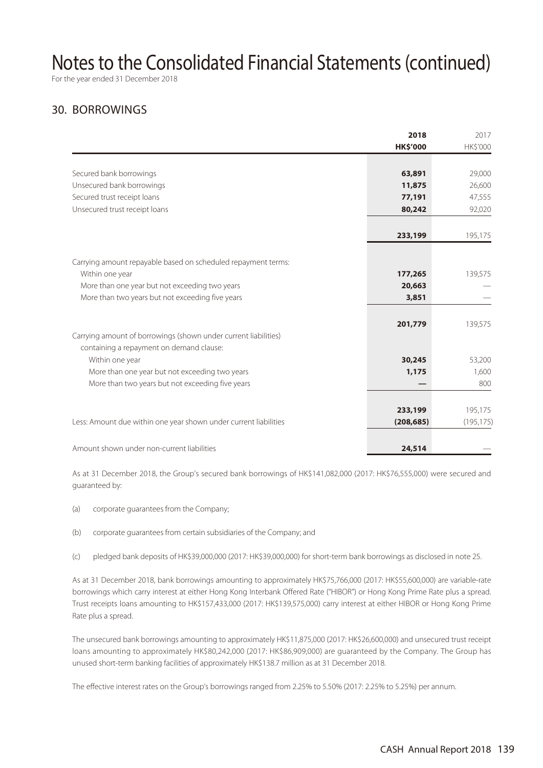For the year ended 31 December 2018

## 30. BORROWINGS

|                                                                                  | 2018            | 2017       |
|----------------------------------------------------------------------------------|-----------------|------------|
|                                                                                  | <b>HK\$'000</b> | HK\$'000   |
|                                                                                  |                 |            |
| Secured bank borrowings                                                          | 63,891          | 29,000     |
| Unsecured bank borrowings                                                        | 11,875          | 26,600     |
| Secured trust receipt loans                                                      | 77,191          | 47,555     |
| Unsecured trust receipt loans                                                    | 80,242          | 92,020     |
|                                                                                  |                 |            |
|                                                                                  | 233,199         | 195,175    |
|                                                                                  |                 |            |
| Carrying amount repayable based on scheduled repayment terms:<br>Within one year | 177,265         | 139,575    |
| More than one year but not exceeding two years                                   | 20,663          |            |
| More than two years but not exceeding five years                                 | 3,851           |            |
|                                                                                  |                 |            |
|                                                                                  | 201,779         | 139,575    |
| Carrying amount of borrowings (shown under current liabilities)                  |                 |            |
| containing a repayment on demand clause:                                         |                 |            |
| Within one year                                                                  | 30,245          | 53,200     |
| More than one year but not exceeding two years                                   | 1,175           | 1,600      |
| More than two years but not exceeding five years                                 |                 | 800        |
|                                                                                  |                 |            |
|                                                                                  | 233,199         | 195,175    |
| Less: Amount due within one year shown under current liabilities                 | (208, 685)      | (195, 175) |
| Amount shown under non-current liabilities                                       | 24,514          |            |

As at 31 December 2018, the Group's secured bank borrowings of HK\$141,082,000 (2017: HK\$76,555,000) were secured and guaranteed by:

- (a) corporate guarantees from the Company;
- (b) corporate guarantees from certain subsidiaries of the Company; and
- (c) pledged bank deposits of HK\$39,000,000 (2017: HK\$39,000,000) for short-term bank borrowings as disclosed in note 25.

As at 31 December 2018, bank borrowings amounting to approximately HK\$75,766,000 (2017: HK\$55,600,000) are variable-rate borrowings which carry interest at either Hong Kong Interbank Offered Rate ("HIBOR") or Hong Kong Prime Rate plus a spread. Trust receipts loans amounting to HK\$157,433,000 (2017: HK\$139,575,000) carry interest at either HIBOR or Hong Kong Prime Rate plus a spread.

The unsecured bank borrowings amounting to approximately HK\$11,875,000 (2017: HK\$26,600,000) and unsecured trust receipt loans amounting to approximately HK\$80,242,000 (2017: HK\$86,909,000) are guaranteed by the Company. The Group has unused short-term banking facilities of approximately HK\$138.7 million as at 31 December 2018.

The effective interest rates on the Group's borrowings ranged from 2.25% to 5.50% (2017: 2.25% to 5.25%) per annum.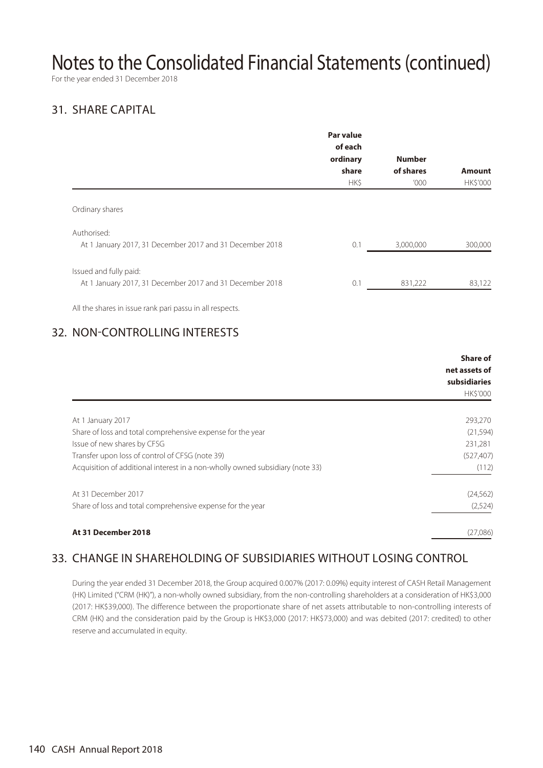For the year ended 31 December 2018

## 31. SHARE CAPITAL

|                                                                                    | <b>Par value</b><br>of each<br><b>Number</b><br>ordinary<br>of shares<br>share<br>HK\$<br>'000 |           | <b>Amount</b> |
|------------------------------------------------------------------------------------|------------------------------------------------------------------------------------------------|-----------|---------------|
|                                                                                    |                                                                                                |           |               |
|                                                                                    |                                                                                                |           |               |
|                                                                                    |                                                                                                |           |               |
| Ordinary shares                                                                    |                                                                                                |           |               |
| Authorised:<br>At 1 January 2017, 31 December 2017 and 31 December 2018            | 0.1                                                                                            | 3,000,000 | 300,000       |
| Issued and fully paid:<br>At 1 January 2017, 31 December 2017 and 31 December 2018 | 0.1                                                                                            | 831,222   | 83,122        |

All the shares in issue rank pari passu in all respects.

### 32. NON-CONTROLLING INTERESTS

|                                                                               | <b>Share of</b><br>net assets of<br>subsidiaries<br>HK\$'000 |
|-------------------------------------------------------------------------------|--------------------------------------------------------------|
| At 1 January 2017                                                             | 293,270                                                      |
| Share of loss and total comprehensive expense for the year                    | (21, 594)                                                    |
| Issue of new shares by CFSG                                                   | 231,281                                                      |
| Transfer upon loss of control of CFSG (note 39)                               | (527, 407)                                                   |
| Acquisition of additional interest in a non-wholly owned subsidiary (note 33) | (112)                                                        |
| At 31 December 2017                                                           | (24, 562)                                                    |
| Share of loss and total comprehensive expense for the year                    | (2,524)                                                      |
| At 31 December 2018                                                           | (27,086)                                                     |

### 33. CHANGE IN SHAREHOLDING OF SUBSIDIARIES WITHOUT LOSING CONTROL

During the year ended 31 December 2018, the Group acquired 0.007% (2017: 0.09%) equity interest of CASH Retail Management (HK) Limited ("CRM (HK)"), a non-wholly owned subsidiary, from the non-controlling shareholders at a consideration of HK\$3,000 (2017: HK\$39,000). The difference between the proportionate share of net assets attributable to non-controlling interests of CRM (HK) and the consideration paid by the Group is HK\$3,000 (2017: HK\$73,000) and was debited (2017: credited) to other reserve and accumulated in equity.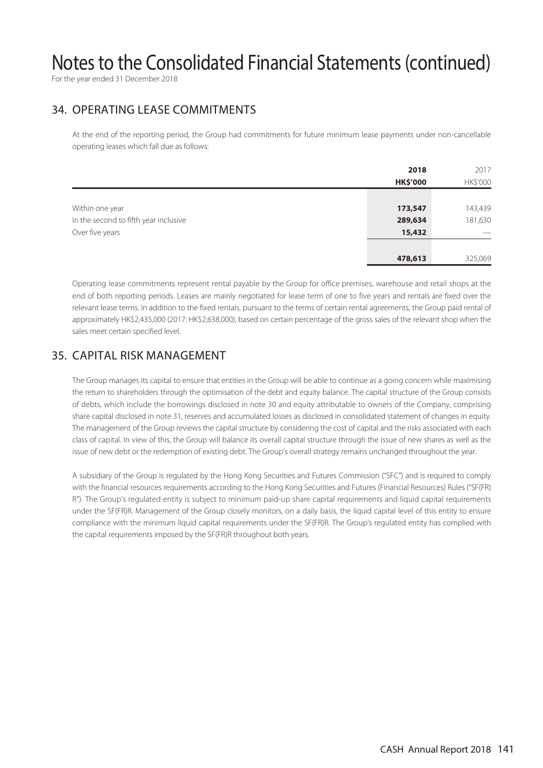For the year ended 31 December 2018

## 34. OPERATING LEASE COMMITMENTS

At the end of the reporting period, the Group had commitments for future minimum lease payments under non-cancellable operating leases which fall due as follows:

|                                       | 2018            | 2017     |
|---------------------------------------|-----------------|----------|
|                                       | <b>HK\$'000</b> | HK\$'000 |
|                                       |                 |          |
| Within one year                       | 173,547         | 143,439  |
| In the second to fifth year inclusive | 289,634         | 181,630  |
| Over five years                       | 15,432          |          |
|                                       |                 |          |
|                                       | 478,613         | 325,069  |

Operating lease commitments represent rental payable by the Group for office premises, warehouse and retail shops at the end of both reporting periods. Leases are mainly negotiated for lease term of one to five years and rentals are fixed over the relevant lease terms. In addition to the fixed rentals, pursuant to the terms of certain rental agreements, the Group paid rental of approximately HK\$2,435,000 (2017: HK\$2,638,000), based on certain percentage of the gross sales of the relevant shop when the sales meet certain specified level.

### 35. CAPITAL RISK MANAGEMENT

The Group manages its capital to ensure that entities in the Group will be able to continue as a going concern while maximising the return to shareholders through the optimisation of the debt and equity balance. The capital structure of the Group consists of debts, which include the borrowings disclosed in note 30 and equity attributable to owners of the Company, comprising share capital disclosed in note 31, reserves and accumulated losses as disclosed in consolidated statement of changes in equity. The management of the Group reviews the capital structure by considering the cost of capital and the risks associated with each class of capital. In view of this, the Group will balance its overall capital structure through the issue of new shares as well as the issue of new debt or the redemption of existing debt. The Group's overall strategy remains unchanged throughout the year.

A subsidiary of the Group is regulated by the Hong Kong Securities and Futures Commission ("SFC") and is required to comply with the financial resources requirements according to the Hong Kong Securities and Futures (Financial Resources) Rules ("SF(FR) R"). The Group's regulated entity is subject to minimum paid-up share capital requirements and liquid capital requirements under the SF(FR)R. Management of the Group closely monitors, on a daily basis, the liquid capital level of this entity to ensure compliance with the minimum liquid capital requirements under the SF(FR)R. The Group's regulated entity has complied with the capital requirements imposed by the SF(FR)R throughout both years.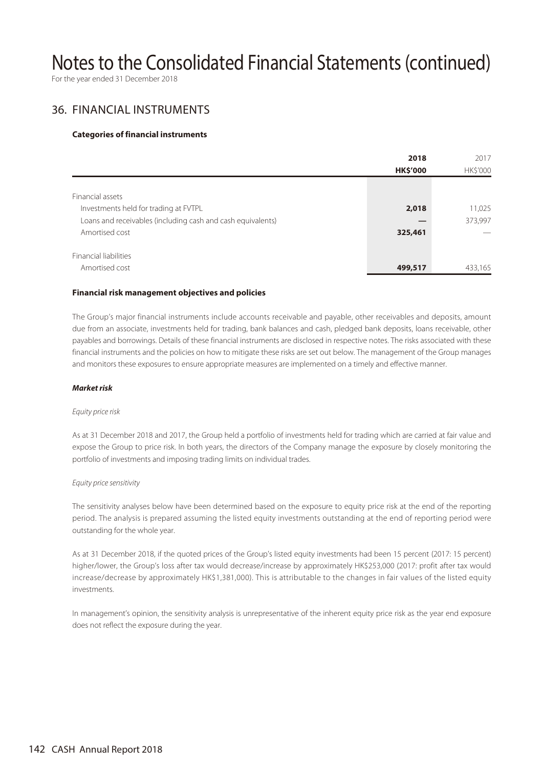For the year ended 31 December 2018

## 36. FINANCIAL INSTRUMENTS

### **Categories of financial instruments**

|                                                             | 2018<br><b>HK\$'000</b> | 2017<br>HK\$'000 |
|-------------------------------------------------------------|-------------------------|------------------|
|                                                             |                         |                  |
| Financial assets                                            |                         |                  |
| Investments held for trading at FVTPL                       | 2,018                   | 11,025           |
| Loans and receivables (including cash and cash equivalents) |                         | 373,997          |
| Amortised cost                                              | 325,461                 |                  |
| Financial liabilities                                       |                         |                  |
| Amortised cost                                              | 499,517                 | 433,165          |

#### **Financial risk management objectives and policies**

The Group's major financial instruments include accounts receivable and payable, other receivables and deposits, amount due from an associate, investments held for trading, bank balances and cash, pledged bank deposits, loans receivable, other payables and borrowings. Details of these financial instruments are disclosed in respective notes. The risks associated with these financial instruments and the policies on how to mitigate these risks are set out below. The management of the Group manages and monitors these exposures to ensure appropriate measures are implemented on a timely and effective manner.

#### *Market risk*

#### Equity price risk

As at 31 December 2018 and 2017, the Group held a portfolio of investments held for trading which are carried at fair value and expose the Group to price risk. In both years, the directors of the Company manage the exposure by closely monitoring the portfolio of investments and imposing trading limits on individual trades.

#### Equity price sensitivity

The sensitivity analyses below have been determined based on the exposure to equity price risk at the end of the reporting period. The analysis is prepared assuming the listed equity investments outstanding at the end of reporting period were outstanding for the whole year.

As at 31 December 2018, if the quoted prices of the Group's listed equity investments had been 15 percent (2017: 15 percent) higher/lower, the Group's loss after tax would decrease/increase by approximately HK\$253,000 (2017: profit after tax would increase/decrease by approximately HK\$1,381,000). This is attributable to the changes in fair values of the listed equity investments.

In management's opinion, the sensitivity analysis is unrepresentative of the inherent equity price risk as the year end exposure does not reflect the exposure during the year.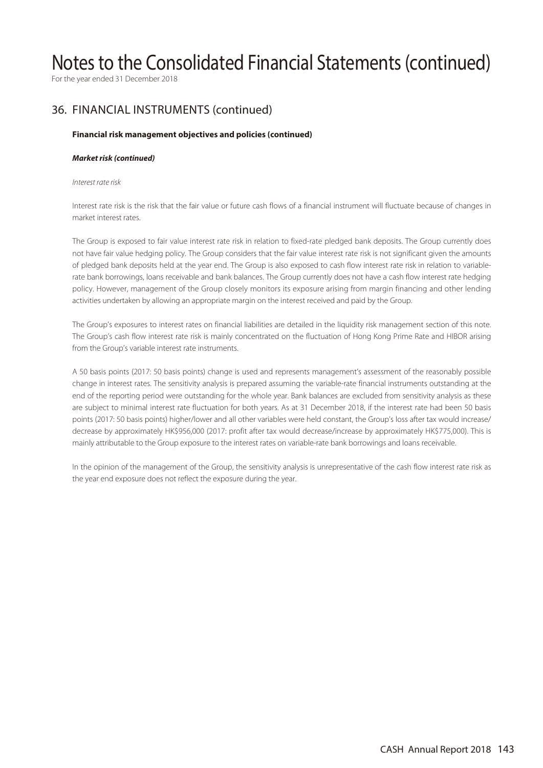For the year ended 31 December 2018

## 36. FINANCIAL INSTRUMENTS (continued)

#### **Financial risk management objectives and policies (continued)**

#### *Market risk (continued)*

#### Interest rate risk

Interest rate risk is the risk that the fair value or future cash flows of a financial instrument will fluctuate because of changes in market interest rates.

The Group is exposed to fair value interest rate risk in relation to fixed-rate pledged bank deposits. The Group currently does not have fair value hedging policy. The Group considers that the fair value interest rate risk is not significant given the amounts of pledged bank deposits held at the year end. The Group is also exposed to cash flow interest rate risk in relation to variablerate bank borrowings, loans receivable and bank balances. The Group currently does not have a cash flow interest rate hedging policy. However, management of the Group closely monitors its exposure arising from margin financing and other lending activities undertaken by allowing an appropriate margin on the interest received and paid by the Group.

The Group's exposures to interest rates on financial liabilities are detailed in the liquidity risk management section of this note. The Group's cash flow interest rate risk is mainly concentrated on the fluctuation of Hong Kong Prime Rate and HIBOR arising from the Group's variable interest rate instruments.

A 50 basis points (2017: 50 basis points) change is used and represents management's assessment of the reasonably possible change in interest rates. The sensitivity analysis is prepared assuming the variable-rate financial instruments outstanding at the end of the reporting period were outstanding for the whole year. Bank balances are excluded from sensitivity analysis as these are subject to minimal interest rate fluctuation for both years. As at 31 December 2018, if the interest rate had been 50 basis points (2017: 50 basis points) higher/lower and all other variables were held constant, the Group's loss after tax would increase/ decrease by approximately HK\$956,000 (2017: profit after tax would decrease/increase by approximately HK\$775,000). This is mainly attributable to the Group exposure to the interest rates on variable-rate bank borrowings and loans receivable.

In the opinion of the management of the Group, the sensitivity analysis is unrepresentative of the cash flow interest rate risk as the year end exposure does not reflect the exposure during the year.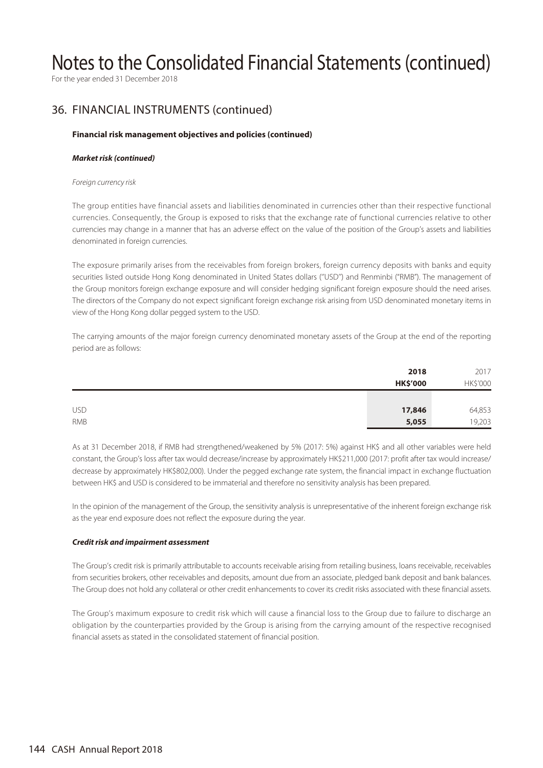For the year ended 31 December 2018

### 36. FINANCIAL INSTRUMENTS (continued)

### **Financial risk management objectives and policies (continued)**

#### *Market risk (continued)*

#### Foreign currency risk

The group entities have financial assets and liabilities denominated in currencies other than their respective functional currencies. Consequently, the Group is exposed to risks that the exchange rate of functional currencies relative to other currencies may change in a manner that has an adverse effect on the value of the position of the Group's assets and liabilities denominated in foreign currencies.

The exposure primarily arises from the receivables from foreign brokers, foreign currency deposits with banks and equity securities listed outside Hong Kong denominated in United States dollars (''USD'') and Renminbi ("RMB"). The management of the Group monitors foreign exchange exposure and will consider hedging significant foreign exposure should the need arises. The directors of the Company do not expect significant foreign exchange risk arising from USD denominated monetary items in view of the Hong Kong dollar pegged system to the USD.

The carrying amounts of the major foreign currency denominated monetary assets of the Group at the end of the reporting period are as follows:

|            | 2018            | 2017     |
|------------|-----------------|----------|
|            | <b>HK\$'000</b> | HK\$'000 |
|            |                 |          |
| <b>USD</b> | 17,846          | 64,853   |
| <b>RMB</b> | 5,055           | 19,203   |

As at 31 December 2018, if RMB had strengthened/weakened by 5% (2017: 5%) against HK\$ and all other variables were held constant, the Group's loss after tax would decrease/increase by approximately HK\$211,000 (2017: profit after tax would increase/ decrease by approximately HK\$802,000). Under the pegged exchange rate system, the financial impact in exchange fluctuation between HK\$ and USD is considered to be immaterial and therefore no sensitivity analysis has been prepared.

In the opinion of the management of the Group, the sensitivity analysis is unrepresentative of the inherent foreign exchange risk as the year end exposure does not reflect the exposure during the year.

#### *Credit risk and impairment assessment*

The Group's credit risk is primarily attributable to accounts receivable arising from retailing business, loans receivable, receivables from securities brokers, other receivables and deposits, amount due from an associate, pledged bank deposit and bank balances. The Group does not hold any collateral or other credit enhancements to cover its credit risks associated with these financial assets.

The Group's maximum exposure to credit risk which will cause a financial loss to the Group due to failure to discharge an obligation by the counterparties provided by the Group is arising from the carrying amount of the respective recognised financial assets as stated in the consolidated statement of financial position.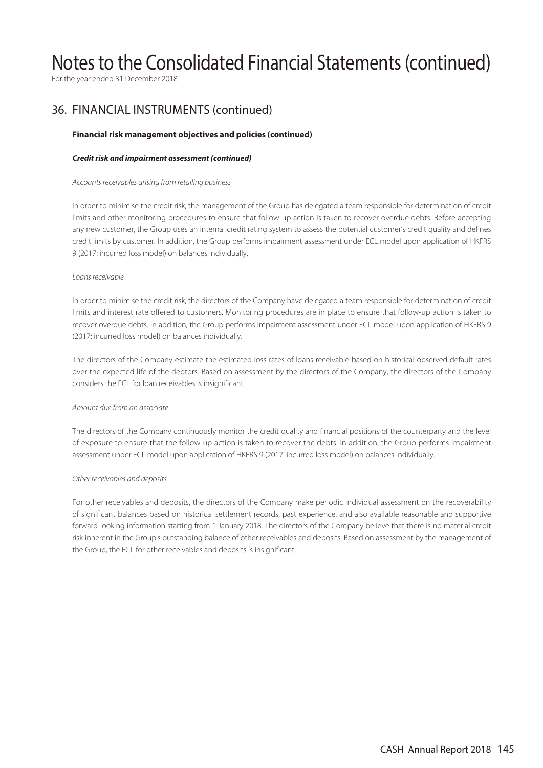For the year ended 31 December 2018

## 36. FINANCIAL INSTRUMENTS (continued)

### **Financial risk management objectives and policies (continued)**

#### *Credit risk and impairment assessment (continued)*

#### Accounts receivables arising from retailing business

In order to minimise the credit risk, the management of the Group has delegated a team responsible for determination of credit limits and other monitoring procedures to ensure that follow-up action is taken to recover overdue debts. Before accepting any new customer, the Group uses an internal credit rating system to assess the potential customer's credit quality and defines credit limits by customer. In addition, the Group performs impairment assessment under ECL model upon application of HKFRS 9 (2017: incurred loss model) on balances individually.

#### Loans receivable

In order to minimise the credit risk, the directors of the Company have delegated a team responsible for determination of credit limits and interest rate offered to customers. Monitoring procedures are in place to ensure that follow-up action is taken to recover overdue debts. In addition, the Group performs impairment assessment under ECL model upon application of HKFRS 9 (2017: incurred loss model) on balances individually.

The directors of the Company estimate the estimated loss rates of loans receivable based on historical observed default rates over the expected life of the debtors. Based on assessment by the directors of the Company, the directors of the Company considers the ECL for loan receivables is insignificant.

#### Amount due from an associate

The directors of the Company continuously monitor the credit quality and financial positions of the counterparty and the level of exposure to ensure that the follow-up action is taken to recover the debts. In addition, the Group performs impairment assessment under ECL model upon application of HKFRS 9 (2017: incurred loss model) on balances individually.

### Other receivables and deposits

For other receivables and deposits, the directors of the Company make periodic individual assessment on the recoverability of significant balances based on historical settlement records, past experience, and also available reasonable and supportive forward-looking information starting from 1 January 2018. The directors of the Company believe that there is no material credit risk inherent in the Group's outstanding balance of other receivables and deposits. Based on assessment by the management of the Group, the ECL for other receivables and deposits is insignificant.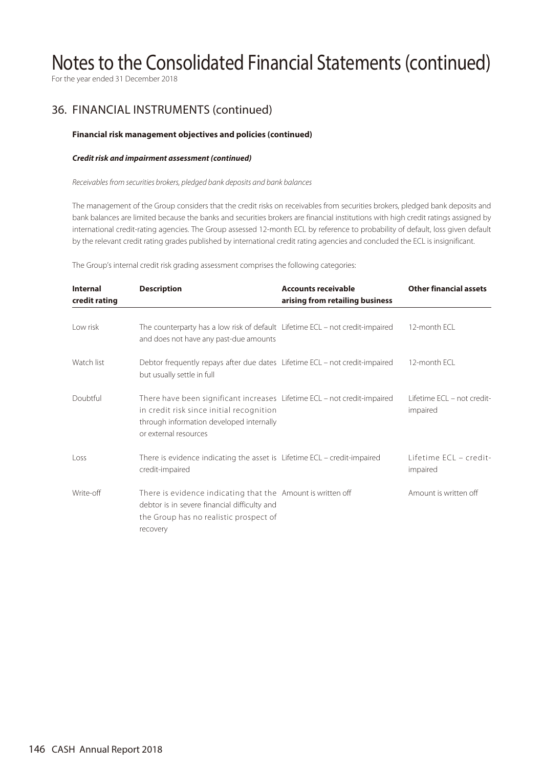For the year ended 31 December 2018

### 36. FINANCIAL INSTRUMENTS (continued)

### **Financial risk management objectives and policies (continued)**

#### *Credit risk and impairment assessment (continued)*

Receivables from securities brokers, pledged bank deposits and bank balances

The management of the Group considers that the credit risks on receivables from securities brokers, pledged bank deposits and bank balances are limited because the banks and securities brokers are financial institutions with high credit ratings assigned by international credit-rating agencies. The Group assessed 12-month ECL by reference to probability of default, loss given default by the relevant credit rating grades published by international credit rating agencies and concluded the ECL is insignificant.

The Group's internal credit risk grading assessment comprises the following categories:

| <b>Internal</b><br>credit rating | <b>Description</b>                                                                                                                                                                        | <b>Accounts receivable</b><br>arising from retailing business | <b>Other financial assets</b>          |
|----------------------------------|-------------------------------------------------------------------------------------------------------------------------------------------------------------------------------------------|---------------------------------------------------------------|----------------------------------------|
| Low risk                         | The counterparty has a low risk of default Lifetime ECL – not credit-impaired<br>and does not have any past-due amounts                                                                   |                                                               | 12-month ECL                           |
| Watch list                       | Debtor frequently repays after due dates Lifetime ECL - not credit-impaired<br>but usually settle in full                                                                                 |                                                               | 12-month FCL                           |
| Doubtful                         | There have been significant increases Lifetime ECL - not credit-impaired<br>in credit risk since initial recognition<br>through information developed internally<br>or external resources |                                                               | Lifetime ECL - not credit-<br>impaired |
| Loss                             | There is evidence indicating the asset is Lifetime ECL – credit-impaired<br>credit-impaired                                                                                               |                                                               | Lifetime ECL - credit-<br>impaired     |
| Write-off                        | There is evidence indicating that the Amount is written off<br>debtor is in severe financial difficulty and<br>the Group has no realistic prospect of<br>recovery                         |                                                               | Amount is written off                  |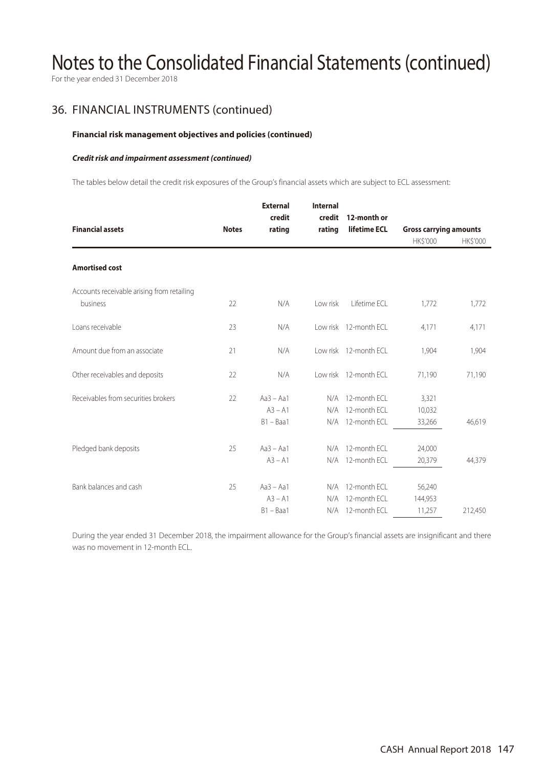For the year ended 31 December 2018

### 36. FINANCIAL INSTRUMENTS (continued)

### **Financial risk management objectives and policies (continued)**

#### *Credit risk and impairment assessment (continued)*

The tables below detail the credit risk exposures of the Group's financial assets which are subject to ECL assessment:

|                                            |              | <b>External</b><br>credit | <b>Internal</b><br>credit | 12-month or           |                               |          |
|--------------------------------------------|--------------|---------------------------|---------------------------|-----------------------|-------------------------------|----------|
| <b>Financial assets</b>                    | <b>Notes</b> | rating                    | rating                    | lifetime ECL          | <b>Gross carrying amounts</b> |          |
|                                            |              |                           |                           |                       | HK\$'000                      | HK\$'000 |
| <b>Amortised cost</b>                      |              |                           |                           |                       |                               |          |
| Accounts receivable arising from retailing |              |                           |                           |                       |                               |          |
| business                                   | 22           | N/A                       | Low risk                  | Lifetime ECL          | 1,772                         | 1,772    |
| Loans receivable                           | 23           | N/A                       |                           | Low risk 12-month ECL | 4,171                         | 4,171    |
| Amount due from an associate               | 21           | N/A                       |                           | Low risk 12-month ECL | 1,904                         | 1,904    |
| Other receivables and deposits             | 22           | N/A                       |                           | Low risk 12-month ECL | 71,190                        | 71,190   |
| Receivables from securities brokers        | 22           | $Aa3 - Aa1$               |                           | N/A 12-month ECL      | 3,321                         |          |
|                                            |              | $A3 - A1$                 | N/A                       | 12-month FCI          | 10,032                        |          |
|                                            |              | $B1 - Baa1$               |                           | N/A 12-month ECL      | 33,266                        | 46,619   |
| Pledged bank deposits                      | 25           | $Aa3 - Aa1$               |                           | N/A 12-month ECL      | 24,000                        |          |
|                                            |              | $A3 - A1$                 |                           | N/A 12-month ECL      | 20,379                        | 44,379   |
| Bank balances and cash                     | 25           | $Aa3 - Aa1$               | N/A                       | 12-month ECL          | 56,240                        |          |
|                                            |              | $A3 - A1$                 | N/A                       | 12-month ECL          | 144,953                       |          |
|                                            |              | $B1 - Baa1$               |                           | N/A 12-month ECL      | 11,257                        | 212,450  |

During the year ended 31 December 2018, the impairment allowance for the Group's financial assets are insignificant and there was no movement in 12-month ECL.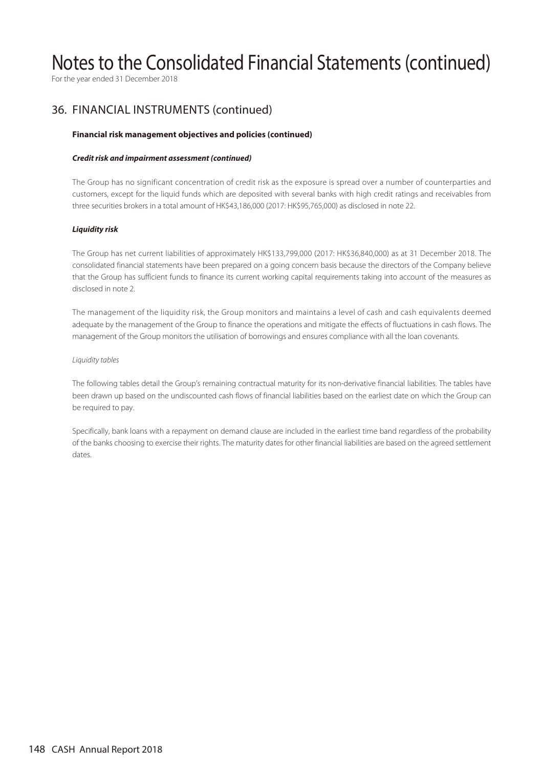For the year ended 31 December 2018

### 36. FINANCIAL INSTRUMENTS (continued)

### **Financial risk management objectives and policies (continued)**

#### *Credit risk and impairment assessment (continued)*

The Group has no significant concentration of credit risk as the exposure is spread over a number of counterparties and customers, except for the liquid funds which are deposited with several banks with high credit ratings and receivables from three securities brokers in a total amount of HK\$43,186,000 (2017: HK\$95,765,000) as disclosed in note 22.

#### *Liquidity risk*

The Group has net current liabilities of approximately HK\$133,799,000 (2017: HK\$36,840,000) as at 31 December 2018. The consolidated financial statements have been prepared on a going concern basis because the directors of the Company believe that the Group has sufficient funds to finance its current working capital requirements taking into account of the measures as disclosed in note 2.

The management of the liquidity risk, the Group monitors and maintains a level of cash and cash equivalents deemed adequate by the management of the Group to finance the operations and mitigate the effects of fluctuations in cash flows. The management of the Group monitors the utilisation of borrowings and ensures compliance with all the loan covenants.

#### Liquidity tables

The following tables detail the Group's remaining contractual maturity for its non-derivative financial liabilities. The tables have been drawn up based on the undiscounted cash flows of financial liabilities based on the earliest date on which the Group can be required to pay.

Specifically, bank loans with a repayment on demand clause are included in the earliest time band regardless of the probability of the banks choosing to exercise their rights. The maturity dates for other financial liabilities are based on the agreed settlement dates.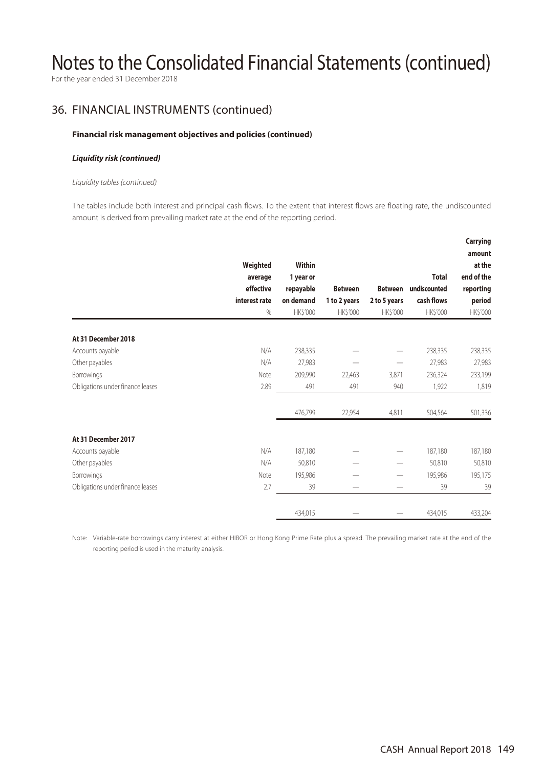For the year ended 31 December 2018

### 36. FINANCIAL INSTRUMENTS (continued)

### **Financial risk management objectives and policies (continued)**

#### *Liquidity risk (continued)*

#### Liquidity tables (continued)

The tables include both interest and principal cash flows. To the extent that interest flows are floating rate, the undiscounted amount is derived from prevailing market rate at the end of the reporting period.

|                                  | Weighted<br>average<br>effective<br>interest rate<br>% | <b>Within</b><br>1 year or<br>repayable<br>on demand<br>HK\$'000 | <b>Between</b><br>1 to 2 years<br><b>HK\$'000</b> | <b>Between</b><br>2 to 5 years<br><b>HK\$'000</b> | <b>Total</b><br>undiscounted<br>cash flows<br>HK\$'000 | <b>Carrying</b><br>amount<br>at the<br>end of the<br>reporting<br>period<br>HK\$'000 |
|----------------------------------|--------------------------------------------------------|------------------------------------------------------------------|---------------------------------------------------|---------------------------------------------------|--------------------------------------------------------|--------------------------------------------------------------------------------------|
| At 31 December 2018              |                                                        |                                                                  |                                                   |                                                   |                                                        |                                                                                      |
| Accounts payable                 | N/A                                                    | 238,335                                                          |                                                   |                                                   | 238,335                                                | 238,335                                                                              |
| Other payables                   | N/A                                                    | 27,983                                                           |                                                   |                                                   | 27,983                                                 | 27,983                                                                               |
| Borrowings                       | Note                                                   | 209,990                                                          | 22,463                                            | 3,871                                             | 236,324                                                | 233,199                                                                              |
| Obligations under finance leases | 2.89                                                   | 491                                                              | 491                                               | 940                                               | 1,922                                                  | 1,819                                                                                |
|                                  |                                                        | 476,799                                                          | 22,954                                            | 4,811                                             | 504,564                                                | 501,336                                                                              |
| At 31 December 2017              |                                                        |                                                                  |                                                   |                                                   |                                                        |                                                                                      |
| Accounts payable                 | N/A                                                    | 187,180                                                          |                                                   |                                                   | 187,180                                                | 187,180                                                                              |
| Other payables                   | N/A                                                    | 50,810                                                           |                                                   |                                                   | 50,810                                                 | 50,810                                                                               |
| Borrowings                       | Note                                                   | 195,986                                                          |                                                   |                                                   | 195,986                                                | 195,175                                                                              |
| Obligations under finance leases | 2.7                                                    | 39                                                               | $\overline{\phantom{m}}$                          | -                                                 | 39                                                     | 39                                                                                   |
|                                  |                                                        | 434,015                                                          |                                                   |                                                   | 434,015                                                | 433,204                                                                              |

Note: Variable-rate borrowings carry interest at either HIBOR or Hong Kong Prime Rate plus a spread. The prevailing market rate at the end of the reporting period is used in the maturity analysis.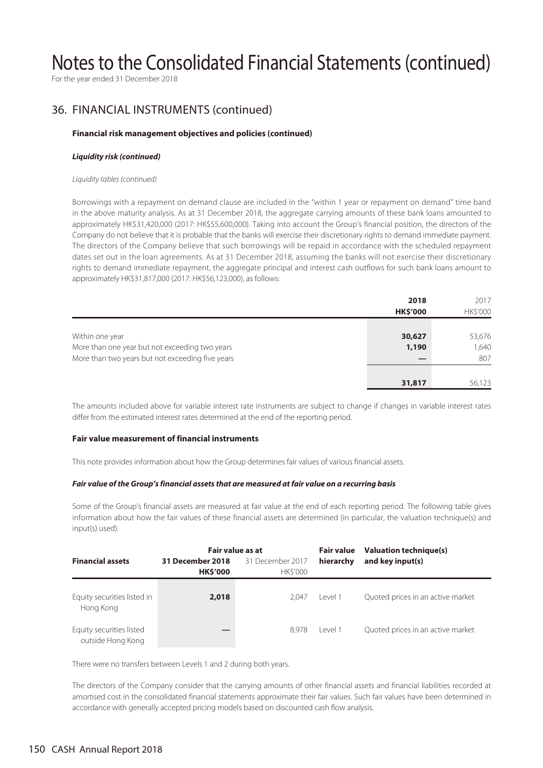For the year ended 31 December 2018

### 36. FINANCIAL INSTRUMENTS (continued)

### **Financial risk management objectives and policies (continued)**

#### *Liquidity risk (continued)*

#### Liquidity tables (continued)

Borrowings with a repayment on demand clause are included in the "within 1 year or repayment on demand" time band in the above maturity analysis. As at 31 December 2018, the aggregate carrying amounts of these bank loans amounted to approximately HK\$31,420,000 (2017: HK\$55,600,000). Taking into account the Group's financial position, the directors of the Company do not believe that it is probable that the banks will exercise their discretionary rights to demand immediate payment. The directors of the Company believe that such borrowings will be repaid in accordance with the scheduled repayment dates set out in the loan agreements. As at 31 December 2018, assuming the banks will not exercise their discretionary rights to demand immediate repayment, the aggregate principal and interest cash outflows for such bank loans amount to approximately HK\$31,817,000 (2017: HK\$56,123,000), as follows:

|                                                  | 2018            | 2017     |
|--------------------------------------------------|-----------------|----------|
|                                                  | <b>HK\$'000</b> | HK\$'000 |
|                                                  |                 |          |
| Within one year                                  | 30,627          | 53,676   |
| More than one year but not exceeding two years   | 1,190           | 1,640    |
| More than two years but not exceeding five years |                 | 807      |
|                                                  |                 |          |
|                                                  | 31,817          | 56,123   |

The amounts included above for variable interest rate instruments are subject to change if changes in variable interest rates differ from the estimated interest rates determined at the end of the reporting period.

#### **Fair value measurement of financial instruments**

This note provides information about how the Group determines fair values of various financial assets.

#### *Fair value of the Group's financial assets that are measured at fair value on a recurring basis*

Some of the Group's financial assets are measured at fair value at the end of each reporting period. The following table gives information about how the fair values of these financial assets are determined (in particular, the valuation technique(s) and input(s) used).

|                                               | Fair value as at                    |                                    | <b>Fair value</b> | <b>Valuation technique(s)</b>     |
|-----------------------------------------------|-------------------------------------|------------------------------------|-------------------|-----------------------------------|
| <b>Financial assets</b>                       | 31 December 2018<br><b>HK\$'000</b> | 31 December 2017<br><b>HKS'000</b> | hierarchy         | and key input(s)                  |
| Equity securities listed in<br>Hong Kong      | 2,018                               | 2.047                              | Level 1           | Quoted prices in an active market |
| Equity securities listed<br>outside Hong Kong |                                     | 8.978                              | Level 1           | Quoted prices in an active market |

There were no transfers between Levels 1 and 2 during both years.

The directors of the Company consider that the carrying amounts of other financial assets and financial liabilities recorded at amortised cost in the consolidated financial statements approximate their fair values. Such fair values have been determined in accordance with generally accepted pricing models based on discounted cash flow analysis.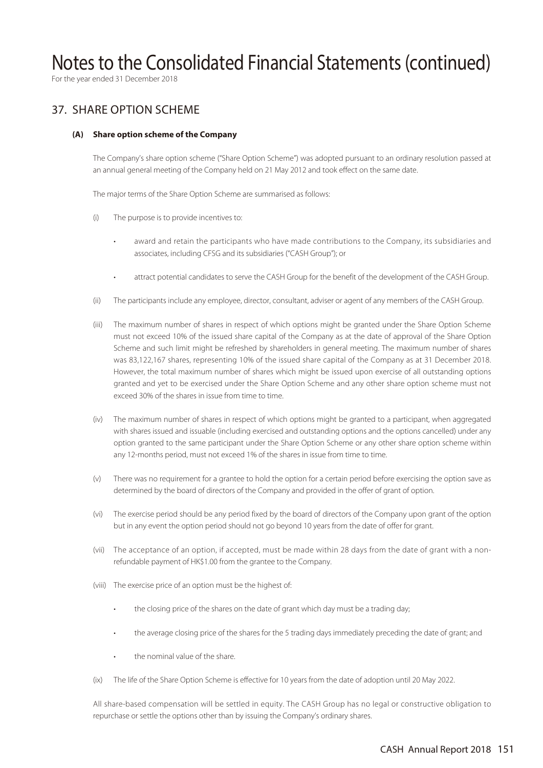For the year ended 31 December 2018

### 37. SHARE OPTION SCHEME

### **(A) Share option scheme of the Company**

The Company's share option scheme ("Share Option Scheme") was adopted pursuant to an ordinary resolution passed at an annual general meeting of the Company held on 21 May 2012 and took effect on the same date.

The major terms of the Share Option Scheme are summarised as follows:

- (i) The purpose is to provide incentives to:
	- award and retain the participants who have made contributions to the Company, its subsidiaries and associates, including CFSG and its subsidiaries ("CASH Group"); or
	- attract potential candidates to serve the CASH Group for the benefit of the development of the CASH Group.
- (ii) The participants include any employee, director, consultant, adviser or agent of any members of the CASH Group.
- (iii) The maximum number of shares in respect of which options might be granted under the Share Option Scheme must not exceed 10% of the issued share capital of the Company as at the date of approval of the Share Option Scheme and such limit might be refreshed by shareholders in general meeting. The maximum number of shares was 83,122,167 shares, representing 10% of the issued share capital of the Company as at 31 December 2018. However, the total maximum number of shares which might be issued upon exercise of all outstanding options granted and yet to be exercised under the Share Option Scheme and any other share option scheme must not exceed 30% of the shares in issue from time to time.
- (iv) The maximum number of shares in respect of which options might be granted to a participant, when aggregated with shares issued and issuable (including exercised and outstanding options and the options cancelled) under any option granted to the same participant under the Share Option Scheme or any other share option scheme within any 12-months period, must not exceed 1% of the shares in issue from time to time.
- (v) There was no requirement for a grantee to hold the option for a certain period before exercising the option save as determined by the board of directors of the Company and provided in the offer of grant of option.
- (vi) The exercise period should be any period fixed by the board of directors of the Company upon grant of the option but in any event the option period should not go beyond 10 years from the date of offer for grant.
- (vii) The acceptance of an option, if accepted, must be made within 28 days from the date of grant with a nonrefundable payment of HK\$1.00 from the grantee to the Company.
- (viii) The exercise price of an option must be the highest of:
	- the closing price of the shares on the date of grant which day must be a trading day;
	- the average closing price of the shares for the 5 trading days immediately preceding the date of grant; and
	- the nominal value of the share
- (ix) The life of the Share Option Scheme is effective for 10 years from the date of adoption until 20 May 2022.

All share-based compensation will be settled in equity. The CASH Group has no legal or constructive obligation to repurchase or settle the options other than by issuing the Company's ordinary shares.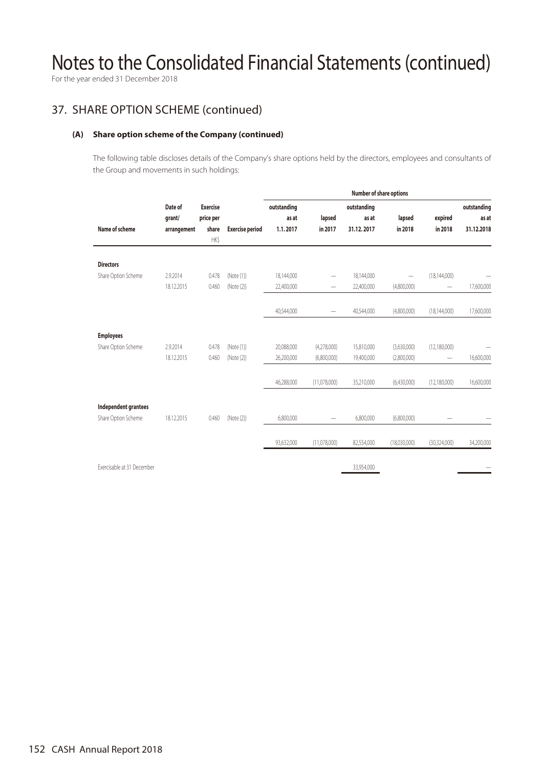For the year ended 31 December 2018

### 37. SHARE OPTION SCHEME (continued)

### **(A) Share option scheme of the Company (continued)**

The following table discloses details of the Company's share options held by the directors, employees and consultants of the Group and movements in such holdings:

|                            |             |                 |                        | Number of share options |                          |             |              |                          |             |
|----------------------------|-------------|-----------------|------------------------|-------------------------|--------------------------|-------------|--------------|--------------------------|-------------|
|                            | Date of     | <b>Exercise</b> |                        | outstanding             |                          | outstanding |              |                          | outstanding |
|                            | grant/      | price per       |                        | as at                   | lapsed                   | as at       | lapsed       | expired                  | as at       |
| <b>Name of scheme</b>      | arrangement | share           | <b>Exercise period</b> | 1.1.2017                | in 2017                  | 31.12.2017  | in 2018      | in 2018                  | 31.12.2018  |
|                            |             | HK\$            |                        |                         |                          |             |              |                          |             |
|                            |             |                 |                        |                         |                          |             |              |                          |             |
| <b>Directors</b>           |             |                 |                        |                         |                          |             |              |                          |             |
| Share Option Scheme        | 2.9.2014    | 0.478           | (Note (1))             | 18,144,000              |                          | 18,144,000  |              | (18, 144, 000)           |             |
|                            | 18.12.2015  | 0.460           | (Note (2))             | 22,400,000              | $\overline{\phantom{m}}$ | 22,400,000  | (4,800,000)  | $\overline{\phantom{0}}$ | 17,600,000  |
|                            |             |                 |                        |                         |                          |             |              |                          |             |
|                            |             |                 |                        | 40,544,000              | $\qquad \qquad$          | 40,544,000  | (4,800,000)  | (18, 144, 000)           | 17,600,000  |
|                            |             |                 |                        |                         |                          |             |              |                          |             |
| <b>Employees</b>           |             |                 |                        |                         |                          |             |              |                          |             |
| Share Option Scheme        | 2.9.2014    | 0.478           | (Note (1))             | 20,088,000              | (4,278,000)              | 15,810,000  | (3,630,000)  | (12,180,000)             |             |
|                            | 18.12.2015  | 0.460           | (Note (2))             | 26,200,000              | (6,800,000)              | 19,400,000  | (2,800,000)  |                          | 16,600,000  |
|                            |             |                 |                        |                         |                          |             |              |                          |             |
|                            |             |                 |                        | 46,288,000              | (11,078,000)             | 35,210,000  | (6,430,000)  | (12,180,000)             | 16,600,000  |
|                            |             |                 |                        |                         |                          |             |              |                          |             |
| Independent grantees       |             |                 |                        |                         |                          |             |              |                          |             |
| Share Option Scheme        | 18.12.2015  | 0.460           | (Note (2))             | 6,800,000               |                          | 6,800,000   | (6,800,000)  |                          |             |
|                            |             |                 |                        |                         |                          |             |              |                          |             |
|                            |             |                 |                        | 93,632,000              | (11,078,000)             | 82,554,000  | (18,030,000) | (30, 324, 000)           | 34,200,000  |
|                            |             |                 |                        |                         |                          |             |              |                          |             |
| Exercisable at 31 December |             |                 |                        |                         |                          | 33,954,000  |              |                          |             |
|                            |             |                 |                        |                         |                          |             |              |                          |             |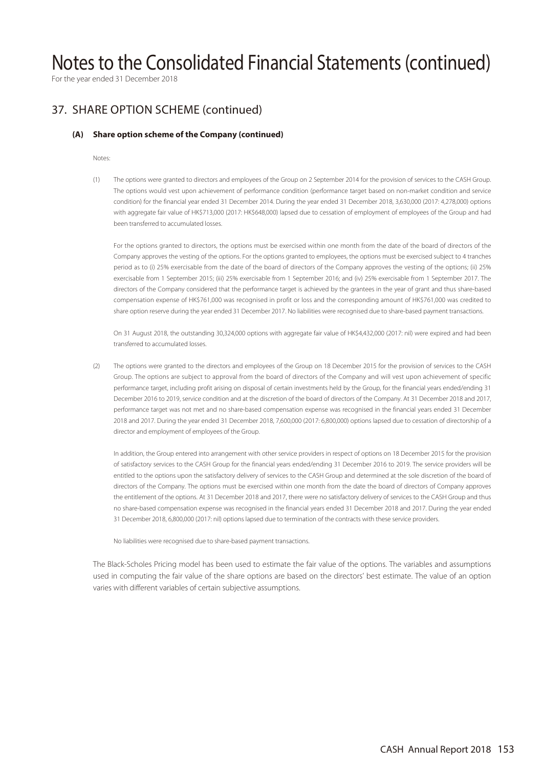For the year ended 31 December 2018

### 37. SHARE OPTION SCHEME (continued)

#### **(A) Share option scheme of the Company (continued)**

Notes:

(1) The options were granted to directors and employees of the Group on 2 September 2014 for the provision of services to the CASH Group. The options would vest upon achievement of performance condition (performance target based on non-market condition and service condition) for the financial year ended 31 December 2014. During the year ended 31 December 2018, 3,630,000 (2017: 4,278,000) options with aggregate fair value of HK\$713,000 (2017: HK\$648,000) lapsed due to cessation of employment of employees of the Group and had been transferred to accumulated losses.

For the options granted to directors, the options must be exercised within one month from the date of the board of directors of the Company approves the vesting of the options. For the options granted to employees, the options must be exercised subject to 4 tranches period as to (i) 25% exercisable from the date of the board of directors of the Company approves the vesting of the options; (ii) 25% exercisable from 1 September 2015; (iii) 25% exercisable from 1 September 2016; and (iv) 25% exercisable from 1 September 2017. The directors of the Company considered that the performance target is achieved by the grantees in the year of grant and thus share-based compensation expense of HK\$761,000 was recognised in profit or loss and the corresponding amount of HK\$761,000 was credited to share option reserve during the year ended 31 December 2017. No liabilities were recognised due to share-based payment transactions.

On 31 August 2018, the outstanding 30,324,000 options with aggregate fair value of HK\$4,432,000 (2017: nil) were expired and had been transferred to accumulated losses.

(2) The options were granted to the directors and employees of the Group on 18 December 2015 for the provision of services to the CASH Group. The options are subject to approval from the board of directors of the Company and will vest upon achievement of specific performance target, including profit arising on disposal of certain investments held by the Group, for the financial years ended/ending 31 December 2016 to 2019, service condition and at the discretion of the board of directors of the Company. At 31 December 2018 and 2017, performance target was not met and no share-based compensation expense was recognised in the financial years ended 31 December 2018 and 2017. During the year ended 31 December 2018, 7,600,000 (2017: 6,800,000) options lapsed due to cessation of directorship of a director and employment of employees of the Group.

In addition, the Group entered into arrangement with other service providers in respect of options on 18 December 2015 for the provision of satisfactory services to the CASH Group for the financial years ended/ending 31 December 2016 to 2019. The service providers will be entitled to the options upon the satisfactory delivery of services to the CASH Group and determined at the sole discretion of the board of directors of the Company. The options must be exercised within one month from the date the board of directors of Company approves the entitlement of the options. At 31 December 2018 and 2017, there were no satisfactory delivery of services to the CASH Group and thus no share-based compensation expense was recognised in the financial years ended 31 December 2018 and 2017. During the year ended 31 December 2018, 6,800,000 (2017: nil) options lapsed due to termination of the contracts with these service providers.

No liabilities were recognised due to share-based payment transactions.

The Black-Scholes Pricing model has been used to estimate the fair value of the options. The variables and assumptions used in computing the fair value of the share options are based on the directors' best estimate. The value of an option varies with different variables of certain subjective assumptions.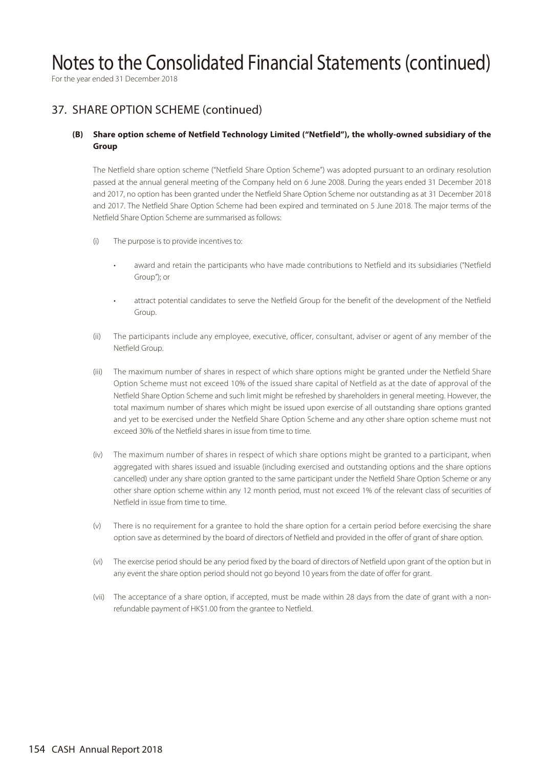For the year ended 31 December 2018

### 37. SHARE OPTION SCHEME (continued)

### **(B) Share option scheme of Netfield Technology Limited ("Netfield"), the wholly-owned subsidiary of the Group**

The Netfield share option scheme ("Netfield Share Option Scheme") was adopted pursuant to an ordinary resolution passed at the annual general meeting of the Company held on 6 June 2008. During the years ended 31 December 2018 and 2017, no option has been granted under the Netfield Share Option Scheme nor outstanding as at 31 December 2018 and 2017. The Netfield Share Option Scheme had been expired and terminated on 5 June 2018. The major terms of the Netfield Share Option Scheme are summarised as follows:

- (i) The purpose is to provide incentives to:
	- award and retain the participants who have made contributions to Netfield and its subsidiaries ("Netfield Group"); or
	- attract potential candidates to serve the Netfield Group for the benefit of the development of the Netfield Group.
- (ii) The participants include any employee, executive, officer, consultant, adviser or agent of any member of the Netfield Group.
- (iii) The maximum number of shares in respect of which share options might be granted under the Netfield Share Option Scheme must not exceed 10% of the issued share capital of Netfield as at the date of approval of the Netfield Share Option Scheme and such limit might be refreshed by shareholders in general meeting. However, the total maximum number of shares which might be issued upon exercise of all outstanding share options granted and yet to be exercised under the Netfield Share Option Scheme and any other share option scheme must not exceed 30% of the Netfield shares in issue from time to time.
- (iv) The maximum number of shares in respect of which share options might be granted to a participant, when aggregated with shares issued and issuable (including exercised and outstanding options and the share options cancelled) under any share option granted to the same participant under the Netfield Share Option Scheme or any other share option scheme within any 12 month period, must not exceed 1% of the relevant class of securities of Netfield in issue from time to time.
- (v) There is no requirement for a grantee to hold the share option for a certain period before exercising the share option save as determined by the board of directors of Netfield and provided in the offer of grant of share option.
- (vi) The exercise period should be any period fixed by the board of directors of Netfield upon grant of the option but in any event the share option period should not go beyond 10 years from the date of offer for grant.
- (vii) The acceptance of a share option, if accepted, must be made within 28 days from the date of grant with a nonrefundable payment of HK\$1.00 from the grantee to Netfield.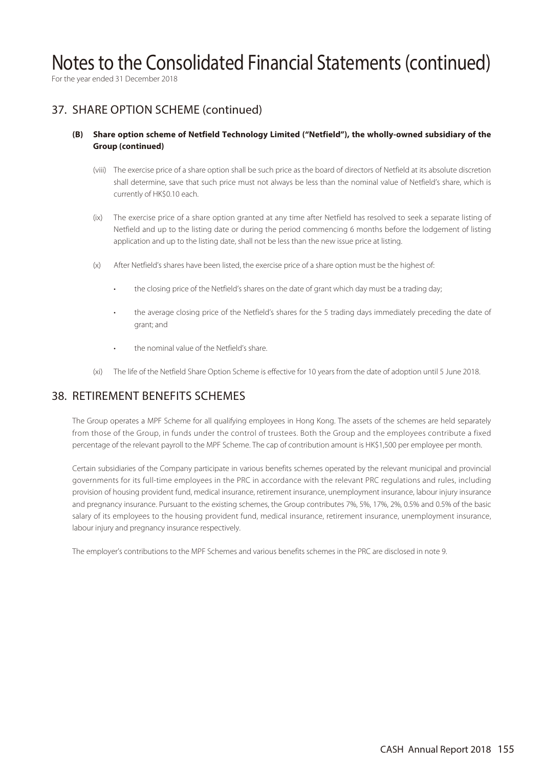For the year ended 31 December 2018

### 37. SHARE OPTION SCHEME (continued)

- **(B) Share option scheme of Netfield Technology Limited ("Netfield"), the wholly-owned subsidiary of the Group (continued)**
	- (viii) The exercise price of a share option shall be such price as the board of directors of Netfield at its absolute discretion shall determine, save that such price must not always be less than the nominal value of Netfield's share, which is currently of HK\$0.10 each.
	- (ix) The exercise price of a share option granted at any time after Netfield has resolved to seek a separate listing of Netfield and up to the listing date or during the period commencing 6 months before the lodgement of listing application and up to the listing date, shall not be less than the new issue price at listing.
	- (x) After Netfield's shares have been listed, the exercise price of a share option must be the highest of:
		- the closing price of the Netfield's shares on the date of grant which day must be a trading day;
		- the average closing price of the Netfield's shares for the 5 trading days immediately preceding the date of grant; and
		- the nominal value of the Netfield's share.
	- (xi) The life of the Netfield Share Option Scheme is effective for 10 years from the date of adoption until 5 June 2018.

### 38. RETIREMENT BENEFITS SCHEMES

The Group operates a MPF Scheme for all qualifying employees in Hong Kong. The assets of the schemes are held separately from those of the Group, in funds under the control of trustees. Both the Group and the employees contribute a fixed percentage of the relevant payroll to the MPF Scheme. The cap of contribution amount is HK\$1,500 per employee per month.

Certain subsidiaries of the Company participate in various benefits schemes operated by the relevant municipal and provincial governments for its full-time employees in the PRC in accordance with the relevant PRC regulations and rules, including provision of housing provident fund, medical insurance, retirement insurance, unemployment insurance, labour injury insurance and pregnancy insurance. Pursuant to the existing schemes, the Group contributes 7%, 5%, 17%, 2%, 0.5% and 0.5% of the basic salary of its employees to the housing provident fund, medical insurance, retirement insurance, unemployment insurance, labour injury and pregnancy insurance respectively.

The employer's contributions to the MPF Schemes and various benefits schemes in the PRC are disclosed in note 9.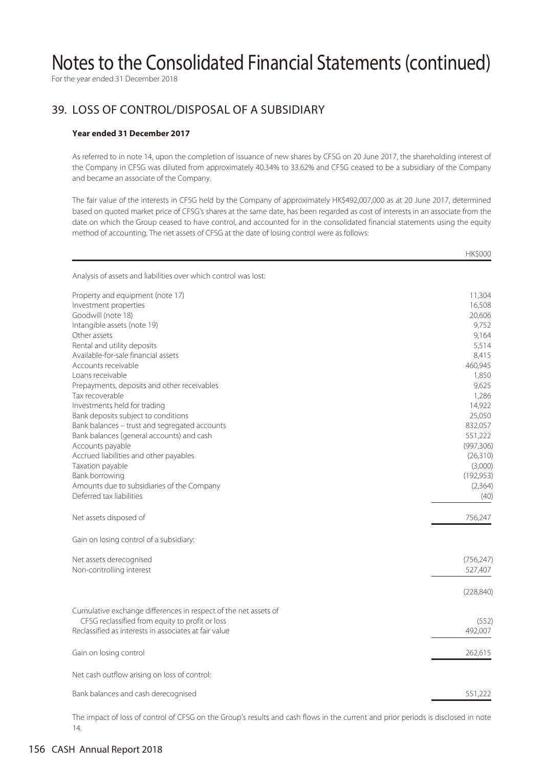For the year ended 31 December 2018

### 39. LOSS OF CONTROL/DISPOSAL OF A SUBSIDIARY

### **Year ended 31 December 2017**

As referred to in note 14, upon the completion of issuance of new shares by CFSG on 20 June 2017, the shareholding interest of the Company in CFSG was diluted from approximately 40.34% to 33.62% and CFSG ceased to be a subsidiary of the Company and became an associate of the Company.

The fair value of the interests in CFSG held by the Company of approximately HK\$492,007,000 as at 20 June 2017, determined based on quoted market price of CFSG's shares at the same date, has been regarded as cost of interests in an associate from the date on which the Group ceased to have control, and accounted for in the consolidated financial statements using the equity method of accounting. The net assets of CFSG at the date of losing control were as follows:

|                                                                 | <b>HK\$000</b> |
|-----------------------------------------------------------------|----------------|
| Analysis of assets and liabilities over which control was lost: |                |
| Property and equipment (note 17)                                | 11,304         |
| Investment properties                                           | 16,508         |
| Goodwill (note 18)                                              | 20,606         |
| Intangible assets (note 19)                                     | 9,752          |
| Other assets                                                    | 9,164          |
| Rental and utility deposits                                     | 5,514          |
| Available-for-sale financial assets                             | 8,415          |
| Accounts receivable                                             | 460,945        |
| Loans receivable                                                | 1,850          |
| Prepayments, deposits and other receivables                     | 9,625          |
| Tax recoverable                                                 | 1,286          |
| Investments held for trading                                    | 14,922         |
| Bank deposits subject to conditions                             | 25,050         |
| Bank balances - trust and segregated accounts                   | 832,057        |
| Bank balances (general accounts) and cash                       | 551,222        |
| Accounts payable                                                | (997, 306)     |
| Accrued liabilities and other payables                          | (26,310)       |
| Taxation payable                                                | (3,000)        |
| Bank borrowing                                                  | (192, 953)     |
| Amounts due to subsidiaries of the Company                      | (2,364)        |
| Deferred tax liabilities                                        | (40)           |
| Net assets disposed of                                          | 756,247        |
| Gain on losing control of a subsidiary:                         |                |
| Net assets derecognised                                         | (756, 247)     |
| Non-controlling interest                                        | 527,407        |
|                                                                 | (228, 840)     |
| Cumulative exchange differences in respect of the net assets of |                |
| CFSG reclassified from equity to profit or loss                 | (552)          |
| Reclassified as interests in associates at fair value           | 492,007        |
|                                                                 |                |
| Gain on losing control                                          | 262,615        |
| Net cash outflow arising on loss of control:                    |                |
| Bank balances and cash derecognised                             | 551,222        |
|                                                                 |                |

The impact of loss of control of CFSG on the Group's results and cash flows in the current and prior periods is disclosed in note 14.

### 156 CASH Annual Report 2018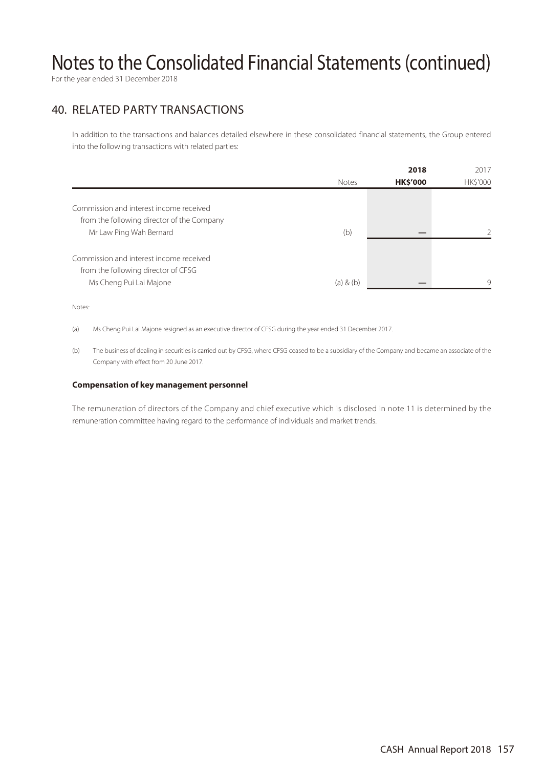For the year ended 31 December 2018

## 40. RELATED PARTY TRANSACTIONS

In addition to the transactions and balances detailed elsewhere in these consolidated financial statements, the Group entered into the following transactions with related parties:

|                                                                                                                  |             | 2018            | 2017           |
|------------------------------------------------------------------------------------------------------------------|-------------|-----------------|----------------|
|                                                                                                                  | Notes       | <b>HK\$'000</b> | <b>HKS'000</b> |
| Commission and interest income received<br>from the following director of the Company<br>Mr Law Ping Wah Bernard | (b)         |                 |                |
|                                                                                                                  |             |                 |                |
| Commission and interest income received<br>from the following director of CFSG                                   |             |                 |                |
| Ms Cheng Pui Lai Majone                                                                                          | (a) $&$ (b) |                 | q              |

Notes:

(a) Ms Cheng Pui Lai Majone resigned as an executive director of CFSG during the year ended 31 December 2017.

(b) The business of dealing in securities is carried out by CFSG, where CFSG ceased to be a subsidiary of the Company and became an associate of the Company with effect from 20 June 2017.

### **Compensation of key management personnel**

The remuneration of directors of the Company and chief executive which is disclosed in note 11 is determined by the remuneration committee having regard to the performance of individuals and market trends.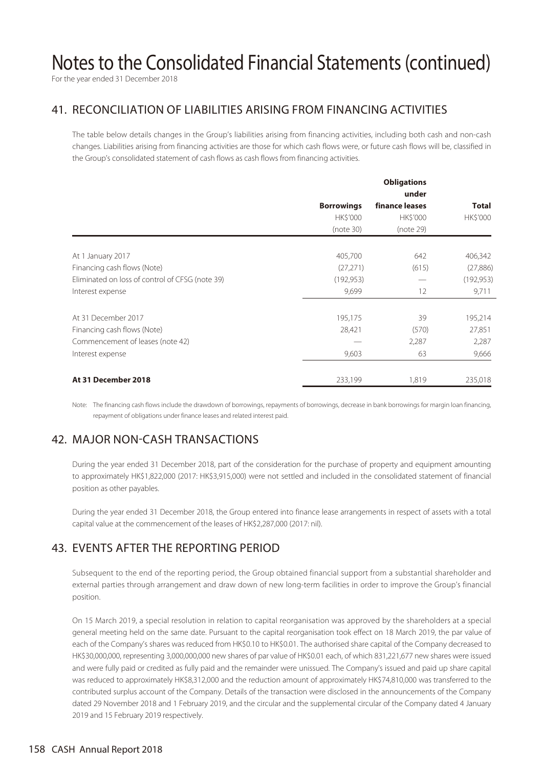For the year ended 31 December 2018

### 41. RECONCILIATION OF LIABILITIES ARISING FROM FINANCING ACTIVITIES

The table below details changes in the Group's liabilities arising from financing activities, including both cash and non-cash changes. Liabilities arising from financing activities are those for which cash flows were, or future cash flows will be, classified in the Group's consolidated statement of cash flows as cash flows from financing activities.

|                                                 | <b>Borrowings</b> | finance leases | <b>Total</b> |
|-------------------------------------------------|-------------------|----------------|--------------|
|                                                 | <b>HK\$'000</b>   | HK\$'000       | HK\$'000     |
|                                                 | (note 30)         | (note 29)      |              |
| At 1 January 2017                               | 405,700           | 642            | 406,342      |
| Financing cash flows (Note)                     | (27, 271)         | (615)          | (27,886)     |
| Eliminated on loss of control of CFSG (note 39) | (192, 953)        |                | (192, 953)   |
| Interest expense                                | 9,699             | 12             | 9,711        |
| At 31 December 2017                             | 195,175           | 39             | 195,214      |
| Financing cash flows (Note)                     | 28,421            | (570)          | 27,851       |
| Commencement of leases (note 42)                |                   | 2,287          | 2,287        |
| Interest expense                                | 9,603             | 63             | 9,666        |
| At 31 December 2018                             | 233,199           | 1,819          | 235,018      |

Note: The financing cash flows include the drawdown of borrowings, repayments of borrowings, decrease in bank borrowings for margin loan financing, repayment of obligations under finance leases and related interest paid.

### 42. MAJOR NON-CASH TRANSACTIONS

During the year ended 31 December 2018, part of the consideration for the purchase of property and equipment amounting to approximately HK\$1,822,000 (2017: HK\$3,915,000) were not settled and included in the consolidated statement of financial position as other payables.

During the year ended 31 December 2018, the Group entered into finance lease arrangements in respect of assets with a total capital value at the commencement of the leases of HK\$2,287,000 (2017: nil).

### 43. EVENTS AFTER THE REPORTING PERIOD

Subsequent to the end of the reporting period, the Group obtained financial support from a substantial shareholder and external parties through arrangement and draw down of new long-term facilities in order to improve the Group's financial position.

On 15 March 2019, a special resolution in relation to capital reorganisation was approved by the shareholders at a special general meeting held on the same date. Pursuant to the capital reorganisation took effect on 18 March 2019, the par value of each of the Company's shares was reduced from HK\$0.10 to HK\$0.01. The authorised share capital of the Company decreased to HK\$30,000,000, representing 3,000,000,000 new shares of par value of HK\$0.01 each, of which 831,221,677 new shares were issued and were fully paid or credited as fully paid and the remainder were unissued. The Company's issued and paid up share capital was reduced to approximately HK\$8,312,000 and the reduction amount of approximately HK\$74,810,000 was transferred to the contributed surplus account of the Company. Details of the transaction were disclosed in the announcements of the Company dated 29 November 2018 and 1 February 2019, and the circular and the supplemental circular of the Company dated 4 January 2019 and 15 February 2019 respectively.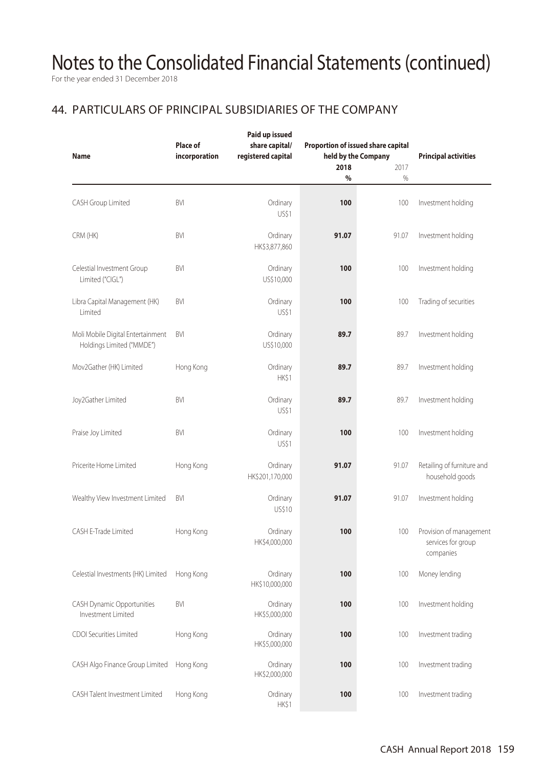For the year ended 31 December 2018

### 44. PARTICULARS OF PRINCIPAL SUBSIDIARIES OF THE COMPANY

| <b>Name</b>                                                    | <b>Place of</b><br>registered capital<br>incorporation |                             | Proportion of issued share capital<br>held by the Company<br>2018<br>$\%$ | 2017<br>$\%$ | <b>Principal activities</b>                                |  |
|----------------------------------------------------------------|--------------------------------------------------------|-----------------------------|---------------------------------------------------------------------------|--------------|------------------------------------------------------------|--|
| CASH Group Limited                                             | <b>BVI</b>                                             | Ordinary<br>US\$1           | 100                                                                       | 100          | Investment holding                                         |  |
| CRM (HK)                                                       | BVI                                                    | Ordinary<br>HK\$3,877,860   | 91.07                                                                     | 91.07        | Investment holding                                         |  |
| Celestial Investment Group<br>Limited ("CIGL")                 | <b>BVI</b>                                             | Ordinary<br>US\$10,000      | 100                                                                       | 100          | Investment holding                                         |  |
| Libra Capital Management (HK)<br>Limited                       | <b>BVI</b>                                             | Ordinary<br>US\$1           | 100                                                                       | 100          | Trading of securities                                      |  |
| Moli Mobile Digital Entertainment<br>Holdings Limited ("MMDE") | BVI                                                    | Ordinary<br>US\$10,000      | 89.7                                                                      | 89.7         | Investment holding                                         |  |
| Mov2Gather (HK) Limited                                        | Hong Kong                                              | Ordinary<br>HK\$1           | 89.7                                                                      | 89.7         | Investment holding                                         |  |
| Joy2Gather Limited                                             | BVI                                                    | Ordinary<br>US\$1           | 89.7                                                                      | 89.7         | Investment holding                                         |  |
| Praise Joy Limited                                             | BVI                                                    | Ordinary<br>US\$1           | 100                                                                       | 100          | Investment holding                                         |  |
| Pricerite Home Limited                                         | Hong Kong                                              | Ordinary<br>HK\$201,170,000 | 91.07                                                                     | 91.07        | Retailing of furniture and<br>household goods              |  |
| Wealthy View Investment Limited                                | BVI                                                    | Ordinary<br>US\$10          | 91.07                                                                     | 91.07        | Investment holding                                         |  |
| CASH E-Trade Limited                                           | Hong Kong                                              | Ordinary<br>HK\$4,000,000   | 100                                                                       | 100          | Provision of management<br>services for group<br>companies |  |
| Celestial Investments (HK) Limited                             | Hong Kong                                              | Ordinary<br>HK\$10,000,000  | 100                                                                       | 100          | Money lending                                              |  |
| <b>CASH Dynamic Opportunities</b><br>Investment Limited        | <b>BVI</b>                                             | Ordinary<br>HK\$5,000,000   | 100                                                                       | 100          | Investment holding                                         |  |
| CDOI Securities Limited                                        | Hong Kong                                              | Ordinary<br>HK\$5,000,000   | 100                                                                       | 100          | Investment trading                                         |  |
| CASH Algo Finance Group Limited                                | Hong Kong                                              | Ordinary<br>HK\$2,000,000   | 100                                                                       | 100          | Investment trading                                         |  |
| CASH Talent Investment Limited                                 | Hong Kong                                              | Ordinary<br>HK\$1           | 100                                                                       | 100          | Investment trading                                         |  |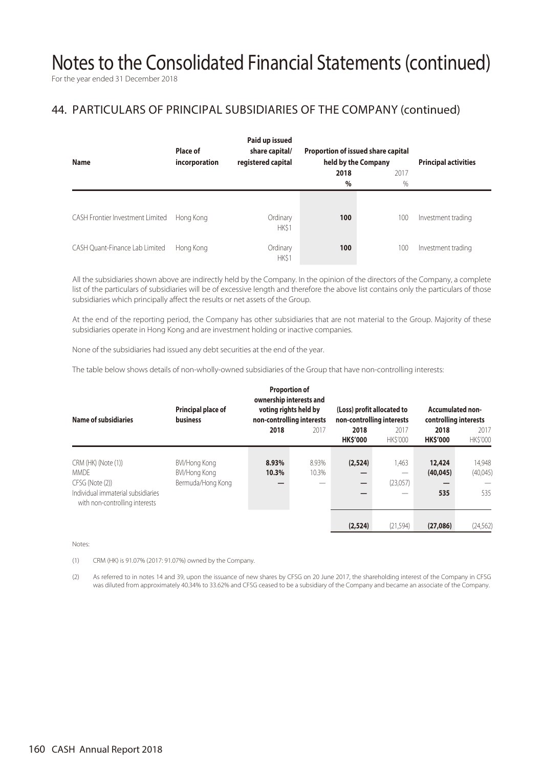For the year ended 31 December 2018

### 44. PARTICULARS OF PRINCIPAL SUBSIDIARIES OF THE COMPANY (continued)

| <b>Name</b>                      | Paid up issued<br>Place of<br>share capital/<br>registered capital<br>incorporation |                   | Proportion of issued share capital<br>held by the Company | <b>Principal activities</b> |                    |
|----------------------------------|-------------------------------------------------------------------------------------|-------------------|-----------------------------------------------------------|-----------------------------|--------------------|
|                                  |                                                                                     |                   | 2018<br>$\%$                                              | 2017<br>%                   |                    |
|                                  |                                                                                     |                   |                                                           |                             |                    |
| CASH Frontier Investment Limited | Hona Kona                                                                           | Ordinary<br>HK\$1 | 100                                                       | 100                         | Investment trading |
| CASH Quant-Finance Lab Limited   | Hong Kong                                                                           | Ordinary<br>HK\$1 | 100                                                       | 100                         | Investment trading |

All the subsidiaries shown above are indirectly held by the Company. In the opinion of the directors of the Company, a complete list of the particulars of subsidiaries will be of excessive length and therefore the above list contains only the particulars of those subsidiaries which principally affect the results or net assets of the Group.

At the end of the reporting period, the Company has other subsidiaries that are not material to the Group. Majority of these subsidiaries operate in Hong Kong and are investment holding or inactive companies.

None of the subsidiaries had issued any debt securities at the end of the year.

The table below shows details of non-wholly-owned subsidiaries of the Group that have non-controlling interests:

| Name of subsidiaries                                                                                                          | Principal place of<br><b>business</b>               | <b>Proportion of</b><br>ownership interests and<br>voting rights held by<br>non-controlling interests |                     | (Loss) profit allocated to<br>non-controlling interests |                        | <b>Accumulated non-</b><br>controlling interests |                           |
|-------------------------------------------------------------------------------------------------------------------------------|-----------------------------------------------------|-------------------------------------------------------------------------------------------------------|---------------------|---------------------------------------------------------|------------------------|--------------------------------------------------|---------------------------|
|                                                                                                                               |                                                     | 2018                                                                                                  | 2017                | 2018<br><b>HK\$'000</b>                                 | 2017<br><b>HKS'000</b> | 2018<br><b>HK\$'000</b>                          | 2017<br><b>HKS'000</b>    |
| CRM (HK) (Note (1))<br><b>MMDF</b><br>CFSG (Note (2))<br>Individual immaterial subsidiaries<br>with non-controlling interests | BVI/Hong Kong<br>BVI/Hong Kong<br>Bermuda/Hong Kong | 8.93%<br>10.3%                                                                                        | 8.93%<br>10.3%<br>- | (2,524)<br>–                                            | 1,463<br>(23,057)      | 12,424<br>(40, 045)<br>535                       | 14,948<br>(40,045)<br>535 |
|                                                                                                                               |                                                     |                                                                                                       |                     | (2,524)                                                 | (21, 594)              | (27,086)                                         | (24, 562)                 |

#### Notes:

(1) CRM (HK) is 91.07% (2017: 91.07%) owned by the Company.

(2) As referred to in notes 14 and 39, upon the issuance of new shares by CFSG on 20 June 2017, the shareholding interest of the Company in CFSG was diluted from approximately 40.34% to 33.62% and CFSG ceased to be a subsidiary of the Company and became an associate of the Company.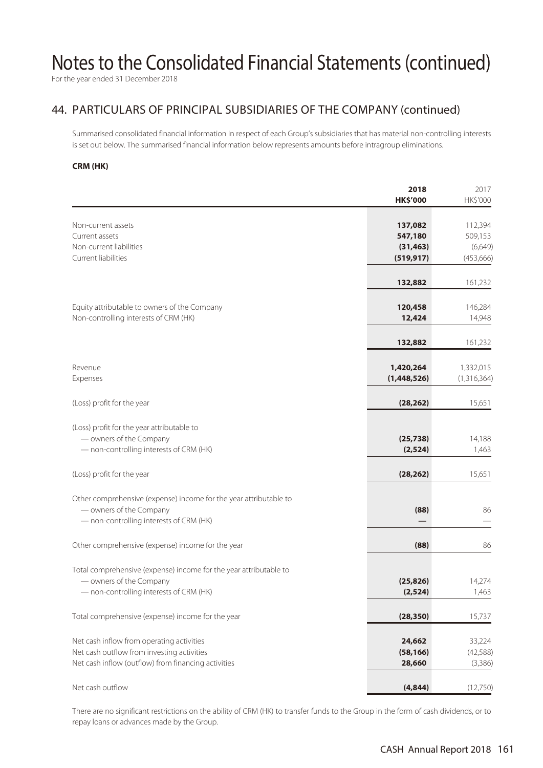For the year ended 31 December 2018

### 44. PARTICULARS OF PRINCIPAL SUBSIDIARIES OF THE COMPANY (continued)

Summarised consolidated financial information in respect of each Group's subsidiaries that has material non-controlling interests is set out below. The summarised financial information below represents amounts before intragroup eliminations.

### **CRM (HK)**

|                                                                    | 2018            | 2017        |
|--------------------------------------------------------------------|-----------------|-------------|
|                                                                    | <b>HK\$'000</b> | HK\$'000    |
|                                                                    |                 |             |
| Non-current assets                                                 | 137,082         | 112,394     |
| Current assets                                                     | 547,180         | 509,153     |
| Non-current liabilities                                            | (31, 463)       | (6,649)     |
| Current liabilities                                                | (519, 917)      | (453, 666)  |
|                                                                    | 132,882         | 161,232     |
| Equity attributable to owners of the Company                       | 120,458         | 146,284     |
| Non-controlling interests of CRM (HK)                              | 12,424          | 14,948      |
|                                                                    |                 |             |
|                                                                    | 132,882         | 161,232     |
| Revenue                                                            | 1,420,264       | 1,332,015   |
| Expenses                                                           | (1,448,526)     | (1,316,364) |
|                                                                    |                 |             |
| (Loss) profit for the year                                         | (28, 262)       | 15,651      |
| (Loss) profit for the year attributable to                         |                 |             |
| - owners of the Company                                            | (25, 738)       | 14,188      |
| - non-controlling interests of CRM (HK)                            | (2, 524)        | 1,463       |
| (Loss) profit for the year                                         | (28, 262)       | 15,651      |
|                                                                    |                 |             |
| Other comprehensive (expense) income for the year attributable to  |                 |             |
| - owners of the Company<br>- non-controlling interests of CRM (HK) | (88)            | 86          |
|                                                                    |                 |             |
| Other comprehensive (expense) income for the year                  | (88)            | 86          |
| Total comprehensive (expense) income for the year attributable to  |                 |             |
| - owners of the Company                                            | (25, 826)       | 14,274      |
| - non-controlling interests of CRM (HK)                            | (2, 524)        | 1,463       |
|                                                                    |                 |             |
| Total comprehensive (expense) income for the year                  | (28, 350)       | 15,737      |
| Net cash inflow from operating activities                          | 24,662          | 33,224      |
| Net cash outflow from investing activities                         | (58, 166)       | (42, 588)   |
| Net cash inflow (outflow) from financing activities                | 28,660          | (3,386)     |
| Net cash outflow                                                   | (4, 844)        | (12,750)    |
|                                                                    |                 |             |

There are no significant restrictions on the ability of CRM (HK) to transfer funds to the Group in the form of cash dividends, or to repay loans or advances made by the Group.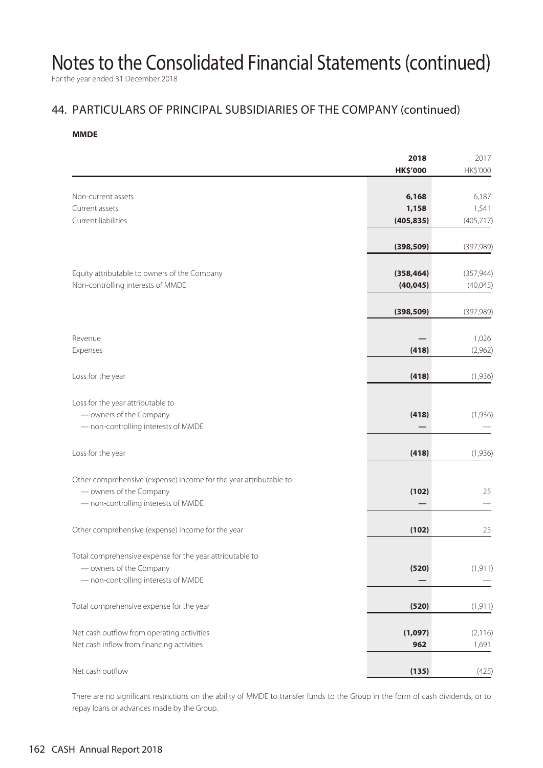For the year ended 31 December 2018

### 44. PARTICULARS OF PRINCIPAL SUBSIDIARIES OF THE COMPANY (continued)

### **MMDE**

|                                                                   | 2018            | 2017       |
|-------------------------------------------------------------------|-----------------|------------|
|                                                                   | <b>HK\$'000</b> | HK\$'000   |
|                                                                   |                 |            |
| Non-current assets                                                | 6,168           | 6,187      |
| Current assets                                                    | 1,158           | 1,541      |
| Current liabilities                                               | (405, 835)      | (405, 717) |
|                                                                   |                 |            |
|                                                                   | (398, 509)      | (397,989)  |
| Equity attributable to owners of the Company                      | (358, 464)      | (357, 944) |
| Non-controlling interests of MMDE                                 | (40, 045)       | (40,045)   |
|                                                                   |                 |            |
|                                                                   | (398, 509)      | (397,989)  |
| Revenue                                                           |                 | 1,026      |
| Expenses                                                          | (418)           | (2,962)    |
|                                                                   |                 |            |
| Loss for the year                                                 | (418)           | (1,936)    |
| Loss for the year attributable to                                 |                 |            |
| - owners of the Company                                           | (418)           | (1,936)    |
| - non-controlling interests of MMDE                               |                 |            |
| Loss for the year                                                 | (418)           | (1,936)    |
| Other comprehensive (expense) income for the year attributable to |                 |            |
| - owners of the Company                                           | (102)           | 25         |
| - non-controlling interests of MMDE                               |                 |            |
| Other comprehensive (expense) income for the year                 | (102)           | 25         |
|                                                                   |                 |            |
| Total comprehensive expense for the year attributable to          |                 |            |
| - owners of the Company                                           | (520)           | (1, 911)   |
| - non-controlling interests of MMDE                               |                 |            |
| Total comprehensive expense for the year                          | (520)           | (1, 911)   |
| Net cash outflow from operating activities                        | (1,097)         | (2, 116)   |
| Net cash inflow from financing activities                         | 962             | 1,691      |
|                                                                   |                 |            |
| Net cash outflow                                                  | (135)           | (425)      |

There are no significant restrictions on the ability of MMDE to transfer funds to the Group in the form of cash dividends, or to repay loans or advances made by the Group.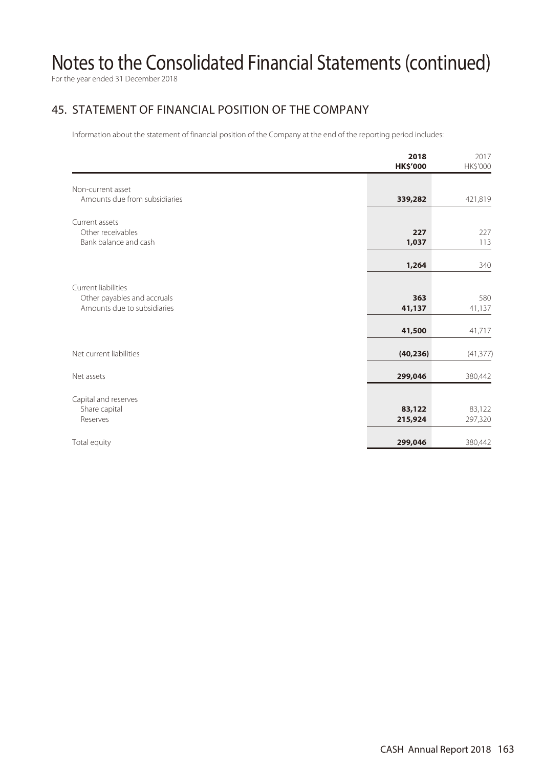For the year ended 31 December 2018

## 45. STATEMENT OF FINANCIAL POSITION OF THE COMPANY

Information about the statement of financial position of the Company at the end of the reporting period includes:

|                                                            | 2018<br><b>HK\$'000</b> | 2017<br>HK\$'000 |
|------------------------------------------------------------|-------------------------|------------------|
|                                                            |                         |                  |
| Non-current asset<br>Amounts due from subsidiaries         | 339,282                 | 421,819          |
| Current assets                                             |                         |                  |
| Other receivables                                          | 227                     | 227              |
| Bank balance and cash                                      | 1,037                   | 113              |
|                                                            | 1,264                   | 340              |
|                                                            |                         |                  |
| Current liabilities                                        |                         |                  |
| Other payables and accruals<br>Amounts due to subsidiaries | 363<br>41,137           | 580<br>41,137    |
|                                                            |                         |                  |
|                                                            | 41,500                  | 41,717           |
| Net current liabilities                                    | (40, 236)               | (41, 377)        |
| Net assets                                                 | 299,046                 | 380,442          |
|                                                            |                         |                  |
| Capital and reserves<br>Share capital                      | 83,122                  | 83,122           |
| Reserves                                                   | 215,924                 | 297,320          |
|                                                            |                         |                  |
| Total equity                                               | 299,046                 | 380,442          |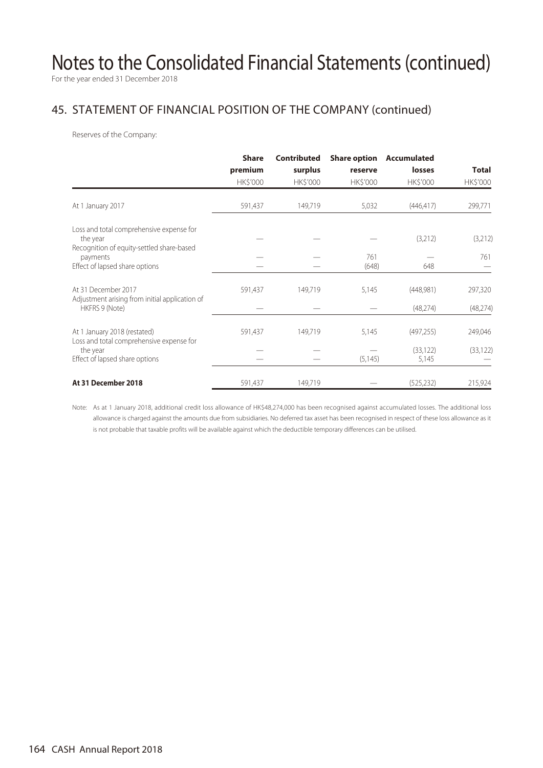For the year ended 31 December 2018

## 45. STATEMENT OF FINANCIAL POSITION OF THE COMPANY (continued)

Reserves of the Company:

|                                                                                                                                                 | <b>Share</b><br>premium<br>HK\$'000 | <b>Contributed</b><br>surplus<br>HK\$'000 | <b>Share option</b><br>reserve<br>HK\$'000 | Accumulated<br>losses<br>HK\$'000 | <b>Total</b><br><b>HK\$'000</b> |
|-------------------------------------------------------------------------------------------------------------------------------------------------|-------------------------------------|-------------------------------------------|--------------------------------------------|-----------------------------------|---------------------------------|
| At 1 January 2017                                                                                                                               | 591,437                             | 149,719                                   | 5,032                                      | (446, 417)                        | 299,771                         |
| Loss and total comprehensive expense for<br>the year<br>Recognition of equity-settled share-based<br>payments<br>Effect of lapsed share options |                                     |                                           | 761<br>(648)                               | (3,212)<br>648                    | (3,212)<br>761                  |
| At 31 December 2017<br>Adjustment arising from initial application of<br>HKFRS 9 (Note)                                                         | 591,437                             | 149,719                                   | 5,145                                      | (448,981)<br>(48,274)             | 297,320<br>(48, 274)            |
| At 1 January 2018 (restated)<br>Loss and total comprehensive expense for<br>the year<br>Effect of lapsed share options                          | 591,437                             | 149,719                                   | 5,145<br>(5, 145)                          | (497, 255)<br>(33, 122)<br>5,145  | 249,046<br>(33, 122)            |
| At 31 December 2018                                                                                                                             | 591,437                             | 149,719                                   |                                            | (525, 232)                        | 215,924                         |

Note: As at 1 January 2018, additional credit loss allowance of HK\$48,274,000 has been recognised against accumulated losses. The additional loss allowance is charged against the amounts due from subsidiaries. No deferred tax asset has been recognised in respect of these loss allowance as it is not probable that taxable profits will be available against which the deductible temporary differences can be utilised.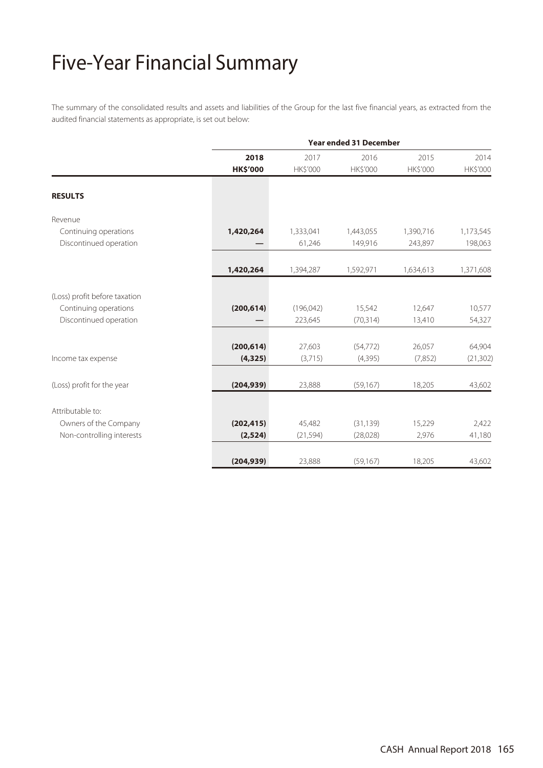# Five-Year Financial Summary

The summary of the consolidated results and assets and liabilities of the Group for the last five financial years, as extracted from the audited financial statements as appropriate, is set out below:

|                               |                 |            | <b>Year ended 31 December</b> |           |           |
|-------------------------------|-----------------|------------|-------------------------------|-----------|-----------|
|                               | 2018            | 2017       | 2016                          | 2015      | 2014      |
|                               | <b>HK\$'000</b> | HK\$'000   | HK\$'000                      | HK\$'000  | HK\$'000  |
| <b>RESULTS</b>                |                 |            |                               |           |           |
| Revenue                       |                 |            |                               |           |           |
| Continuing operations         | 1,420,264       | 1,333,041  | 1,443,055                     | 1,390,716 | 1,173,545 |
| Discontinued operation        |                 | 61,246     | 149,916                       | 243,897   | 198,063   |
|                               | 1,420,264       | 1,394,287  | 1,592,971                     | 1,634,613 | 1,371,608 |
| (Loss) profit before taxation |                 |            |                               |           |           |
| Continuing operations         | (200, 614)      | (196, 042) | 15,542                        | 12,647    | 10,577    |
| Discontinued operation        |                 | 223,645    | (70, 314)                     | 13,410    | 54,327    |
|                               | (200, 614)      | 27,603     | (54, 772)                     | 26,057    | 64,904    |
| Income tax expense            | (4, 325)        | (3,715)    | (4,395)                       | (7,852)   | (21, 302) |
| (Loss) profit for the year    | (204, 939)      | 23,888     | (59, 167)                     | 18,205    | 43,602    |
| Attributable to:              |                 |            |                               |           |           |
| Owners of the Company         | (202, 415)      | 45,482     | (31, 139)                     | 15,229    | 2,422     |
| Non-controlling interests     | (2,524)         | (21, 594)  | (28,028)                      | 2,976     | 41,180    |
|                               | (204, 939)      | 23,888     | (59, 167)                     | 18,205    | 43,602    |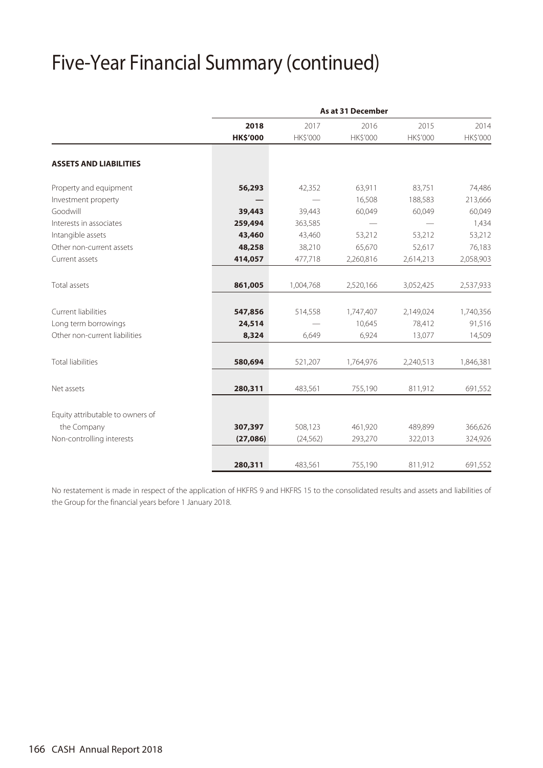# Five-Year Financial Summary (continued)

|                                  |                 |           | <b>As at 31 December</b> |           |           |
|----------------------------------|-----------------|-----------|--------------------------|-----------|-----------|
|                                  | 2018            | 2017      | 2016                     | 2015      | 2014      |
|                                  | <b>HK\$'000</b> | HK\$'000  | HK\$'000                 | HK\$'000  | HK\$'000  |
| <b>ASSETS AND LIABILITIES</b>    |                 |           |                          |           |           |
| Property and equipment           | 56,293          | 42,352    | 63,911                   | 83,751    | 74,486    |
| Investment property              |                 |           | 16,508                   | 188,583   | 213,666   |
| Goodwill                         | 39,443          | 39,443    | 60,049                   | 60,049    | 60,049    |
| Interests in associates          | 259,494         | 363,585   |                          |           | 1,434     |
| Intangible assets                | 43,460          | 43,460    | 53,212                   | 53,212    | 53,212    |
| Other non-current assets         | 48,258          | 38,210    | 65,670                   | 52,617    | 76,183    |
| Current assets                   | 414,057         | 477,718   | 2,260,816                | 2,614,213 | 2,058,903 |
| Total assets                     | 861,005         | 1,004,768 | 2,520,166                | 3,052,425 | 2,537,933 |
| Current liabilities              | 547,856         | 514,558   | 1,747,407                | 2,149,024 | 1,740,356 |
| Long term borrowings             | 24,514          |           | 10,645                   | 78,412    | 91,516    |
| Other non-current liabilities    | 8,324           | 6,649     | 6,924                    | 13,077    | 14,509    |
| <b>Total liabilities</b>         | 580,694         | 521,207   | 1,764,976                | 2,240,513 | 1,846,381 |
| Net assets                       | 280,311         | 483,561   | 755,190                  | 811,912   | 691,552   |
| Equity attributable to owners of |                 |           |                          |           |           |
| the Company                      | 307,397         | 508,123   | 461,920                  | 489,899   | 366,626   |
| Non-controlling interests        | (27, 086)       | (24, 562) | 293,270                  | 322,013   | 324,926   |
|                                  | 280,311         | 483,561   | 755,190                  | 811,912   | 691,552   |

No restatement is made in respect of the application of HKFRS 9 and HKFRS 15 to the consolidated results and assets and liabilities of the Group for the financial years before 1 January 2018.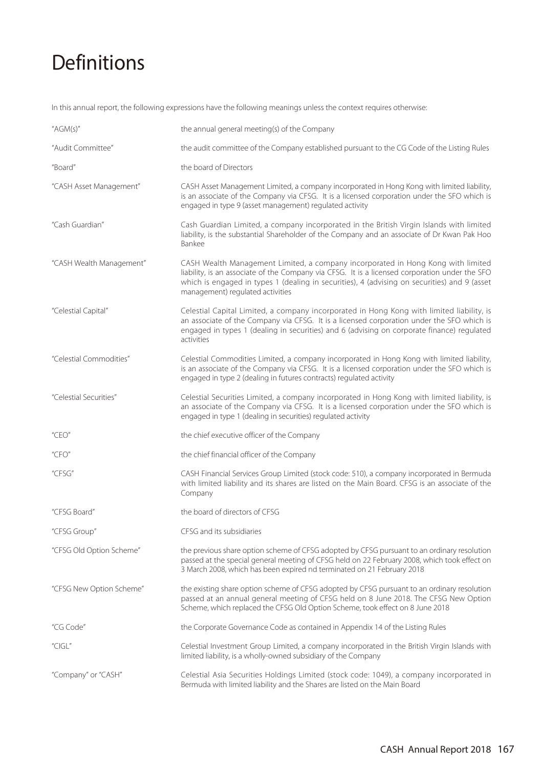# **Definitions**

In this annual report, the following expressions have the following meanings unless the context requires otherwise:

| "AGM(s)"                                | the annual general meeting(s) of the Company                                                                                                                                                                                                                                                                           |
|-----------------------------------------|------------------------------------------------------------------------------------------------------------------------------------------------------------------------------------------------------------------------------------------------------------------------------------------------------------------------|
| "Audit Committee"                       | the audit committee of the Company established pursuant to the CG Code of the Listing Rules                                                                                                                                                                                                                            |
| "Board"                                 | the board of Directors                                                                                                                                                                                                                                                                                                 |
| "CASH Asset Management"                 | CASH Asset Management Limited, a company incorporated in Hong Kong with limited liability,<br>is an associate of the Company via CFSG. It is a licensed corporation under the SFO which is<br>engaged in type 9 (asset management) regulated activity                                                                  |
| "Cash Guardian"                         | Cash Guardian Limited, a company incorporated in the British Virgin Islands with limited<br>liability, is the substantial Shareholder of the Company and an associate of Dr Kwan Pak Hoo<br>Bankee                                                                                                                     |
| "CASH Wealth Management"                | CASH Wealth Management Limited, a company incorporated in Hong Kong with limited<br>liability, is an associate of the Company via CFSG. It is a licensed corporation under the SFO<br>which is engaged in types 1 (dealing in securities), 4 (advising on securities) and 9 (asset<br>management) regulated activities |
| "Celestial Capital"                     | Celestial Capital Limited, a company incorporated in Hong Kong with limited liability, is<br>an associate of the Company via CFSG. It is a licensed corporation under the SFO which is<br>engaged in types 1 (dealing in securities) and 6 (advising on corporate finance) regulated<br>activities                     |
| "Celestial Commodities"                 | Celestial Commodities Limited, a company incorporated in Hong Kong with limited liability,<br>is an associate of the Company via CFSG. It is a licensed corporation under the SFO which is<br>engaged in type 2 (dealing in futures contracts) regulated activity                                                      |
| "Celestial Securities"                  | Celestial Securities Limited, a company incorporated in Hong Kong with limited liability, is<br>an associate of the Company via CFSG. It is a licensed corporation under the SFO which is<br>engaged in type 1 (dealing in securities) regulated activity                                                              |
| $^{\prime\prime}$ CEO $^{\prime\prime}$ | the chief executive officer of the Company                                                                                                                                                                                                                                                                             |
| $^{\prime\prime}$ CFO $^{\prime\prime}$ | the chief financial officer of the Company                                                                                                                                                                                                                                                                             |
| "CFSG"                                  | CASH Financial Services Group Limited (stock code: 510), a company incorporated in Bermuda<br>with limited liability and its shares are listed on the Main Board. CFSG is an associate of the<br>Company                                                                                                               |
| "CFSG Board"                            | the board of directors of CFSG                                                                                                                                                                                                                                                                                         |
| "CFSG Group"                            | CFSG and its subsidiaries                                                                                                                                                                                                                                                                                              |
| "CFSG Old Option Scheme"                | the previous share option scheme of CFSG adopted by CFSG pursuant to an ordinary resolution<br>passed at the special general meeting of CFSG held on 22 February 2008, which took effect on<br>3 March 2008, which has been expired nd terminated on 21 February 2018                                                  |
| "CFSG New Option Scheme"                | the existing share option scheme of CFSG adopted by CFSG pursuant to an ordinary resolution<br>passed at an annual general meeting of CFSG held on 8 June 2018. The CFSG New Option<br>Scheme, which replaced the CFSG Old Option Scheme, took effect on 8 June 2018                                                   |
| "CG Code"                               | the Corporate Governance Code as contained in Appendix 14 of the Listing Rules                                                                                                                                                                                                                                         |
| "CIGL"                                  | Celestial Investment Group Limited, a company incorporated in the British Virgin Islands with<br>limited liability, is a wholly-owned subsidiary of the Company                                                                                                                                                        |
| "Company" or "CASH"                     | Celestial Asia Securities Holdings Limited (stock code: 1049), a company incorporated in<br>Bermuda with limited liability and the Shares are listed on the Main Board                                                                                                                                                 |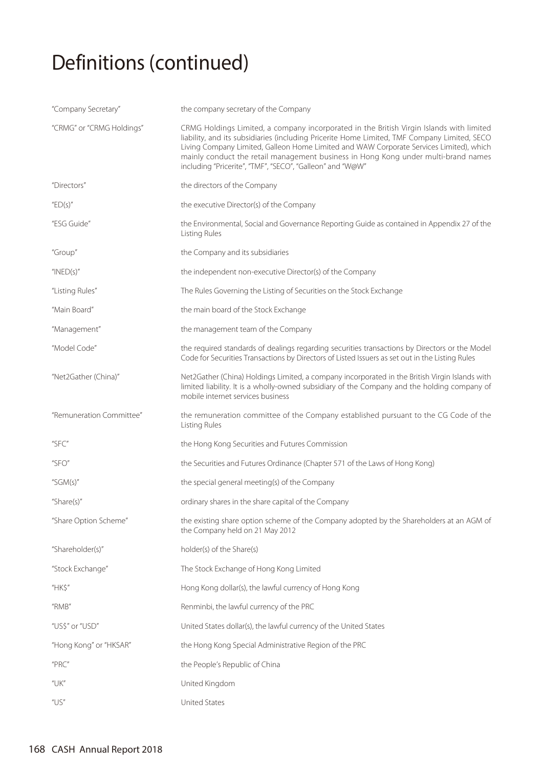# Definitions (continued)

| "Company Secretary"                    | the company secretary of the Company                                                                                                                                                                                                                                                                                                                                                                                                   |
|----------------------------------------|----------------------------------------------------------------------------------------------------------------------------------------------------------------------------------------------------------------------------------------------------------------------------------------------------------------------------------------------------------------------------------------------------------------------------------------|
| "CRMG" or "CRMG Holdings"              | CRMG Holdings Limited, a company incorporated in the British Virgin Islands with limited<br>liability, and its subsidiaries (including Pricerite Home Limited, TMF Company Limited, SECO<br>Living Company Limited, Galleon Home Limited and WAW Corporate Services Limited), which<br>mainly conduct the retail management business in Hong Kong under multi-brand names<br>including "Pricerite", "TMF", "SECO", "Galleon" and "W@W" |
| "Directors"                            | the directors of the Company                                                                                                                                                                                                                                                                                                                                                                                                           |
| " $ED(s)$ "                            | the executive Director(s) of the Company                                                                                                                                                                                                                                                                                                                                                                                               |
| "ESG Guide"                            | the Environmental, Social and Governance Reporting Guide as contained in Appendix 27 of the<br><b>Listing Rules</b>                                                                                                                                                                                                                                                                                                                    |
| "Group"                                | the Company and its subsidiaries                                                                                                                                                                                                                                                                                                                                                                                                       |
| " $INED(s)$ "                          | the independent non-executive Director(s) of the Company                                                                                                                                                                                                                                                                                                                                                                               |
| "Listing Rules"                        | The Rules Governing the Listing of Securities on the Stock Exchange                                                                                                                                                                                                                                                                                                                                                                    |
| "Main Board"                           | the main board of the Stock Exchange                                                                                                                                                                                                                                                                                                                                                                                                   |
| "Management"                           | the management team of the Company                                                                                                                                                                                                                                                                                                                                                                                                     |
| "Model Code"                           | the required standards of dealings regarding securities transactions by Directors or the Model<br>Code for Securities Transactions by Directors of Listed Issuers as set out in the Listing Rules                                                                                                                                                                                                                                      |
| "Net2Gather (China)"                   | Net2Gather (China) Holdings Limited, a company incorporated in the British Virgin Islands with<br>limited liability. It is a wholly-owned subsidiary of the Company and the holding company of<br>mobile internet services business                                                                                                                                                                                                    |
|                                        |                                                                                                                                                                                                                                                                                                                                                                                                                                        |
| "Remuneration Committee"               | the remuneration committee of the Company established pursuant to the CG Code of the<br><b>Listing Rules</b>                                                                                                                                                                                                                                                                                                                           |
| "SFC"                                  | the Hong Kong Securities and Futures Commission                                                                                                                                                                                                                                                                                                                                                                                        |
| "SFO"                                  | the Securities and Futures Ordinance (Chapter 571 of the Laws of Hong Kong)                                                                                                                                                                                                                                                                                                                                                            |
| "SGM(s)"                               | the special general meeting(s) of the Company                                                                                                                                                                                                                                                                                                                                                                                          |
| "Share(s)"                             | ordinary shares in the share capital of the Company                                                                                                                                                                                                                                                                                                                                                                                    |
| "Share Option Scheme"                  | the existing share option scheme of the Company adopted by the Shareholders at an AGM of<br>the Company held on 21 May 2012                                                                                                                                                                                                                                                                                                            |
| "Shareholder(s)"                       | holder(s) of the Share(s)                                                                                                                                                                                                                                                                                                                                                                                                              |
| "Stock Exchange"                       | The Stock Exchange of Hong Kong Limited                                                                                                                                                                                                                                                                                                                                                                                                |
| HKS''                                  | Hong Kong dollar(s), the lawful currency of Hong Kong                                                                                                                                                                                                                                                                                                                                                                                  |
| "RMB"                                  | Renminbi, the lawful currency of the PRC                                                                                                                                                                                                                                                                                                                                                                                               |
| "US\$" or "USD"                        | United States dollar(s), the lawful currency of the United States                                                                                                                                                                                                                                                                                                                                                                      |
| "Hong Kong" or "HKSAR"                 | the Hong Kong Special Administrative Region of the PRC                                                                                                                                                                                                                                                                                                                                                                                 |
| "PRC"                                  | the People's Republic of China                                                                                                                                                                                                                                                                                                                                                                                                         |
| $^{\prime\prime}$ UK $^{\prime\prime}$ | United Kingdom                                                                                                                                                                                                                                                                                                                                                                                                                         |